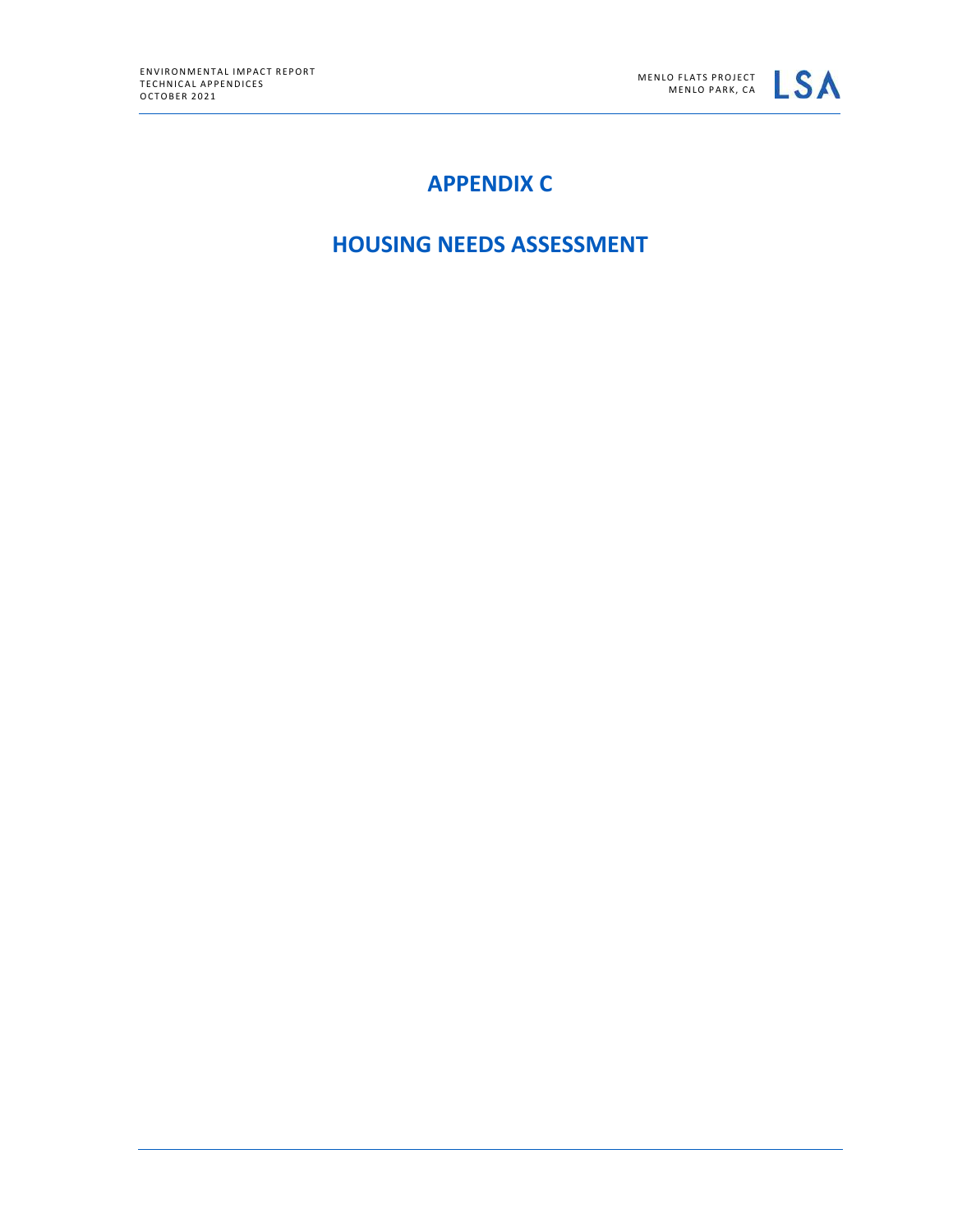

# **APPENDIX C**

## **HOUSING NEEDS ASSESSMENT**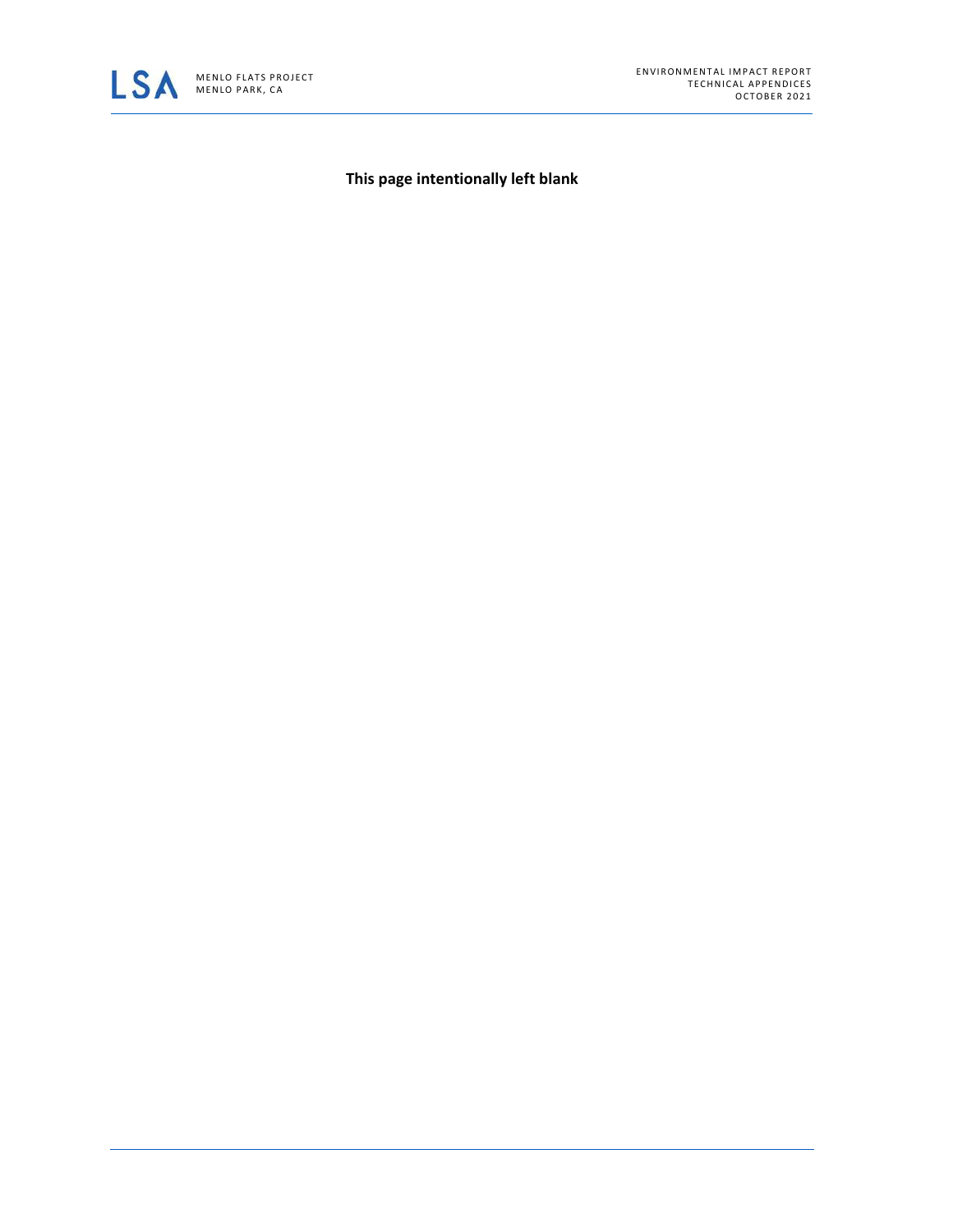

#### **This page intentionally left blank**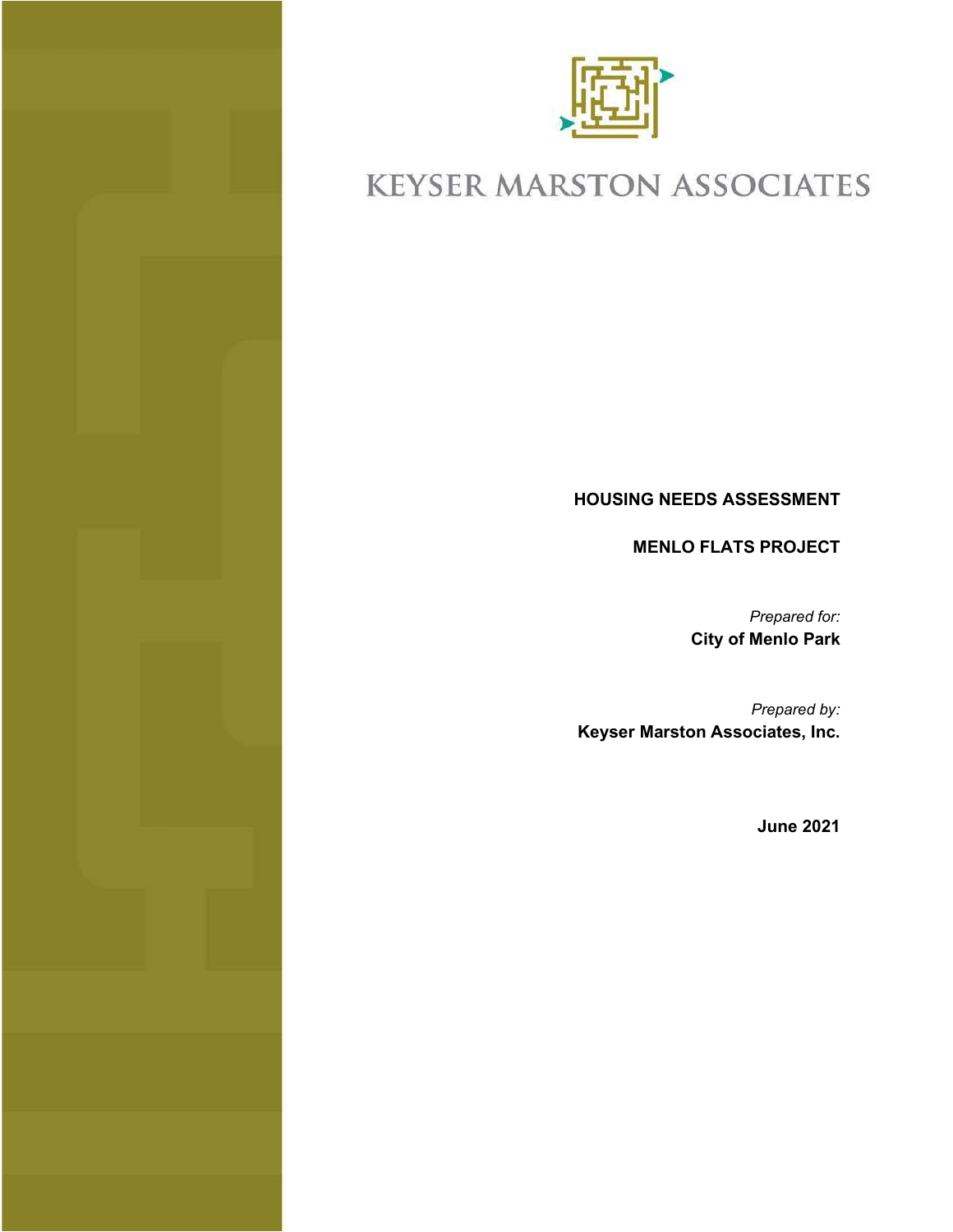



# **KEYSER MARSTON ASSOCIATES**

### **HOUSING NEEDS ASSESSMENT**

**MENLO FLATS PROJECT**

*Prepared for:* **City of Menlo Park**

*Prepared by:* **Keyser Marston Associates, Inc.**

**June 2021**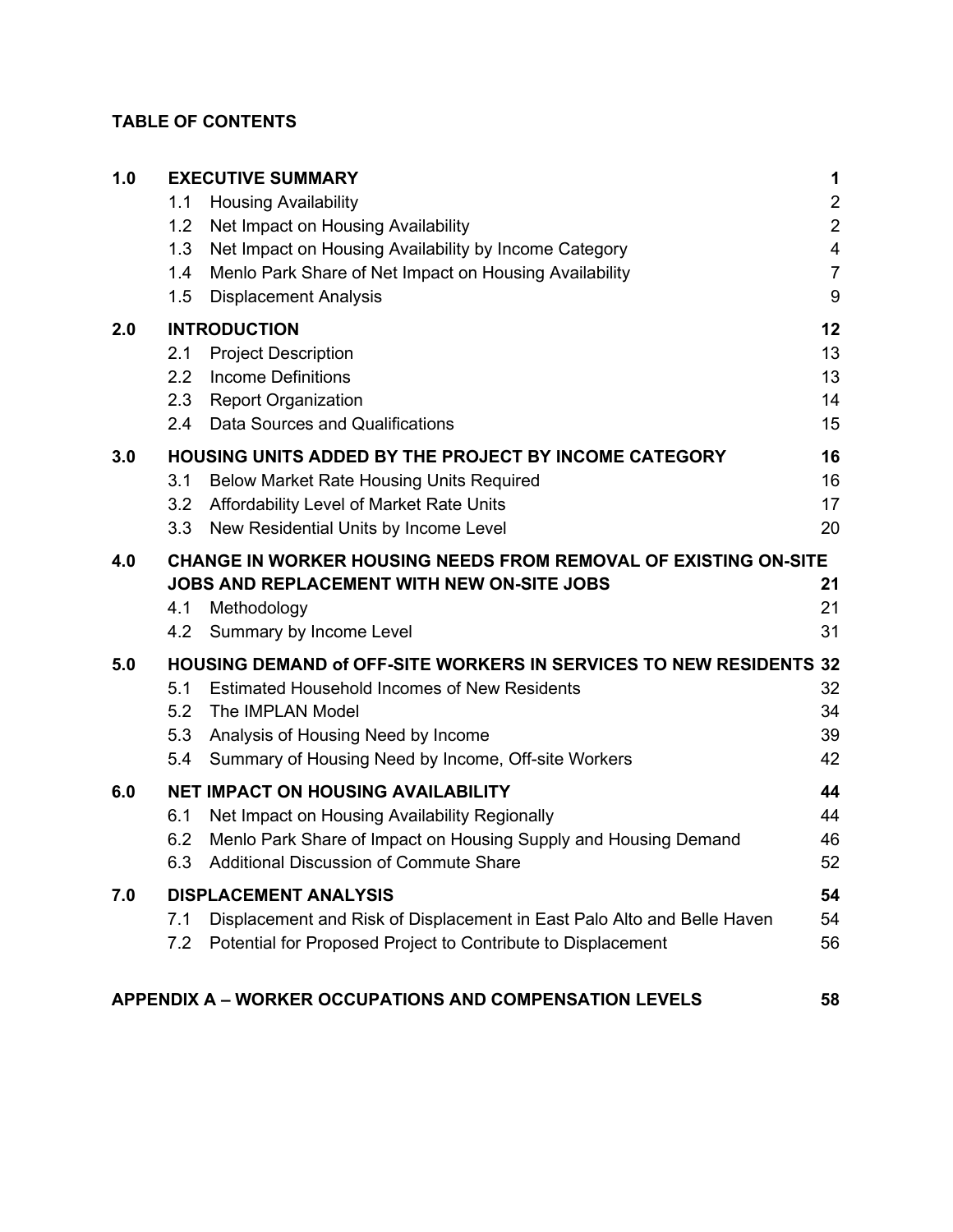### **TABLE OF CONTENTS**

| 1.0 |     | <b>EXECUTIVE SUMMARY</b>                                                  | 1              |
|-----|-----|---------------------------------------------------------------------------|----------------|
|     | 1.1 | <b>Housing Availability</b>                                               | $\overline{2}$ |
|     | 1.2 | Net Impact on Housing Availability                                        | $\overline{2}$ |
|     | 1.3 | Net Impact on Housing Availability by Income Category                     | 4              |
|     | 1.4 | Menlo Park Share of Net Impact on Housing Availability                    | $\overline{7}$ |
|     | 1.5 | <b>Displacement Analysis</b>                                              | 9              |
| 2.0 |     | <b>INTRODUCTION</b>                                                       | 12             |
|     | 2.1 | <b>Project Description</b>                                                | 13             |
|     | 2.2 | <b>Income Definitions</b>                                                 | 13             |
|     | 2.3 | <b>Report Organization</b>                                                | 14             |
|     | 2.4 | Data Sources and Qualifications                                           | 15             |
| 3.0 |     | <b>HOUSING UNITS ADDED BY THE PROJECT BY INCOME CATEGORY</b>              | 16             |
|     | 3.1 | <b>Below Market Rate Housing Units Required</b>                           | 16             |
|     | 3.2 | Affordability Level of Market Rate Units                                  | 17             |
|     | 3.3 | New Residential Units by Income Level                                     | 20             |
| 4.0 |     | CHANGE IN WORKER HOUSING NEEDS FROM REMOVAL OF EXISTING ON-SITE           |                |
|     |     | <b>JOBS AND REPLACEMENT WITH NEW ON-SITE JOBS</b>                         | 21             |
|     | 4.1 | Methodology                                                               | 21             |
|     | 4.2 | Summary by Income Level                                                   | 31             |
| 5.0 |     | <b>HOUSING DEMAND of OFF-SITE WORKERS IN SERVICES TO NEW RESIDENTS 32</b> |                |
|     | 5.1 | <b>Estimated Household Incomes of New Residents</b>                       | 32             |
|     | 5.2 | The IMPLAN Model                                                          | 34             |
|     | 5.3 | Analysis of Housing Need by Income                                        | 39             |
|     | 5.4 | Summary of Housing Need by Income, Off-site Workers                       | 42             |
| 6.0 |     | NET IMPACT ON HOUSING AVAILABILITY                                        | 44             |
|     | 6.1 | Net Impact on Housing Availability Regionally                             | 44             |
|     | 6.2 | Menlo Park Share of Impact on Housing Supply and Housing Demand           | 46             |
|     | 6.3 | <b>Additional Discussion of Commute Share</b>                             | 52             |
| 7.0 |     | <b>DISPLACEMENT ANALYSIS</b>                                              | 54             |
|     | 7.1 | Displacement and Risk of Displacement in East Palo Alto and Belle Haven   | 54             |
|     | 7.2 | Potential for Proposed Project to Contribute to Displacement              | 56             |
|     |     |                                                                           |                |
|     |     | <b>APPENDIX A - WORKER OCCUPATIONS AND COMPENSATION LEVELS</b>            | 58             |
|     |     |                                                                           |                |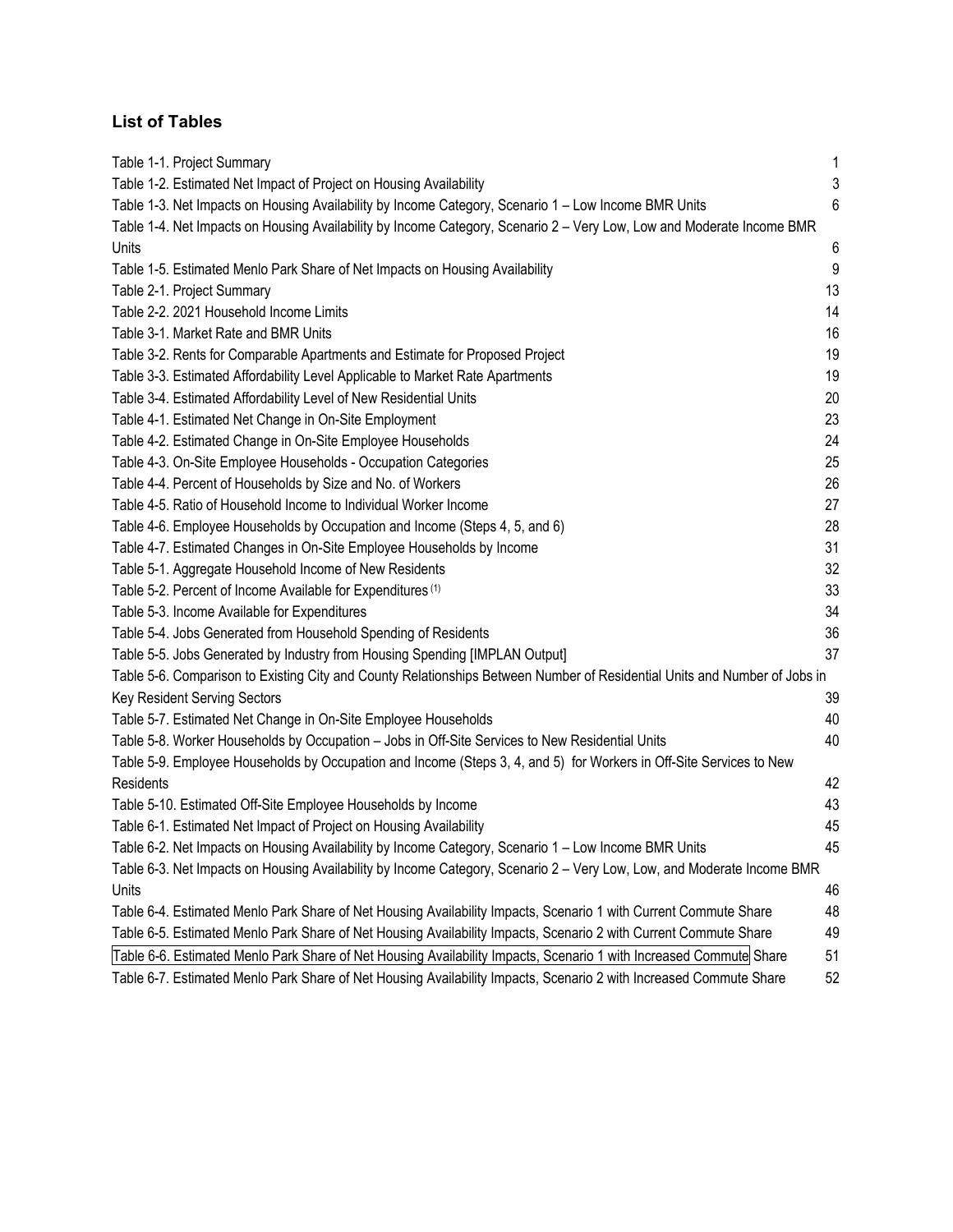#### **List of Tables**

| Table 1-1. Project Summary                                                                                                | 1     |
|---------------------------------------------------------------------------------------------------------------------------|-------|
| Table 1-2. Estimated Net Impact of Project on Housing Availability                                                        | 3     |
| Table 1-3. Net Impacts on Housing Availability by Income Category, Scenario 1 - Low Income BMR Units                      | 6     |
| Table 1-4. Net Impacts on Housing Availability by Income Category, Scenario 2 – Very Low, Low and Moderate Income BMR     |       |
| Units                                                                                                                     | $\,6$ |
| Table 1-5. Estimated Menlo Park Share of Net Impacts on Housing Availability                                              | 9     |
| Table 2-1. Project Summary                                                                                                | 13    |
| Table 2-2. 2021 Household Income Limits                                                                                   | 14    |
| Table 3-1. Market Rate and BMR Units                                                                                      | 16    |
| Table 3-2. Rents for Comparable Apartments and Estimate for Proposed Project                                              | 19    |
| Table 3-3. Estimated Affordability Level Applicable to Market Rate Apartments                                             | 19    |
| Table 3-4. Estimated Affordability Level of New Residential Units                                                         | 20    |
| Table 4-1. Estimated Net Change in On-Site Employment                                                                     | 23    |
| Table 4-2. Estimated Change in On-Site Employee Households                                                                | 24    |
| Table 4-3. On-Site Employee Households - Occupation Categories                                                            | 25    |
| Table 4-4. Percent of Households by Size and No. of Workers                                                               | 26    |
| Table 4-5. Ratio of Household Income to Individual Worker Income                                                          | 27    |
| Table 4-6. Employee Households by Occupation and Income (Steps 4, 5, and 6)                                               | 28    |
| Table 4-7. Estimated Changes in On-Site Employee Households by Income                                                     | 31    |
| Table 5-1. Aggregate Household Income of New Residents                                                                    | 32    |
| Table 5-2. Percent of Income Available for Expenditures (1)                                                               | 33    |
| Table 5-3. Income Available for Expenditures                                                                              | 34    |
| Table 5-4. Jobs Generated from Household Spending of Residents                                                            | 36    |
| Table 5-5. Jobs Generated by Industry from Housing Spending [IMPLAN Output]                                               | 37    |
| Table 5-6. Comparison to Existing City and County Relationships Between Number of Residential Units and Number of Jobs in |       |
| Key Resident Serving Sectors                                                                                              | 39    |
| Table 5-7. Estimated Net Change in On-Site Employee Households                                                            | 40    |
| Table 5-8. Worker Households by Occupation - Jobs in Off-Site Services to New Residential Units                           | 40    |
| Table 5-9. Employee Households by Occupation and Income (Steps 3, 4, and 5) for Workers in Off-Site Services to New       |       |
| Residents                                                                                                                 | 42    |
| Table 5-10. Estimated Off-Site Employee Households by Income                                                              | 43    |
| Table 6-1. Estimated Net Impact of Project on Housing Availability                                                        | 45    |
| Table 6-2. Net Impacts on Housing Availability by Income Category, Scenario 1 - Low Income BMR Units                      | 45    |
| Table 6-3. Net Impacts on Housing Availability by Income Category, Scenario 2 - Very Low, Low, and Moderate Income BMR    |       |
| Units                                                                                                                     | 46    |
| Table 6-4. Estimated Menlo Park Share of Net Housing Availability Impacts, Scenario 1 with Current Commute Share          | 48    |
| Table 6-5. Estimated Menlo Park Share of Net Housing Availability Impacts, Scenario 2 with Current Commute Share          | 49    |
| Table 6-6. Estimated Menlo Park Share of Net Housing Availability Impacts, Scenario 1 with Increased Commute Share        | 51    |
| Table 6-7. Estimated Menlo Park Share of Net Housing Availability Impacts, Scenario 2 with Increased Commute Share        | 52    |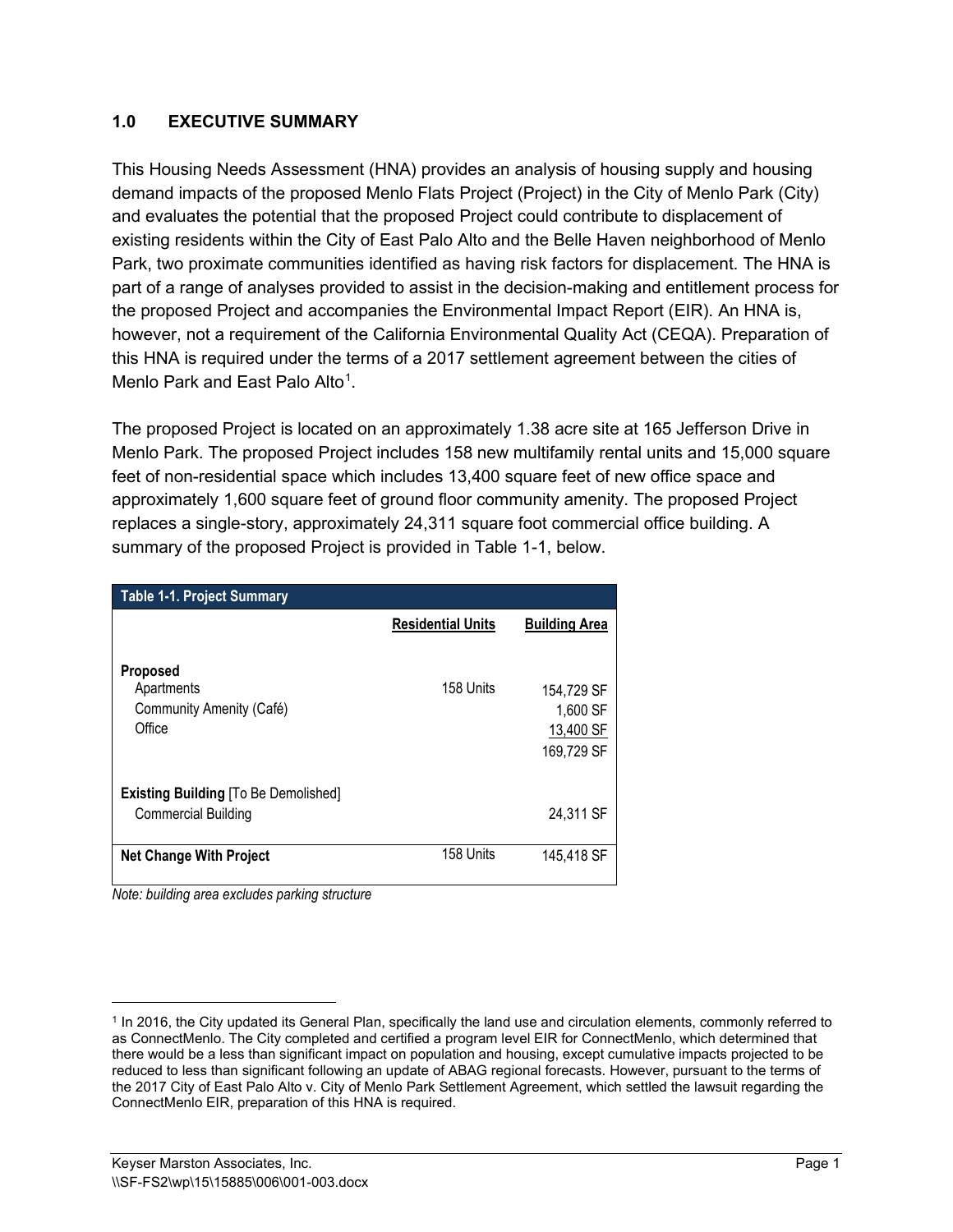#### <span id="page-5-0"></span>**1.0 EXECUTIVE SUMMARY**

This Housing Needs Assessment (HNA) provides an analysis of housing supply and housing demand impacts of the proposed Menlo Flats Project (Project) in the City of Menlo Park (City) and evaluates the potential that the proposed Project could contribute to displacement of existing residents within the City of East Palo Alto and the Belle Haven neighborhood of Menlo Park, two proximate communities identified as having risk factors for displacement. The HNA is part of a range of analyses provided to assist in the decision-making and entitlement process for the proposed Project and accompanies the Environmental Impact Report (EIR). An HNA is, however, not a requirement of the California Environmental Quality Act (CEQA). Preparation of this HNA is required under the terms of a 2017 settlement agreement between the cities of Menlo Park and East Palo Alto<sup>[1](#page-5-1)</sup>.

The proposed Project is located on an approximately 1.38 acre site at 165 Jefferson Drive in Menlo Park. The proposed Project includes 158 new multifamily rental units and 15,000 square feet of non-residential space which includes 13,400 square feet of new office space and approximately 1,600 square feet of ground floor community amenity. The proposed Project replaces a single-story, approximately 24,311 square foot commercial office building. A summary of the proposed Project is provided in Table 1-1, below.

| <b>Table 1-1. Project Summary</b>                                   |                          |                                                   |
|---------------------------------------------------------------------|--------------------------|---------------------------------------------------|
|                                                                     | <b>Residential Units</b> | <b>Building Area</b>                              |
| <b>Proposed</b><br>Apartments<br>Community Amenity (Café)<br>Office | 158 Units                | 154,729 SF<br>1,600 SF<br>13,400 SF<br>169,729 SF |
| <b>Existing Building [To Be Demolished]</b><br>Commercial Building  |                          | 24,311 SF                                         |
| <b>Net Change With Project</b>                                      | 158 Units                | 145,418 SF                                        |

*Note: building area excludes parking structure*

<span id="page-5-1"></span><sup>1</sup> In 2016, the City updated its General Plan, specifically the land use and circulation elements, commonly referred to as ConnectMenlo. The City completed and certified a program level EIR for ConnectMenlo, which determined that there would be a less than significant impact on population and housing, except cumulative impacts projected to be reduced to less than significant following an update of ABAG regional forecasts. However, pursuant to the terms of the 2017 City of East Palo Alto v. City of Menlo Park Settlement Agreement, which settled the lawsuit regarding the ConnectMenlo EIR, preparation of this HNA is required.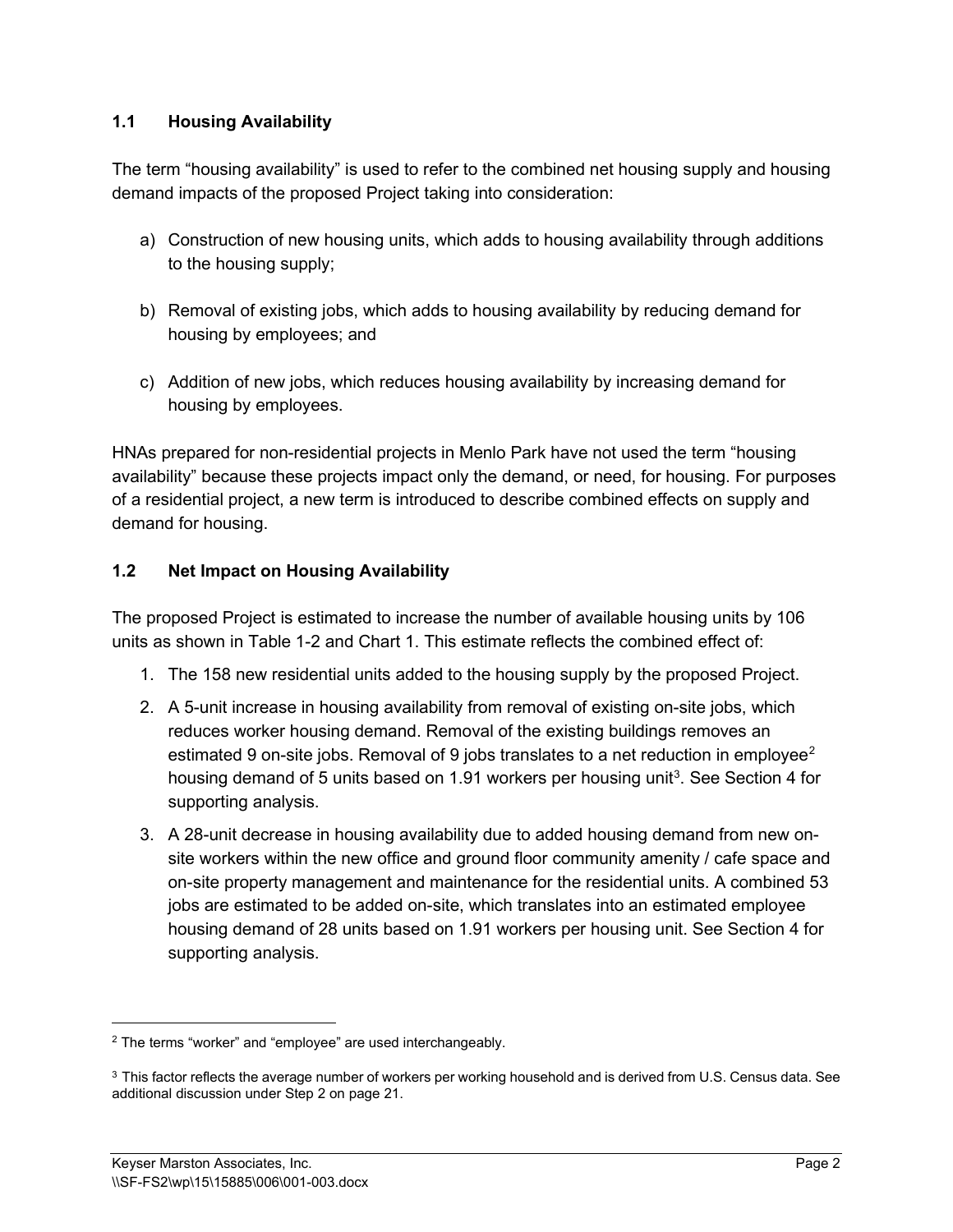#### <span id="page-6-0"></span>**1.1 Housing Availability**

The term "housing availability" is used to refer to the combined net housing supply and housing demand impacts of the proposed Project taking into consideration:

- a) Construction of new housing units, which adds to housing availability through additions to the housing supply;
- b) Removal of existing jobs, which adds to housing availability by reducing demand for housing by employees; and
- c) Addition of new jobs, which reduces housing availability by increasing demand for housing by employees.

HNAs prepared for non-residential projects in Menlo Park have not used the term "housing availability" because these projects impact only the demand, or need, for housing. For purposes of a residential project, a new term is introduced to describe combined effects on supply and demand for housing.

#### <span id="page-6-1"></span>**1.2 Net Impact on Housing Availability**

The proposed Project is estimated to increase the number of available housing units by 106 units as shown in Table 1-2 and Chart 1. This estimate reflects the combined effect of:

- 1. The 158 new residential units added to the housing supply by the proposed Project.
- 2. A 5-unit increase in housing availability from removal of existing on-site jobs, which reduces worker housing demand. Removal of the existing buildings removes an estimated 9 on-site jobs. Removal of 9 jobs translates to a net reduction in employee<sup>[2](#page-6-2)</sup> housing demand of 5 units based on 1.91 workers per housing unit<sup>[3](#page-6-3)</sup>. See Section 4 for supporting analysis.
- 3. A 28-unit decrease in housing availability due to added housing demand from new onsite workers within the new office and ground floor community amenity / cafe space and on-site property management and maintenance for the residential units. A combined 53 jobs are estimated to be added on-site, which translates into an estimated employee housing demand of 28 units based on 1.91 workers per housing unit. See Section 4 for supporting analysis.

<span id="page-6-2"></span><sup>2</sup> The terms "worker" and "employee" are used interchangeably.

<span id="page-6-3"></span><sup>&</sup>lt;sup>3</sup> This factor reflects the average number of workers per working household and is derived from U.S. Census data. See additional discussion under Step 2 on page 21.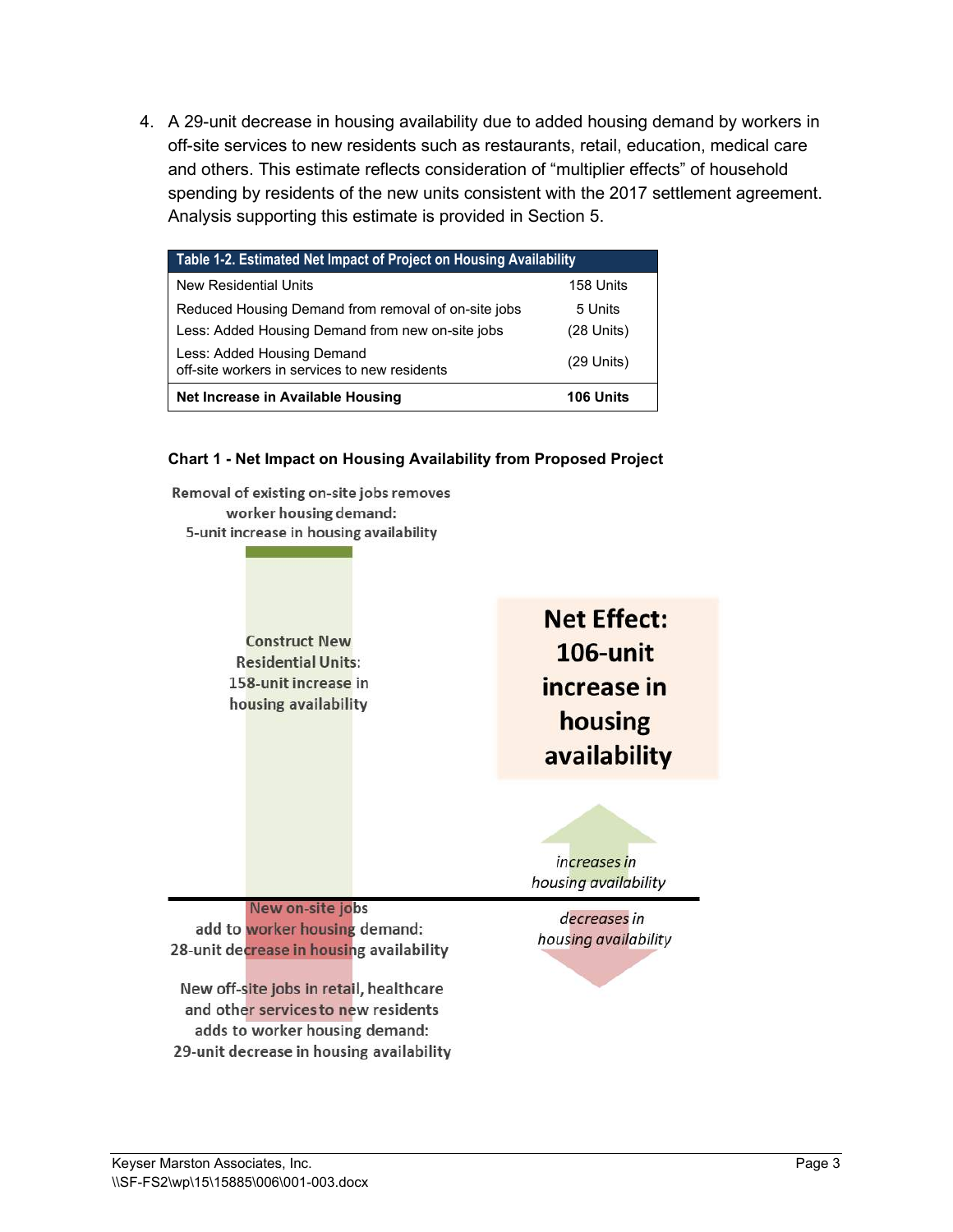4. A 29-unit decrease in housing availability due to added housing demand by workers in off-site services to new residents such as restaurants, retail, education, medical care and others. This estimate reflects consideration of "multiplier effects" of household spending by residents of the new units consistent with the 2017 settlement agreement. Analysis supporting this estimate is provided in Section 5.

| Table 1-2. Estimated Net Impact of Project on Housing Availability          |              |  |  |  |  |  |
|-----------------------------------------------------------------------------|--------------|--|--|--|--|--|
| New Residential Units                                                       | 158 Units    |  |  |  |  |  |
| Reduced Housing Demand from removal of on-site jobs                         | 5 Units      |  |  |  |  |  |
| Less: Added Housing Demand from new on-site jobs                            | (28 Units)   |  |  |  |  |  |
| Less: Added Housing Demand<br>off-site workers in services to new residents | $(29$ Units) |  |  |  |  |  |
| Net Increase in Available Housing                                           | 106 Units    |  |  |  |  |  |

#### **Chart 1 - Net Impact on Housing Availability from Proposed Project**

Removal of existing on-site jobs removes worker housing demand: 5-unit increase in housing availability

> **Construct New Residential Units:** 158-unit increase in housing availability

**Net Effect:**  $106$ -unit increase in housing availability

increases in housing availability

New on-site jobs add to worker housing demand: 28-unit decrease in housing availability

New off-site jobs in retail, healthcare and other services to new residents adds to worker housing demand: 29-unit decrease in housing availability

decreases in housing availability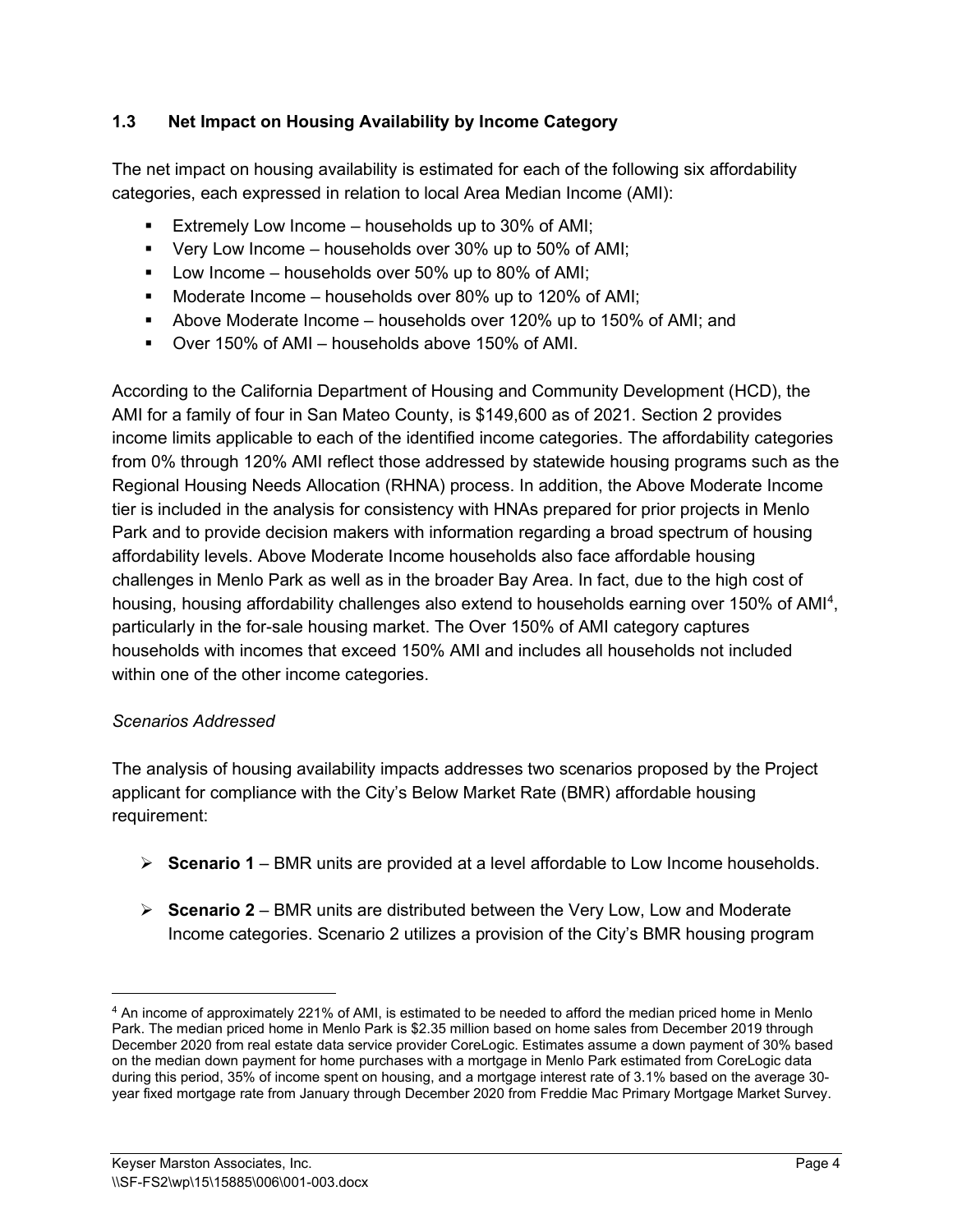#### <span id="page-8-0"></span>**1.3 Net Impact on Housing Availability by Income Category**

The net impact on housing availability is estimated for each of the following six affordability categories, each expressed in relation to local Area Median Income (AMI):

- Extremely Low Income households up to 30% of AMI;
- Very Low Income households over 30% up to 50% of AMI;
- **Low Income households over 50% up to 80% of AMI;**
- **Moderate Income households over 80% up to 120% of AMI;**
- Above Moderate Income households over 120% up to 150% of AMI; and
- Over 150% of AMI households above 150% of AMI.

According to the California Department of Housing and Community Development (HCD), the AMI for a family of four in San Mateo County, is \$149,600 as of 2021. Section 2 provides income limits applicable to each of the identified income categories. The affordability categories from 0% through 120% AMI reflect those addressed by statewide housing programs such as the Regional Housing Needs Allocation (RHNA) process. In addition, the Above Moderate Income tier is included in the analysis for consistency with HNAs prepared for prior projects in Menlo Park and to provide decision makers with information regarding a broad spectrum of housing affordability levels. Above Moderate Income households also face affordable housing challenges in Menlo Park as well as in the broader Bay Area. In fact, due to the high cost of housing, housing affordability challenges also extend to households earning over 150% of AMI<sup>[4](#page-8-1)</sup>, particularly in the for-sale housing market. The Over 150% of AMI category captures households with incomes that exceed 150% AMI and includes all households not included within one of the other income categories.

#### *Scenarios Addressed*

The analysis of housing availability impacts addresses two scenarios proposed by the Project applicant for compliance with the City's Below Market Rate (BMR) affordable housing requirement:

- **Scenario 1** BMR units are provided at a level affordable to Low Income households.
- **Scenario 2** BMR units are distributed between the Very Low, Low and Moderate Income categories. Scenario 2 utilizes a provision of the City's BMR housing program

<span id="page-8-1"></span><sup>4</sup> An income of approximately 221% of AMI, is estimated to be needed to afford the median priced home in Menlo Park. The median priced home in Menlo Park is \$2.35 million based on home sales from December 2019 through December 2020 from real estate data service provider CoreLogic. Estimates assume a down payment of 30% based on the median down payment for home purchases with a mortgage in Menlo Park estimated from CoreLogic data during this period, 35% of income spent on housing, and a mortgage interest rate of 3.1% based on the average 30 year fixed mortgage rate from January through December 2020 from Freddie Mac Primary Mortgage Market Survey.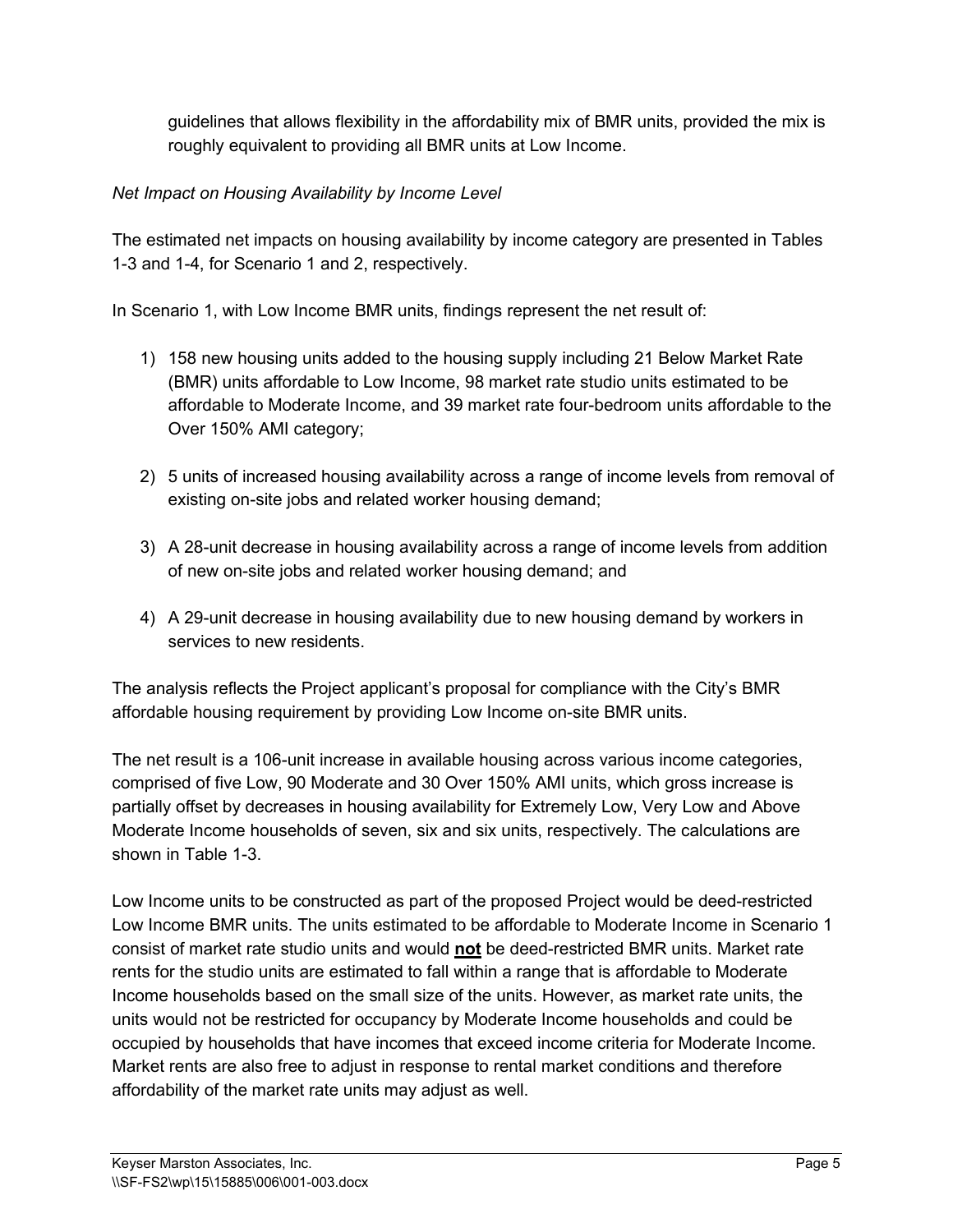guidelines that allows flexibility in the affordability mix of BMR units, provided the mix is roughly equivalent to providing all BMR units at Low Income.

#### *Net Impact on Housing Availability by Income Level*

The estimated net impacts on housing availability by income category are presented in Tables 1-3 and 1-4, for Scenario 1 and 2, respectively.

In Scenario 1, with Low Income BMR units, findings represent the net result of:

- 1) 158 new housing units added to the housing supply including 21 Below Market Rate (BMR) units affordable to Low Income, 98 market rate studio units estimated to be affordable to Moderate Income, and 39 market rate four-bedroom units affordable to the Over 150% AMI category;
- 2) 5 units of increased housing availability across a range of income levels from removal of existing on-site jobs and related worker housing demand;
- 3) A 28-unit decrease in housing availability across a range of income levels from addition of new on-site jobs and related worker housing demand; and
- 4) A 29-unit decrease in housing availability due to new housing demand by workers in services to new residents.

The analysis reflects the Project applicant's proposal for compliance with the City's BMR affordable housing requirement by providing Low Income on-site BMR units.

The net result is a 106-unit increase in available housing across various income categories, comprised of five Low, 90 Moderate and 30 Over 150% AMI units, which gross increase is partially offset by decreases in housing availability for Extremely Low, Very Low and Above Moderate Income households of seven, six and six units, respectively. The calculations are shown in Table 1-3.

Low Income units to be constructed as part of the proposed Project would be deed-restricted Low Income BMR units. The units estimated to be affordable to Moderate Income in Scenario 1 consist of market rate studio units and would **not** be deed-restricted BMR units. Market rate rents for the studio units are estimated to fall within a range that is affordable to Moderate Income households based on the small size of the units. However, as market rate units, the units would not be restricted for occupancy by Moderate Income households and could be occupied by households that have incomes that exceed income criteria for Moderate Income. Market rents are also free to adjust in response to rental market conditions and therefore affordability of the market rate units may adjust as well.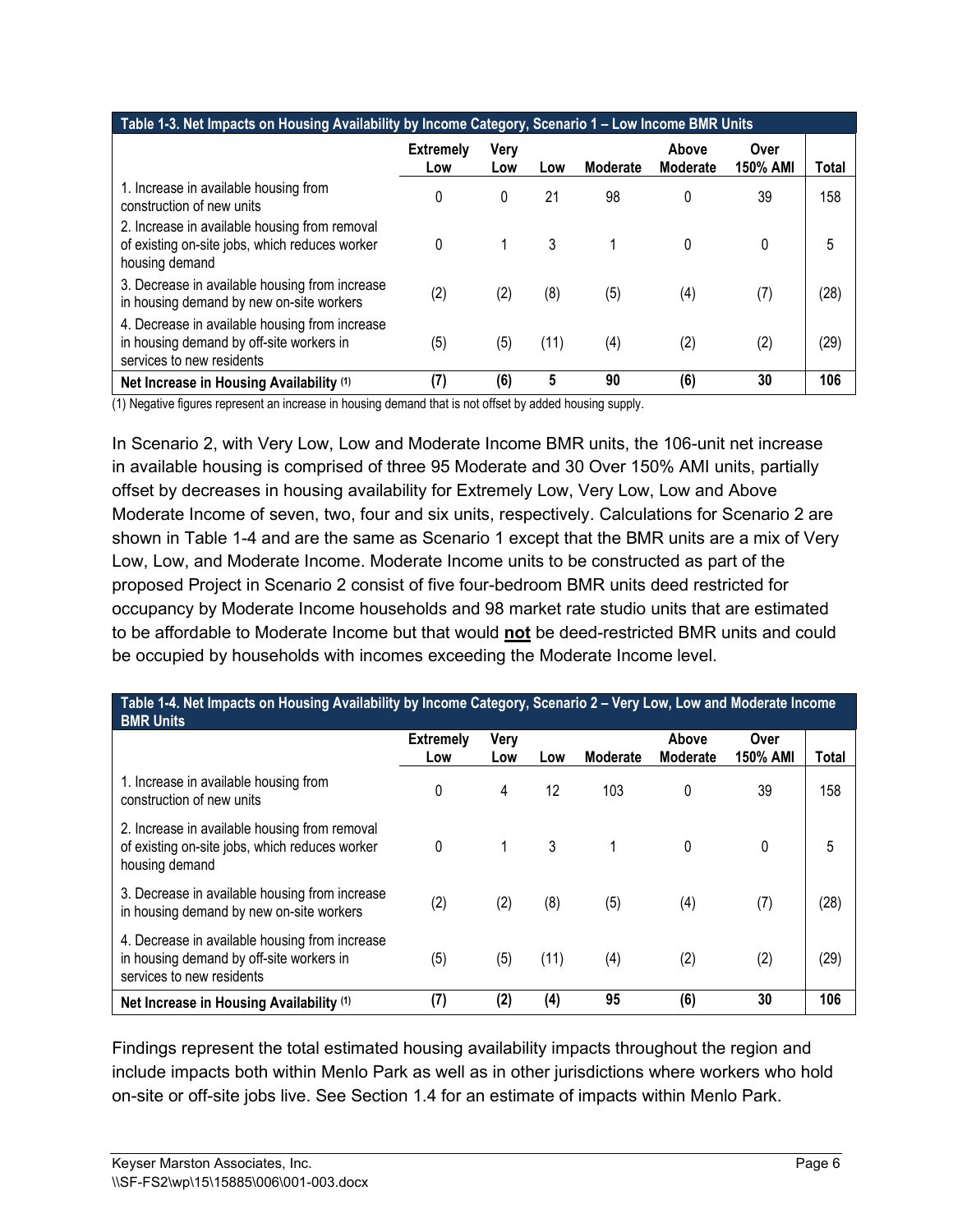| Table 1-3. Net Impacts on Housing Availability by Income Category, Scenario 1 – Low Income BMR Units                    |                         |                    |      |                 |                   |                         |              |
|-------------------------------------------------------------------------------------------------------------------------|-------------------------|--------------------|------|-----------------|-------------------|-------------------------|--------------|
|                                                                                                                         | <b>Extremely</b><br>Low | <b>Very</b><br>Low | Low  | <b>Moderate</b> | Above<br>Moderate | Over<br><b>150% AMI</b> | <b>Total</b> |
| 1. Increase in available housing from<br>construction of new units                                                      | 0                       | 0                  | 21   | 98              | 0                 | 39                      | 158          |
| 2. Increase in available housing from removal<br>of existing on-site jobs, which reduces worker<br>housing demand       | 0                       | 1                  | 3    |                 | 0                 | 0                       | 5            |
| 3. Decrease in available housing from increase<br>in housing demand by new on-site workers                              | (2)                     | (2)                | (8)  | (5)             | (4)               | (7)                     | (28)         |
| 4. Decrease in available housing from increase<br>in housing demand by off-site workers in<br>services to new residents | (5)                     | (5)                | (11) | (4)             | (2)               | (2)                     | (29)         |
| Net Increase in Housing Availability (1)                                                                                | (7)                     | (6)                | 5    | 90              | (6)               | 30                      | 106          |

(1) Negative figures represent an increase in housing demand that is not offset by added housing supply.

In Scenario 2, with Very Low, Low and Moderate Income BMR units, the 106-unit net increase in available housing is comprised of three 95 Moderate and 30 Over 150% AMI units, partially offset by decreases in housing availability for Extremely Low, Very Low, Low and Above Moderate Income of seven, two, four and six units, respectively. Calculations for Scenario 2 are shown in Table 1-4 and are the same as Scenario 1 except that the BMR units are a mix of Very Low, Low, and Moderate Income. Moderate Income units to be constructed as part of the proposed Project in Scenario 2 consist of five four-bedroom BMR units deed restricted for occupancy by Moderate Income households and 98 market rate studio units that are estimated to be affordable to Moderate Income but that would **not** be deed-restricted BMR units and could be occupied by households with incomes exceeding the Moderate Income level.

| --<br><b>BMR Units</b>                                                                                                  |                         |             |      |          |                   |                         |              |
|-------------------------------------------------------------------------------------------------------------------------|-------------------------|-------------|------|----------|-------------------|-------------------------|--------------|
|                                                                                                                         | <b>Extremely</b><br>Low | Very<br>Low | Low  | Moderate | Above<br>Moderate | Over<br><b>150% AMI</b> | <b>Total</b> |
| 1. Increase in available housing from<br>construction of new units                                                      | 0                       | 4           | 12   | 103      | 0                 | 39                      | 158          |
| 2. Increase in available housing from removal<br>of existing on-site jobs, which reduces worker<br>housing demand       | 0                       |             | 3    | 1        | 0                 | 0                       | 5            |
| 3. Decrease in available housing from increase<br>in housing demand by new on-site workers                              | (2)                     | (2)         | (8)  | (5)      | (4)               | (7)                     | (28)         |
| 4. Decrease in available housing from increase<br>in housing demand by off-site workers in<br>services to new residents | (5)                     | (5)         | (11) | (4)      | (2)               | (2)                     | (29)         |
| Net Increase in Housing Availability (1)                                                                                | (7)                     | (2)         | (4)  | 95       | (6)               | 30                      | 106          |

**Table 1-4. Net Impacts on Housing Availability by Income Category, Scenario 2 – Very Low, Low and Moderate Income** 

Findings represent the total estimated housing availability impacts throughout the region and include impacts both within Menlo Park as well as in other jurisdictions where workers who hold on-site or off-site jobs live. See Section 1.4 for an estimate of impacts within Menlo Park.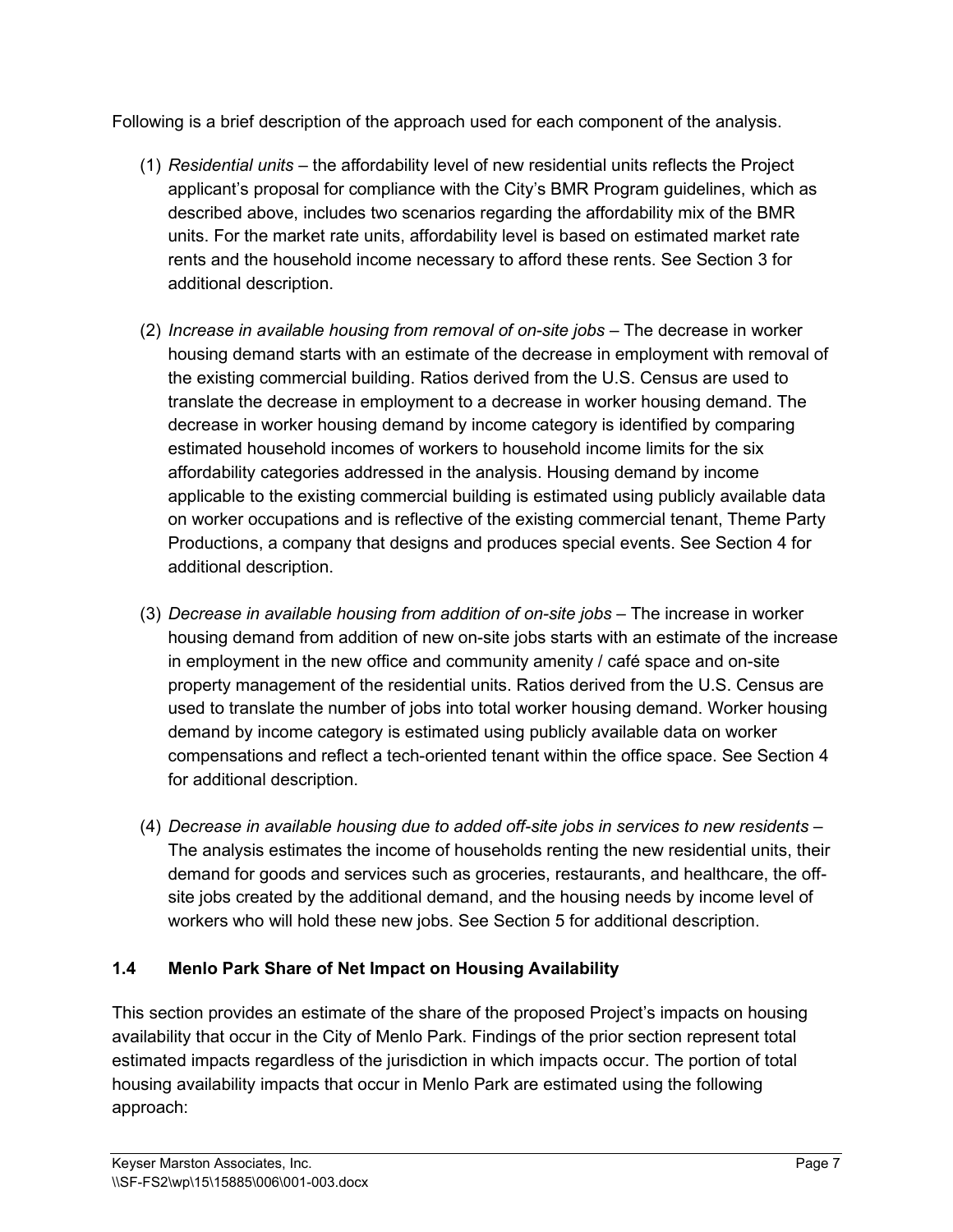Following is a brief description of the approach used for each component of the analysis.

- (1) *Residential units* the affordability level of new residential units reflects the Project applicant's proposal for compliance with the City's BMR Program guidelines, which as described above, includes two scenarios regarding the affordability mix of the BMR units. For the market rate units, affordability level is based on estimated market rate rents and the household income necessary to afford these rents. See Section 3 for additional description.
- (2) *Increase in available housing from removal of on-site jobs* The decrease in worker housing demand starts with an estimate of the decrease in employment with removal of the existing commercial building. Ratios derived from the U.S. Census are used to translate the decrease in employment to a decrease in worker housing demand. The decrease in worker housing demand by income category is identified by comparing estimated household incomes of workers to household income limits for the six affordability categories addressed in the analysis. Housing demand by income applicable to the existing commercial building is estimated using publicly available data on worker occupations and is reflective of the existing commercial tenant, Theme Party Productions, a company that designs and produces special events. See Section 4 for additional description.
- (3) *Decrease in available housing from addition of on-site jobs* The increase in worker housing demand from addition of new on-site jobs starts with an estimate of the increase in employment in the new office and community amenity / café space and on-site property management of the residential units. Ratios derived from the U.S. Census are used to translate the number of jobs into total worker housing demand. Worker housing demand by income category is estimated using publicly available data on worker compensations and reflect a tech-oriented tenant within the office space. See Section 4 for additional description.
- (4) *Decrease in available housing due to added off-site jobs in services to new residents* The analysis estimates the income of households renting the new residential units, their demand for goods and services such as groceries, restaurants, and healthcare, the offsite jobs created by the additional demand, and the housing needs by income level of workers who will hold these new jobs. See Section 5 for additional description.

### <span id="page-11-0"></span>**1.4 Menlo Park Share of Net Impact on Housing Availability**

This section provides an estimate of the share of the proposed Project's impacts on housing availability that occur in the City of Menlo Park. Findings of the prior section represent total estimated impacts regardless of the jurisdiction in which impacts occur. The portion of total housing availability impacts that occur in Menlo Park are estimated using the following approach: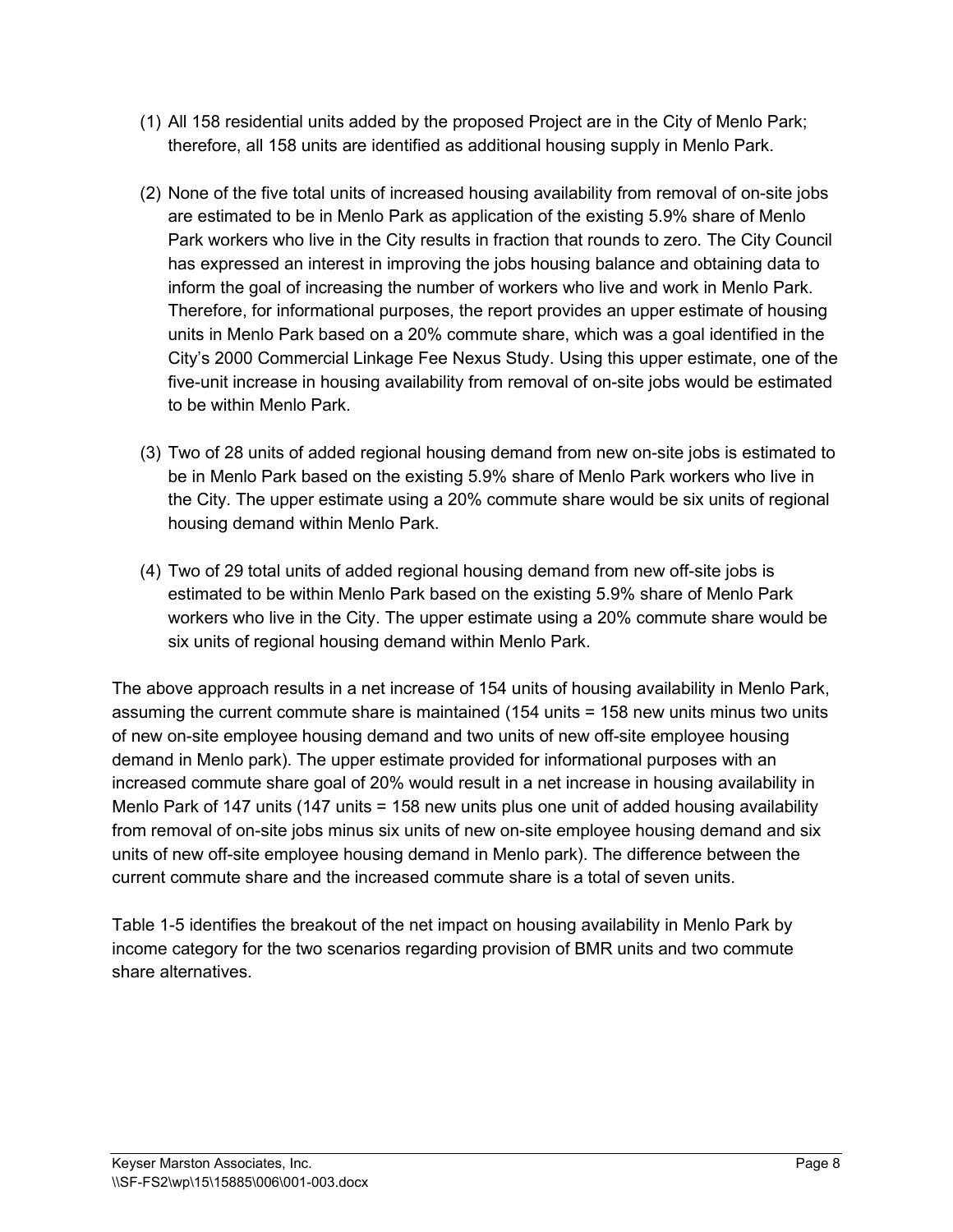- (1) All 158 residential units added by the proposed Project are in the City of Menlo Park; therefore, all 158 units are identified as additional housing supply in Menlo Park.
- (2) None of the five total units of increased housing availability from removal of on-site jobs are estimated to be in Menlo Park as application of the existing 5.9% share of Menlo Park workers who live in the City results in fraction that rounds to zero. The City Council has expressed an interest in improving the jobs housing balance and obtaining data to inform the goal of increasing the number of workers who live and work in Menlo Park. Therefore, for informational purposes, the report provides an upper estimate of housing units in Menlo Park based on a 20% commute share, which was a goal identified in the City's 2000 Commercial Linkage Fee Nexus Study. Using this upper estimate, one of the five-unit increase in housing availability from removal of on-site jobs would be estimated to be within Menlo Park.
- (3) Two of 28 units of added regional housing demand from new on-site jobs is estimated to be in Menlo Park based on the existing 5.9% share of Menlo Park workers who live in the City. The upper estimate using a 20% commute share would be six units of regional housing demand within Menlo Park.
- (4) Two of 29 total units of added regional housing demand from new off-site jobs is estimated to be within Menlo Park based on the existing 5.9% share of Menlo Park workers who live in the City. The upper estimate using a 20% commute share would be six units of regional housing demand within Menlo Park.

The above approach results in a net increase of 154 units of housing availability in Menlo Park, assuming the current commute share is maintained (154 units = 158 new units minus two units of new on-site employee housing demand and two units of new off-site employee housing demand in Menlo park). The upper estimate provided for informational purposes with an increased commute share goal of 20% would result in a net increase in housing availability in Menlo Park of 147 units (147 units = 158 new units plus one unit of added housing availability from removal of on-site jobs minus six units of new on-site employee housing demand and six units of new off-site employee housing demand in Menlo park). The difference between the current commute share and the increased commute share is a total of seven units.

Table 1-5 identifies the breakout of the net impact on housing availability in Menlo Park by income category for the two scenarios regarding provision of BMR units and two commute share alternatives.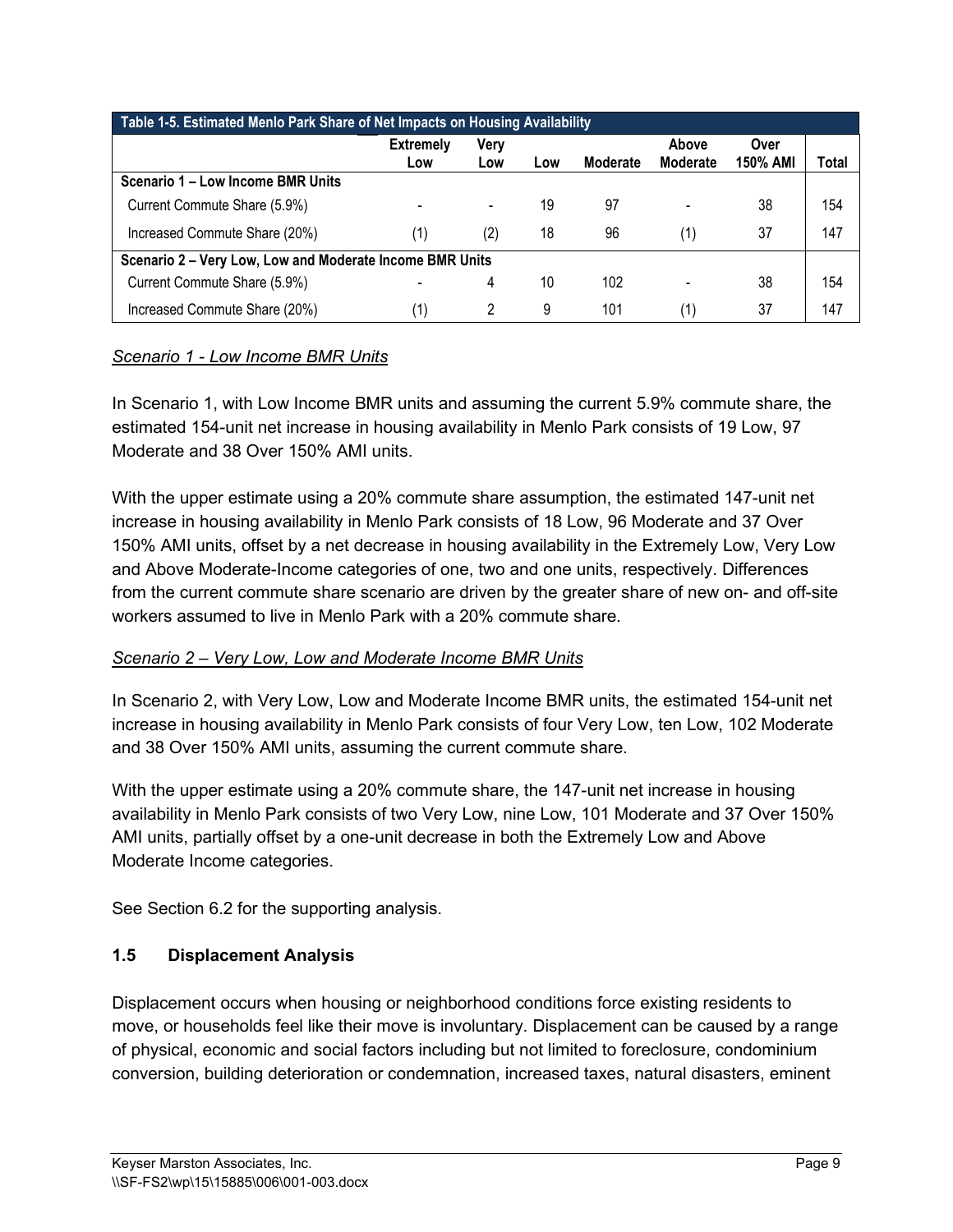| Table 1-5. Estimated Menlo Park Share of Net Impacts on Housing Availability |                         |             |     |                 |                          |                         |       |  |
|------------------------------------------------------------------------------|-------------------------|-------------|-----|-----------------|--------------------------|-------------------------|-------|--|
|                                                                              | <b>Extremely</b><br>Low | Very<br>Low | Low | <b>Moderate</b> | Above<br><b>Moderate</b> | Over<br><b>150% AMI</b> | Total |  |
| Scenario 1 – Low Income BMR Units                                            |                         |             |     |                 |                          |                         |       |  |
| Current Commute Share (5.9%)                                                 |                         |             | 19  | 97              |                          | 38                      | 154   |  |
| Increased Commute Share (20%)                                                | (1)                     | (2)         | 18  | 96              | (1)                      | 37                      | 147   |  |
| Scenario 2 - Very Low, Low and Moderate Income BMR Units                     |                         |             |     |                 |                          |                         |       |  |
| Current Commute Share (5.9%)                                                 |                         | 4           | 10  | 102             |                          | 38                      | 154   |  |
| Increased Commute Share (20%)                                                | (1)                     | 2           | 9   | 101             |                          | 37                      | 147   |  |

#### *Scenario 1 - Low Income BMR Units*

In Scenario 1, with Low Income BMR units and assuming the current 5.9% commute share, the estimated 154-unit net increase in housing availability in Menlo Park consists of 19 Low, 97 Moderate and 38 Over 150% AMI units.

With the upper estimate using a 20% commute share assumption, the estimated 147-unit net increase in housing availability in Menlo Park consists of 18 Low, 96 Moderate and 37 Over 150% AMI units, offset by a net decrease in housing availability in the Extremely Low, Very Low and Above Moderate-Income categories of one, two and one units, respectively. Differences from the current commute share scenario are driven by the greater share of new on- and off-site workers assumed to live in Menlo Park with a 20% commute share.

#### *Scenario 2 – Very Low, Low and Moderate Income BMR Units*

In Scenario 2, with Very Low, Low and Moderate Income BMR units, the estimated 154-unit net increase in housing availability in Menlo Park consists of four Very Low, ten Low, 102 Moderate and 38 Over 150% AMI units, assuming the current commute share.

With the upper estimate using a 20% commute share, the 147-unit net increase in housing availability in Menlo Park consists of two Very Low, nine Low, 101 Moderate and 37 Over 150% AMI units, partially offset by a one-unit decrease in both the Extremely Low and Above Moderate Income categories.

See Section 6.2 for the supporting analysis.

#### <span id="page-13-0"></span>**1.5 Displacement Analysis**

Displacement occurs when housing or neighborhood conditions force existing residents to move, or households feel like their move is involuntary. Displacement can be caused by a range of physical, economic and social factors including but not limited to foreclosure, condominium conversion, building deterioration or condemnation, increased taxes, natural disasters, eminent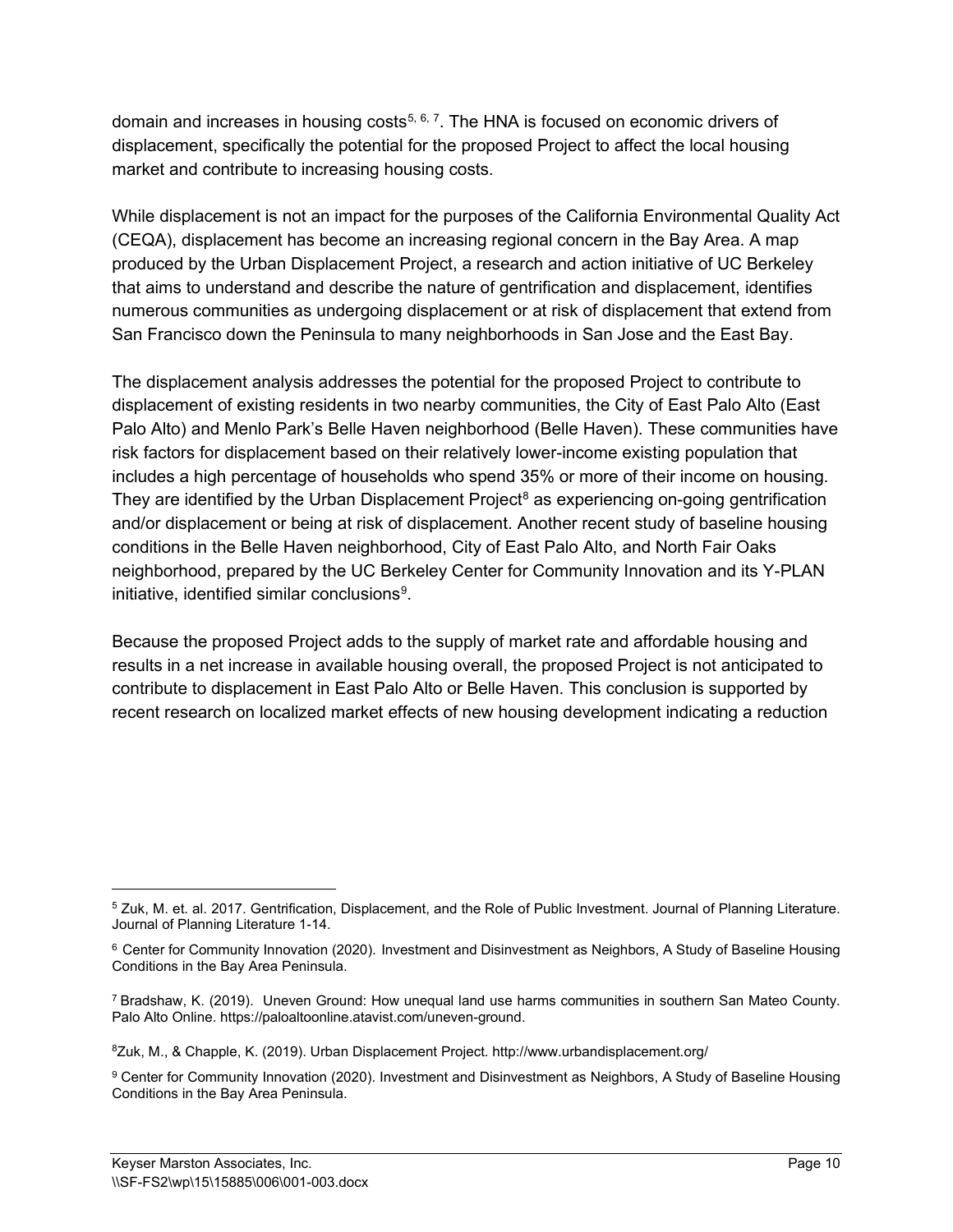domain and increases in housing costs $^{5,6,7}$  $^{5,6,7}$  $^{5,6,7}$  $^{5,6,7}$  $^{5,6,7}$  $^{5,6,7}$ . The HNA is focused on economic drivers of displacement, specifically the potential for the proposed Project to affect the local housing market and contribute to increasing housing costs.

While displacement is not an impact for the purposes of the California Environmental Quality Act (CEQA), displacement has become an increasing regional concern in the Bay Area. A map produced by the Urban Displacement Project, a research and action initiative of UC Berkeley that aims to understand and describe the nature of gentrification and displacement, identifies numerous communities as undergoing displacement or at risk of displacement that extend from San Francisco down the Peninsula to many neighborhoods in San Jose and the East Bay.

The displacement analysis addresses the potential for the proposed Project to contribute to displacement of existing residents in two nearby communities, the City of East Palo Alto (East Palo Alto) and Menlo Park's Belle Haven neighborhood (Belle Haven). These communities have risk factors for displacement based on their relatively lower-income existing population that includes a high percentage of households who spend 35% or more of their income on housing. They are identified by the Urban Displacement Project<sup>[8](#page-14-3)</sup> as experiencing on-going gentrification and/or displacement or being at risk of displacement. Another recent study of baseline housing conditions in the Belle Haven neighborhood, City of East Palo Alto, and North Fair Oaks neighborhood, prepared by the UC Berkeley Center for Community Innovation and its Y-PLAN initiative, identified similar conclusions $^9$  $^9$ .

Because the proposed Project adds to the supply of market rate and affordable housing and results in a net increase in available housing overall, the proposed Project is not anticipated to contribute to displacement in East Palo Alto or Belle Haven. This conclusion is supported by recent research on localized market effects of new housing development indicating a reduction

<span id="page-14-0"></span><sup>5</sup> Zuk, M. et. al. 2017. Gentrification, Displacement, and the Role of Public Investment. Journal of Planning Literature. Journal of Planning Literature 1-14.

<span id="page-14-1"></span><sup>&</sup>lt;sup>6</sup> Center for Community Innovation (2020). Investment and Disinvestment as Neighbors, A Study of Baseline Housing Conditions in the Bay Area Peninsula.

<span id="page-14-2"></span><sup>7</sup> Bradshaw, K. (2019). Uneven Ground: How unequal land use harms communities in southern San Mateo County. Palo Alto Online. https://paloaltoonline.atavist.com/uneven-ground.

<span id="page-14-3"></span><sup>8</sup>Zuk, M., & Chapple, K. (2019). Urban Displacement Project. http://www.urbandisplacement.org/

<span id="page-14-4"></span><sup>9</sup> Center for Community Innovation (2020). Investment and Disinvestment as Neighbors, A Study of Baseline Housing Conditions in the Bay Area Peninsula.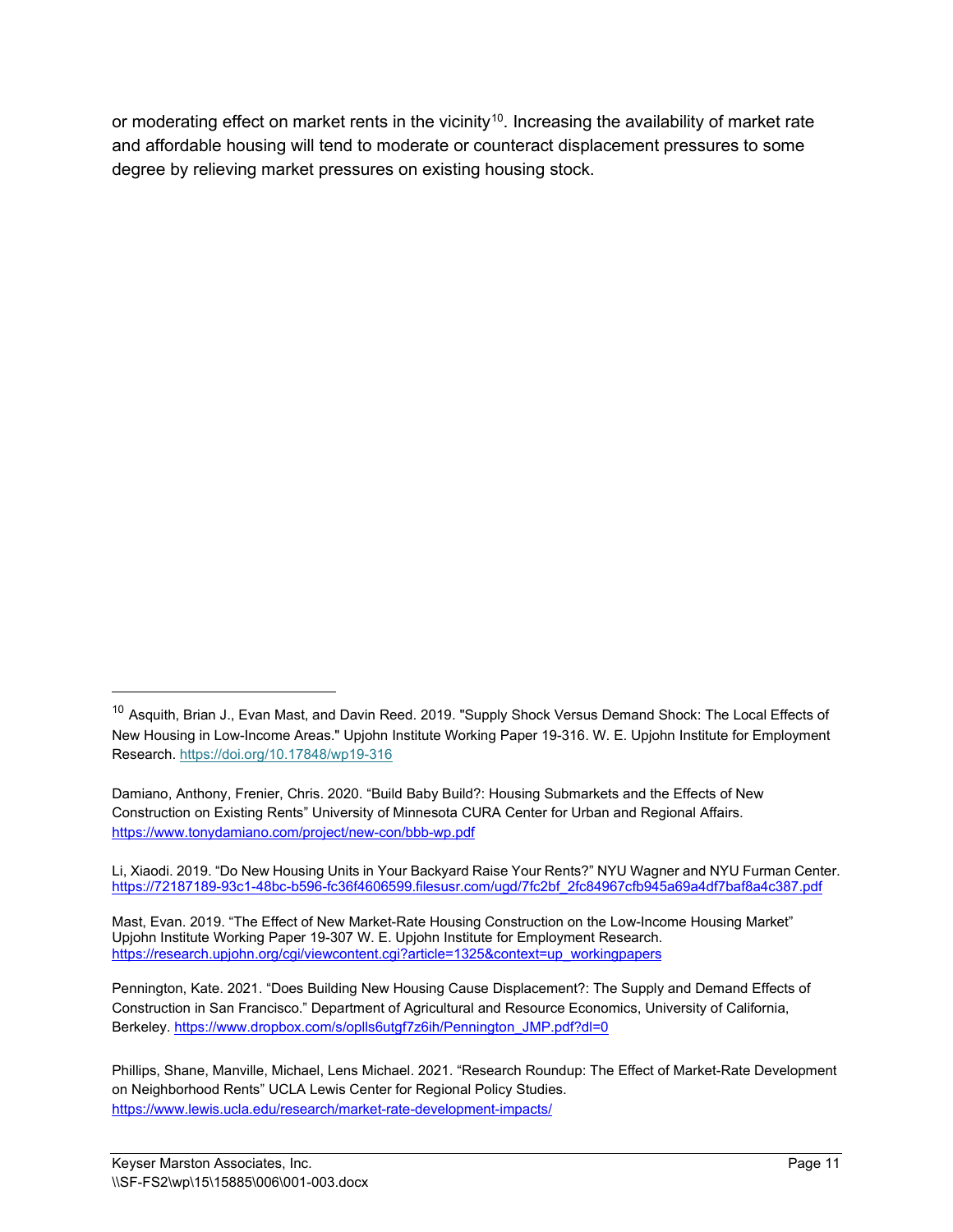or moderating effect on market rents in the vicinity<sup>10</sup>. Increasing the availability of market rate and affordable housing will tend to moderate or counteract displacement pressures to some degree by relieving market pressures on existing housing stock.

Li, Xiaodi. 2019. "Do New Housing Units in Your Backyard Raise Your Rents?" NYU Wagner and NYU Furman Center. [https://72187189-93c1-48bc-b596-fc36f4606599.filesusr.com/ugd/7fc2bf\\_2fc84967cfb945a69a4df7baf8a4c387.pdf](https://72187189-93c1-48bc-b596-fc36f4606599.filesusr.com/ugd/7fc2bf_2fc84967cfb945a69a4df7baf8a4c387.pdf)

Mast, Evan. 2019. "The Effect of New Market-Rate Housing Construction on the Low-Income Housing Market" Upjohn Institute Working Paper 19-307 W. E. Upjohn Institute for Employment Research. [https://research.upjohn.org/cgi/viewcontent.cgi?article=1325&context=up\\_workingpapers](https://research.upjohn.org/cgi/viewcontent.cgi?article=1325&context=up_workingpapers)

Pennington, Kate. 2021. "Does Building New Housing Cause Displacement?: The Supply and Demand Effects of Construction in San Francisco." Department of Agricultural and Resource Economics, University of California, Berkeley. [https://www.dropbox.com/s/oplls6utgf7z6ih/Pennington\\_JMP.pdf?dl=0](https://www.dropbox.com/s/oplls6utgf7z6ih/Pennington_JMP.pdf?dl=0)

Phillips, Shane, Manville, Michael, Lens Michael. 2021. "Research Roundup: The Effect of Market-Rate Development on Neighborhood Rents" UCLA Lewis Center for Regional Policy Studies. <https://www.lewis.ucla.edu/research/market-rate-development-impacts/>

<span id="page-15-0"></span><sup>&</sup>lt;sup>10</sup> Asquith, Brian J., Evan Mast, and Davin Reed. 2019. "Supply Shock Versus Demand Shock: The Local Effects of New Housing in Low-Income Areas." Upjohn Institute Working Paper 19-316. W. E. Upjohn Institute for Employment Research. <https://doi.org/10.17848/wp19-316>

Damiano, Anthony, Frenier, Chris. 2020. "Build Baby Build?: Housing Submarkets and the Effects of New Construction on Existing Rents" University of Minnesota CURA Center for Urban and Regional Affairs. <https://www.tonydamiano.com/project/new-con/bbb-wp.pdf>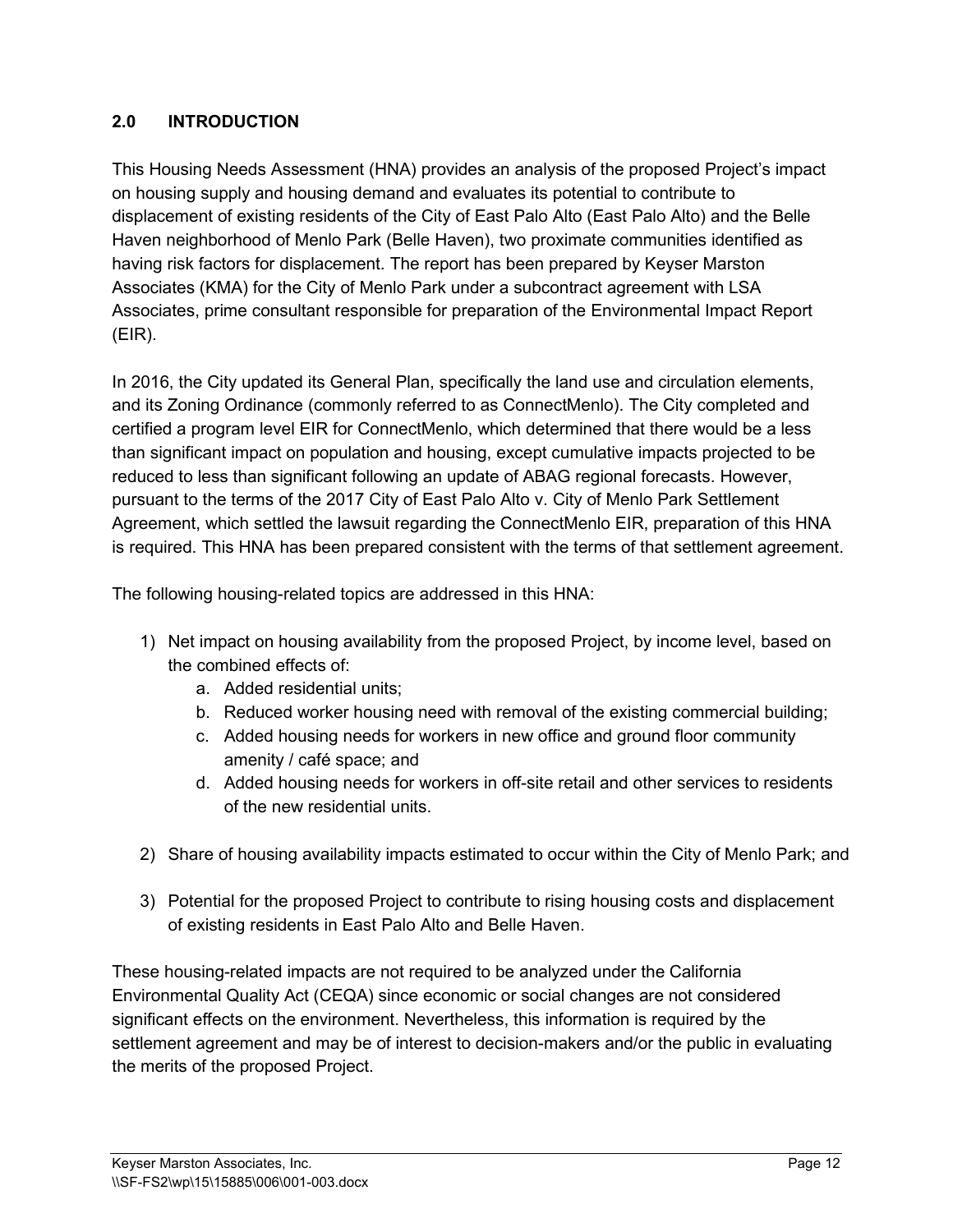#### <span id="page-16-0"></span>**2.0 INTRODUCTION**

This Housing Needs Assessment (HNA) provides an analysis of the proposed Project's impact on housing supply and housing demand and evaluates its potential to contribute to displacement of existing residents of the City of East Palo Alto (East Palo Alto) and the Belle Haven neighborhood of Menlo Park (Belle Haven), two proximate communities identified as having risk factors for displacement. The report has been prepared by Keyser Marston Associates (KMA) for the City of Menlo Park under a subcontract agreement with LSA Associates, prime consultant responsible for preparation of the Environmental Impact Report (EIR).

In 2016, the City updated its General Plan, specifically the land use and circulation elements, and its Zoning Ordinance (commonly referred to as ConnectMenlo). The City completed and certified a program level EIR for ConnectMenlo, which determined that there would be a less than significant impact on population and housing, except cumulative impacts projected to be reduced to less than significant following an update of ABAG regional forecasts. However, pursuant to the terms of the 2017 City of East Palo Alto v. City of Menlo Park Settlement Agreement, which settled the lawsuit regarding the ConnectMenlo EIR, preparation of this HNA is required. This HNA has been prepared consistent with the terms of that settlement agreement.

The following housing-related topics are addressed in this HNA:

- 1) Net impact on housing availability from the proposed Project, by income level, based on the combined effects of:
	- a. Added residential units;
	- b. Reduced worker housing need with removal of the existing commercial building;
	- c. Added housing needs for workers in new office and ground floor community amenity / café space; and
	- d. Added housing needs for workers in off-site retail and other services to residents of the new residential units.
- 2) Share of housing availability impacts estimated to occur within the City of Menlo Park; and
- 3) Potential for the proposed Project to contribute to rising housing costs and displacement of existing residents in East Palo Alto and Belle Haven.

These housing-related impacts are not required to be analyzed under the California Environmental Quality Act (CEQA) since economic or social changes are not considered significant effects on the environment. Nevertheless, this information is required by the settlement agreement and may be of interest to decision-makers and/or the public in evaluating the merits of the proposed Project.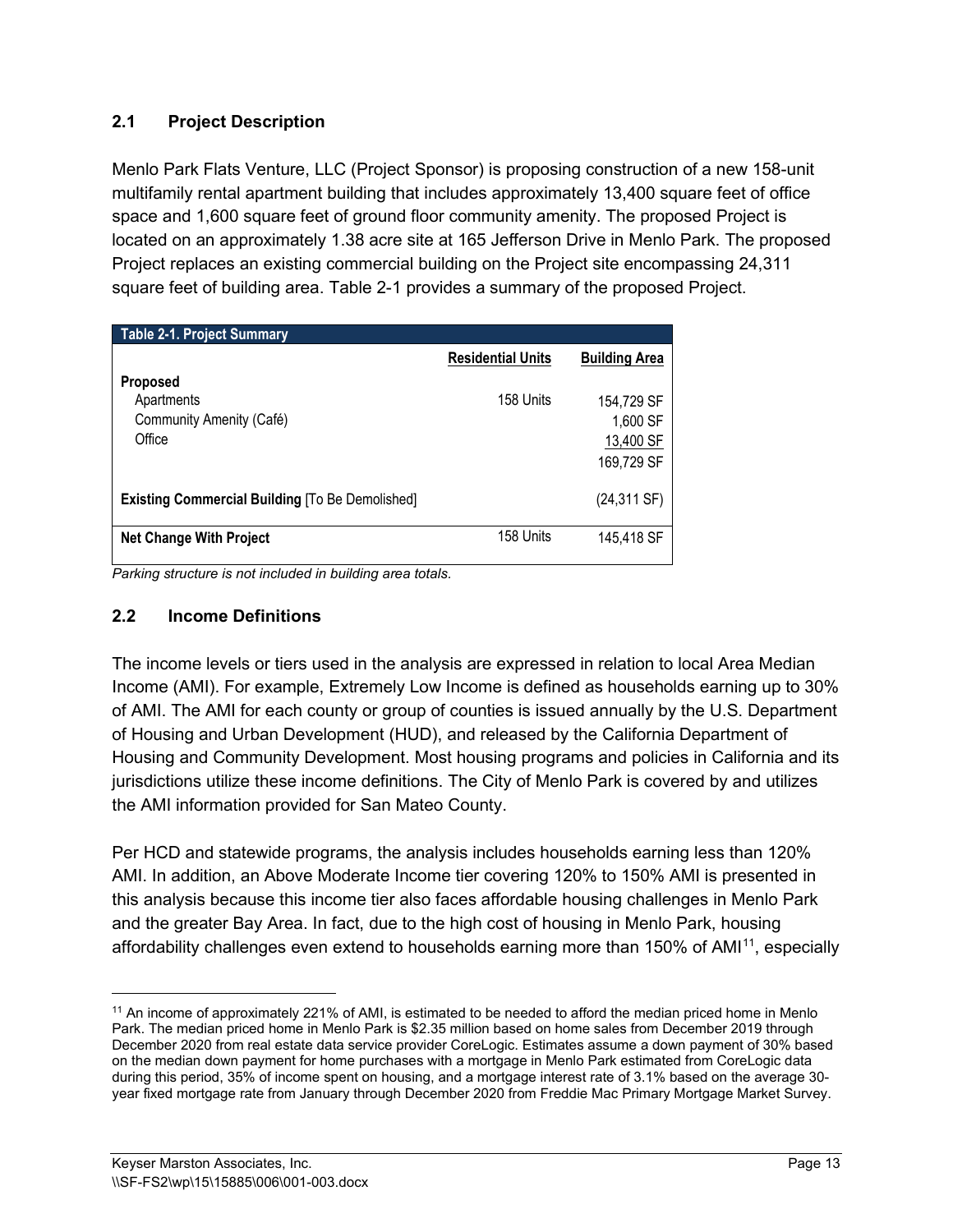#### <span id="page-17-0"></span>**2.1 Project Description**

Menlo Park Flats Venture, LLC (Project Sponsor) is proposing construction of a new 158-unit multifamily rental apartment building that includes approximately 13,400 square feet of office space and 1,600 square feet of ground floor community amenity. The proposed Project is located on an approximately 1.38 acre site at 165 Jefferson Drive in Menlo Park. The proposed Project replaces an existing commercial building on the Project site encompassing 24,311 square feet of building area. Table 2-1 provides a summary of the proposed Project.

| <b>Table 2-1. Project Summary</b>                      |                          |                      |
|--------------------------------------------------------|--------------------------|----------------------|
|                                                        | <b>Residential Units</b> | <b>Building Area</b> |
| <b>Proposed</b>                                        |                          |                      |
| Apartments                                             | 158 Units                | 154,729 SF           |
| Community Amenity (Café)                               |                          | 1,600 SF             |
| Office                                                 |                          | 13,400 SF            |
|                                                        |                          | 169,729 SF           |
|                                                        |                          |                      |
| <b>Existing Commercial Building [To Be Demolished]</b> |                          | (24,311 SF)          |
| <b>Net Change With Project</b>                         | 158 Units                | 145,418 SF           |
|                                                        |                          |                      |

*Parking structure is not included in building area totals.*

#### <span id="page-17-1"></span>**2.2 Income Definitions**

The income levels or tiers used in the analysis are expressed in relation to local Area Median Income (AMI). For example, Extremely Low Income is defined as households earning up to 30% of AMI. The AMI for each county or group of counties is issued annually by the U.S. Department of Housing and Urban Development (HUD), and released by the California Department of Housing and Community Development. Most housing programs and policies in California and its jurisdictions utilize these income definitions. The City of Menlo Park is covered by and utilizes the AMI information provided for San Mateo County.

Per HCD and statewide programs, the analysis includes households earning less than 120% AMI. In addition, an Above Moderate Income tier covering 120% to 150% AMI is presented in this analysis because this income tier also faces affordable housing challenges in Menlo Park and the greater Bay Area. In fact, due to the high cost of housing in Menlo Park, housing affordability challenges even extend to households earning more than 150% of AMI<sup>[11](#page-17-2)</sup>, especially

<span id="page-17-2"></span><sup>&</sup>lt;sup>11</sup> An income of approximately 221% of AMI, is estimated to be needed to afford the median priced home in Menlo Park. The median priced home in Menlo Park is \$2.35 million based on home sales from December 2019 through December 2020 from real estate data service provider CoreLogic. Estimates assume a down payment of 30% based on the median down payment for home purchases with a mortgage in Menlo Park estimated from CoreLogic data during this period, 35% of income spent on housing, and a mortgage interest rate of 3.1% based on the average 30 year fixed mortgage rate from January through December 2020 from Freddie Mac Primary Mortgage Market Survey.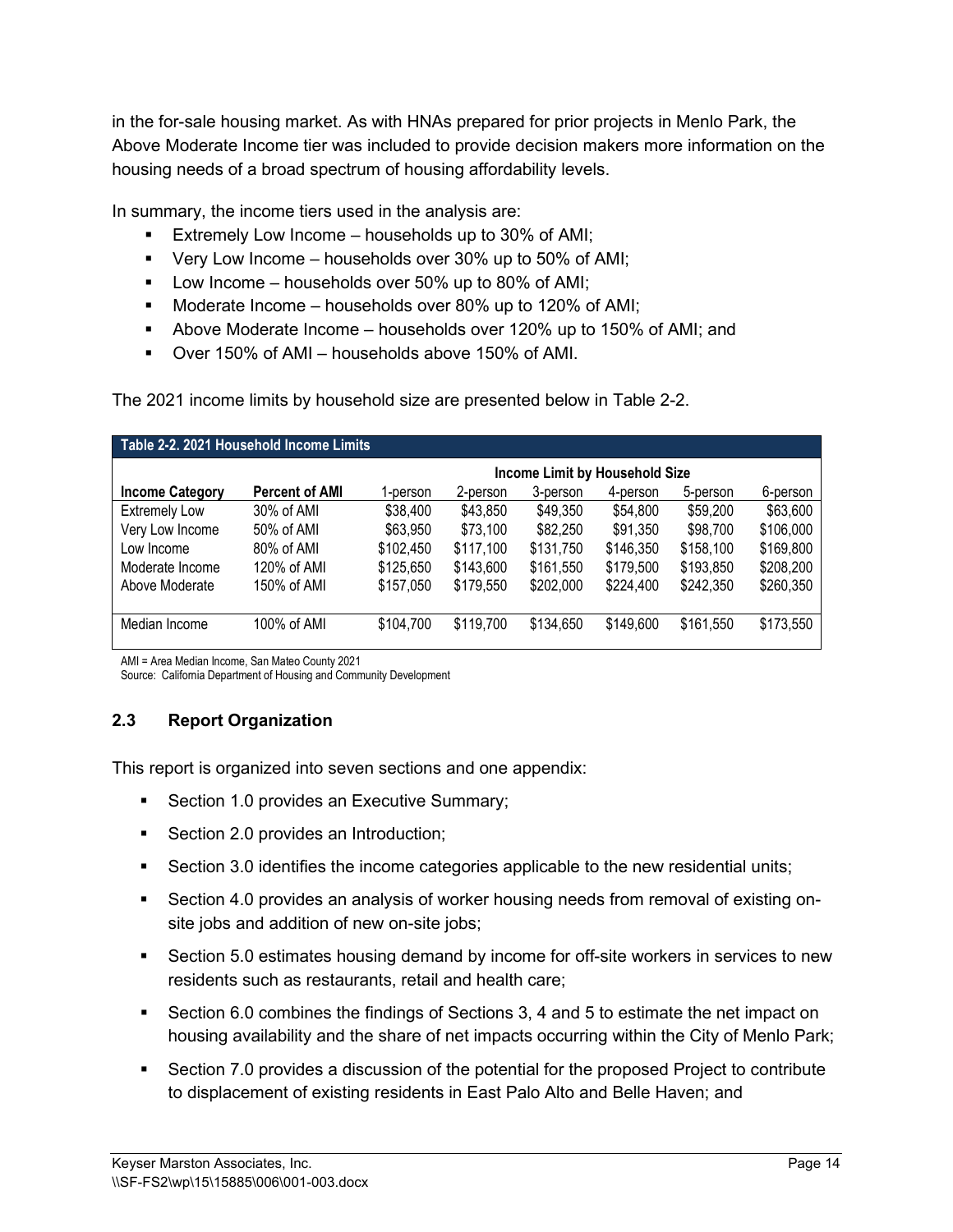in the for-sale housing market. As with HNAs prepared for prior projects in Menlo Park, the Above Moderate Income tier was included to provide decision makers more information on the housing needs of a broad spectrum of housing affordability levels.

In summary, the income tiers used in the analysis are:

- Extremely Low Income households up to 30% of AMI;
- Very Low Income households over 30% up to 50% of AMI;
- **Low Income households over 50% up to 80% of AMI;**
- Moderate Income households over 80% up to 120% of AMI;
- Above Moderate Income households over 120% up to 150% of AMI; and
- Over 150% of AMI households above 150% of AMI.

The 2021 income limits by household size are presented below in Table 2-2.

| Table 2-2. 2021 Household Income Limits |                       |           |           |                                       |           |           |           |  |
|-----------------------------------------|-----------------------|-----------|-----------|---------------------------------------|-----------|-----------|-----------|--|
|                                         |                       |           |           | <b>Income Limit by Household Size</b> |           |           |           |  |
| <b>Income Category</b>                  | <b>Percent of AMI</b> | 1-person  | 2-person  | 3-person                              | 4-person  | 5-person  | 6-person  |  |
| <b>Extremely Low</b>                    | 30% of AMI            | \$38,400  | \$43,850  | \$49,350                              | \$54,800  | \$59,200  | \$63,600  |  |
| Very Low Income                         | 50% of AMI            | \$63,950  | \$73,100  | \$82,250                              | \$91,350  | \$98,700  | \$106,000 |  |
| Low Income                              | 80% of AMI            | \$102,450 | \$117,100 | \$131,750                             | \$146,350 | \$158,100 | \$169,800 |  |
| Moderate Income                         | 120% of AMI           | \$125,650 | \$143,600 | \$161,550                             | \$179,500 | \$193,850 | \$208,200 |  |
| Above Moderate                          | 150% of AMI           | \$157,050 | \$179,550 | \$202,000                             | \$224,400 | \$242,350 | \$260,350 |  |
| Median Income                           | 100% of AMI           | \$104,700 | \$119,700 | \$134,650                             | \$149,600 | \$161,550 | \$173,550 |  |

AMI = Area Median Income, San Mateo County 2021

Source: California Department of Housing and Community Development

### <span id="page-18-0"></span>**2.3 Report Organization**

This report is organized into seven sections and one appendix:

- Section 1.0 provides an Executive Summary;
- Section 2.0 provides an Introduction;
- Section 3.0 identifies the income categories applicable to the new residential units;
- Section 4.0 provides an analysis of worker housing needs from removal of existing onsite jobs and addition of new on-site jobs;
- Section 5.0 estimates housing demand by income for off-site workers in services to new residents such as restaurants, retail and health care;
- Section 6.0 combines the findings of Sections 3, 4 and 5 to estimate the net impact on housing availability and the share of net impacts occurring within the City of Menlo Park;
- Section 7.0 provides a discussion of the potential for the proposed Project to contribute to displacement of existing residents in East Palo Alto and Belle Haven; and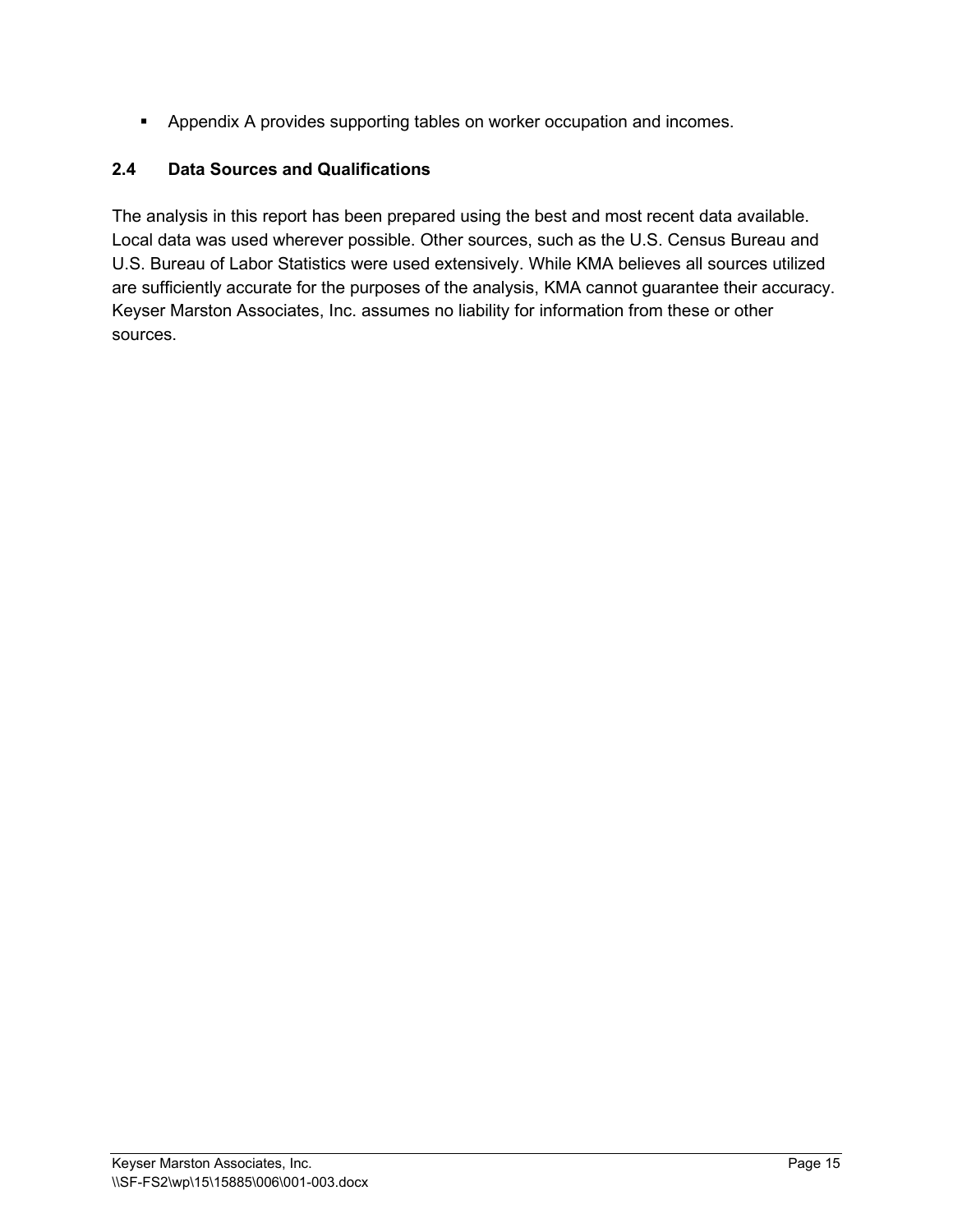**Appendix A provides supporting tables on worker occupation and incomes.** 

#### <span id="page-19-0"></span>**2.4 Data Sources and Qualifications**

The analysis in this report has been prepared using the best and most recent data available. Local data was used wherever possible. Other sources, such as the U.S. Census Bureau and U.S. Bureau of Labor Statistics were used extensively. While KMA believes all sources utilized are sufficiently accurate for the purposes of the analysis, KMA cannot guarantee their accuracy. Keyser Marston Associates, Inc. assumes no liability for information from these or other sources.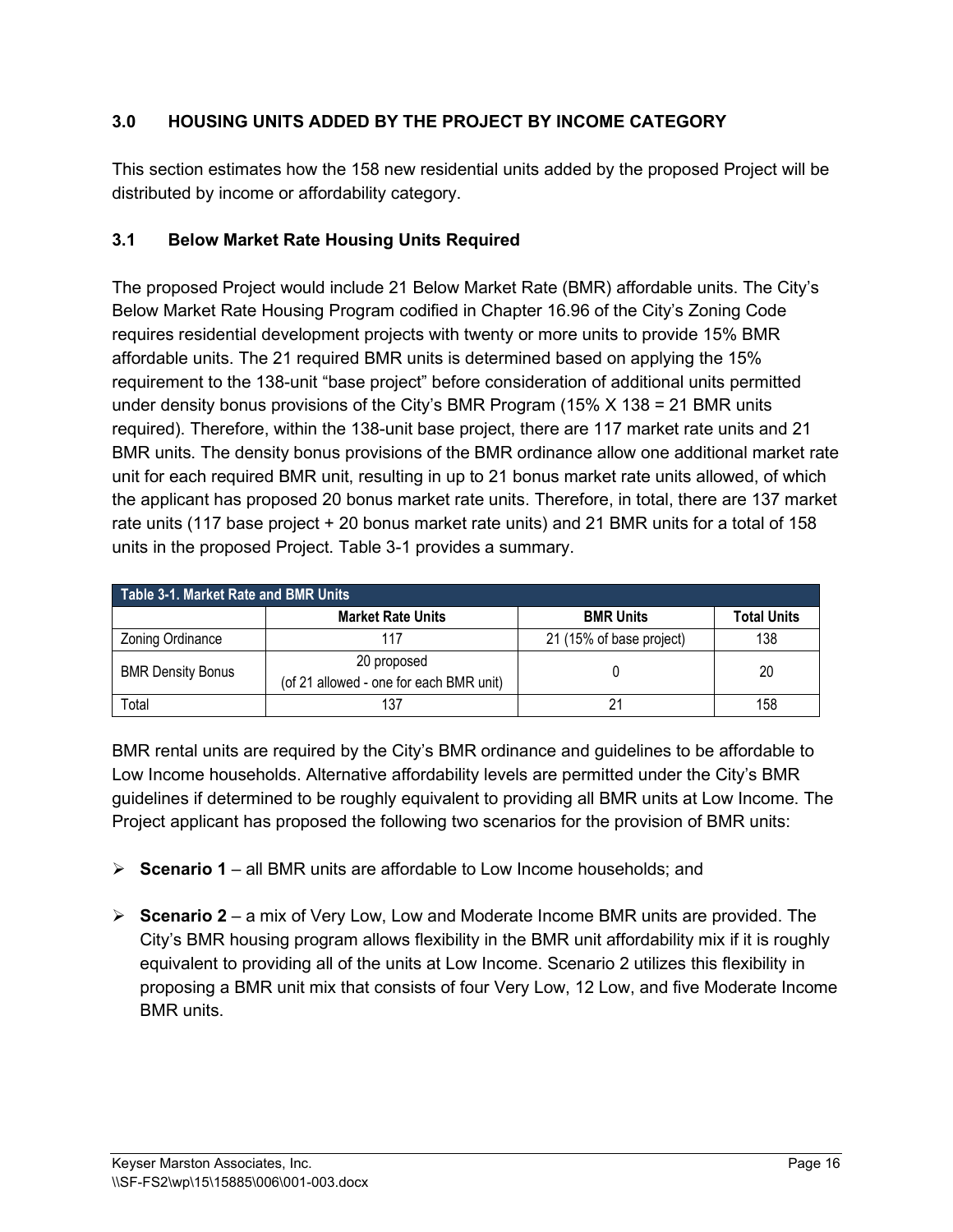#### <span id="page-20-0"></span>**3.0 HOUSING UNITS ADDED BY THE PROJECT BY INCOME CATEGORY**

This section estimates how the 158 new residential units added by the proposed Project will be distributed by income or affordability category.

#### <span id="page-20-1"></span>**3.1 Below Market Rate Housing Units Required**

The proposed Project would include 21 Below Market Rate (BMR) affordable units. The City's Below Market Rate Housing Program codified in Chapter 16.96 of the City's Zoning Code requires residential development projects with twenty or more units to provide 15% BMR affordable units. The 21 required BMR units is determined based on applying the 15% requirement to the 138-unit "base project" before consideration of additional units permitted under density bonus provisions of the City's BMR Program (15%  $\times$  138 = 21 BMR units required). Therefore, within the 138-unit base project, there are 117 market rate units and 21 BMR units. The density bonus provisions of the BMR ordinance allow one additional market rate unit for each required BMR unit, resulting in up to 21 bonus market rate units allowed, of which the applicant has proposed 20 bonus market rate units. Therefore, in total, there are 137 market rate units (117 base project + 20 bonus market rate units) and 21 BMR units for a total of 158 units in the proposed Project. Table 3-1 provides a summary.

| Table 3-1. Market Rate and BMR Units |                                                        |                          |                    |  |  |  |  |  |
|--------------------------------------|--------------------------------------------------------|--------------------------|--------------------|--|--|--|--|--|
|                                      | <b>Market Rate Units</b>                               | <b>BMR Units</b>         | <b>Total Units</b> |  |  |  |  |  |
| Zoning Ordinance                     |                                                        | 21 (15% of base project) | 138                |  |  |  |  |  |
| <b>BMR Density Bonus</b>             | 20 proposed<br>(of 21 allowed - one for each BMR unit) |                          | 20                 |  |  |  |  |  |
| Total                                |                                                        |                          | 158                |  |  |  |  |  |

BMR rental units are required by the City's BMR ordinance and guidelines to be affordable to Low Income households. Alternative affordability levels are permitted under the City's BMR guidelines if determined to be roughly equivalent to providing all BMR units at Low Income. The Project applicant has proposed the following two scenarios for the provision of BMR units:

- **Scenario 1** all BMR units are affordable to Low Income households; and
- **Scenario 2** a mix of Very Low, Low and Moderate Income BMR units are provided. The City's BMR housing program allows flexibility in the BMR unit affordability mix if it is roughly equivalent to providing all of the units at Low Income. Scenario 2 utilizes this flexibility in proposing a BMR unit mix that consists of four Very Low, 12 Low, and five Moderate Income BMR units.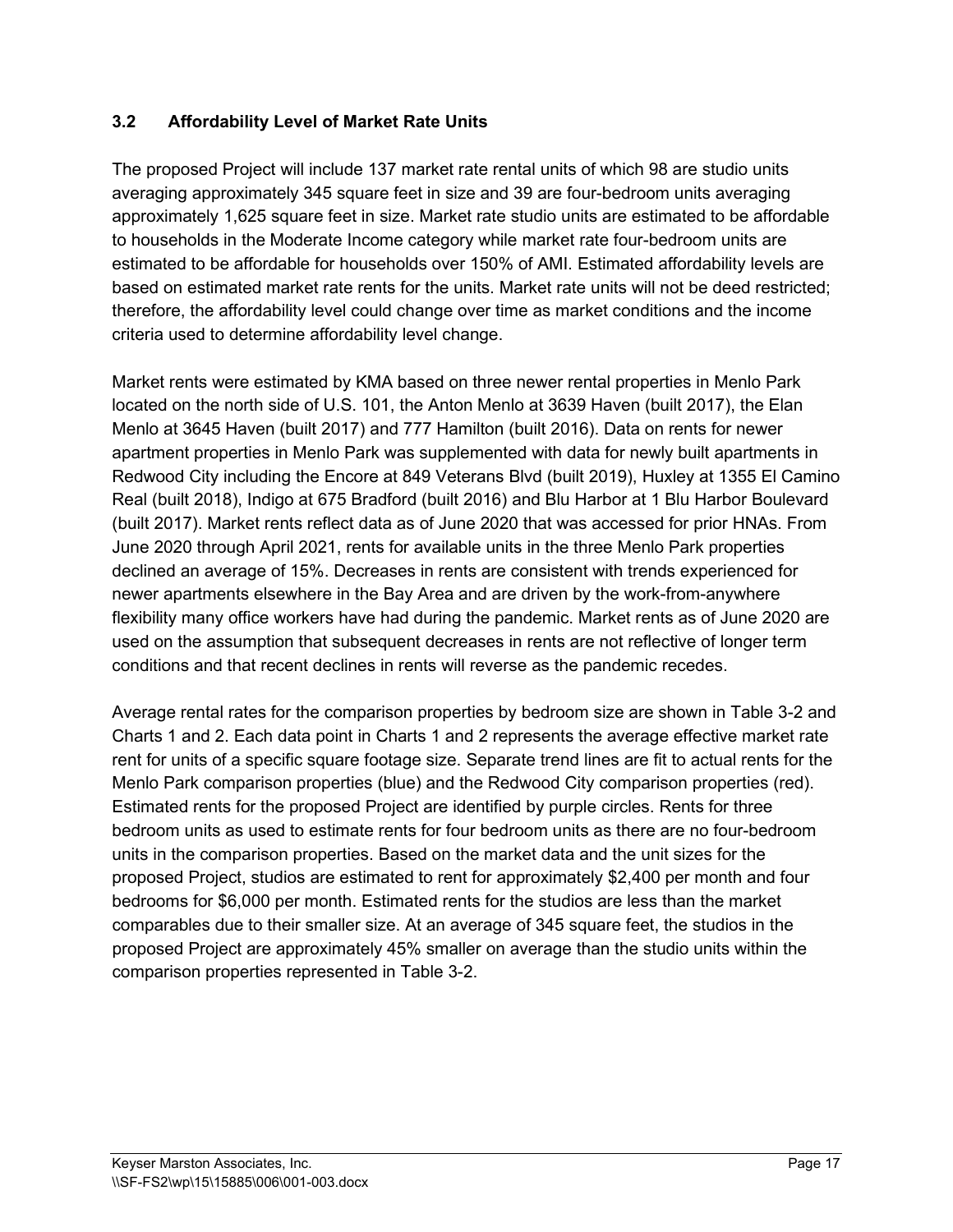#### <span id="page-21-0"></span>**3.2 Affordability Level of Market Rate Units**

The proposed Project will include 137 market rate rental units of which 98 are studio units averaging approximately 345 square feet in size and 39 are four-bedroom units averaging approximately 1,625 square feet in size. Market rate studio units are estimated to be affordable to households in the Moderate Income category while market rate four-bedroom units are estimated to be affordable for households over 150% of AMI. Estimated affordability levels are based on estimated market rate rents for the units. Market rate units will not be deed restricted; therefore, the affordability level could change over time as market conditions and the income criteria used to determine affordability level change.

Market rents were estimated by KMA based on three newer rental properties in Menlo Park located on the north side of U.S. 101, the Anton Menlo at 3639 Haven (built 2017), the Elan Menlo at 3645 Haven (built 2017) and 777 Hamilton (built 2016). Data on rents for newer apartment properties in Menlo Park was supplemented with data for newly built apartments in Redwood City including the Encore at 849 Veterans Blvd (built 2019), Huxley at 1355 El Camino Real (built 2018), Indigo at 675 Bradford (built 2016) and Blu Harbor at 1 Blu Harbor Boulevard (built 2017). Market rents reflect data as of June 2020 that was accessed for prior HNAs. From June 2020 through April 2021, rents for available units in the three Menlo Park properties declined an average of 15%. Decreases in rents are consistent with trends experienced for newer apartments elsewhere in the Bay Area and are driven by the work-from-anywhere flexibility many office workers have had during the pandemic. Market rents as of June 2020 are used on the assumption that subsequent decreases in rents are not reflective of longer term conditions and that recent declines in rents will reverse as the pandemic recedes.

Average rental rates for the comparison properties by bedroom size are shown in Table 3-2 and Charts 1 and 2. Each data point in Charts 1 and 2 represents the average effective market rate rent for units of a specific square footage size. Separate trend lines are fit to actual rents for the Menlo Park comparison properties (blue) and the Redwood City comparison properties (red). Estimated rents for the proposed Project are identified by purple circles. Rents for three bedroom units as used to estimate rents for four bedroom units as there are no four-bedroom units in the comparison properties. Based on the market data and the unit sizes for the proposed Project, studios are estimated to rent for approximately \$2,400 per month and four bedrooms for \$6,000 per month. Estimated rents for the studios are less than the market comparables due to their smaller size. At an average of 345 square feet, the studios in the proposed Project are approximately 45% smaller on average than the studio units within the comparison properties represented in Table 3-2.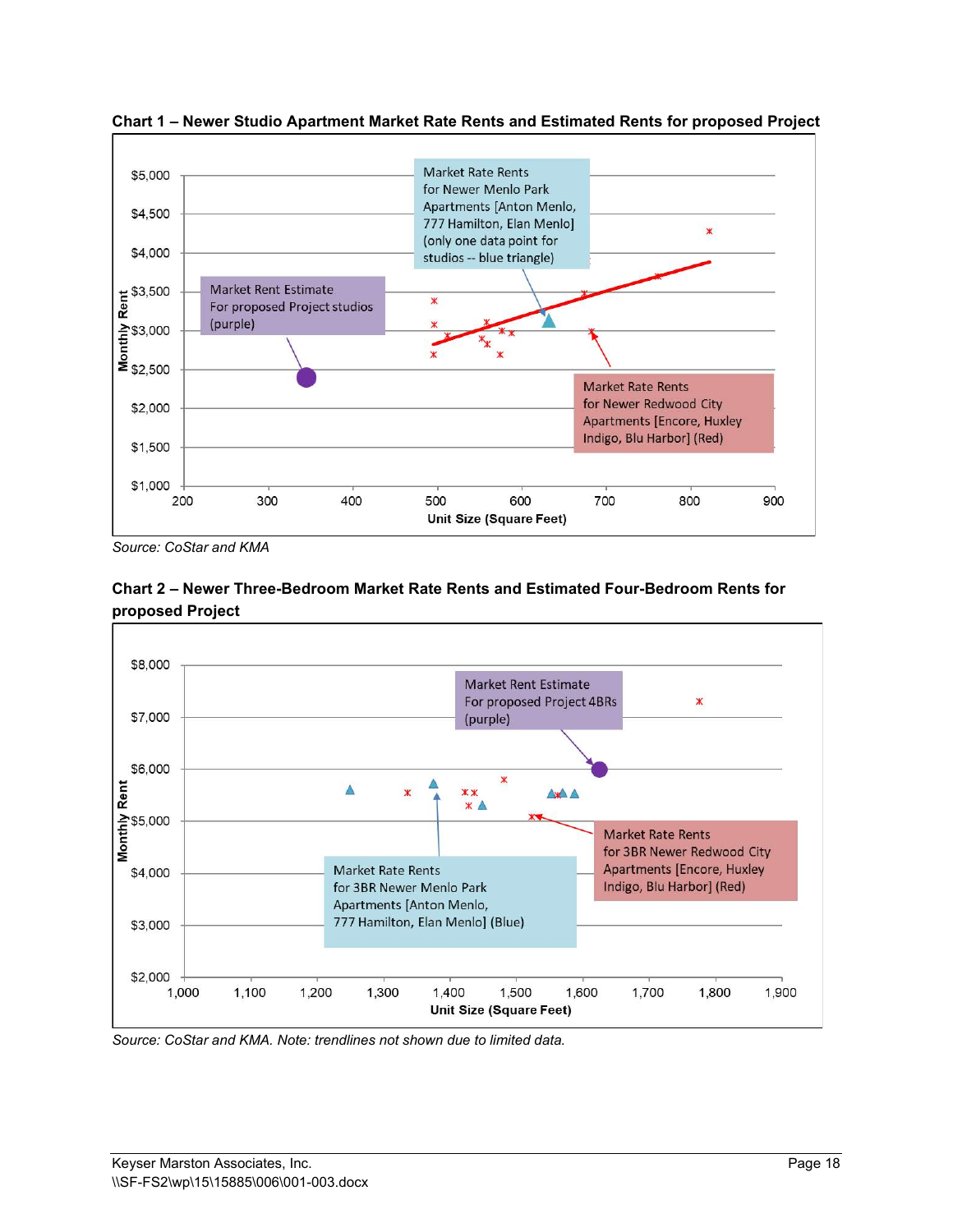

**Chart 1 – Newer Studio Apartment Market Rate Rents and Estimated Rents for proposed Project**

*Source: CoStar and KMA* 



**Chart 2 – Newer Three-Bedroom Market Rate Rents and Estimated Four-Bedroom Rents for proposed Project**

*Source: CoStar and KMA. Note: trendlines not shown due to limited data.*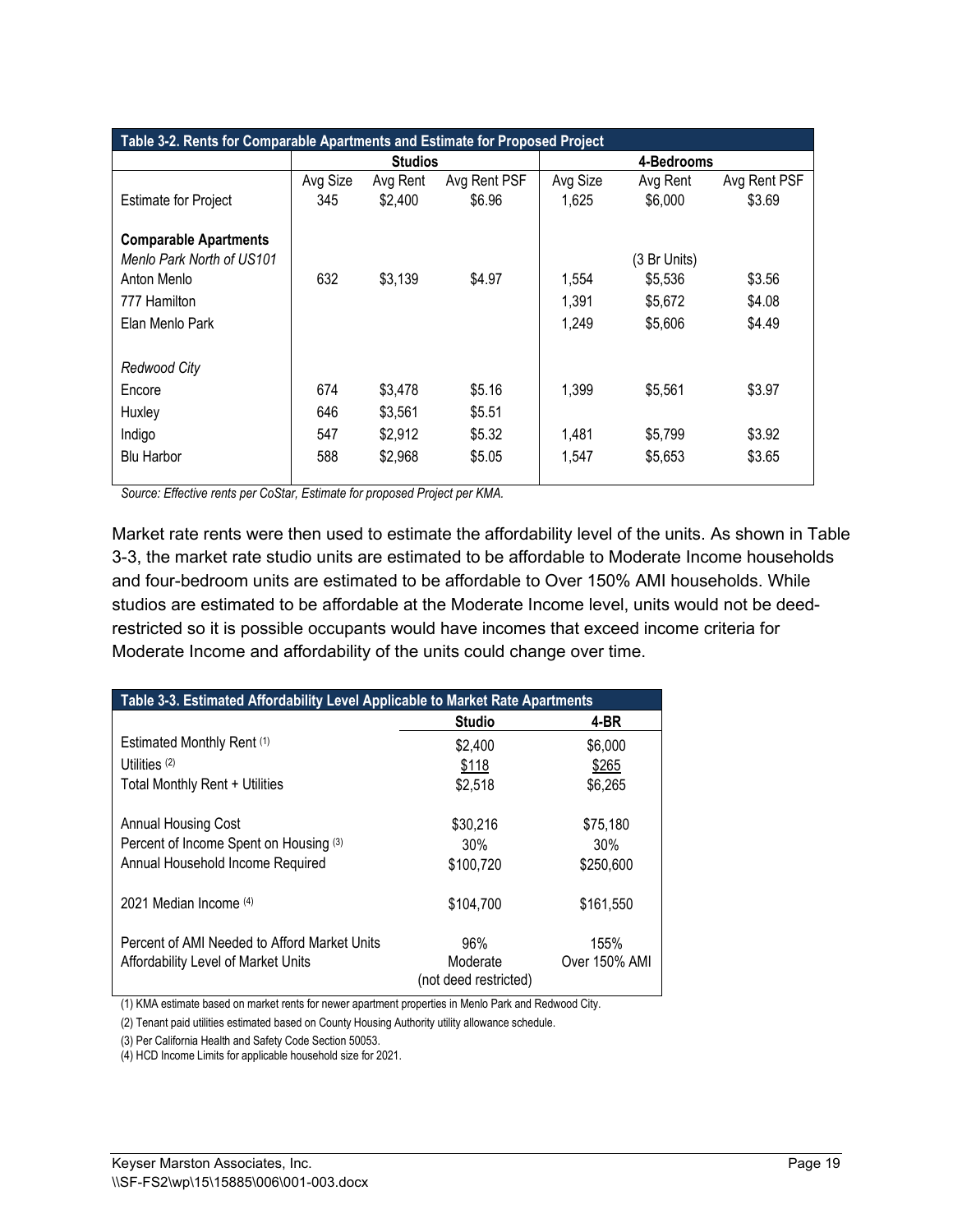| Table 3-2. Rents for Comparable Apartments and Estimate for Proposed Project |                |          |              |            |              |              |  |  |
|------------------------------------------------------------------------------|----------------|----------|--------------|------------|--------------|--------------|--|--|
|                                                                              | <b>Studios</b> |          |              | 4-Bedrooms |              |              |  |  |
|                                                                              | Avg Size       | Avg Rent | Avg Rent PSF | Avg Size   | Avg Rent     | Avg Rent PSF |  |  |
| <b>Estimate for Project</b>                                                  | 345            | \$2.400  | \$6.96       | 1.625      | \$6,000      | \$3.69       |  |  |
|                                                                              |                |          |              |            |              |              |  |  |
| <b>Comparable Apartments</b>                                                 |                |          |              |            |              |              |  |  |
| Menlo Park North of US101                                                    |                |          |              |            | (3 Br Units) |              |  |  |
| Anton Menlo                                                                  | 632            | \$3,139  | \$4.97       | 1.554      | \$5,536      | \$3.56       |  |  |
| 777 Hamilton                                                                 |                |          |              | 1,391      | \$5,672      | \$4.08       |  |  |
| Elan Menlo Park                                                              |                |          |              | 1,249      | \$5,606      | \$4.49       |  |  |
|                                                                              |                |          |              |            |              |              |  |  |
| Redwood City                                                                 |                |          |              |            |              |              |  |  |
| Encore                                                                       | 674            | \$3,478  | \$5.16       | 1,399      | \$5,561      | \$3.97       |  |  |
| Huxley                                                                       | 646            | \$3,561  | \$5.51       |            |              |              |  |  |
| Indigo                                                                       | 547            | \$2,912  | \$5.32       | 1,481      | \$5,799      | \$3.92       |  |  |
| <b>Blu Harbor</b>                                                            | 588            | \$2,968  | \$5.05       | 1.547      | \$5,653      | \$3.65       |  |  |
|                                                                              |                |          |              |            |              |              |  |  |

*Source: Effective rents per CoStar, Estimate for proposed Project per KMA.*

Market rate rents were then used to estimate the affordability level of the units. As shown in Table 3-3, the market rate studio units are estimated to be affordable to Moderate Income households and four-bedroom units are estimated to be affordable to Over 150% AMI households. While studios are estimated to be affordable at the Moderate Income level, units would not be deedrestricted so it is possible occupants would have incomes that exceed income criteria for Moderate Income and affordability of the units could change over time.

| Table 3-3. Estimated Affordability Level Applicable to Market Rate Apartments                     |                                          |                              |  |  |  |  |  |
|---------------------------------------------------------------------------------------------------|------------------------------------------|------------------------------|--|--|--|--|--|
|                                                                                                   | <b>Studio</b>                            | 4-BR                         |  |  |  |  |  |
| <b>Estimated Monthly Rent (1)</b>                                                                 | \$2,400                                  | \$6,000                      |  |  |  |  |  |
| Utilities $(2)$                                                                                   | \$118                                    | \$265                        |  |  |  |  |  |
| <b>Total Monthly Rent + Utilities</b>                                                             | \$2,518                                  | \$6,265                      |  |  |  |  |  |
| Annual Housing Cost<br>Percent of Income Spent on Housing (3)<br>Annual Household Income Required | \$30,216<br>30%<br>\$100,720             | \$75,180<br>30%<br>\$250,600 |  |  |  |  |  |
| 2021 Median Income (4)                                                                            | \$104,700                                | \$161,550                    |  |  |  |  |  |
| Percent of AMI Needed to Afford Market Units<br>Affordability Level of Market Units               | 96%<br>Moderate<br>(not deed restricted) | 155%<br>Over 150% AMI        |  |  |  |  |  |

(1) KMA estimate based on market rents for newer apartment properties in Menlo Park and Redwood City.

(2) Tenant paid utilities estimated based on County Housing Authority utility allowance schedule.

(3) Per California Health and Safety Code Section 50053.

(4) HCD Income Limits for applicable household size for 2021.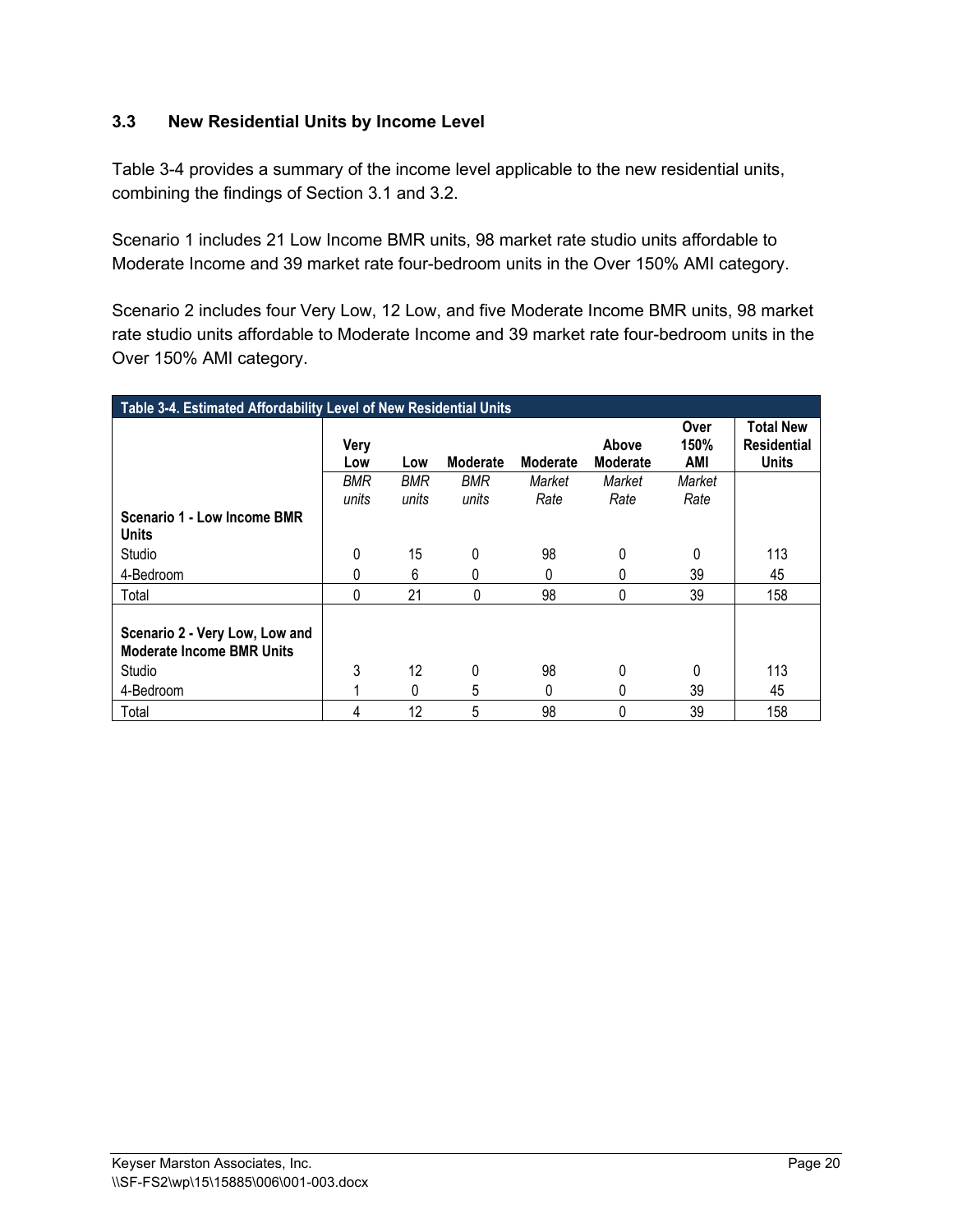#### <span id="page-24-0"></span>**3.3 New Residential Units by Income Level**

Table 3-4 provides a summary of the income level applicable to the new residential units, combining the findings of Section 3.1 and 3.2.

Scenario 1 includes 21 Low Income BMR units, 98 market rate studio units affordable to Moderate Income and 39 market rate four-bedroom units in the Over 150% AMI category.

Scenario 2 includes four Very Low, 12 Low, and five Moderate Income BMR units, 98 market rate studio units affordable to Moderate Income and 39 market rate four-bedroom units in the Over 150% AMI category.

| Table 3-4. Estimated Affordability Level of New Residential Units            |                    |       |                 |                 |                          |                     |                                                        |  |  |  |  |  |  |
|------------------------------------------------------------------------------|--------------------|-------|-----------------|-----------------|--------------------------|---------------------|--------------------------------------------------------|--|--|--|--|--|--|
|                                                                              | <b>Very</b><br>Low | Low   | <b>Moderate</b> | <b>Moderate</b> | Above<br><b>Moderate</b> | Over<br>150%<br>AMI | <b>Total New</b><br><b>Residential</b><br><b>Units</b> |  |  |  |  |  |  |
|                                                                              | BMR                | BMR   | <b>BMR</b>      | Market          | Market                   | Market              |                                                        |  |  |  |  |  |  |
| Scenario 1 - Low Income BMR<br><b>Units</b>                                  | units              | units | units           | Rate            | Rate                     | Rate                |                                                        |  |  |  |  |  |  |
| Studio                                                                       | 0                  | 15    | 0               | 98              | 0                        | 0                   | 113                                                    |  |  |  |  |  |  |
| 4-Bedroom                                                                    | 0                  | 6     | 0               | 0               | 0                        | 39                  | 45                                                     |  |  |  |  |  |  |
| Total                                                                        | 0                  | 21    | 0               | 98              | 0                        | 39                  | 158                                                    |  |  |  |  |  |  |
| Scenario 2 - Very Low, Low and<br><b>Moderate Income BMR Units</b><br>Studio | 3                  | 12    | 0               | 98              | 0                        | 0                   | 113                                                    |  |  |  |  |  |  |
| 4-Bedroom                                                                    |                    | 0     | 5               | 0               | 0                        | 39                  | 45                                                     |  |  |  |  |  |  |
| Total                                                                        | 4                  | 12    | 5               | 98              | 0                        | 39                  | 158                                                    |  |  |  |  |  |  |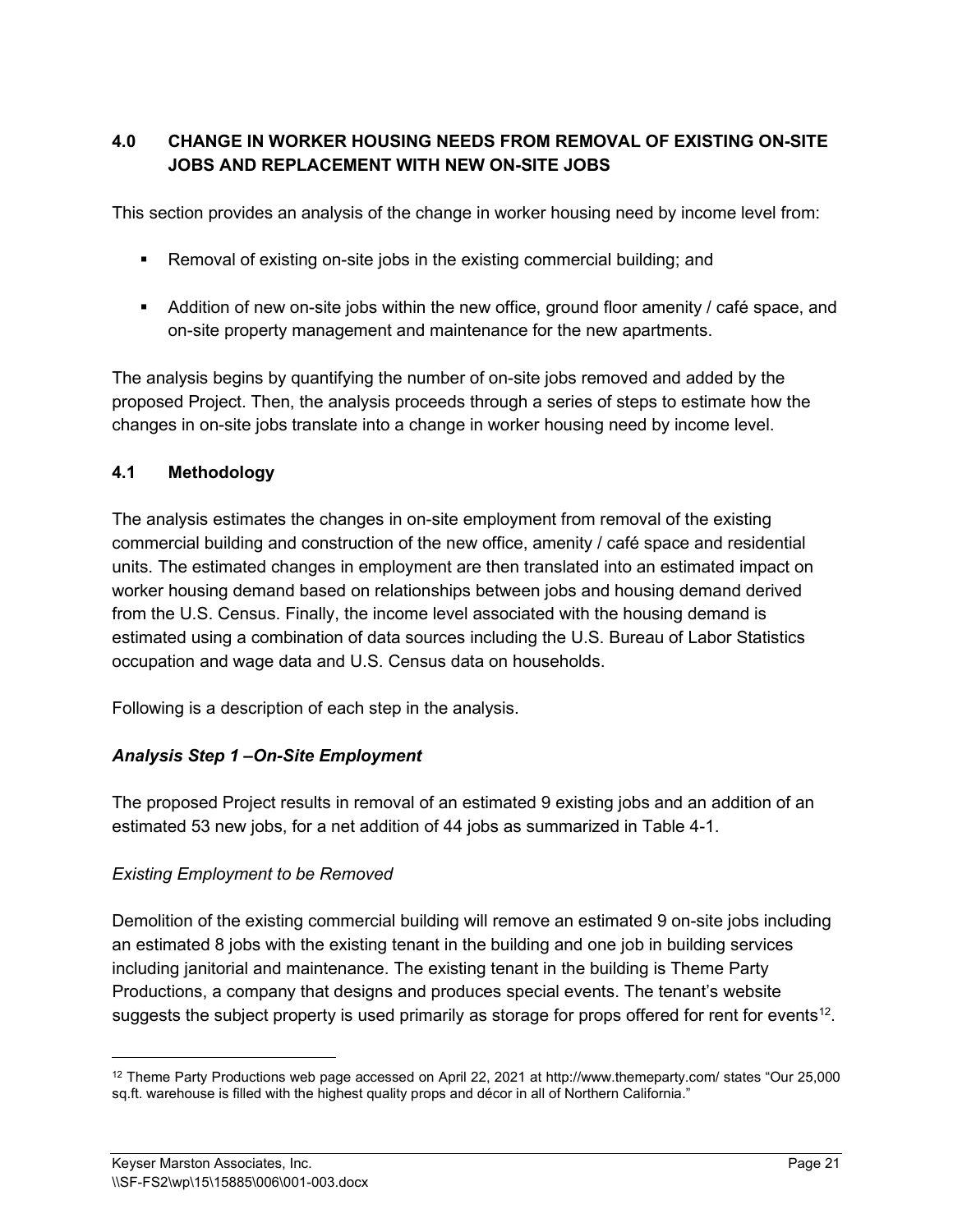#### <span id="page-25-0"></span>**4.0 CHANGE IN WORKER HOUSING NEEDS FROM REMOVAL OF EXISTING ON-SITE JOBS AND REPLACEMENT WITH NEW ON-SITE JOBS**

This section provides an analysis of the change in worker housing need by income level from:

- Removal of existing on-site jobs in the existing commercial building; and
- Addition of new on-site jobs within the new office, ground floor amenity / café space, and on-site property management and maintenance for the new apartments.

The analysis begins by quantifying the number of on-site jobs removed and added by the proposed Project. Then, the analysis proceeds through a series of steps to estimate how the changes in on-site jobs translate into a change in worker housing need by income level.

#### <span id="page-25-1"></span>**4.1 Methodology**

The analysis estimates the changes in on-site employment from removal of the existing commercial building and construction of the new office, amenity / café space and residential units. The estimated changes in employment are then translated into an estimated impact on worker housing demand based on relationships between jobs and housing demand derived from the U.S. Census. Finally, the income level associated with the housing demand is estimated using a combination of data sources including the U.S. Bureau of Labor Statistics occupation and wage data and U.S. Census data on households.

Following is a description of each step in the analysis.

#### *Analysis Step 1 –On-Site Employment*

The proposed Project results in removal of an estimated 9 existing jobs and an addition of an estimated 53 new jobs, for a net addition of 44 jobs as summarized in Table 4-1.

#### *Existing Employment to be Removed*

Demolition of the existing commercial building will remove an estimated 9 on-site jobs including an estimated 8 jobs with the existing tenant in the building and one job in building services including janitorial and maintenance. The existing tenant in the building is Theme Party Productions, a company that designs and produces special events. The tenant's website suggests the subject property is used primarily as storage for props offered for rent for events<sup>12</sup>.

<span id="page-25-2"></span><sup>12</sup> Theme Party Productions web page accessed on April 22, 2021 at http://www.themeparty.com/ states "Our 25,000 sq.ft. warehouse is filled with the highest quality props and décor in all of Northern California."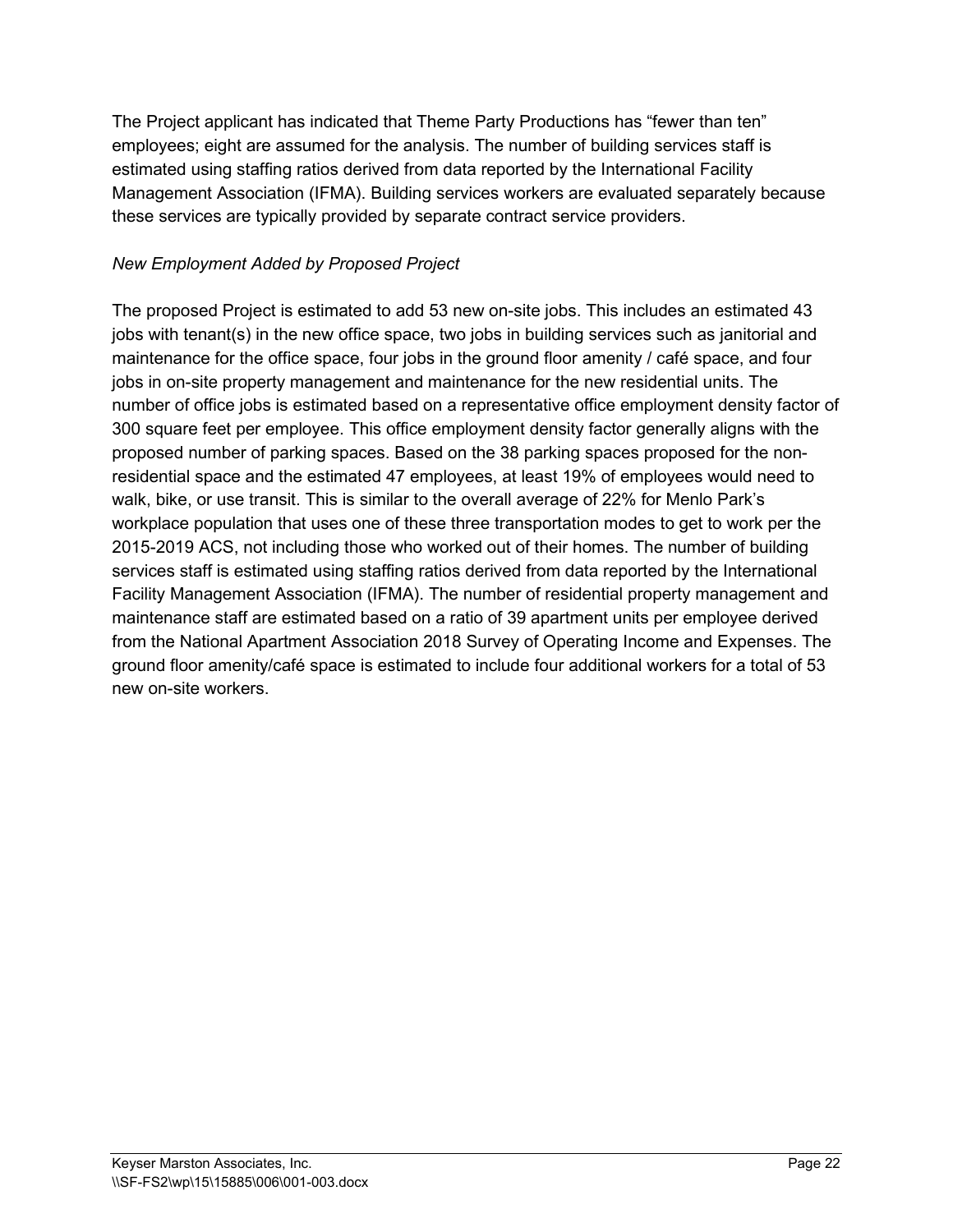The Project applicant has indicated that Theme Party Productions has "fewer than ten" employees; eight are assumed for the analysis. The number of building services staff is estimated using staffing ratios derived from data reported by the International Facility Management Association (IFMA). Building services workers are evaluated separately because these services are typically provided by separate contract service providers.

#### *New Employment Added by Proposed Project*

The proposed Project is estimated to add 53 new on-site jobs. This includes an estimated 43 jobs with tenant(s) in the new office space, two jobs in building services such as janitorial and maintenance for the office space, four jobs in the ground floor amenity / café space, and four jobs in on-site property management and maintenance for the new residential units. The number of office jobs is estimated based on a representative office employment density factor of 300 square feet per employee. This office employment density factor generally aligns with the proposed number of parking spaces. Based on the 38 parking spaces proposed for the nonresidential space and the estimated 47 employees, at least 19% of employees would need to walk, bike, or use transit. This is similar to the overall average of 22% for Menlo Park's workplace population that uses one of these three transportation modes to get to work per the 2015-2019 ACS, not including those who worked out of their homes. The number of building services staff is estimated using staffing ratios derived from data reported by the International Facility Management Association (IFMA). The number of residential property management and maintenance staff are estimated based on a ratio of 39 apartment units per employee derived from the National Apartment Association 2018 Survey of Operating Income and Expenses. The ground floor amenity/café space is estimated to include four additional workers for a total of 53 new on-site workers.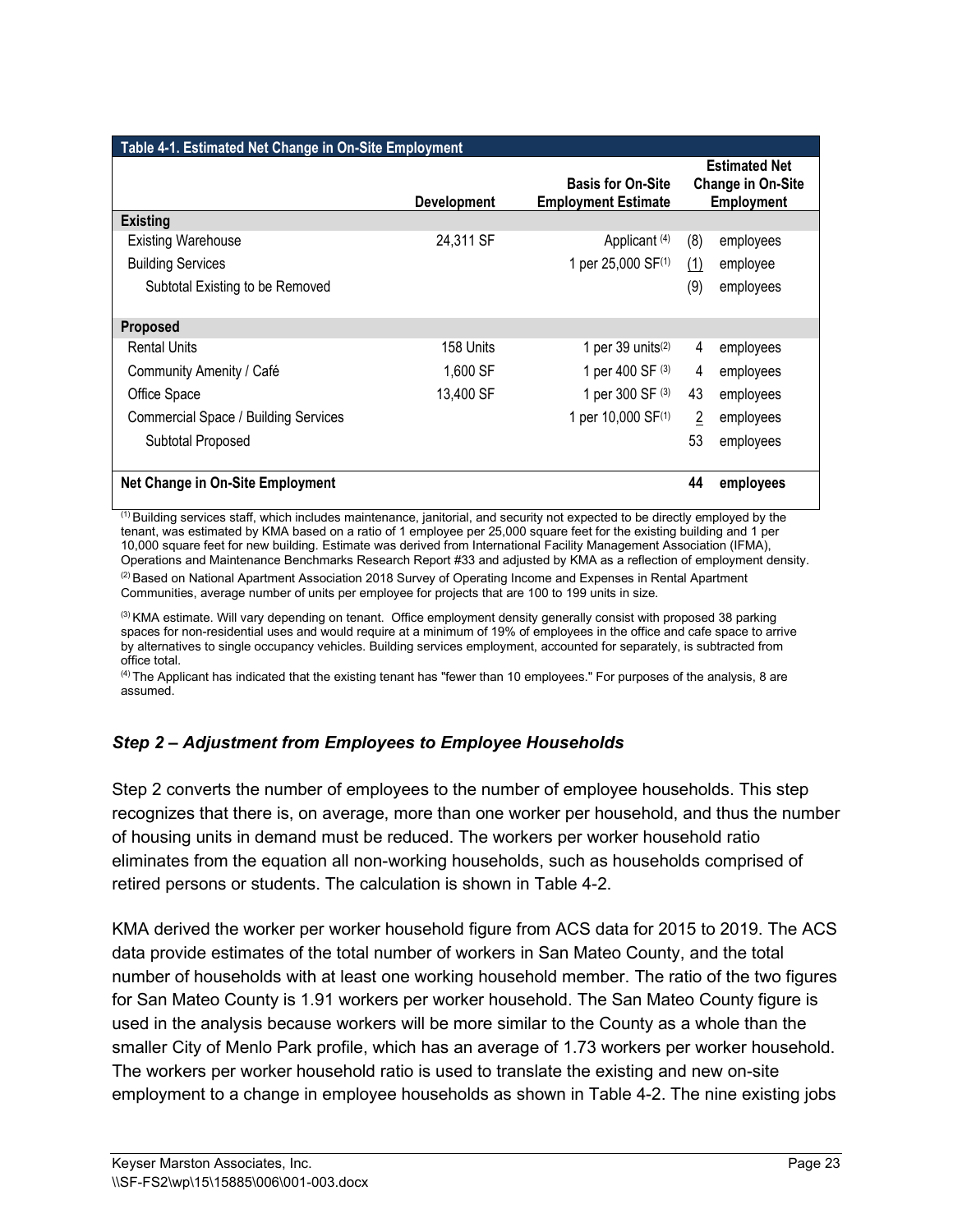| Table 4-1. Estimated Net Change in On-Site Employment |                    |                            |                |                                                  |
|-------------------------------------------------------|--------------------|----------------------------|----------------|--------------------------------------------------|
|                                                       |                    | <b>Basis for On-Site</b>   |                | <b>Estimated Net</b><br><b>Change in On-Site</b> |
|                                                       | <b>Development</b> | <b>Employment Estimate</b> |                | <b>Employment</b>                                |
| <b>Existing</b>                                       |                    |                            |                |                                                  |
| <b>Existing Warehouse</b>                             | 24,311 SF          | Applicant <sup>(4)</sup>   | (8)            | employees                                        |
| <b>Building Services</b>                              |                    | 1 per 25,000 SF(1)         | (1)            | employee                                         |
| Subtotal Existing to be Removed                       |                    |                            | (9)            | employees                                        |
| Proposed                                              |                    |                            |                |                                                  |
| <b>Rental Units</b>                                   | 158 Units          | 1 per 39 units $(2)$       | 4              | employees                                        |
| Community Amenity / Café                              | 1,600 SF           | 1 per 400 SF (3)           | 4              | employees                                        |
| Office Space                                          | 13,400 SF          | 1 per 300 SF (3)           | 43             | employees                                        |
| Commercial Space / Building Services                  |                    | 1 per 10,000 SF(1)         | $\overline{2}$ | employees                                        |
| Subtotal Proposed                                     |                    |                            | 53             | employees                                        |
| Net Change in On-Site Employment                      |                    |                            | 44             | employees                                        |

<sup>(1)</sup> Building services staff, which includes maintenance, janitorial, and security not expected to be directly employed by the tenant, was estimated by KMA based on a ratio of 1 employee per 25,000 square feet for the existing building and 1 per 10,000 square feet for new building. Estimate was derived from International Facility Management Association (IFMA), Operations and Maintenance Benchmarks Research Report #33 and adjusted by KMA as a reflection of employment density.

<sup>(2)</sup> Based on National Apartment Association 2018 Survey of Operating Income and Expenses in Rental Apartment Communities, average number of units per employee for projects that are 100 to 199 units in size.

(3) KMA estimate. Will vary depending on tenant. Office employment density generally consist with proposed 38 parking spaces for non-residential uses and would require at a minimum of 19% of employees in the office and cafe space to arrive by alternatives to single occupancy vehicles. Building services employment, accounted for separately, is subtracted from office total.

(4) The Applicant has indicated that the existing tenant has "fewer than 10 employees." For purposes of the analysis, 8 are assumed.

#### *Step 2 – Adjustment from Employees to Employee Households*

Step 2 converts the number of employees to the number of employee households. This step recognizes that there is, on average, more than one worker per household, and thus the number of housing units in demand must be reduced. The workers per worker household ratio eliminates from the equation all non-working households, such as households comprised of retired persons or students. The calculation is shown in Table 4-2.

KMA derived the worker per worker household figure from ACS data for 2015 to 2019. The ACS data provide estimates of the total number of workers in San Mateo County, and the total number of households with at least one working household member. The ratio of the two figures for San Mateo County is 1.91 workers per worker household. The San Mateo County figure is used in the analysis because workers will be more similar to the County as a whole than the smaller City of Menlo Park profile, which has an average of 1.73 workers per worker household. The workers per worker household ratio is used to translate the existing and new on-site employment to a change in employee households as shown in Table 4-2. The nine existing jobs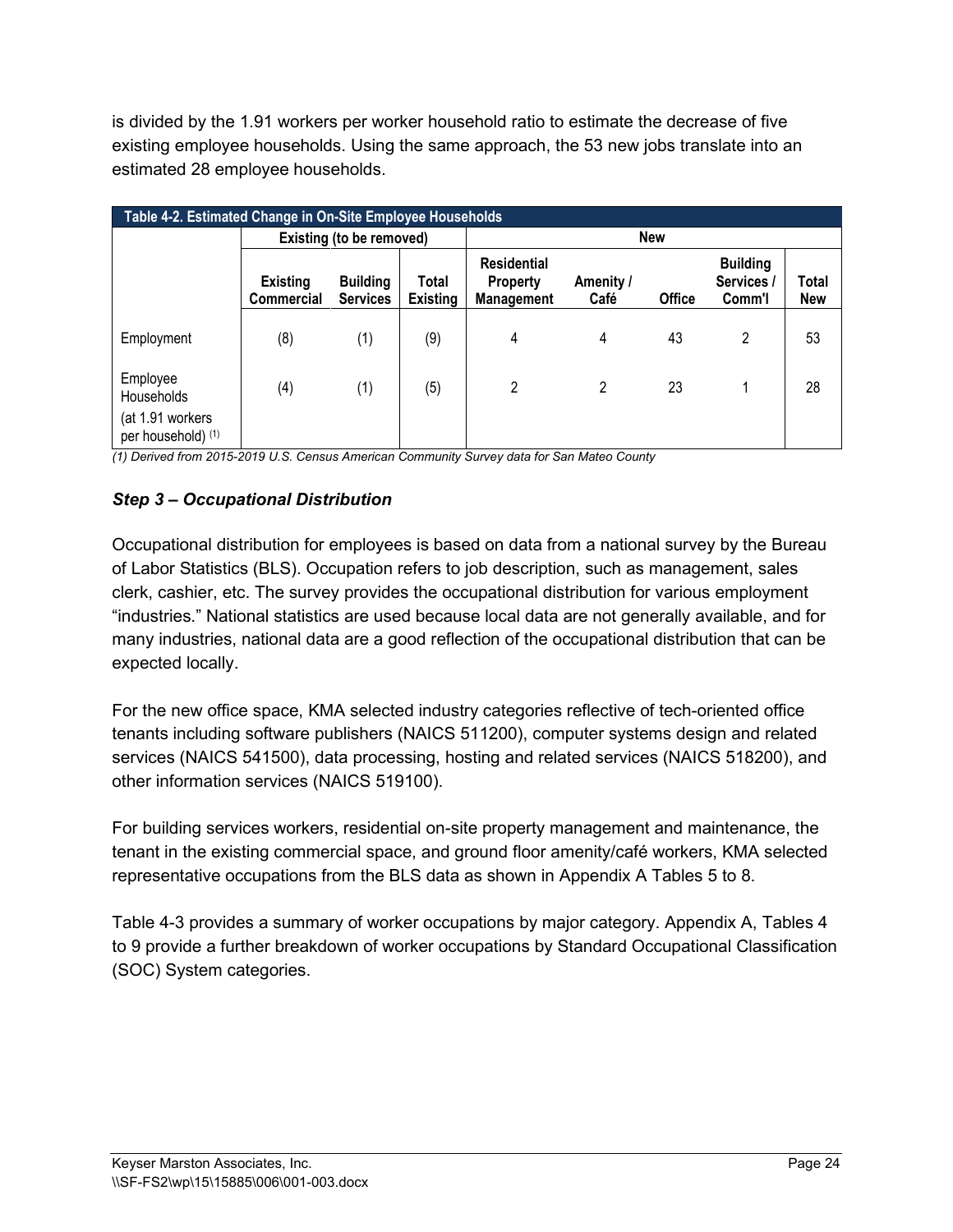is divided by the 1.91 workers per worker household ratio to estimate the decrease of five existing employee households. Using the same approach, the 53 new jobs translate into an estimated 28 employee households.

| Table 4-2. Estimated Change in On-Site Employee Households       |                                      |                                    |                          |                                                            |                   |               |                                       |                     |  |  |  |  |  |
|------------------------------------------------------------------|--------------------------------------|------------------------------------|--------------------------|------------------------------------------------------------|-------------------|---------------|---------------------------------------|---------------------|--|--|--|--|--|
|                                                                  |                                      | Existing (to be removed)           |                          | <b>New</b>                                                 |                   |               |                                       |                     |  |  |  |  |  |
|                                                                  | <b>Existing</b><br><b>Commercial</b> | <b>Building</b><br><b>Services</b> | Total<br><b>Existing</b> | <b>Residential</b><br><b>Property</b><br><b>Management</b> | Amenity /<br>Café | <b>Office</b> | <b>Building</b><br>Services<br>Comm'l | Total<br><b>New</b> |  |  |  |  |  |
| Employment                                                       | (8)                                  | (1)                                | (9)                      | 4                                                          | 4                 | 43            | 2                                     | 53                  |  |  |  |  |  |
| Employee<br>Households<br>(at 1.91 workers<br>per household) (1) | (4)                                  | (1)                                | (5)                      | 2                                                          | 2                 | 23            |                                       | 28                  |  |  |  |  |  |

*(1) Derived from 2015-2019 U.S. Census American Community Survey data for San Mateo County*

#### *Step 3 – Occupational Distribution*

Occupational distribution for employees is based on data from a national survey by the Bureau of Labor Statistics (BLS). Occupation refers to job description, such as management, sales clerk, cashier, etc. The survey provides the occupational distribution for various employment "industries." National statistics are used because local data are not generally available, and for many industries, national data are a good reflection of the occupational distribution that can be expected locally.

For the new office space, KMA selected industry categories reflective of tech-oriented office tenants including software publishers (NAICS 511200), computer systems design and related services (NAICS 541500), data processing, hosting and related services (NAICS 518200), and other information services (NAICS 519100).

For building services workers, residential on-site property management and maintenance, the tenant in the existing commercial space, and ground floor amenity/café workers, KMA selected representative occupations from the BLS data as shown in Appendix A Tables 5 to 8.

Table 4-3 provides a summary of worker occupations by major category. Appendix A, Tables 4 to 9 provide a further breakdown of worker occupations by Standard Occupational Classification (SOC) System categories.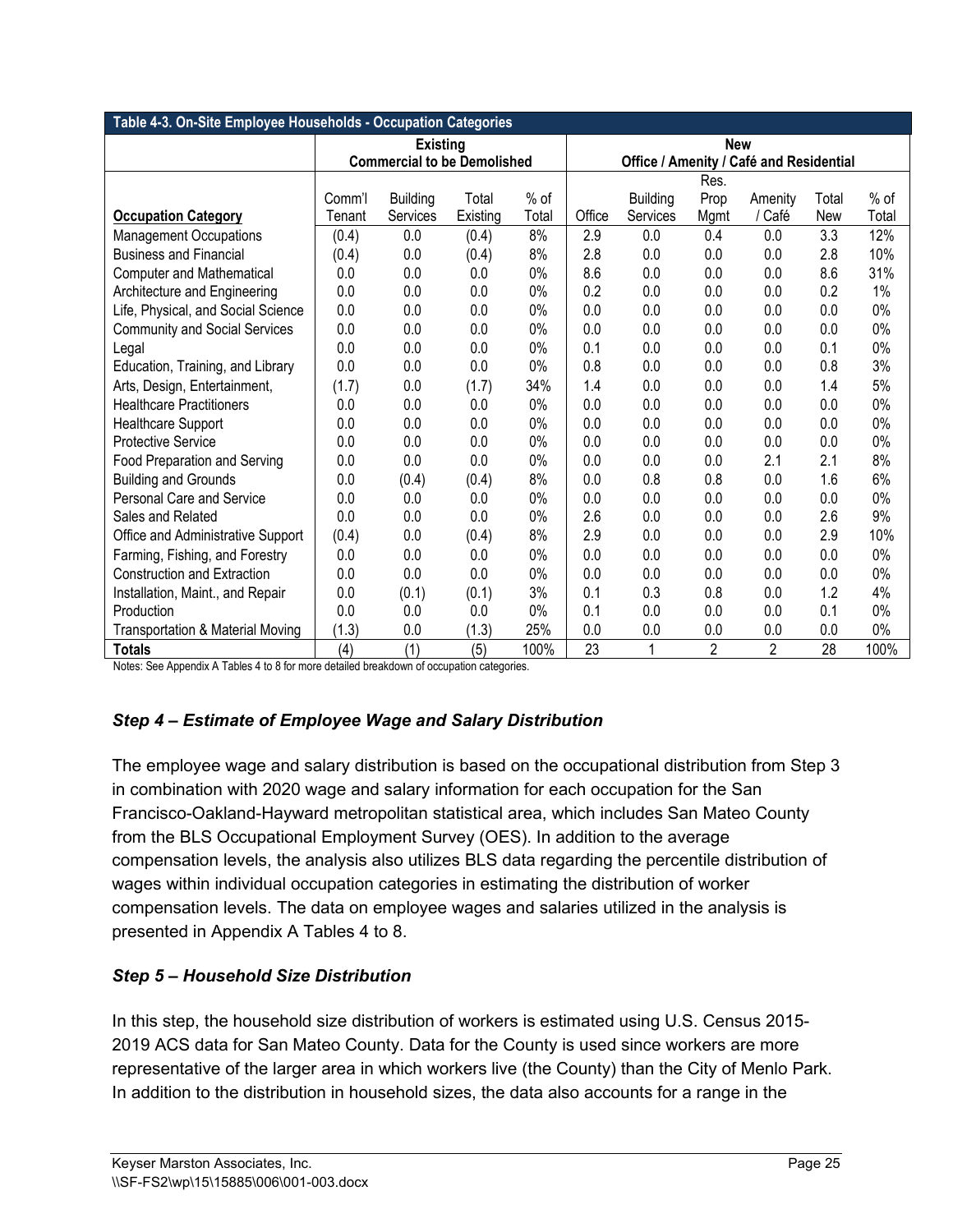| Table 4-3. On-Site Employee Households - Occupation Categories |        |                                    |          |        |                                         |                 |                |                |       |        |  |
|----------------------------------------------------------------|--------|------------------------------------|----------|--------|-----------------------------------------|-----------------|----------------|----------------|-------|--------|--|
|                                                                |        | <b>Existing</b>                    |          |        |                                         |                 | <b>New</b>     |                |       |        |  |
|                                                                |        | <b>Commercial to be Demolished</b> |          |        | Office / Amenity / Café and Residential |                 |                |                |       |        |  |
|                                                                |        |                                    |          |        | Res.                                    |                 |                |                |       |        |  |
|                                                                | Comm'l | <b>Building</b>                    | Total    | $%$ of |                                         | <b>Building</b> | Prop           | Amenity        | Total | $%$ of |  |
| <b>Occupation Category</b>                                     | Tenant | Services                           | Existing | Total  | Office                                  | Services        | Mgmt           | / Café         | New   | Total  |  |
| <b>Management Occupations</b>                                  | (0.4)  | 0.0                                | (0.4)    | 8%     | 2.9                                     | 0.0             | 0.4            | 0.0            | 3.3   | 12%    |  |
| <b>Business and Financial</b>                                  | (0.4)  | 0.0                                | (0.4)    | 8%     | 2.8                                     | 0.0             | 0.0            | 0.0            | 2.8   | 10%    |  |
| <b>Computer and Mathematical</b>                               | 0.0    | 0.0                                | 0.0      | 0%     | 8.6                                     | 0.0             | 0.0            | 0.0            | 8.6   | 31%    |  |
| Architecture and Engineering                                   | 0.0    | 0.0                                | 0.0      | 0%     | 0.2                                     | 0.0             | 0.0            | 0.0            | 0.2   | 1%     |  |
| Life, Physical, and Social Science                             | 0.0    | 0.0                                | 0.0      | 0%     | 0.0                                     | 0.0             | 0.0            | 0.0            | 0.0   | 0%     |  |
| <b>Community and Social Services</b>                           | 0.0    | 0.0                                | 0.0      | 0%     | 0.0                                     | 0.0             | 0.0            | 0.0            | 0.0   | 0%     |  |
| Legal                                                          | 0.0    | 0.0                                | 0.0      | 0%     | 0.1                                     | 0.0             | 0.0            | 0.0            | 0.1   | 0%     |  |
| Education, Training, and Library                               | 0.0    | 0.0                                | 0.0      | 0%     | 0.8                                     | 0.0             | 0.0            | 0.0            | 0.8   | 3%     |  |
| Arts, Design, Entertainment,                                   | (1.7)  | 0.0                                | (1.7)    | 34%    | 1.4                                     | 0.0             | 0.0            | 0.0            | 1.4   | 5%     |  |
| <b>Healthcare Practitioners</b>                                | 0.0    | 0.0                                | 0.0      | 0%     | 0.0                                     | 0.0             | 0.0            | 0.0            | 0.0   | 0%     |  |
| <b>Healthcare Support</b>                                      | 0.0    | 0.0                                | 0.0      | 0%     | 0.0                                     | 0.0             | 0.0            | 0.0            | 0.0   | 0%     |  |
| <b>Protective Service</b>                                      | 0.0    | 0.0                                | 0.0      | 0%     | 0.0                                     | 0.0             | 0.0            | 0.0            | 0.0   | 0%     |  |
| Food Preparation and Serving                                   | 0.0    | 0.0                                | 0.0      | 0%     | 0.0                                     | 0.0             | 0.0            | 2.1            | 2.1   | 8%     |  |
| <b>Building and Grounds</b>                                    | 0.0    | (0.4)                              | (0.4)    | 8%     | 0.0                                     | 0.8             | 0.8            | 0.0            | 1.6   | 6%     |  |
| Personal Care and Service                                      | 0.0    | 0.0                                | 0.0      | 0%     | 0.0                                     | 0.0             | 0.0            | 0.0            | 0.0   | $0\%$  |  |
| Sales and Related                                              | 0.0    | 0.0                                | 0.0      | 0%     | 2.6                                     | 0.0             | 0.0            | 0.0            | 2.6   | 9%     |  |
| Office and Administrative Support                              | (0.4)  | 0.0                                | (0.4)    | 8%     | 2.9                                     | 0.0             | 0.0            | 0.0            | 2.9   | 10%    |  |
| Farming, Fishing, and Forestry                                 | 0.0    | 0.0                                | 0.0      | 0%     | 0.0                                     | 0.0             | 0.0            | 0.0            | 0.0   | $0\%$  |  |
| <b>Construction and Extraction</b>                             | 0.0    | 0.0                                | 0.0      | 0%     | 0.0                                     | 0.0             | 0.0            | 0.0            | 0.0   | $0\%$  |  |
| Installation, Maint., and Repair                               | 0.0    | (0.1)                              | (0.1)    | 3%     | 0.1                                     | 0.3             | 0.8            | 0.0            | 1.2   | 4%     |  |
| Production                                                     | 0.0    | 0.0                                | 0.0      | 0%     | 0.1                                     | 0.0             | 0.0            | 0.0            | 0.1   | $0\%$  |  |
| Transportation & Material Moving                               | (1.3)  | 0.0                                | (1.3)    | 25%    | 0.0                                     | 0.0             | 0.0            | 0.0            | 0.0   | 0%     |  |
| <b>Totals</b>                                                  | (4)    | (1)                                | (5)      | 100%   | 23                                      |                 | $\overline{2}$ | $\overline{2}$ | 28    | 100%   |  |

Notes: See Appendix A Tables 4 to 8 for more detailed breakdown of occupation categories.

#### *Step 4 – Estimate of Employee Wage and Salary Distribution*

The employee wage and salary distribution is based on the occupational distribution from Step 3 in combination with 2020 wage and salary information for each occupation for the San Francisco-Oakland-Hayward metropolitan statistical area, which includes San Mateo County from the BLS Occupational Employment Survey (OES). In addition to the average compensation levels, the analysis also utilizes BLS data regarding the percentile distribution of wages within individual occupation categories in estimating the distribution of worker compensation levels. The data on employee wages and salaries utilized in the analysis is presented in Appendix A Tables 4 to 8.

#### *Step 5 – Household Size Distribution*

In this step, the household size distribution of workers is estimated using U.S. Census 2015- 2019 ACS data for San Mateo County. Data for the County is used since workers are more representative of the larger area in which workers live (the County) than the City of Menlo Park. In addition to the distribution in household sizes, the data also accounts for a range in the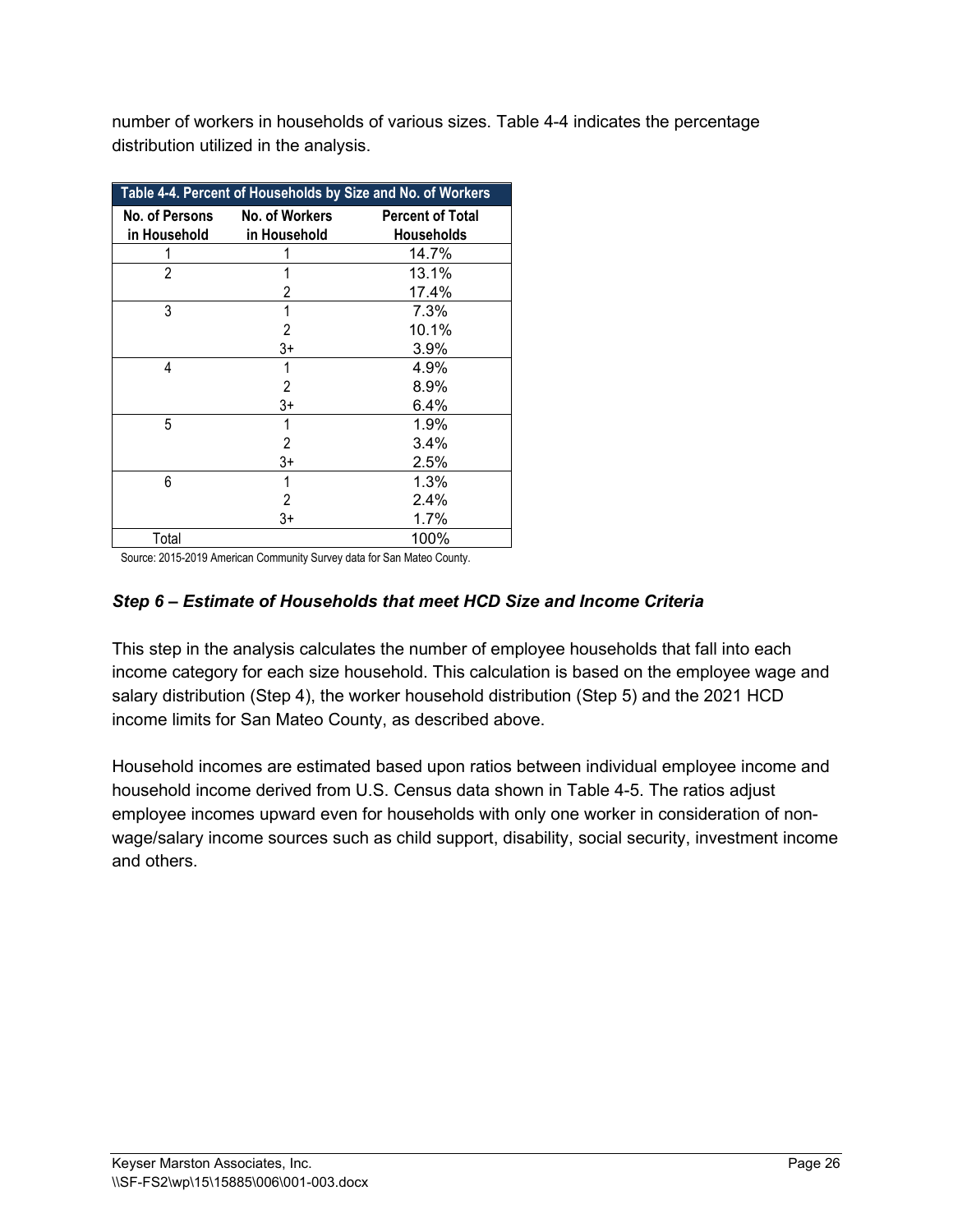number of workers in households of various sizes. Table 4-4 indicates the percentage distribution utilized in the analysis.

|                                       |                                | Table 4-4. Percent of Households by Size and No. of Workers |
|---------------------------------------|--------------------------------|-------------------------------------------------------------|
| <b>No. of Persons</b><br>in Household | No. of Workers<br>in Household | <b>Percent of Total</b><br>Households                       |
| 1                                     |                                | 14.7%                                                       |
| $\overline{2}$                        | 1                              | 13.1%                                                       |
|                                       | 2                              | 17.4%                                                       |
| 3                                     | 1                              | 7.3%                                                        |
|                                       | 2                              | 10.1%                                                       |
|                                       | $3+$                           | 3.9%                                                        |
| 4                                     |                                | 4.9%                                                        |
|                                       | 2                              | 8.9%                                                        |
|                                       | $3+$                           | 6.4%                                                        |
| 5                                     |                                | 1.9%                                                        |
|                                       | 2                              | 3.4%                                                        |
|                                       | $3+$                           | 2.5%                                                        |
| 6                                     | 1                              | 1.3%                                                        |
|                                       | 2                              | 2.4%                                                        |
|                                       | 3+                             | 1.7%                                                        |
| Total                                 |                                | 100%                                                        |

Source: 2015-2019 American Community Survey data for San Mateo County.

#### *Step 6 – Estimate of Households that meet HCD Size and Income Criteria*

This step in the analysis calculates the number of employee households that fall into each income category for each size household. This calculation is based on the employee wage and salary distribution (Step 4), the worker household distribution (Step 5) and the 2021 HCD income limits for San Mateo County, as described above.

Household incomes are estimated based upon ratios between individual employee income and household income derived from U.S. Census data shown in Table 4-5. The ratios adjust employee incomes upward even for households with only one worker in consideration of nonwage/salary income sources such as child support, disability, social security, investment income and others.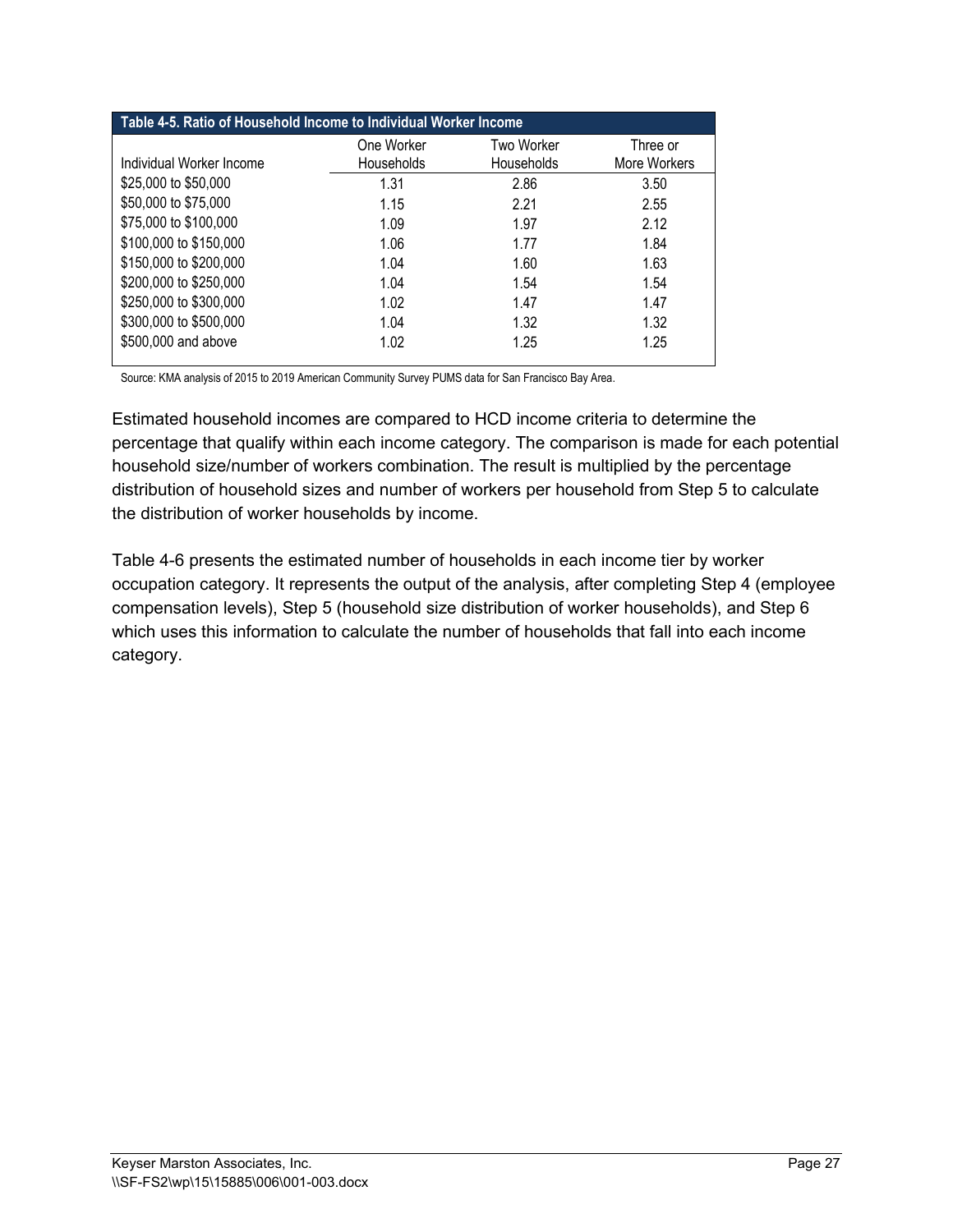| Table 4-5. Ratio of Household Income to Individual Worker Income |            |            |              |
|------------------------------------------------------------------|------------|------------|--------------|
|                                                                  | One Worker | Two Worker | Three or     |
| Individual Worker Income                                         | Households | Households | More Workers |
| \$25,000 to \$50,000                                             | 1.31       | 2.86       | 3.50         |
| \$50,000 to \$75,000                                             | 1.15       | 2.21       | 2.55         |
| \$75,000 to \$100,000                                            | 1.09       | 1.97       | 2.12         |
| \$100,000 to \$150,000                                           | 1.06       | 1.77       | 1.84         |
| \$150,000 to \$200,000                                           | 1.04       | 1.60       | 1.63         |
| \$200,000 to \$250,000                                           | 1.04       | 1.54       | 1.54         |
| \$250,000 to \$300,000                                           | 1.02       | 1.47       | 1.47         |
| \$300,000 to \$500,000                                           | 1.04       | 1.32       | 1.32         |
| \$500,000 and above                                              | 1.02       | 1.25       | 1.25         |

Source: KMA analysis of 2015 to 2019 American Community Survey PUMS data for San Francisco Bay Area.

Estimated household incomes are compared to HCD income criteria to determine the percentage that qualify within each income category. The comparison is made for each potential household size/number of workers combination. The result is multiplied by the percentage distribution of household sizes and number of workers per household from Step 5 to calculate the distribution of worker households by income.

Table 4-6 presents the estimated number of households in each income tier by worker occupation category. It represents the output of the analysis, after completing Step 4 (employee compensation levels), Step 5 (household size distribution of worker households), and Step 6 which uses this information to calculate the number of households that fall into each income category.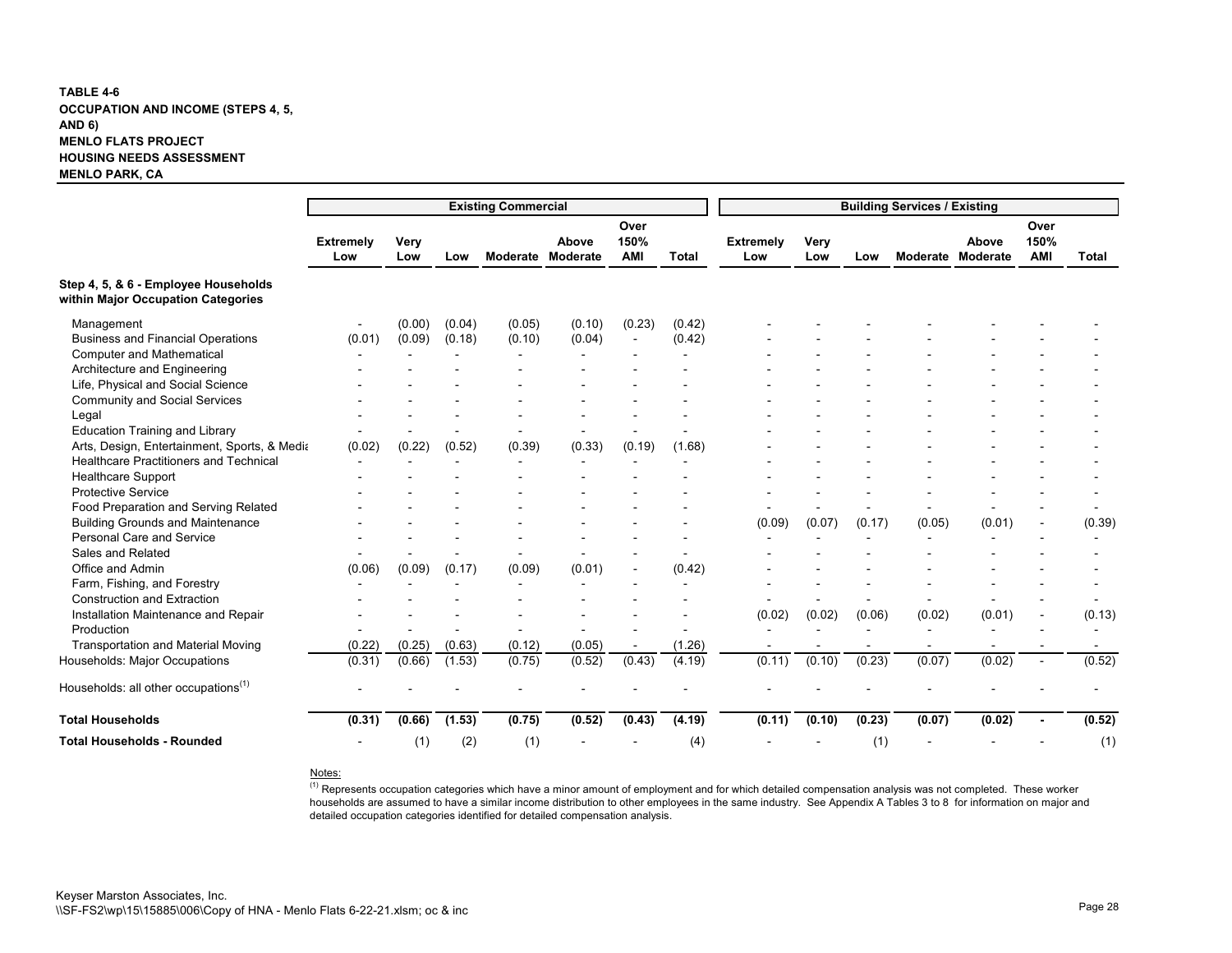#### **TABLE 4-6 MENLO FLATS PROJECT HOUSING NEEDS ASSESSMENT MENLO PARK, CA OCCUPATION AND INCOME (STEPS 4, 5, AND 6)**

|                                                                            |                         |             |        | <b>Existing Commercial</b> |        |                     |              | <b>Building Services / Existing</b> |             |        |                          |                            |                     |        |
|----------------------------------------------------------------------------|-------------------------|-------------|--------|----------------------------|--------|---------------------|--------------|-------------------------------------|-------------|--------|--------------------------|----------------------------|---------------------|--------|
|                                                                            | <b>Extremely</b><br>Low | Very<br>Low | Low    | Moderate Moderate          | Above  | Over<br>150%<br>AMI | <b>Total</b> | <b>Extremely</b><br>Low             | Very<br>Low | Low    |                          | Above<br>Moderate Moderate | Over<br>150%<br>AMI | Total  |
| Step 4, 5, & 6 - Employee Households<br>within Major Occupation Categories |                         |             |        |                            |        |                     |              |                                     |             |        |                          |                            |                     |        |
| Management                                                                 |                         | (0.00)      | (0.04) | (0.05)                     | (0.10) | (0.23)              | (0.42)       |                                     |             |        |                          |                            |                     |        |
| <b>Business and Financial Operations</b>                                   | (0.01)                  | (0.09)      | (0.18) | (0.10)                     | (0.04) | $\blacksquare$      | (0.42)       |                                     |             |        |                          |                            |                     |        |
| <b>Computer and Mathematical</b>                                           |                         |             |        |                            |        |                     |              |                                     |             |        |                          |                            |                     |        |
| Architecture and Engineering                                               |                         |             |        |                            |        |                     |              |                                     |             |        |                          |                            |                     |        |
| Life, Physical and Social Science                                          |                         |             |        |                            |        |                     |              |                                     |             |        |                          |                            |                     |        |
| <b>Community and Social Services</b>                                       |                         |             |        |                            |        |                     |              |                                     |             |        |                          |                            |                     |        |
| Legal                                                                      |                         |             |        |                            |        |                     |              |                                     |             |        |                          |                            |                     |        |
| <b>Education Training and Library</b>                                      |                         |             |        |                            |        |                     |              |                                     |             |        |                          |                            |                     |        |
| Arts, Design, Entertainment, Sports, & Media                               | (0.02)                  | (0.22)      | (0.52) | (0.39)                     | (0.33) | (0.19)              | (1.68)       |                                     |             |        |                          |                            |                     |        |
| <b>Healthcare Practitioners and Technical</b>                              |                         |             |        |                            |        |                     |              |                                     |             |        |                          |                            |                     |        |
| <b>Healthcare Support</b>                                                  |                         |             |        |                            |        |                     |              |                                     |             |        |                          |                            |                     |        |
| <b>Protective Service</b>                                                  |                         |             |        |                            |        |                     |              |                                     |             |        |                          |                            |                     |        |
| Food Preparation and Serving Related                                       |                         |             |        |                            |        |                     |              |                                     |             |        |                          |                            |                     |        |
| <b>Building Grounds and Maintenance</b>                                    |                         |             |        |                            |        |                     |              | (0.09)                              | (0.07)      | (0.17) | (0.05)                   | (0.01)                     |                     | (0.39) |
| Personal Care and Service                                                  |                         |             |        |                            |        |                     |              |                                     |             |        |                          |                            |                     |        |
| Sales and Related                                                          |                         |             |        |                            |        |                     |              |                                     |             |        |                          |                            |                     |        |
| Office and Admin                                                           | (0.06)                  | (0.09)      | (0.17) | (0.09)                     | (0.01) |                     | (0.42)       |                                     |             |        |                          |                            |                     |        |
| Farm, Fishing, and Forestry                                                |                         |             |        |                            |        |                     |              |                                     |             |        |                          |                            |                     |        |
| <b>Construction and Extraction</b>                                         |                         |             |        |                            |        |                     |              |                                     |             |        |                          |                            |                     |        |
| Installation Maintenance and Repair                                        |                         |             |        |                            |        |                     |              | (0.02)                              | (0.02)      | (0.06) | (0.02)                   | (0.01)                     |                     | (0.13) |
| Production                                                                 |                         |             |        |                            |        |                     |              |                                     |             |        |                          |                            |                     |        |
| <b>Transportation and Material Moving</b>                                  | (0.22)                  | (0.25)      | (0.63) | (0.12)                     | (0.05) | $\blacksquare$      | (1.26)       |                                     |             |        | $\overline{\phantom{a}}$ |                            |                     |        |
| Households: Major Occupations                                              | (0.31)                  | (0.66)      | (1.53) | (0.75)                     | (0.52) | (0.43)              | (4.19)       | (0.11)                              | (0.10)      | (0.23) | (0.07)                   | (0.02)                     |                     | (0.52) |
| Households: all other occupations <sup>(1)</sup>                           |                         |             |        |                            |        |                     |              |                                     |             |        |                          |                            |                     |        |
| <b>Total Households</b>                                                    | (0.31)                  | (0.66)      | (1.53) | (0.75)                     | (0.52) | (0.43)              | (4.19)       | (0.11)                              | (0.10)      | (0.23) | (0.07)                   | (0.02)                     |                     | (0.52) |
| <b>Total Households - Rounded</b>                                          |                         | (1)         | (2)    | (1)                        |        |                     | (4)          |                                     |             | (1)    |                          |                            |                     | (1)    |

Notes:

<sup>(1)</sup> Represents occupation categories which have a minor amount of employment and for which detailed compensation analysis was not completed. These worker households are assumed to have a similar income distribution to other employees in the same industry. See Appendix A Tables 3 to 8 for information on major and detailed occupation categories identified for detailed compensation analysis.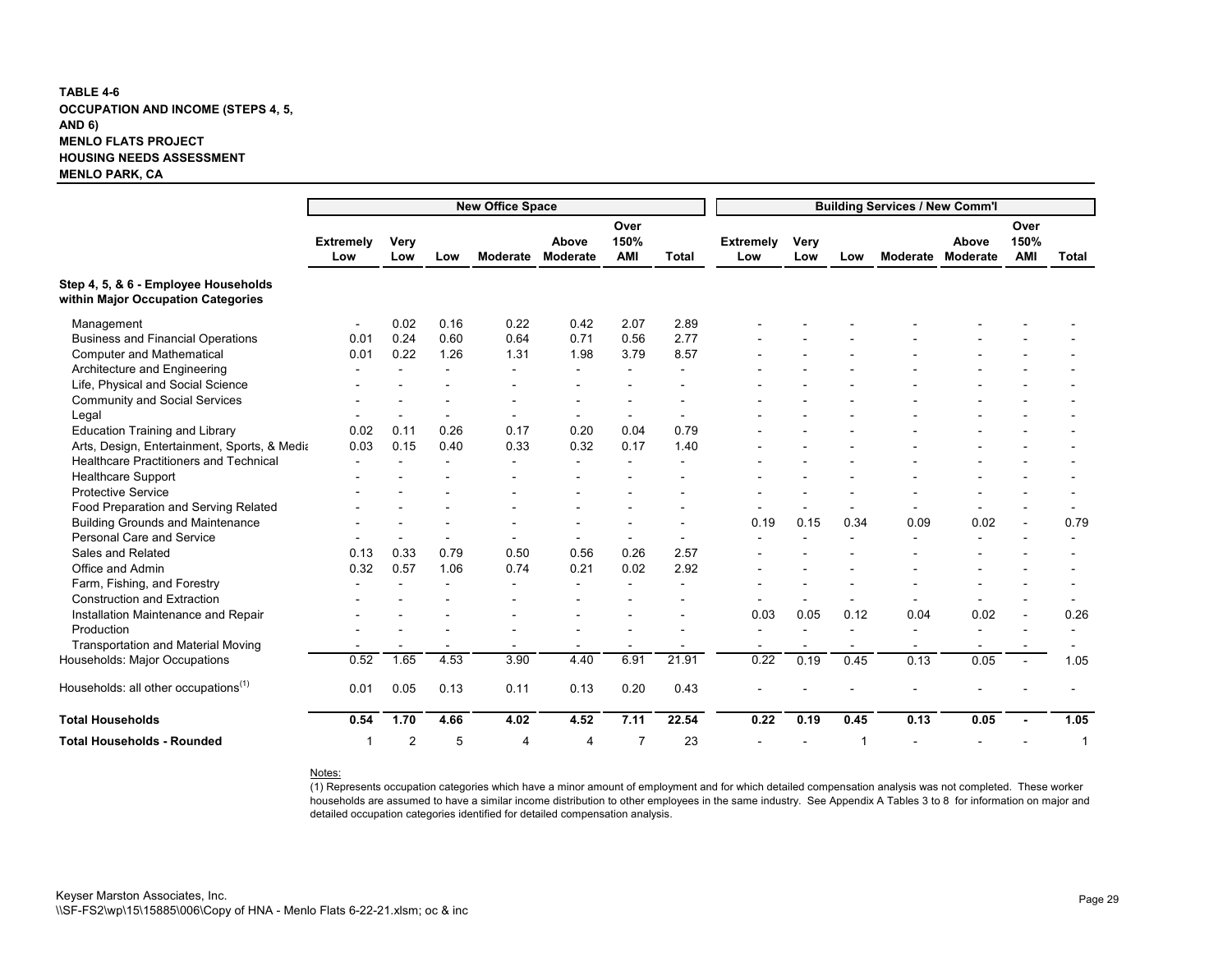#### **TABLE 4-6 MENLO FLATS PROJECT HOUSING NEEDS ASSESSMENT MENLO PARK, CA OCCUPATION AND INCOME (STEPS 4, 5, AND 6)**

|                                                                            |                         |                    |                | <b>New Office Space</b> |                   |                            |                |                          |             |                          | <b>Building Services / New Comm'l</b> |                            |                            |       |
|----------------------------------------------------------------------------|-------------------------|--------------------|----------------|-------------------------|-------------------|----------------------------|----------------|--------------------------|-------------|--------------------------|---------------------------------------|----------------------------|----------------------------|-------|
|                                                                            | <b>Extremely</b><br>Low | <b>Very</b><br>Low | Low            | Moderate                | Above<br>Moderate | Over<br>150%<br><b>AMI</b> | <b>Total</b>   | <b>Extremely</b><br>Low  | Very<br>Low | Low                      |                                       | Above<br>Moderate Moderate | Over<br>150%<br><b>AMI</b> | Total |
| Step 4, 5, & 6 - Employee Households<br>within Major Occupation Categories |                         |                    |                |                         |                   |                            |                |                          |             |                          |                                       |                            |                            |       |
| Management                                                                 |                         | 0.02               | 0.16           | 0.22                    | 0.42              | 2.07                       | 2.89           |                          |             |                          |                                       |                            |                            |       |
| <b>Business and Financial Operations</b>                                   | 0.01                    | 0.24               | 0.60           | 0.64                    | 0.71              | 0.56                       | 2.77           |                          |             |                          |                                       |                            |                            |       |
| <b>Computer and Mathematical</b>                                           | 0.01                    | 0.22               | 1.26           | 1.31                    | 1.98              | 3.79                       | 8.57           |                          |             |                          |                                       |                            |                            |       |
| Architecture and Engineering                                               |                         |                    |                |                         |                   |                            |                |                          |             |                          |                                       |                            |                            |       |
| Life, Physical and Social Science                                          |                         |                    |                |                         |                   |                            |                |                          |             |                          |                                       |                            |                            |       |
| <b>Community and Social Services</b>                                       |                         |                    |                |                         |                   |                            |                |                          |             |                          |                                       |                            |                            |       |
| Legal                                                                      |                         |                    |                |                         |                   |                            |                |                          |             |                          |                                       |                            |                            |       |
| <b>Education Training and Library</b>                                      | 0.02                    | 0.11               | 0.26           | 0.17                    | 0.20              | 0.04                       | 0.79           |                          |             |                          |                                       |                            |                            |       |
| Arts, Design, Entertainment, Sports, & Media                               | 0.03                    | 0.15               | 0.40           | 0.33                    | 0.32              | 0.17                       | 1.40           |                          |             |                          |                                       |                            |                            |       |
| <b>Healthcare Practitioners and Technical</b>                              |                         |                    |                |                         |                   |                            |                |                          |             |                          |                                       |                            |                            |       |
| Healthcare Support                                                         |                         |                    |                |                         |                   |                            |                |                          |             |                          |                                       |                            |                            |       |
| <b>Protective Service</b>                                                  |                         |                    |                |                         |                   |                            |                |                          |             |                          |                                       |                            |                            |       |
| Food Preparation and Serving Related                                       |                         |                    |                |                         |                   |                            |                |                          |             |                          |                                       |                            |                            |       |
| <b>Building Grounds and Maintenance</b>                                    |                         |                    |                |                         |                   |                            |                | 0.19                     | 0.15        | 0.34                     | 0.09                                  | 0.02                       |                            | 0.79  |
| <b>Personal Care and Service</b>                                           |                         | $\blacksquare$     | $\blacksquare$ |                         |                   |                            | $\blacksquare$ |                          |             |                          |                                       |                            |                            |       |
| Sales and Related                                                          | 0.13                    | 0.33               | 0.79           | 0.50                    | 0.56              | 0.26                       | 2.57           |                          |             |                          |                                       |                            |                            |       |
| Office and Admin                                                           | 0.32                    | 0.57               | 1.06           | 0.74                    | 0.21              | 0.02                       | 2.92           |                          |             |                          |                                       |                            |                            |       |
| Farm, Fishing, and Forestry                                                |                         |                    |                |                         |                   |                            |                |                          |             |                          |                                       |                            |                            |       |
| <b>Construction and Extraction</b>                                         |                         |                    |                |                         |                   |                            |                | -                        |             | $\overline{\phantom{a}}$ |                                       |                            |                            |       |
| Installation Maintenance and Repair                                        |                         |                    |                |                         |                   |                            |                | 0.03                     | 0.05        | 0.12                     | 0.04                                  | 0.02                       |                            | 0.26  |
| Production                                                                 |                         |                    |                |                         |                   |                            |                | $\overline{\phantom{a}}$ |             |                          |                                       |                            |                            |       |
| <b>Transportation and Material Moving</b>                                  |                         |                    |                |                         |                   |                            |                |                          |             |                          |                                       |                            |                            |       |
| Households: Major Occupations                                              | 0.52                    | 1.65               | 4.53           | 3.90                    | 4.40              | 6.91                       | 21.91          | 0.22                     | 0.19        | 0.45                     | 0.13                                  | 0.05                       |                            | 1.05  |
| Households: all other occupations <sup>(1)</sup>                           | 0.01                    | 0.05               | 0.13           | 0.11                    | 0.13              | 0.20                       | 0.43           |                          |             |                          |                                       |                            |                            |       |
| <b>Total Households</b>                                                    | 0.54                    | 1.70               | 4.66           | 4.02                    | 4.52              | 7.11                       | 22.54          | 0.22                     | 0.19        | 0.45                     | 0.13                                  | 0.05                       |                            | 1.05  |
| <b>Total Households - Rounded</b>                                          |                         | $\overline{2}$     | 5              | 4                       | 4                 |                            | 23             |                          |             |                          |                                       |                            |                            |       |

#### Notes:

(1) Represents occupation categories which have a minor amount of employment and for which detailed compensation analysis was not completed. These worker households are assumed to have a similar income distribution to other employees in the same industry. See Appendix A Tables 3 to 8 for information on major and detailed occupation categories identified for detailed compensation analysis.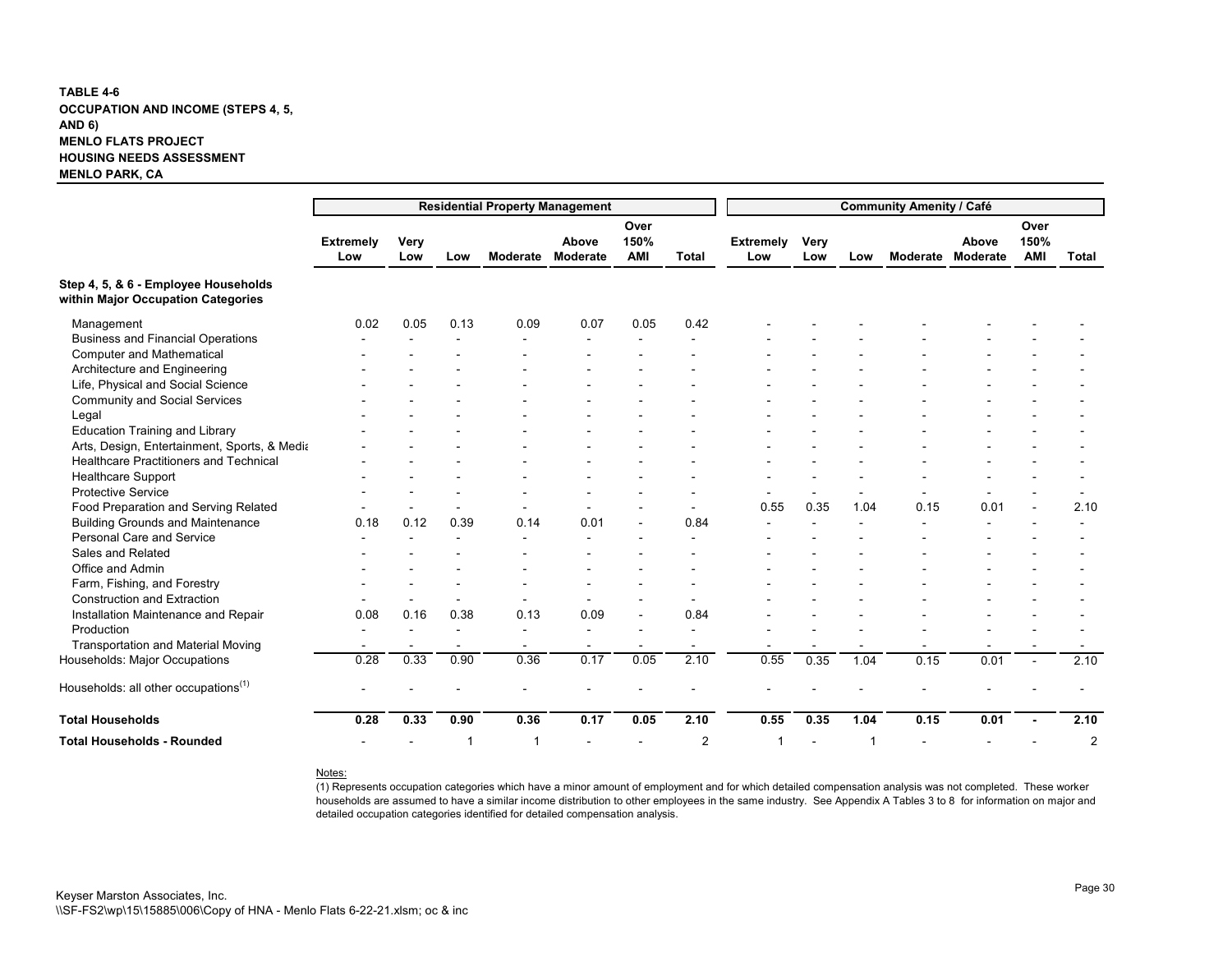#### **TABLE 4-6 MENLO FLATS PROJECT HOUSING NEEDS ASSESSMENT MENLO PARK, CA OCCUPATION AND INCOME (STEPS 4, 5, AND 6)**

|                                                                            |                         |             |      |                          | <b>Residential Property Management</b> |                            |                |                         |             |      | <b>Community Amenity / Café</b> |                            |                     |              |
|----------------------------------------------------------------------------|-------------------------|-------------|------|--------------------------|----------------------------------------|----------------------------|----------------|-------------------------|-------------|------|---------------------------------|----------------------------|---------------------|--------------|
|                                                                            | <b>Extremely</b><br>Low | Very<br>Low | Low  | Moderate                 | Above<br><b>Moderate</b>               | Over<br>150%<br><b>AMI</b> | <b>Total</b>   | <b>Extremely</b><br>Low | Very<br>Low | Low  |                                 | Above<br>Moderate Moderate | Over<br>150%<br>AMI | <b>Total</b> |
| Step 4, 5, & 6 - Employee Households<br>within Major Occupation Categories |                         |             |      |                          |                                        |                            |                |                         |             |      |                                 |                            |                     |              |
| Management                                                                 | 0.02                    | 0.05        | 0.13 | 0.09                     | 0.07                                   | 0.05                       | 0.42           |                         |             |      |                                 |                            |                     |              |
| <b>Business and Financial Operations</b>                                   |                         |             |      | $\overline{\phantom{0}}$ |                                        |                            |                |                         |             |      |                                 |                            |                     |              |
| <b>Computer and Mathematical</b>                                           |                         |             |      |                          |                                        |                            |                |                         |             |      |                                 |                            |                     |              |
| Architecture and Engineering                                               |                         |             |      |                          |                                        |                            |                |                         |             |      |                                 |                            |                     |              |
| Life, Physical and Social Science                                          |                         |             |      |                          |                                        |                            |                |                         |             |      |                                 |                            |                     |              |
| <b>Community and Social Services</b>                                       |                         |             |      |                          |                                        |                            |                |                         |             |      |                                 |                            |                     |              |
| Legal                                                                      |                         |             |      |                          |                                        |                            |                |                         |             |      |                                 |                            |                     |              |
| <b>Education Training and Library</b>                                      |                         |             |      |                          |                                        |                            |                |                         |             |      |                                 |                            |                     |              |
| Arts, Design, Entertainment, Sports, & Media                               |                         |             |      |                          |                                        |                            |                |                         |             |      |                                 |                            |                     |              |
| <b>Healthcare Practitioners and Technical</b>                              |                         |             |      |                          |                                        |                            |                |                         |             |      |                                 |                            |                     |              |
| <b>Healthcare Support</b>                                                  |                         |             |      |                          |                                        |                            |                |                         |             |      |                                 |                            |                     |              |
| <b>Protective Service</b>                                                  |                         |             |      |                          |                                        |                            |                |                         |             |      |                                 |                            |                     |              |
| Food Preparation and Serving Related                                       |                         |             |      | $\blacksquare$           |                                        |                            |                | 0.55                    | 0.35        | 1.04 | 0.15                            | 0.01                       |                     | 2.10         |
| <b>Building Grounds and Maintenance</b>                                    | 0.18                    | 0.12        | 0.39 | 0.14                     | 0.01                                   |                            | 0.84           |                         |             |      |                                 |                            |                     |              |
| Personal Care and Service                                                  |                         |             |      |                          |                                        |                            |                |                         |             |      |                                 |                            |                     |              |
| Sales and Related                                                          |                         |             |      |                          |                                        |                            |                |                         |             |      |                                 |                            |                     |              |
| Office and Admin                                                           |                         |             |      |                          |                                        |                            |                |                         |             |      |                                 |                            |                     |              |
| Farm, Fishing, and Forestry                                                |                         |             |      |                          |                                        |                            |                |                         |             |      |                                 |                            |                     |              |
| <b>Construction and Extraction</b>                                         |                         |             |      | $\overline{\phantom{a}}$ |                                        |                            |                |                         |             |      |                                 |                            |                     |              |
| Installation Maintenance and Repair                                        | 0.08                    | 0.16        | 0.38 | 0.13                     | 0.09                                   |                            | 0.84           |                         |             |      |                                 |                            |                     |              |
| Production                                                                 |                         |             |      |                          |                                        |                            |                |                         |             |      |                                 |                            |                     |              |
| <b>Transportation and Material Moving</b>                                  |                         |             |      |                          |                                        |                            |                |                         |             |      |                                 |                            |                     |              |
| Households: Major Occupations                                              | 0.28                    | 0.33        | 0.90 | 0.36                     | 0.17                                   | 0.05                       | 2.10           | 0.55                    | 0.35        | 1.04 | 0.15                            | 0.01                       |                     | 2.10         |
| Households: all other occupations <sup>(1)</sup>                           |                         |             |      |                          |                                        |                            |                |                         |             |      |                                 |                            |                     |              |
| <b>Total Households</b>                                                    | 0.28                    | 0.33        | 0.90 | 0.36                     | 0.17                                   | 0.05                       | 2.10           | 0.55                    | 0.35        | 1.04 | 0.15                            | 0.01                       |                     | 2.10         |
| <b>Total Households - Rounded</b>                                          |                         |             | 1    |                          |                                        |                            | $\overline{2}$ |                         |             |      |                                 |                            |                     | 2            |

Notes:

(1) Represents occupation categories which have a minor amount of employment and for which detailed compensation analysis was not completed. These worker households are assumed to have a similar income distribution to other employees in the same industry. See Appendix A Tables 3 to 8 for information on major and detailed occupation categories identified for detailed compensation analysis.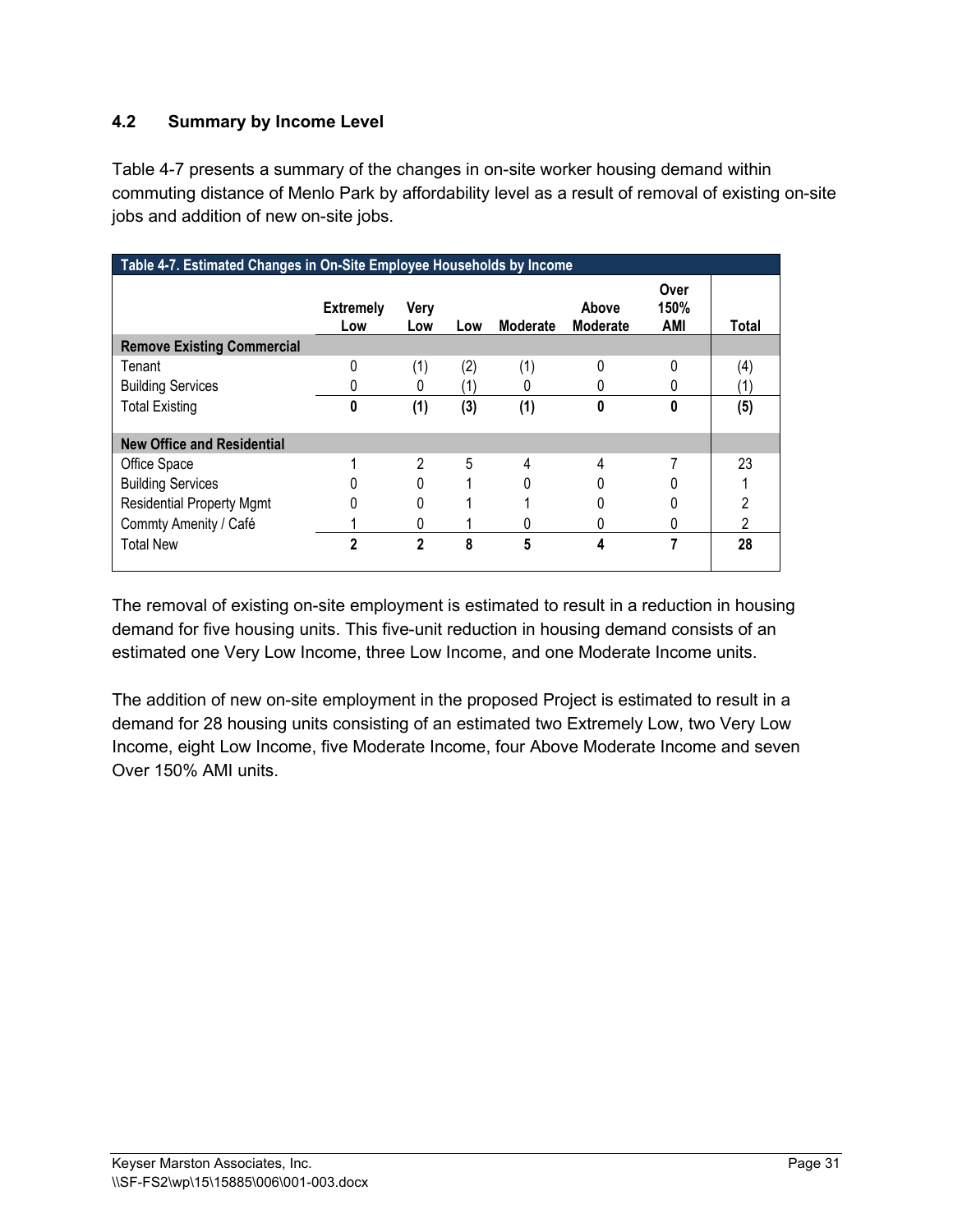#### <span id="page-35-0"></span>**4.2 Summary by Income Level**

Table 4-7 presents a summary of the changes in on-site worker housing demand within commuting distance of Menlo Park by affordability level as a result of removal of existing on-site jobs and addition of new on-site jobs.

|                                   | Table 4-7. Estimated Changes in On-Site Employee Households by Income |             |     |          |                   |                     |       |  |  |  |  |  |
|-----------------------------------|-----------------------------------------------------------------------|-------------|-----|----------|-------------------|---------------------|-------|--|--|--|--|--|
|                                   | <b>Extremely</b><br>Low                                               | Very<br>Low | Low | Moderate | Above<br>Moderate | Over<br>150%<br>AMI | Total |  |  |  |  |  |
| <b>Remove Existing Commercial</b> |                                                                       |             |     |          |                   |                     |       |  |  |  |  |  |
| Tenant                            | 0                                                                     | (1)         | (2) | (1)      | 0                 | 0                   | (4)   |  |  |  |  |  |
| <b>Building Services</b>          |                                                                       | 0           |     | 0        | 0                 |                     |       |  |  |  |  |  |
| <b>Total Existing</b>             | 0                                                                     | (1)         | (3) | (1)      | 0                 | 0                   | (5)   |  |  |  |  |  |
| <b>New Office and Residential</b> |                                                                       |             |     |          |                   |                     |       |  |  |  |  |  |
| Office Space                      |                                                                       | 2           | 5   | 4        | 4                 |                     | 23    |  |  |  |  |  |
| <b>Building Services</b>          |                                                                       |             |     | 0        | 0                 |                     |       |  |  |  |  |  |
| <b>Residential Property Mgmt</b>  |                                                                       |             |     |          |                   |                     | 2     |  |  |  |  |  |
| Commty Amenity / Café             |                                                                       | 0           |     | 0        | 0                 | 0                   | 2     |  |  |  |  |  |
| <b>Total New</b>                  | $\mathbf 2$                                                           | 2           | 8   | 5        | 4                 | 7                   | 28    |  |  |  |  |  |

The removal of existing on-site employment is estimated to result in a reduction in housing demand for five housing units. This five-unit reduction in housing demand consists of an estimated one Very Low Income, three Low Income, and one Moderate Income units.

The addition of new on-site employment in the proposed Project is estimated to result in a demand for 28 housing units consisting of an estimated two Extremely Low, two Very Low Income, eight Low Income, five Moderate Income, four Above Moderate Income and seven Over 150% AMI units.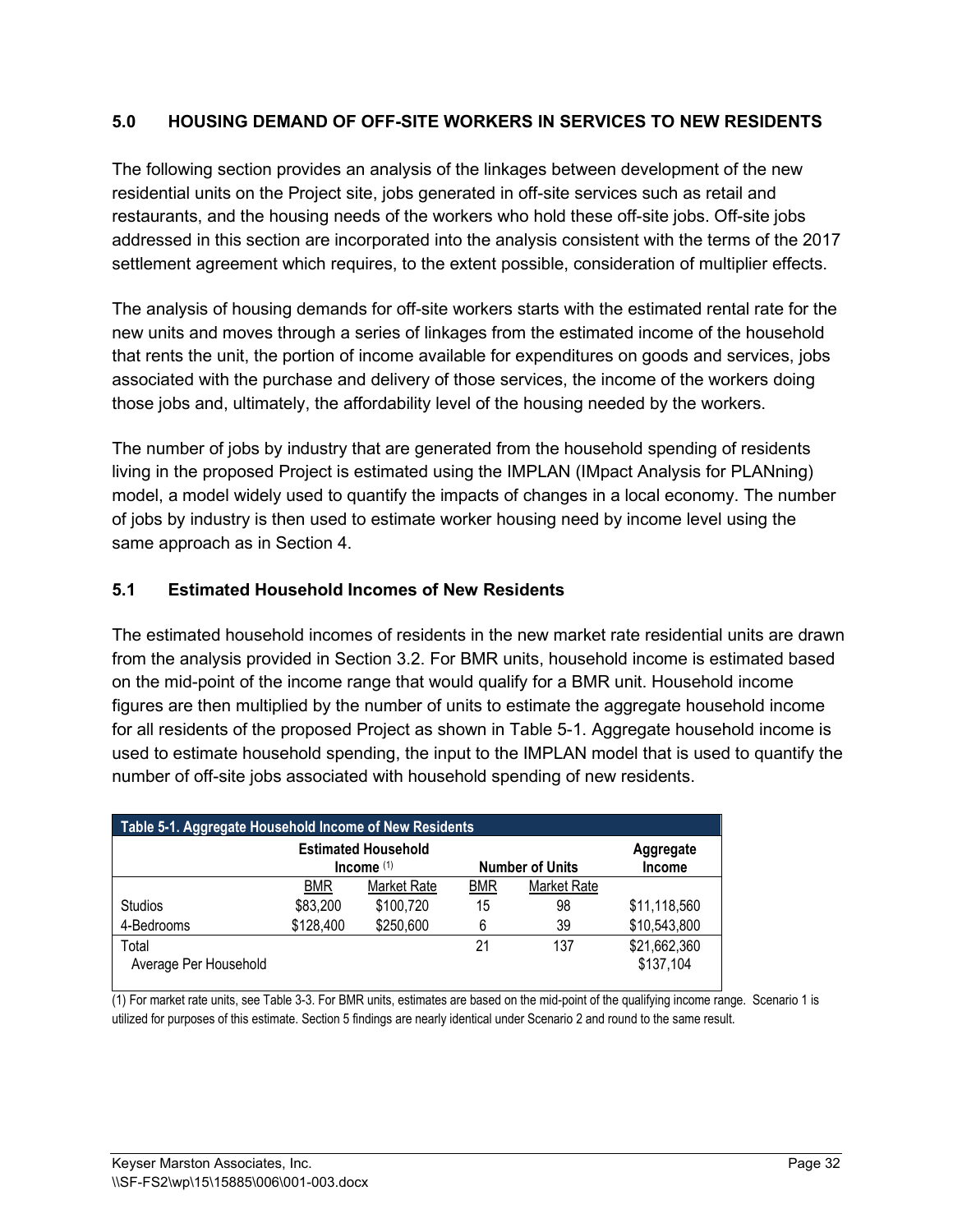### **5.0 HOUSING DEMAND OF OFF-SITE WORKERS IN SERVICES TO NEW RESIDENTS**

The following section provides an analysis of the linkages between development of the new residential units on the Project site, jobs generated in off-site services such as retail and restaurants, and the housing needs of the workers who hold these off-site jobs. Off-site jobs addressed in this section are incorporated into the analysis consistent with the terms of the 2017 settlement agreement which requires, to the extent possible, consideration of multiplier effects.

The analysis of housing demands for off-site workers starts with the estimated rental rate for the new units and moves through a series of linkages from the estimated income of the household that rents the unit, the portion of income available for expenditures on goods and services, jobs associated with the purchase and delivery of those services, the income of the workers doing those jobs and, ultimately, the affordability level of the housing needed by the workers.

The number of jobs by industry that are generated from the household spending of residents living in the proposed Project is estimated using the IMPLAN (IMpact Analysis for PLANning) model, a model widely used to quantify the impacts of changes in a local economy. The number of jobs by industry is then used to estimate worker housing need by income level using the same approach as in Section 4.

## **5.1 Estimated Household Incomes of New Residents**

The estimated household incomes of residents in the new market rate residential units are drawn from the analysis provided in Section 3.2. For BMR units, household income is estimated based on the mid-point of the income range that would qualify for a BMR unit. Household income figures are then multiplied by the number of units to estimate the aggregate household income for all residents of the proposed Project as shown in Table 5-1. Aggregate household income is used to estimate household spending, the input to the IMPLAN model that is used to quantify the number of off-site jobs associated with household spending of new residents.

|                       |            | <b>Estimated Household</b><br>Income $(1)$ | <b>Number of Units</b> | Aggregate<br><b>Income</b> |              |
|-----------------------|------------|--------------------------------------------|------------------------|----------------------------|--------------|
|                       | <b>BMR</b> | <b>Market Rate</b>                         | <b>BMR</b>             | Market Rate                |              |
| Studios               | \$83,200   | \$100,720                                  | 15                     | 98                         | \$11,118,560 |
| 4-Bedrooms            | \$128,400  | \$250,600                                  | 6                      | 39                         | \$10,543,800 |
| Total                 |            |                                            | 21                     | 137                        | \$21,662,360 |
| Average Per Household |            |                                            |                        |                            | \$137,104    |

(1) For market rate units, see Table 3-3. For BMR units, estimates are based on the mid-point of the qualifying income range. Scenario 1 is utilized for purposes of this estimate. Section 5 findings are nearly identical under Scenario 2 and round to the same result.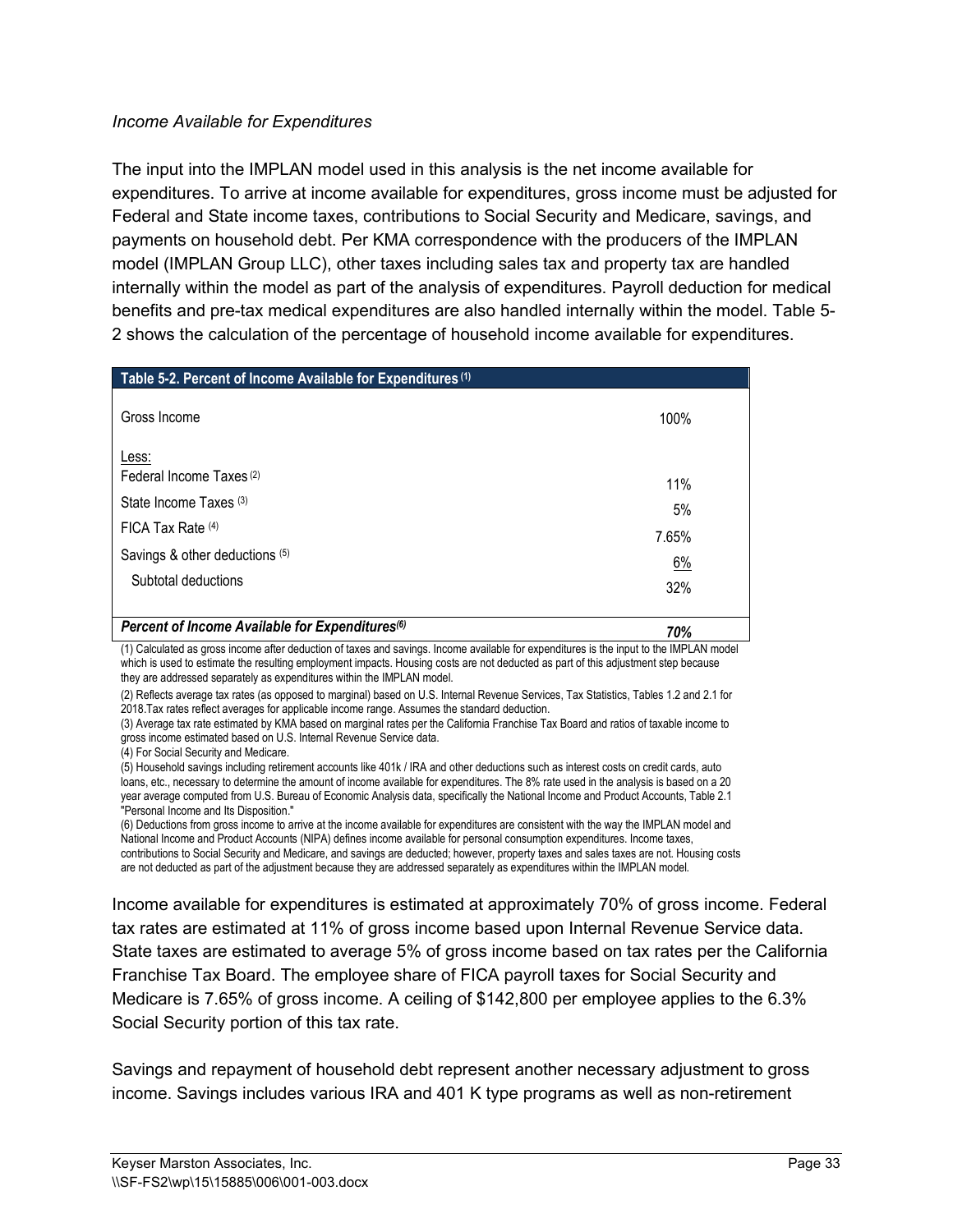### *Income Available for Expenditures*

The input into the IMPLAN model used in this analysis is the net income available for expenditures. To arrive at income available for expenditures, gross income must be adjusted for Federal and State income taxes, contributions to Social Security and Medicare, savings, and payments on household debt. Per KMA correspondence with the producers of the IMPLAN model (IMPLAN Group LLC), other taxes including sales tax and property tax are handled internally within the model as part of the analysis of expenditures. Payroll deduction for medical benefits and pre-tax medical expenditures are also handled internally within the model. Table 5- 2 shows the calculation of the percentage of household income available for expenditures.

| Table 5-2. Percent of Income Available for Expenditures (1) |       |
|-------------------------------------------------------------|-------|
| Gross Income                                                | 100%  |
| Less:                                                       |       |
| Federal Income Taxes (2)                                    | 11%   |
| State Income Taxes (3)                                      | 5%    |
| FICA Tax Rate (4)                                           | 7.65% |
| Savings & other deductions (5)                              | 6%    |
| Subtotal deductions                                         | 32%   |
| Percent of Income Available for Expenditures <sup>(6)</sup> | 70%   |

(1) Calculated as gross income after deduction of taxes and savings. Income available for expenditures is the input to the IMPLAN model which is used to estimate the resulting employment impacts. Housing costs are not deducted as part of this adjustment step because they are addressed separately as expenditures within the IMPLAN model.

(2) Reflects average tax rates (as opposed to marginal) based on U.S. Internal Revenue Services, Tax Statistics, Tables 1.2 and 2.1 for 2018.Tax rates reflect averages for applicable income range. Assumes the standard deduction.

(3) Average tax rate estimated by KMA based on marginal rates per the California Franchise Tax Board and ratios of taxable income to gross income estimated based on U.S. Internal Revenue Service data.

(4) For Social Security and Medicare.

(5) Household savings including retirement accounts like 401k / IRA and other deductions such as interest costs on credit cards, auto loans, etc., necessary to determine the amount of income available for expenditures. The 8% rate used in the analysis is based on a 20 year average computed from U.S. Bureau of Economic Analysis data, specifically the National Income and Product Accounts, Table 2.1 "Personal Income and Its Disposition."

(6) Deductions from gross income to arrive at the income available for expenditures are consistent with the way the IMPLAN model and National Income and Product Accounts (NIPA) defines income available for personal consumption expenditures. Income taxes, contributions to Social Security and Medicare, and savings are deducted; however, property taxes and sales taxes are not. Housing costs are not deducted as part of the adjustment because they are addressed separately as expenditures within the IMPLAN model.

Income available for expenditures is estimated at approximately 70% of gross income. Federal tax rates are estimated at 11% of gross income based upon Internal Revenue Service data. State taxes are estimated to average 5% of gross income based on tax rates per the California Franchise Tax Board. The employee share of FICA payroll taxes for Social Security and Medicare is 7.65% of gross income. A ceiling of \$142,800 per employee applies to the 6.3% Social Security portion of this tax rate.

Savings and repayment of household debt represent another necessary adjustment to gross income. Savings includes various IRA and 401 K type programs as well as non-retirement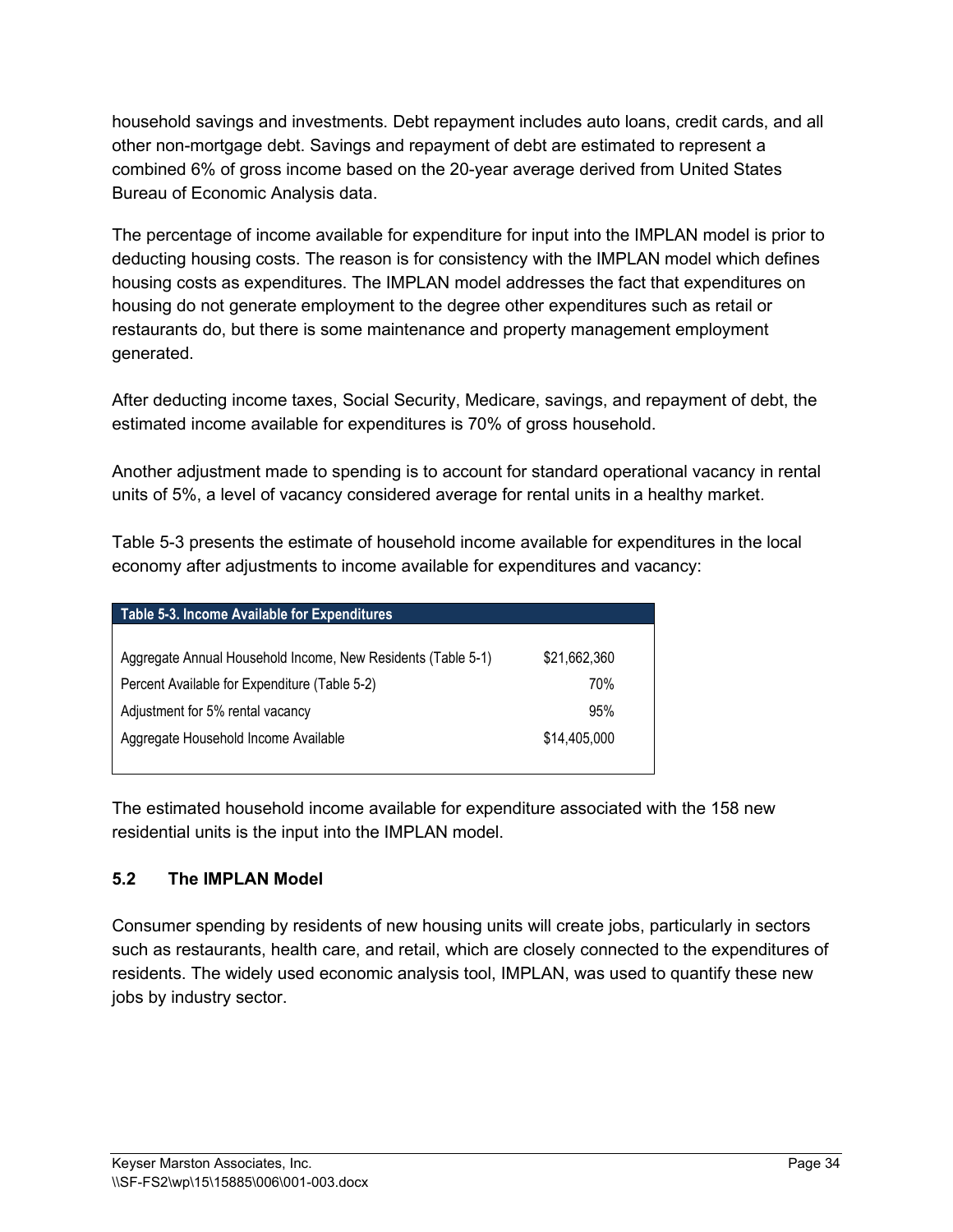household savings and investments. Debt repayment includes auto loans, credit cards, and all other non-mortgage debt. Savings and repayment of debt are estimated to represent a combined 6% of gross income based on the 20-year average derived from United States Bureau of Economic Analysis data.

The percentage of income available for expenditure for input into the IMPLAN model is prior to deducting housing costs. The reason is for consistency with the IMPLAN model which defines housing costs as expenditures. The IMPLAN model addresses the fact that expenditures on housing do not generate employment to the degree other expenditures such as retail or restaurants do, but there is some maintenance and property management employment generated.

After deducting income taxes, Social Security, Medicare, savings, and repayment of debt, the estimated income available for expenditures is 70% of gross household.

Another adjustment made to spending is to account for standard operational vacancy in rental units of 5%, a level of vacancy considered average for rental units in a healthy market.

Table 5-3 presents the estimate of household income available for expenditures in the local economy after adjustments to income available for expenditures and vacancy:

| Table 5-3. Income Available for Expenditures                 |              |  |
|--------------------------------------------------------------|--------------|--|
|                                                              |              |  |
| Aggregate Annual Household Income, New Residents (Table 5-1) | \$21,662,360 |  |
| Percent Available for Expenditure (Table 5-2)                | 70%          |  |
| Adjustment for 5% rental vacancy                             | 95%          |  |
| Aggregate Household Income Available                         | \$14,405,000 |  |
|                                                              |              |  |

The estimated household income available for expenditure associated with the 158 new residential units is the input into the IMPLAN model.

## **5.2 The IMPLAN Model**

Consumer spending by residents of new housing units will create jobs, particularly in sectors such as restaurants, health care, and retail, which are closely connected to the expenditures of residents. The widely used economic analysis tool, IMPLAN, was used to quantify these new jobs by industry sector.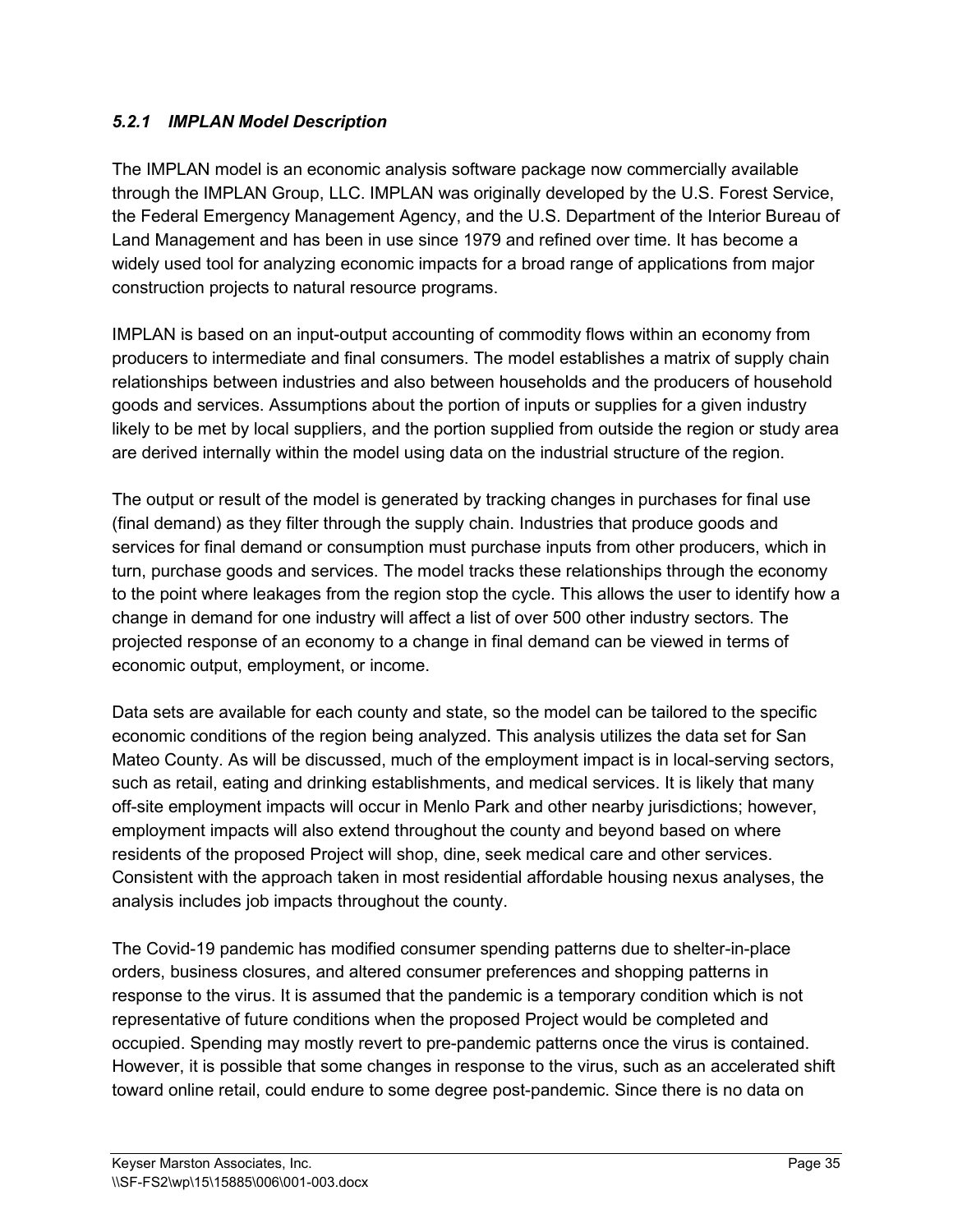## *5.2.1 IMPLAN Model Description*

The IMPLAN model is an economic analysis software package now commercially available through the IMPLAN Group, LLC. IMPLAN was originally developed by the U.S. Forest Service, the Federal Emergency Management Agency, and the U.S. Department of the Interior Bureau of Land Management and has been in use since 1979 and refined over time. It has become a widely used tool for analyzing economic impacts for a broad range of applications from major construction projects to natural resource programs.

IMPLAN is based on an input-output accounting of commodity flows within an economy from producers to intermediate and final consumers. The model establishes a matrix of supply chain relationships between industries and also between households and the producers of household goods and services. Assumptions about the portion of inputs or supplies for a given industry likely to be met by local suppliers, and the portion supplied from outside the region or study area are derived internally within the model using data on the industrial structure of the region.

The output or result of the model is generated by tracking changes in purchases for final use (final demand) as they filter through the supply chain. Industries that produce goods and services for final demand or consumption must purchase inputs from other producers, which in turn, purchase goods and services. The model tracks these relationships through the economy to the point where leakages from the region stop the cycle. This allows the user to identify how a change in demand for one industry will affect a list of over 500 other industry sectors. The projected response of an economy to a change in final demand can be viewed in terms of economic output, employment, or income.

Data sets are available for each county and state, so the model can be tailored to the specific economic conditions of the region being analyzed. This analysis utilizes the data set for San Mateo County. As will be discussed, much of the employment impact is in local-serving sectors, such as retail, eating and drinking establishments, and medical services. It is likely that many off-site employment impacts will occur in Menlo Park and other nearby jurisdictions; however, employment impacts will also extend throughout the county and beyond based on where residents of the proposed Project will shop, dine, seek medical care and other services. Consistent with the approach taken in most residential affordable housing nexus analyses, the analysis includes job impacts throughout the county.

The Covid-19 pandemic has modified consumer spending patterns due to shelter-in-place orders, business closures, and altered consumer preferences and shopping patterns in response to the virus. It is assumed that the pandemic is a temporary condition which is not representative of future conditions when the proposed Project would be completed and occupied. Spending may mostly revert to pre-pandemic patterns once the virus is contained. However, it is possible that some changes in response to the virus, such as an accelerated shift toward online retail, could endure to some degree post-pandemic. Since there is no data on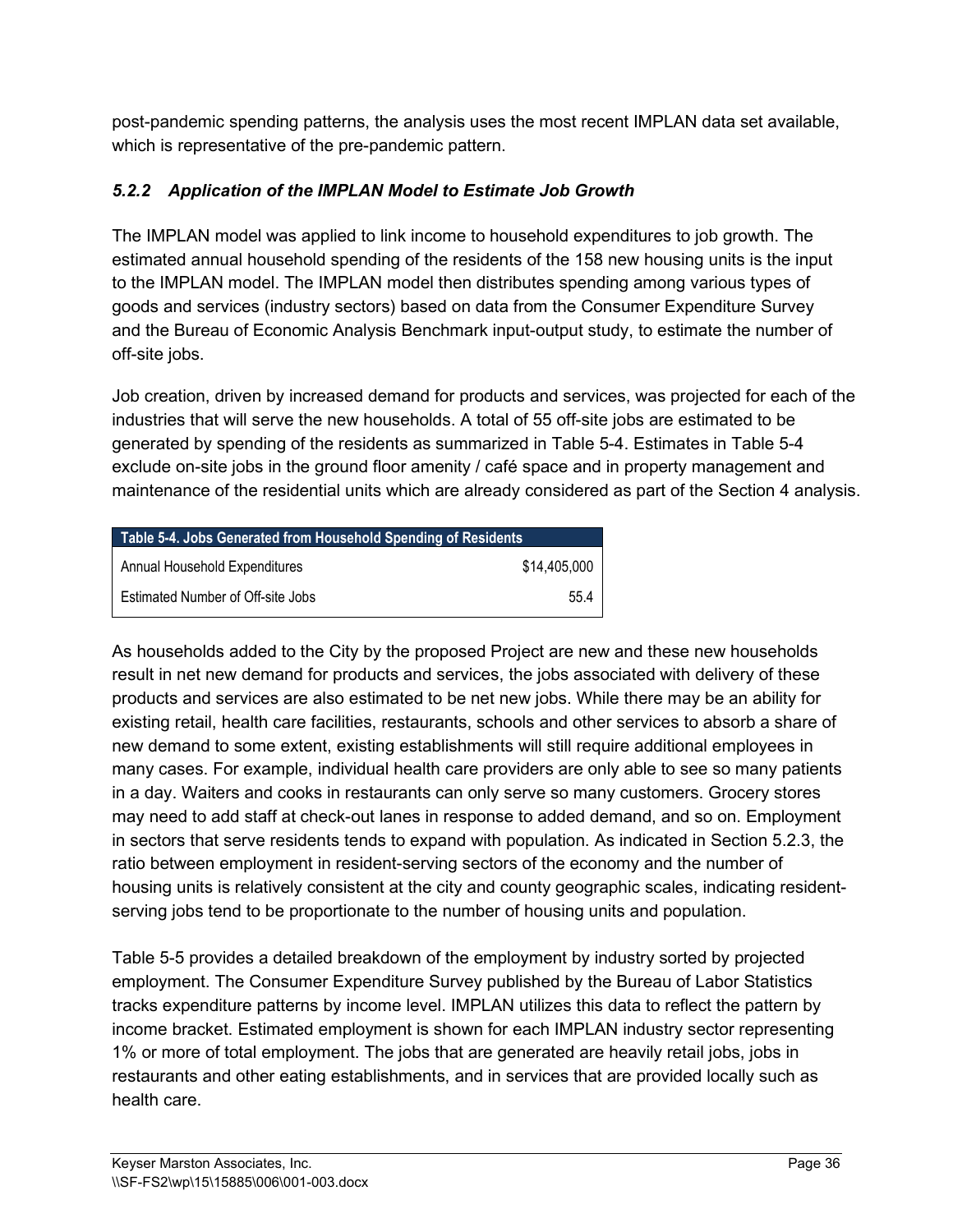post-pandemic spending patterns, the analysis uses the most recent IMPLAN data set available, which is representative of the pre-pandemic pattern.

# *5.2.2 Application of the IMPLAN Model to Estimate Job Growth*

The IMPLAN model was applied to link income to household expenditures to job growth. The estimated annual household spending of the residents of the 158 new housing units is the input to the IMPLAN model. The IMPLAN model then distributes spending among various types of goods and services (industry sectors) based on data from the Consumer Expenditure Survey and the Bureau of Economic Analysis Benchmark input-output study, to estimate the number of off-site jobs.

Job creation, driven by increased demand for products and services, was projected for each of the industries that will serve the new households. A total of 55 off-site jobs are estimated to be generated by spending of the residents as summarized in Table 5-4. Estimates in Table 5-4 exclude on-site jobs in the ground floor amenity / café space and in property management and maintenance of the residential units which are already considered as part of the Section 4 analysis.

| Table 5-4. Jobs Generated from Household Spending of Residents |              |  |  |  |  |
|----------------------------------------------------------------|--------------|--|--|--|--|
| Annual Household Expenditures                                  | \$14,405,000 |  |  |  |  |
| Estimated Number of Off-site Jobs                              | 55.4         |  |  |  |  |

As households added to the City by the proposed Project are new and these new households result in net new demand for products and services, the jobs associated with delivery of these products and services are also estimated to be net new jobs. While there may be an ability for existing retail, health care facilities, restaurants, schools and other services to absorb a share of new demand to some extent, existing establishments will still require additional employees in many cases. For example, individual health care providers are only able to see so many patients in a day. Waiters and cooks in restaurants can only serve so many customers. Grocery stores may need to add staff at check-out lanes in response to added demand, and so on. Employment in sectors that serve residents tends to expand with population. As indicated in Section 5.2.3, the ratio between employment in resident-serving sectors of the economy and the number of housing units is relatively consistent at the city and county geographic scales, indicating residentserving jobs tend to be proportionate to the number of housing units and population.

Table 5-5 provides a detailed breakdown of the employment by industry sorted by projected employment. The Consumer Expenditure Survey published by the Bureau of Labor Statistics tracks expenditure patterns by income level. IMPLAN utilizes this data to reflect the pattern by income bracket. Estimated employment is shown for each IMPLAN industry sector representing 1% or more of total employment. The jobs that are generated are heavily retail jobs, jobs in restaurants and other eating establishments, and in services that are provided locally such as health care.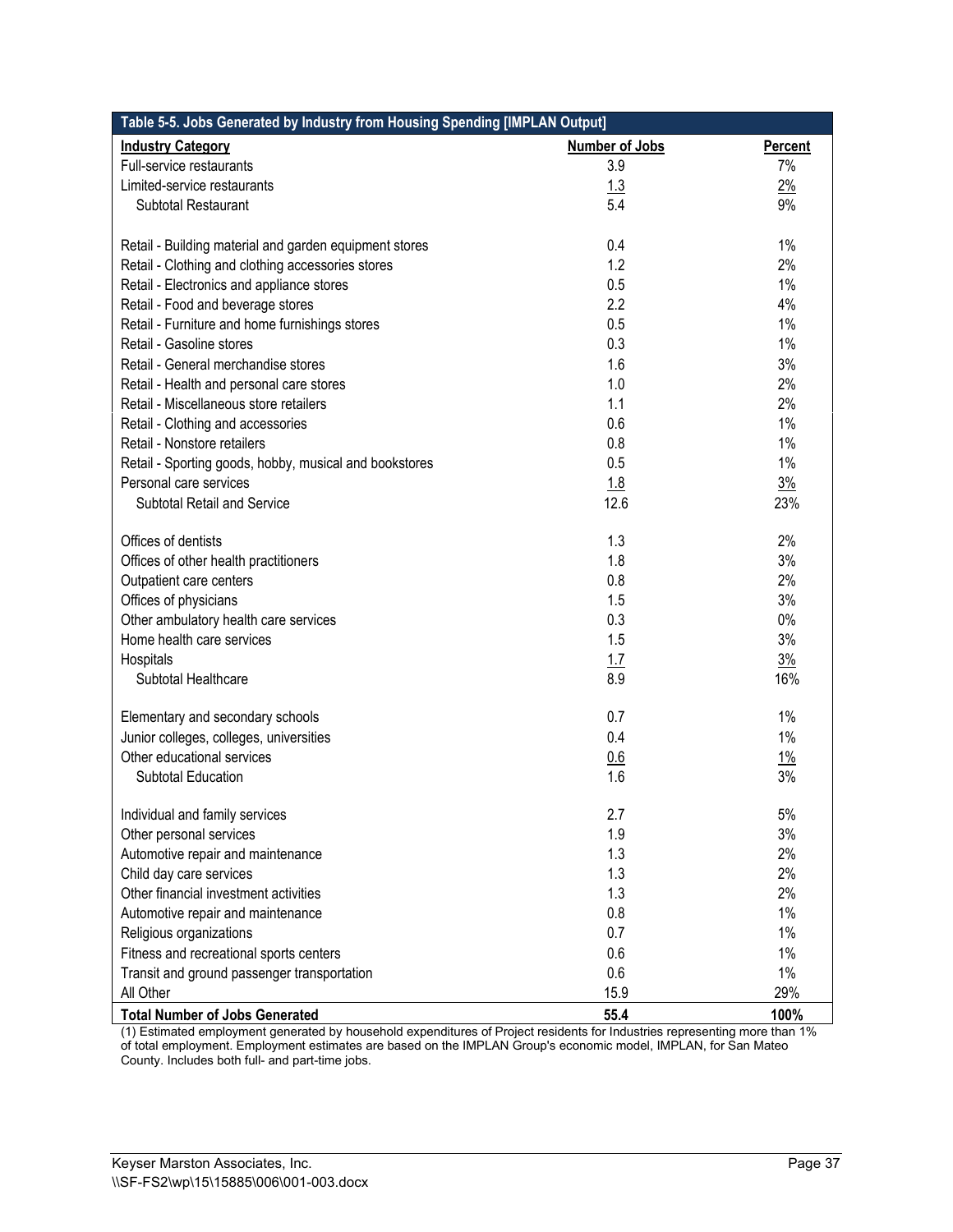| Table 5-5. Jobs Generated by Industry from Housing Spending [IMPLAN Output] |                       |         |  |  |  |  |  |
|-----------------------------------------------------------------------------|-----------------------|---------|--|--|--|--|--|
| <b>Industry Category</b>                                                    | <b>Number of Jobs</b> | Percent |  |  |  |  |  |
| Full-service restaurants                                                    | 3.9                   | 7%      |  |  |  |  |  |
| Limited-service restaurants                                                 | 1.3                   | 2%      |  |  |  |  |  |
| Subtotal Restaurant                                                         | 5.4                   | 9%      |  |  |  |  |  |
|                                                                             |                       |         |  |  |  |  |  |
| Retail - Building material and garden equipment stores                      | 0.4                   | $1\%$   |  |  |  |  |  |
| Retail - Clothing and clothing accessories stores                           | 1.2                   | 2%      |  |  |  |  |  |
| Retail - Electronics and appliance stores                                   | 0.5                   | $1\%$   |  |  |  |  |  |
| Retail - Food and beverage stores                                           | 2.2                   | 4%      |  |  |  |  |  |
| Retail - Furniture and home furnishings stores                              | 0.5                   | $1\%$   |  |  |  |  |  |
| Retail - Gasoline stores                                                    | 0.3                   | $1\%$   |  |  |  |  |  |
| Retail - General merchandise stores                                         | 1.6                   | 3%      |  |  |  |  |  |
| Retail - Health and personal care stores                                    | 1.0                   | 2%      |  |  |  |  |  |
| Retail - Miscellaneous store retailers                                      | 1.1                   | 2%      |  |  |  |  |  |
| Retail - Clothing and accessories                                           | 0.6                   | $1\%$   |  |  |  |  |  |
| Retail - Nonstore retailers                                                 | 0.8                   | $1\%$   |  |  |  |  |  |
| Retail - Sporting goods, hobby, musical and bookstores                      | 0.5                   | $1\%$   |  |  |  |  |  |
| Personal care services                                                      | 1.8                   | 3%      |  |  |  |  |  |
| Subtotal Retail and Service                                                 | 12.6                  | 23%     |  |  |  |  |  |
|                                                                             |                       |         |  |  |  |  |  |
| Offices of dentists                                                         | 1.3                   | 2%      |  |  |  |  |  |
| Offices of other health practitioners                                       | 1.8                   | 3%      |  |  |  |  |  |
| Outpatient care centers                                                     | 0.8                   | 2%      |  |  |  |  |  |
| Offices of physicians                                                       | 1.5                   | 3%      |  |  |  |  |  |
| Other ambulatory health care services                                       | 0.3                   | $0\%$   |  |  |  |  |  |
| Home health care services                                                   | 1.5                   | 3%      |  |  |  |  |  |
| Hospitals                                                                   | <u>1.7</u>            | 3%      |  |  |  |  |  |
| Subtotal Healthcare                                                         | 8.9                   | 16%     |  |  |  |  |  |
|                                                                             |                       |         |  |  |  |  |  |
| Elementary and secondary schools                                            | 0.7                   | 1%      |  |  |  |  |  |
| Junior colleges, colleges, universities                                     | 0.4                   | $1\%$   |  |  |  |  |  |
| Other educational services                                                  | 0.6                   | 1%      |  |  |  |  |  |
| Subtotal Education                                                          | 1.6                   | 3%      |  |  |  |  |  |
|                                                                             |                       | 5%      |  |  |  |  |  |
| Individual and family services                                              | 2.7                   |         |  |  |  |  |  |
| Other personal services                                                     | 1.9                   | 3%      |  |  |  |  |  |
| Automotive repair and maintenance                                           | 1.3                   | 2%      |  |  |  |  |  |
| Child day care services                                                     | 1.3                   | 2%      |  |  |  |  |  |
| Other financial investment activities                                       | 1.3                   | 2%      |  |  |  |  |  |
| Automotive repair and maintenance                                           | 0.8                   | 1%      |  |  |  |  |  |
| Religious organizations                                                     | 0.7                   | $1\%$   |  |  |  |  |  |
| Fitness and recreational sports centers                                     | 0.6                   | $1\%$   |  |  |  |  |  |
| Transit and ground passenger transportation                                 | 0.6                   | $1\%$   |  |  |  |  |  |
| All Other                                                                   | 15.9                  | 29%     |  |  |  |  |  |
| <b>Total Number of Jobs Generated</b>                                       | 55.4                  | 100%    |  |  |  |  |  |

(1) Estimated employment generated by household expenditures of Project residents for Industries representing more than 1% of total employment. Employment estimates are based on the IMPLAN Group's economic model, IMPLAN, for San Mateo County. Includes both full- and part-time jobs.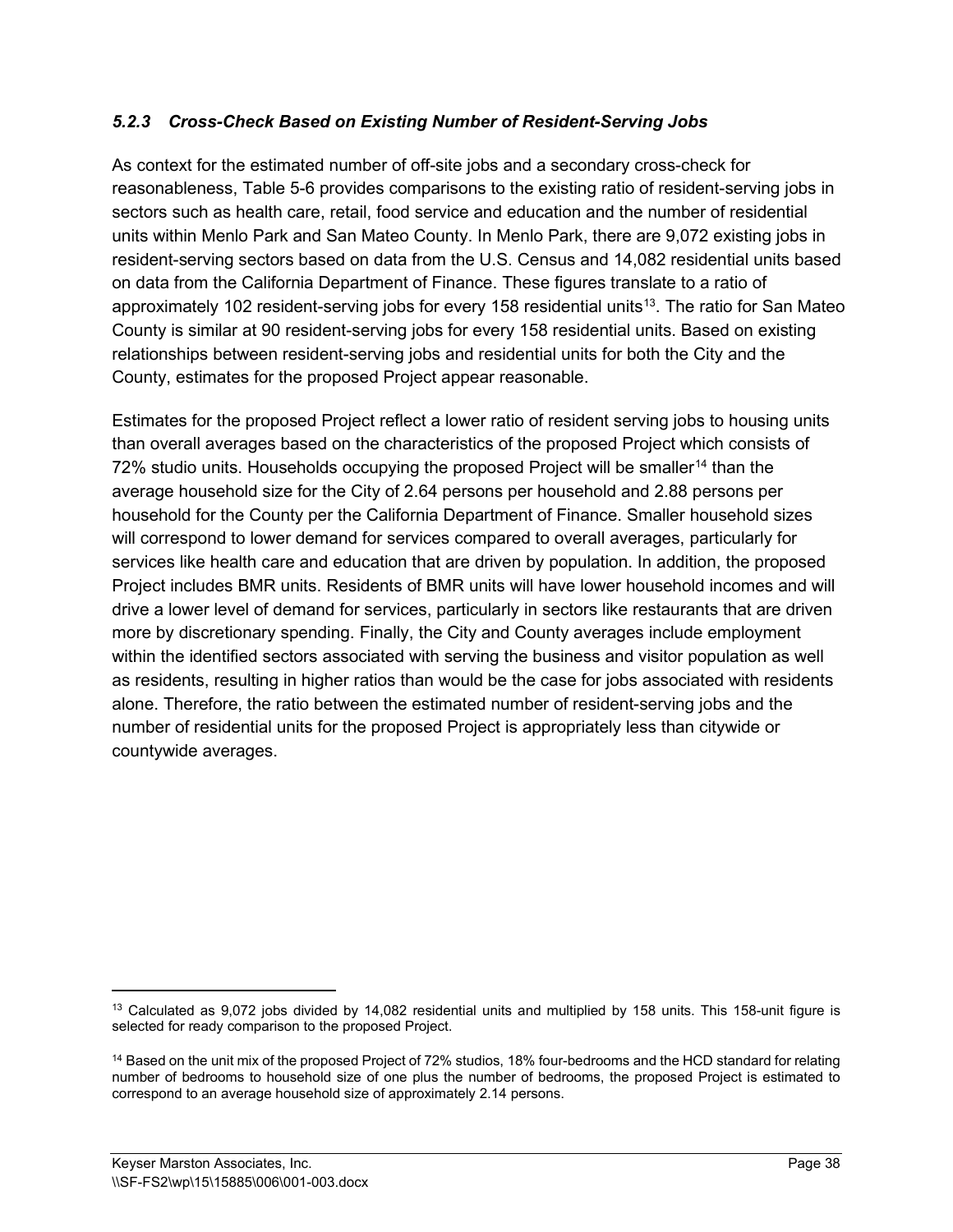### *5.2.3 Cross-Check Based on Existing Number of Resident-Serving Jobs*

As context for the estimated number of off-site jobs and a secondary cross-check for reasonableness, Table 5-6 provides comparisons to the existing ratio of resident-serving jobs in sectors such as health care, retail, food service and education and the number of residential units within Menlo Park and San Mateo County. In Menlo Park, there are 9,072 existing jobs in resident-serving sectors based on data from the U.S. Census and 14,082 residential units based on data from the California Department of Finance. These figures translate to a ratio of approximately 102 resident-serving jobs for every 158 residential units<sup>[13](#page-42-0)</sup>. The ratio for San Mateo County is similar at 90 resident-serving jobs for every 158 residential units. Based on existing relationships between resident-serving jobs and residential units for both the City and the County, estimates for the proposed Project appear reasonable.

Estimates for the proposed Project reflect a lower ratio of resident serving jobs to housing units than overall averages based on the characteristics of the proposed Project which consists of 72% studio units. Households occupying the proposed Project will be smaller<sup>[14](#page-42-1)</sup> than the average household size for the City of 2.64 persons per household and 2.88 persons per household for the County per the California Department of Finance. Smaller household sizes will correspond to lower demand for services compared to overall averages, particularly for services like health care and education that are driven by population. In addition, the proposed Project includes BMR units. Residents of BMR units will have lower household incomes and will drive a lower level of demand for services, particularly in sectors like restaurants that are driven more by discretionary spending. Finally, the City and County averages include employment within the identified sectors associated with serving the business and visitor population as well as residents, resulting in higher ratios than would be the case for jobs associated with residents alone. Therefore, the ratio between the estimated number of resident-serving jobs and the number of residential units for the proposed Project is appropriately less than citywide or countywide averages.

<span id="page-42-0"></span> $13$  Calculated as 9,072 jobs divided by 14,082 residential units and multiplied by 158 units. This 158-unit figure is selected for ready comparison to the proposed Project.

<span id="page-42-1"></span><sup>&</sup>lt;sup>14</sup> Based on the unit mix of the proposed Project of 72% studios, 18% four-bedrooms and the HCD standard for relating number of bedrooms to household size of one plus the number of bedrooms, the proposed Project is estimated to correspond to an average household size of approximately 2.14 persons.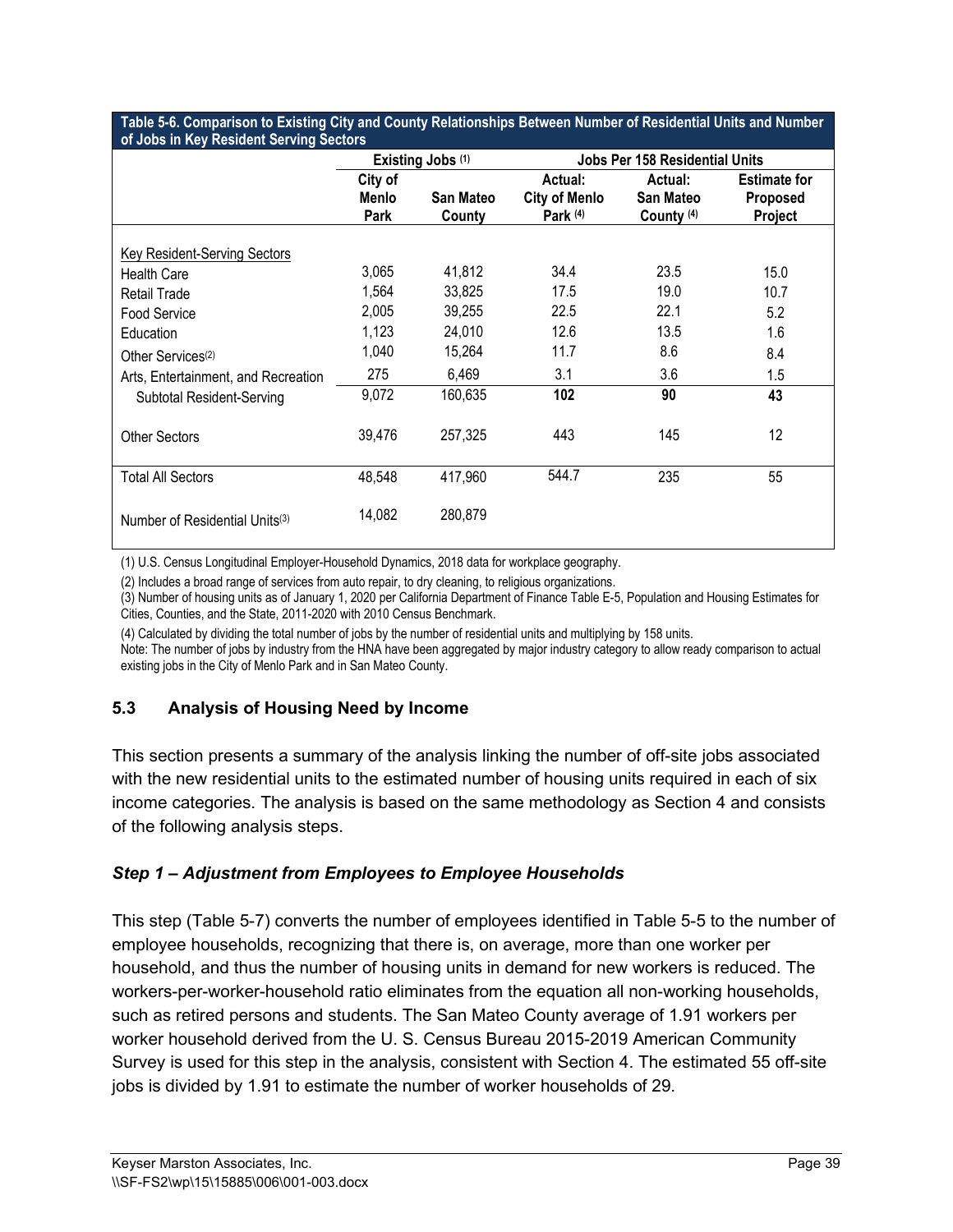#### **Table 5-6. Comparison to Existing City and County Relationships Between Number of Residential Units and Number of Jobs in Key Resident Serving Sectors**

|                                            |                          | Existing Jobs (1)   |                                                        | <b>Jobs Per 158 Residential Units</b> |                                            |
|--------------------------------------------|--------------------------|---------------------|--------------------------------------------------------|---------------------------------------|--------------------------------------------|
|                                            | City of<br>Menlo<br>Park | San Mateo<br>County | Actual:<br><b>City of Menlo</b><br>Park <sup>(4)</sup> | Actual:<br>San Mateo<br>County (4)    | <b>Estimate for</b><br>Proposed<br>Project |
| <b>Key Resident-Serving Sectors</b>        |                          |                     |                                                        |                                       |                                            |
| <b>Health Care</b>                         | 3.065                    | 41,812              | 34.4                                                   | 23.5                                  | 15.0                                       |
| <b>Retail Trade</b>                        | 1.564                    | 33,825              | 17.5                                                   | 19.0                                  | 10.7                                       |
| Food Service                               | 2,005                    | 39,255              | 22.5                                                   | 22.1                                  | 5.2                                        |
| <b>Education</b>                           | 1,123                    | 24,010              | 12.6                                                   | 13.5                                  | 1.6                                        |
| Other Services <sup>(2)</sup>              | 1,040                    | 15,264              | 11.7                                                   | 8.6                                   | 8.4                                        |
| Arts, Entertainment, and Recreation        | 275                      | 6,469               | 3.1                                                    | 3.6                                   | 1.5                                        |
| Subtotal Resident-Serving                  | 9,072                    | 160,635             | 102                                                    | 90                                    | 43                                         |
| <b>Other Sectors</b>                       | 39,476                   | 257,325             | 443                                                    | 145                                   | 12                                         |
| <b>Total All Sectors</b>                   | 48,548                   | 417,960             | 544.7                                                  | 235                                   | 55                                         |
| Number of Residential Units <sup>(3)</sup> | 14,082                   | 280,879             |                                                        |                                       |                                            |

(1) U.S. Census Longitudinal Employer-Household Dynamics, 2018 data for workplace geography.

(2) Includes a broad range of services from auto repair, to dry cleaning, to religious organizations.

(3) Number of housing units as of January 1, 2020 per California Department of Finance Table E-5, Population and Housing Estimates for Cities, Counties, and the State, 2011-2020 with 2010 Census Benchmark.

(4) Calculated by dividing the total number of jobs by the number of residential units and multiplying by 158 units.

Note: The number of jobs by industry from the HNA have been aggregated by major industry category to allow ready comparison to actual existing jobs in the City of Menlo Park and in San Mateo County.

## **5.3 Analysis of Housing Need by Income**

This section presents a summary of the analysis linking the number of off-site jobs associated with the new residential units to the estimated number of housing units required in each of six income categories. The analysis is based on the same methodology as Section 4 and consists of the following analysis steps.

### *Step 1 – Adjustment from Employees to Employee Households*

This step (Table 5-7) converts the number of employees identified in Table 5-5 to the number of employee households, recognizing that there is, on average, more than one worker per household, and thus the number of housing units in demand for new workers is reduced. The workers-per-worker-household ratio eliminates from the equation all non-working households, such as retired persons and students. The San Mateo County average of 1.91 workers per worker household derived from the U. S. Census Bureau 2015-2019 American Community Survey is used for this step in the analysis, consistent with Section 4. The estimated 55 off-site jobs is divided by 1.91 to estimate the number of worker households of 29.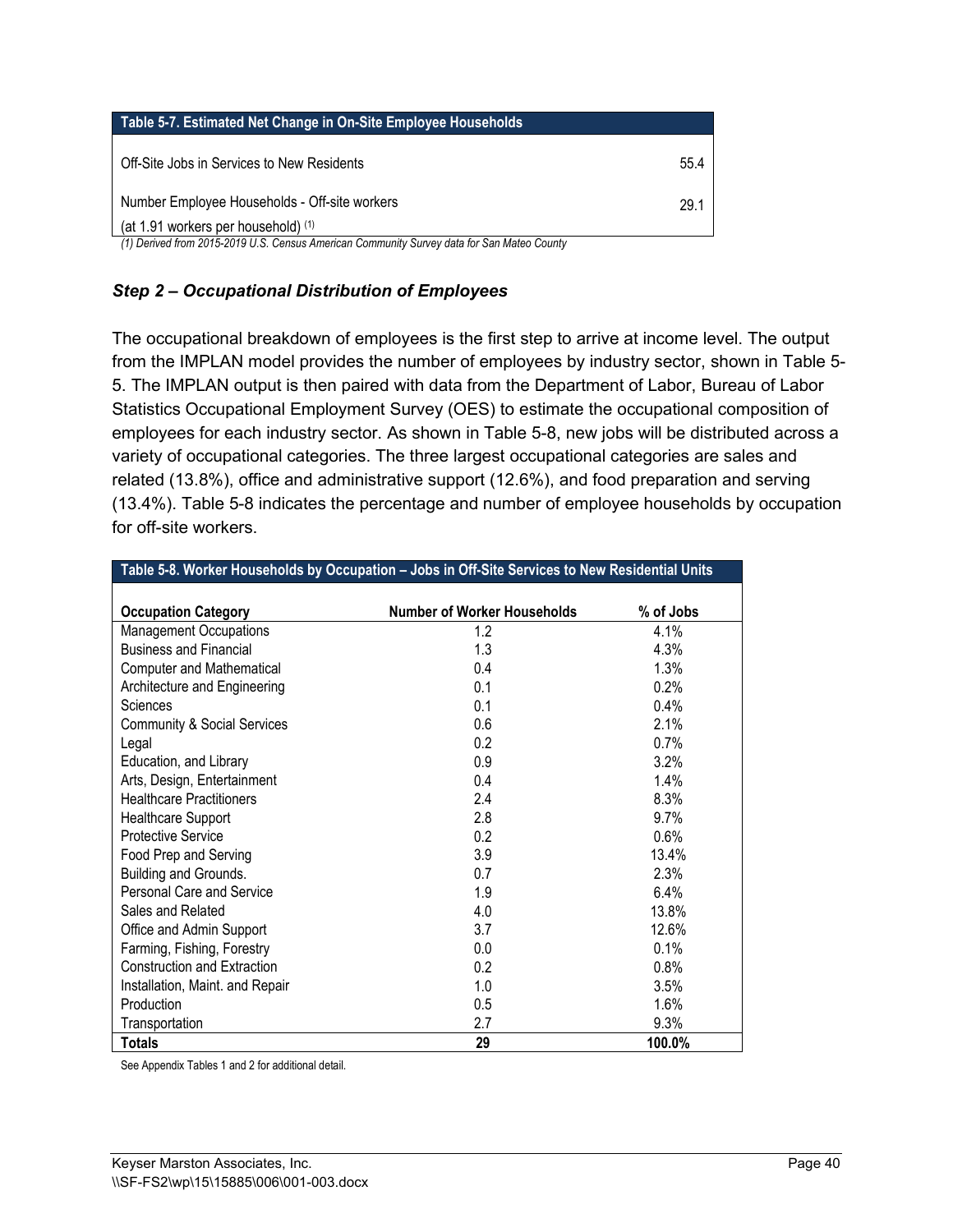| Table 5-7. Estimated Net Change in On-Site Employee Households |      |  |  |  |
|----------------------------------------------------------------|------|--|--|--|
| Off-Site Jobs in Services to New Residents                     | 55.4 |  |  |  |
| Number Employee Households - Off-site workers                  | 29.1 |  |  |  |
| (at 1.91 workers per household) (1)<br>$\cdots$                |      |  |  |  |

*(1) Derived from 2015-2019 U.S. Census American Community Survey data for San Mateo County*

# *Step 2 – Occupational Distribution of Employees*

The occupational breakdown of employees is the first step to arrive at income level. The output from the IMPLAN model provides the number of employees by industry sector, shown in Table 5- 5. The IMPLAN output is then paired with data from the Department of Labor, Bureau of Labor Statistics Occupational Employment Survey (OES) to estimate the occupational composition of employees for each industry sector. As shown in Table 5-8, new jobs will be distributed across a variety of occupational categories. The three largest occupational categories are sales and related (13.8%), office and administrative support (12.6%), and food preparation and serving (13.4%). Table 5-8 indicates the percentage and number of employee households by occupation for off-site workers.

| Table 5-8. Worker Households by Occupation - Jobs in Off-Site Services to New Residential Units |                                    |           |  |  |  |
|-------------------------------------------------------------------------------------------------|------------------------------------|-----------|--|--|--|
| <b>Occupation Category</b>                                                                      | <b>Number of Worker Households</b> | % of Jobs |  |  |  |
| <b>Management Occupations</b>                                                                   | 1.2                                | 4.1%      |  |  |  |
| <b>Business and Financial</b>                                                                   | 1.3                                |           |  |  |  |
|                                                                                                 |                                    | 4.3%      |  |  |  |
| <b>Computer and Mathematical</b>                                                                | 0.4                                | 1.3%      |  |  |  |
| Architecture and Engineering                                                                    | 0.1                                | 0.2%      |  |  |  |
| Sciences                                                                                        | 0.1                                | 0.4%      |  |  |  |
| <b>Community &amp; Social Services</b>                                                          | 0.6                                | 2.1%      |  |  |  |
| Legal                                                                                           | 0.2                                | 0.7%      |  |  |  |
| Education, and Library                                                                          | 0.9                                | 3.2%      |  |  |  |
| Arts, Design, Entertainment                                                                     | 0.4                                | 1.4%      |  |  |  |
| <b>Healthcare Practitioners</b>                                                                 | 2.4                                | 8.3%      |  |  |  |
| <b>Healthcare Support</b>                                                                       | 2.8                                | 9.7%      |  |  |  |
| <b>Protective Service</b>                                                                       | 0.2                                | 0.6%      |  |  |  |
| Food Prep and Serving                                                                           | 3.9                                | 13.4%     |  |  |  |
| Building and Grounds.                                                                           | 0.7                                | 2.3%      |  |  |  |
| Personal Care and Service                                                                       | 1.9                                | 6.4%      |  |  |  |
| Sales and Related                                                                               | 4.0                                | 13.8%     |  |  |  |
| Office and Admin Support                                                                        | 3.7                                | 12.6%     |  |  |  |
| Farming, Fishing, Forestry                                                                      | 0.0                                | 0.1%      |  |  |  |
| <b>Construction and Extraction</b>                                                              | 0.2                                | 0.8%      |  |  |  |
| Installation, Maint. and Repair                                                                 | 1.0                                | 3.5%      |  |  |  |
| Production                                                                                      | 0.5                                | 1.6%      |  |  |  |
| Transportation                                                                                  | 2.7                                | 9.3%      |  |  |  |
| Totals                                                                                          | 29                                 | 100.0%    |  |  |  |

See Appendix Tables 1 and 2 for additional detail.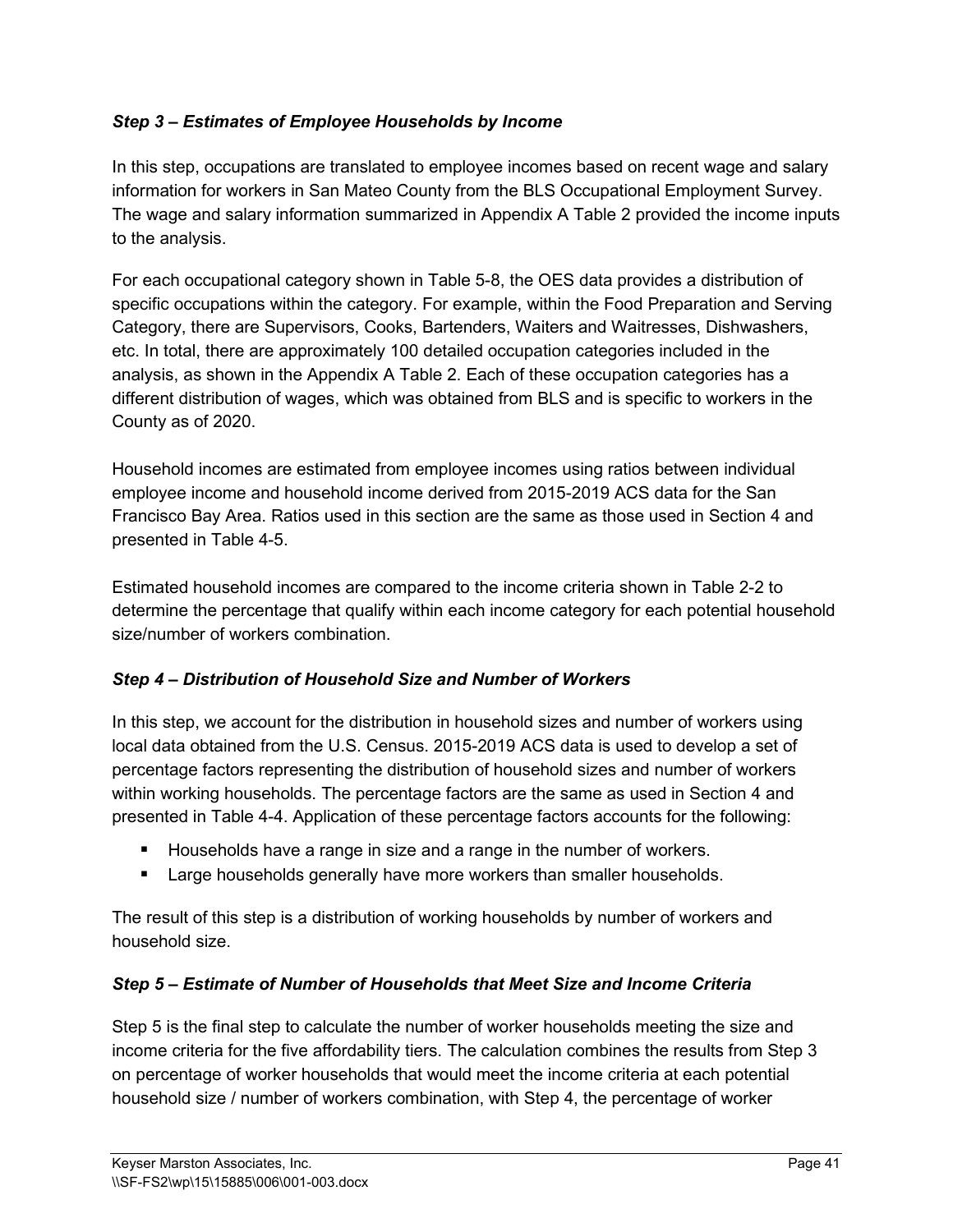## *Step 3 – Estimates of Employee Households by Income*

In this step, occupations are translated to employee incomes based on recent wage and salary information for workers in San Mateo County from the BLS Occupational Employment Survey. The wage and salary information summarized in Appendix A Table 2 provided the income inputs to the analysis.

For each occupational category shown in Table 5-8, the OES data provides a distribution of specific occupations within the category. For example, within the Food Preparation and Serving Category, there are Supervisors, Cooks, Bartenders, Waiters and Waitresses, Dishwashers, etc. In total, there are approximately 100 detailed occupation categories included in the analysis, as shown in the Appendix A Table 2. Each of these occupation categories has a different distribution of wages, which was obtained from BLS and is specific to workers in the County as of 2020.

Household incomes are estimated from employee incomes using ratios between individual employee income and household income derived from 2015-2019 ACS data for the San Francisco Bay Area. Ratios used in this section are the same as those used in Section 4 and presented in Table 4-5.

Estimated household incomes are compared to the income criteria shown in Table 2-2 to determine the percentage that qualify within each income category for each potential household size/number of workers combination.

### *Step 4 – Distribution of Household Size and Number of Workers*

In this step, we account for the distribution in household sizes and number of workers using local data obtained from the U.S. Census. 2015-2019 ACS data is used to develop a set of percentage factors representing the distribution of household sizes and number of workers within working households. The percentage factors are the same as used in Section 4 and presented in Table 4-4. Application of these percentage factors accounts for the following:

- Households have a range in size and a range in the number of workers.
- **Large households generally have more workers than smaller households.**

The result of this step is a distribution of working households by number of workers and household size.

### *Step 5 – Estimate of Number of Households that Meet Size and Income Criteria*

Step 5 is the final step to calculate the number of worker households meeting the size and income criteria for the five affordability tiers. The calculation combines the results from Step 3 on percentage of worker households that would meet the income criteria at each potential household size / number of workers combination, with Step 4, the percentage of worker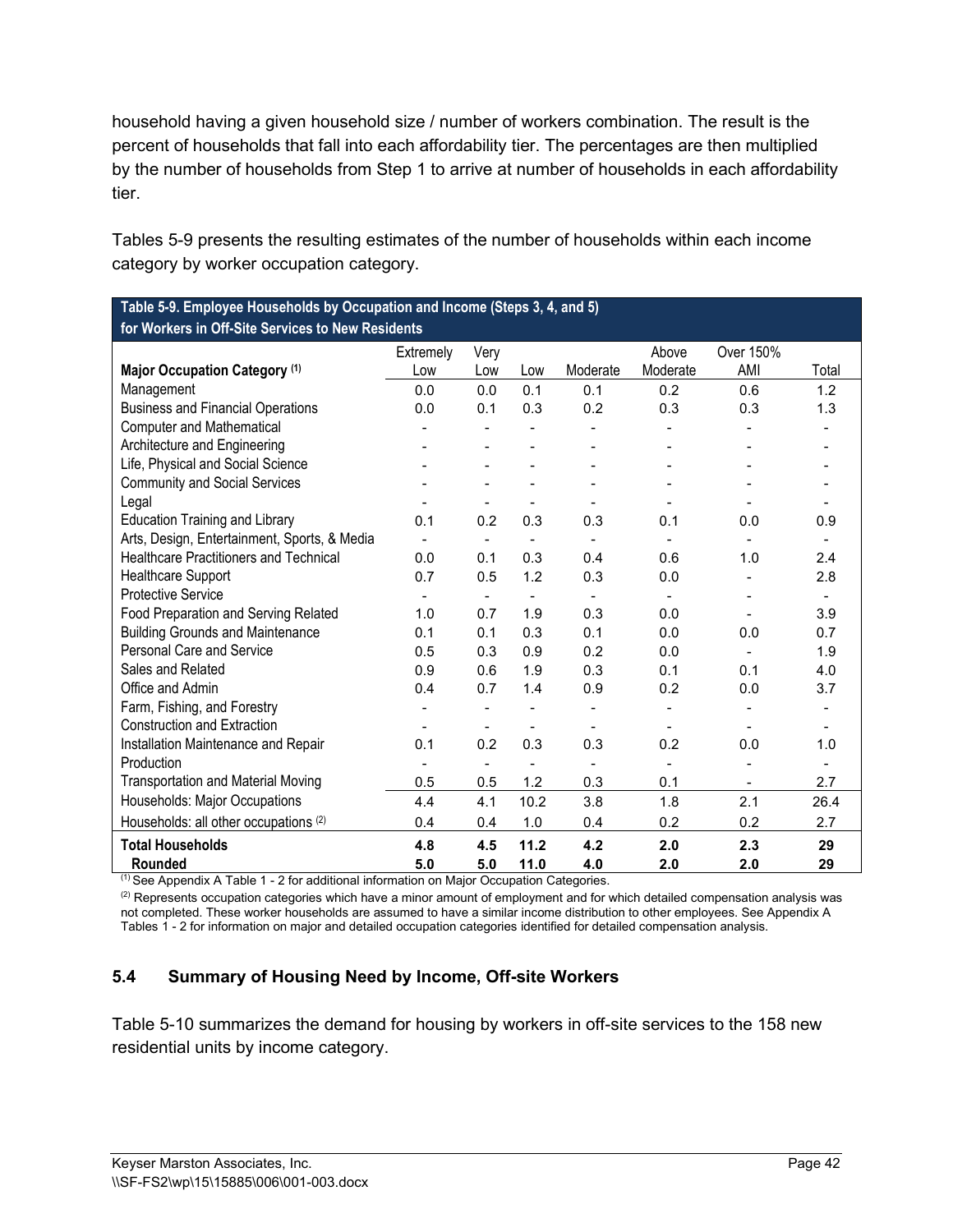household having a given household size / number of workers combination. The result is the percent of households that fall into each affordability tier. The percentages are then multiplied by the number of households from Step 1 to arrive at number of households in each affordability tier.

Tables 5-9 presents the resulting estimates of the number of households within each income category by worker occupation category.

| Table 5-9. Employee Households by Occupation and Income (Steps 3, 4, and 5) |                          |                              |                          |                |                |                |                          |  |
|-----------------------------------------------------------------------------|--------------------------|------------------------------|--------------------------|----------------|----------------|----------------|--------------------------|--|
| for Workers in Off-Site Services to New Residents                           |                          |                              |                          |                |                |                |                          |  |
|                                                                             | Extremely                | Very                         |                          |                | Above          | Over 150%      |                          |  |
| Major Occupation Category (1)                                               | Low                      | Low                          | Low                      | Moderate       | Moderate       | AMI            | Total                    |  |
| Management                                                                  | 0.0                      | 0.0                          | 0.1                      | 0.1            | 0.2            | 0.6            | 1.2                      |  |
| <b>Business and Financial Operations</b>                                    | 0.0                      | 0.1                          | 0.3                      | 0.2            | 0.3            | 0.3            | 1.3                      |  |
| <b>Computer and Mathematical</b>                                            |                          | -                            |                          |                |                |                |                          |  |
| Architecture and Engineering                                                |                          |                              |                          |                |                |                |                          |  |
| Life, Physical and Social Science                                           |                          |                              |                          |                |                |                |                          |  |
| <b>Community and Social Services</b>                                        |                          |                              |                          |                |                |                |                          |  |
| Legal                                                                       |                          | $\qquad \qquad \blacksquare$ |                          |                |                |                |                          |  |
| <b>Education Training and Library</b>                                       | 0.1                      | 0.2                          | 0.3                      | 0.3            | 0.1            | 0.0            | 0.9                      |  |
| Arts, Design, Entertainment, Sports, & Media                                | $\overline{\phantom{0}}$ |                              |                          |                |                |                |                          |  |
| <b>Healthcare Practitioners and Technical</b>                               | 0.0                      | 0.1                          | 0.3                      | 0.4            | 0.6            | 1.0            | 2.4                      |  |
| Healthcare Support                                                          | 0.7                      | 0.5                          | 1.2                      | 0.3            | 0.0            |                | 2.8                      |  |
| <b>Protective Service</b>                                                   | $\overline{\phantom{0}}$ | $\overline{\phantom{a}}$     | $\overline{\phantom{a}}$ | $\blacksquare$ | $\blacksquare$ |                | $\overline{\phantom{a}}$ |  |
| Food Preparation and Serving Related                                        | 1.0                      | 0.7                          | 1.9                      | 0.3            | 0.0            |                | 3.9                      |  |
| <b>Building Grounds and Maintenance</b>                                     | 0.1                      | 0.1                          | 0.3                      | 0.1            | 0.0            | 0.0            | 0.7                      |  |
| <b>Personal Care and Service</b>                                            | 0.5                      | 0.3                          | 0.9                      | 0.2            | 0.0            |                | 1.9                      |  |
| Sales and Related                                                           | 0.9                      | 0.6                          | 1.9                      | 0.3            | 0.1            | 0.1            | 4.0                      |  |
| Office and Admin                                                            | 0.4                      | 0.7                          | 1.4                      | 0.9            | 0.2            | 0.0            | 3.7                      |  |
| Farm, Fishing, and Forestry                                                 |                          | $\overline{\phantom{0}}$     |                          |                |                |                |                          |  |
| <b>Construction and Extraction</b>                                          |                          | $\qquad \qquad \blacksquare$ |                          |                |                |                |                          |  |
| Installation Maintenance and Repair                                         | 0.1                      | 0.2                          | 0.3                      | 0.3            | 0.2            | 0.0            | 1.0                      |  |
| Production                                                                  | $\overline{a}$           | $\overline{\phantom{0}}$     |                          |                | $\blacksquare$ |                | $\overline{\phantom{a}}$ |  |
| <b>Transportation and Material Moving</b>                                   | 0.5                      | 0.5                          | 1.2                      | 0.3            | 0.1            | $\blacksquare$ | 2.7                      |  |
| Households: Major Occupations                                               | 4.4                      | 4.1                          | 10.2                     | 3.8            | 1.8            | 2.1            | 26.4                     |  |
| Households: all other occupations (2)                                       | 0.4                      | 0.4                          | 1.0                      | 0.4            | 0.2            | 0.2            | 2.7                      |  |
| <b>Total Households</b>                                                     | 4.8                      | 4.5                          | 11.2                     | 4.2            | 2.0            | 2.3            | 29                       |  |
| Rounded                                                                     | 5.0                      | 5.0                          | 11.0                     | 4.0            | 2.0            | 2.0            | 29                       |  |

(1) See Appendix A Table 1 - 2 for additional information on Major Occupation Categories.

 $(2)$  Represents occupation categories which have a minor amount of employment and for which detailed compensation analysis was not completed. These worker households are assumed to have a similar income distribution to other employees. See Appendix A Tables 1 - 2 for information on major and detailed occupation categories identified for detailed compensation analysis.

## **5.4 Summary of Housing Need by Income, Off-site Workers**

Table 5-10 summarizes the demand for housing by workers in off-site services to the 158 new residential units by income category.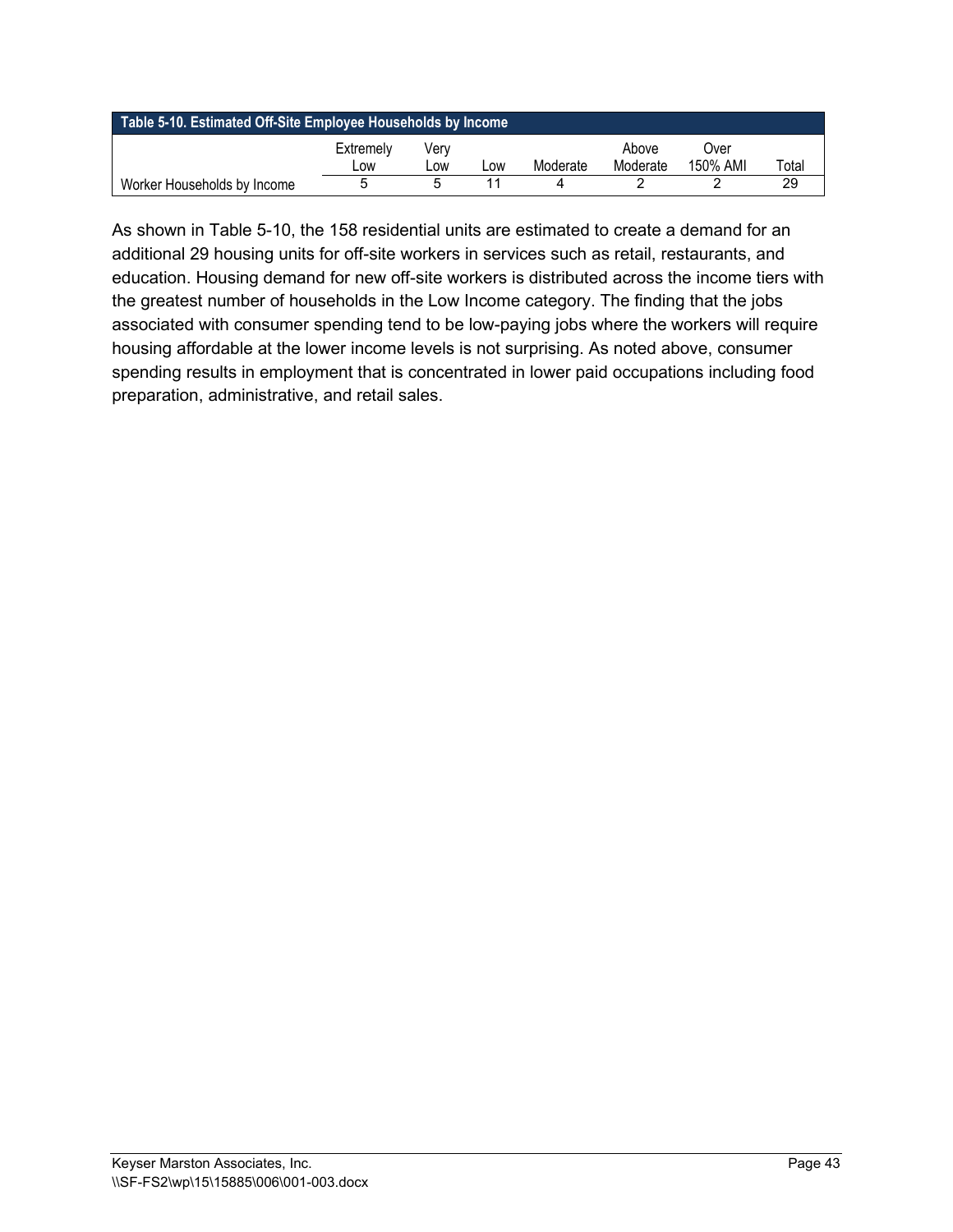| Table 5-10. Estimated Off-Site Employee Households by Income |                  |                         |     |          |                   |                  |       |  |  |
|--------------------------------------------------------------|------------------|-------------------------|-----|----------|-------------------|------------------|-------|--|--|
|                                                              | Extremely<br>LOW | Verv<br>L <sub>OW</sub> | -ow | Moderate | Above<br>Moderate | Over<br>150% AMI | Total |  |  |
| Worker Households by Income                                  | ∽                | 5                       |     |          |                   |                  | 29    |  |  |

As shown in Table 5-10, the 158 residential units are estimated to create a demand for an additional 29 housing units for off-site workers in services such as retail, restaurants, and education. Housing demand for new off-site workers is distributed across the income tiers with the greatest number of households in the Low Income category. The finding that the jobs associated with consumer spending tend to be low-paying jobs where the workers will require housing affordable at the lower income levels is not surprising. As noted above, consumer spending results in employment that is concentrated in lower paid occupations including food preparation, administrative, and retail sales.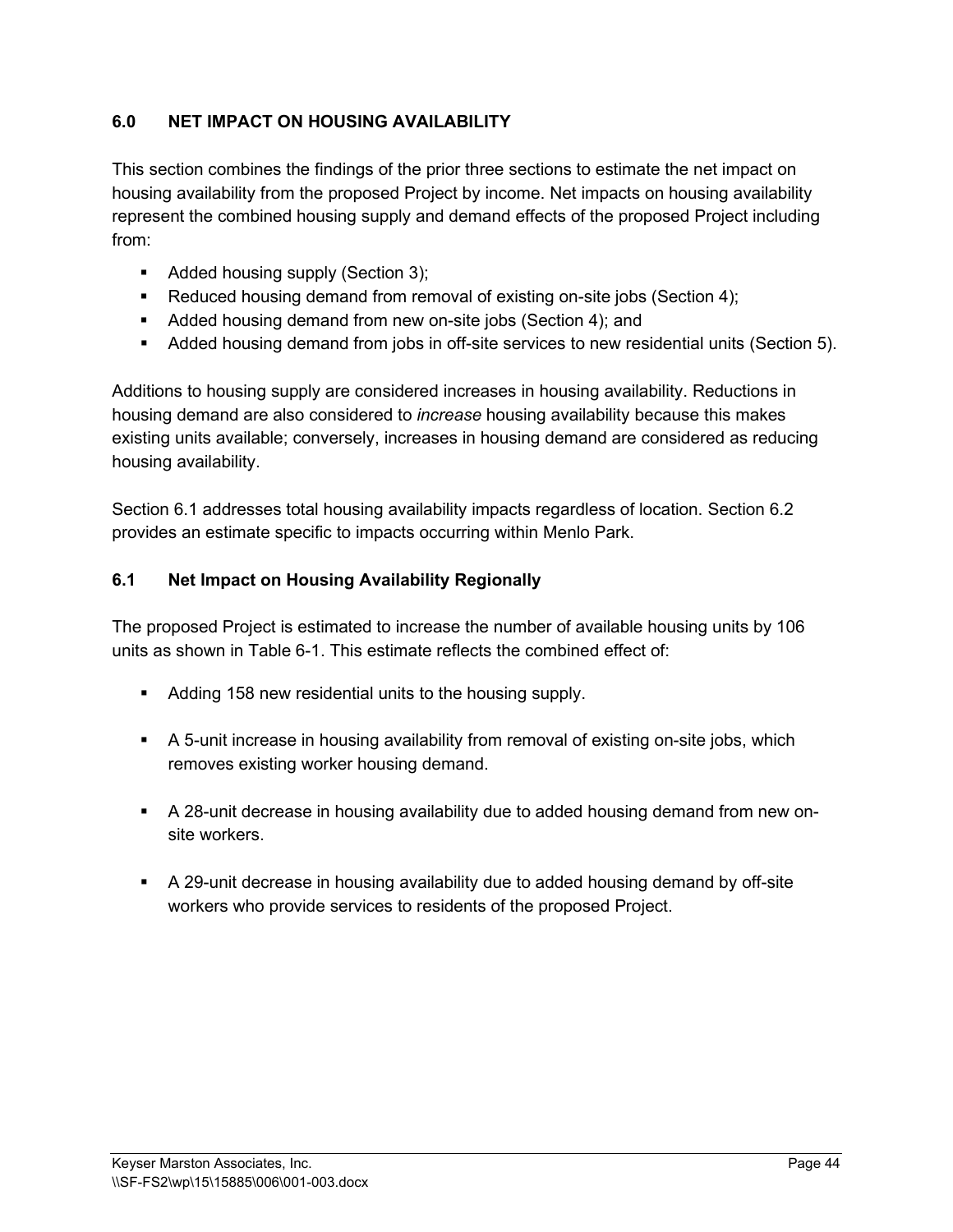## **6.0 NET IMPACT ON HOUSING AVAILABILITY**

This section combines the findings of the prior three sections to estimate the net impact on housing availability from the proposed Project by income. Net impacts on housing availability represent the combined housing supply and demand effects of the proposed Project including from:

- Added housing supply (Section 3);
- Reduced housing demand from removal of existing on-site jobs (Section 4);
- Added housing demand from new on-site jobs (Section 4); and
- Added housing demand from jobs in off-site services to new residential units (Section 5).

Additions to housing supply are considered increases in housing availability. Reductions in housing demand are also considered to *increase* housing availability because this makes existing units available; conversely, increases in housing demand are considered as reducing housing availability.

Section 6.1 addresses total housing availability impacts regardless of location. Section 6.2 provides an estimate specific to impacts occurring within Menlo Park.

### **6.1 Net Impact on Housing Availability Regionally**

The proposed Project is estimated to increase the number of available housing units by 106 units as shown in Table 6-1. This estimate reflects the combined effect of:

- Adding 158 new residential units to the housing supply.
- A 5-unit increase in housing availability from removal of existing on-site jobs, which removes existing worker housing demand.
- A 28-unit decrease in housing availability due to added housing demand from new onsite workers.
- A 29-unit decrease in housing availability due to added housing demand by off-site workers who provide services to residents of the proposed Project.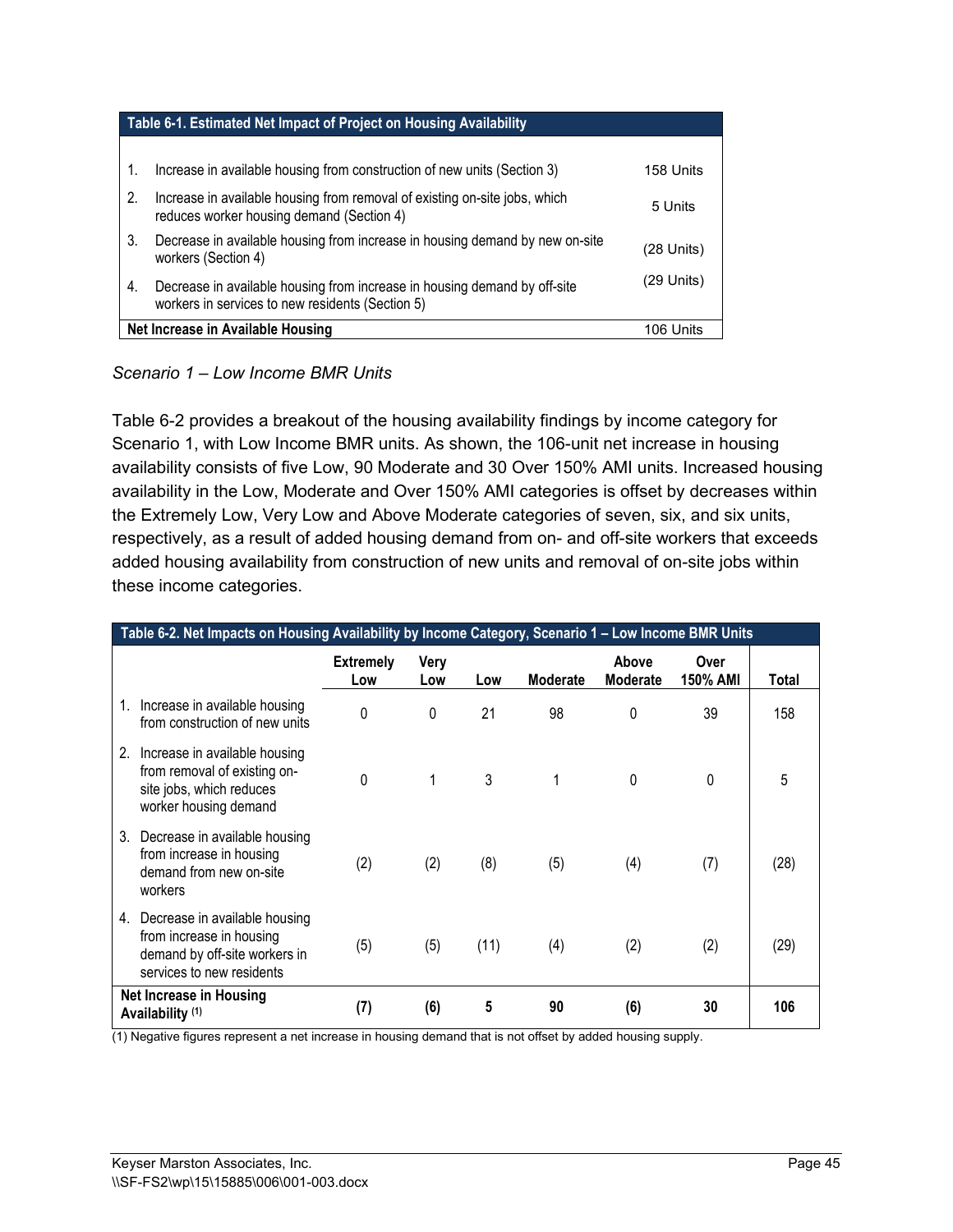|    | Table 6-1. Estimated Net Impact of Project on Housing Availability                                                            |            |  |  |  |  |  |
|----|-------------------------------------------------------------------------------------------------------------------------------|------------|--|--|--|--|--|
|    |                                                                                                                               |            |  |  |  |  |  |
| 1. | Increase in available housing from construction of new units (Section 3)                                                      | 158 Units  |  |  |  |  |  |
| 2. | Increase in available housing from removal of existing on-site jobs, which<br>reduces worker housing demand (Section 4)       | 5 Units    |  |  |  |  |  |
| 3. | Decrease in available housing from increase in housing demand by new on-site<br>workers (Section 4)                           | (28 Units) |  |  |  |  |  |
| 4. | Decrease in available housing from increase in housing demand by off-site<br>workers in services to new residents (Section 5) | (29 Units) |  |  |  |  |  |
|    | Net Increase in Available Housing                                                                                             | 106 Units  |  |  |  |  |  |

*Scenario 1 – Low Income BMR Units* 

Table 6-2 provides a breakout of the housing availability findings by income category for Scenario 1, with Low Income BMR units. As shown, the 106-unit net increase in housing availability consists of five Low, 90 Moderate and 30 Over 150% AMI units. Increased housing availability in the Low, Moderate and Over 150% AMI categories is offset by decreases within the Extremely Low, Very Low and Above Moderate categories of seven, six, and six units, respectively, as a result of added housing demand from on- and off-site workers that exceeds added housing availability from construction of new units and removal of on-site jobs within these income categories.

| Table 6-2. Net Impacts on Housing Availability by Income Category, Scenario 1 - Low Income BMR Units                          |                         |                    |      |                 |                          |                  |       |
|-------------------------------------------------------------------------------------------------------------------------------|-------------------------|--------------------|------|-----------------|--------------------------|------------------|-------|
|                                                                                                                               | <b>Extremely</b><br>Low | <b>Very</b><br>Low | Low  | <b>Moderate</b> | Above<br><b>Moderate</b> | Over<br>150% AMI | Total |
| Increase in available housing<br>1.<br>from construction of new units                                                         | $\mathbf 0$             | $\Omega$           | 21   | 98              | 0                        | 39               | 158   |
| 2.<br>Increase in available housing<br>from removal of existing on-<br>site jobs, which reduces<br>worker housing demand      | $\Omega$                | $\mathbf{1}$       | 3    |                 | $\Omega$                 | 0                | 5     |
| 3.<br>Decrease in available housing<br>from increase in housing<br>demand from new on-site<br>workers                         | (2)                     | (2)                | (8)  | (5)             | (4)                      | (7)              | (28)  |
| Decrease in available housing<br>4.<br>from increase in housing<br>demand by off-site workers in<br>services to new residents | (5)                     | (5)                | (11) | (4)             | (2)                      | (2)              | (29)  |
| Net Increase in Housing<br>Availability (1)                                                                                   | (7)                     | (6)                | 5    | 90              | (6)                      | 30               | 106   |

(1) Negative figures represent a net increase in housing demand that is not offset by added housing supply.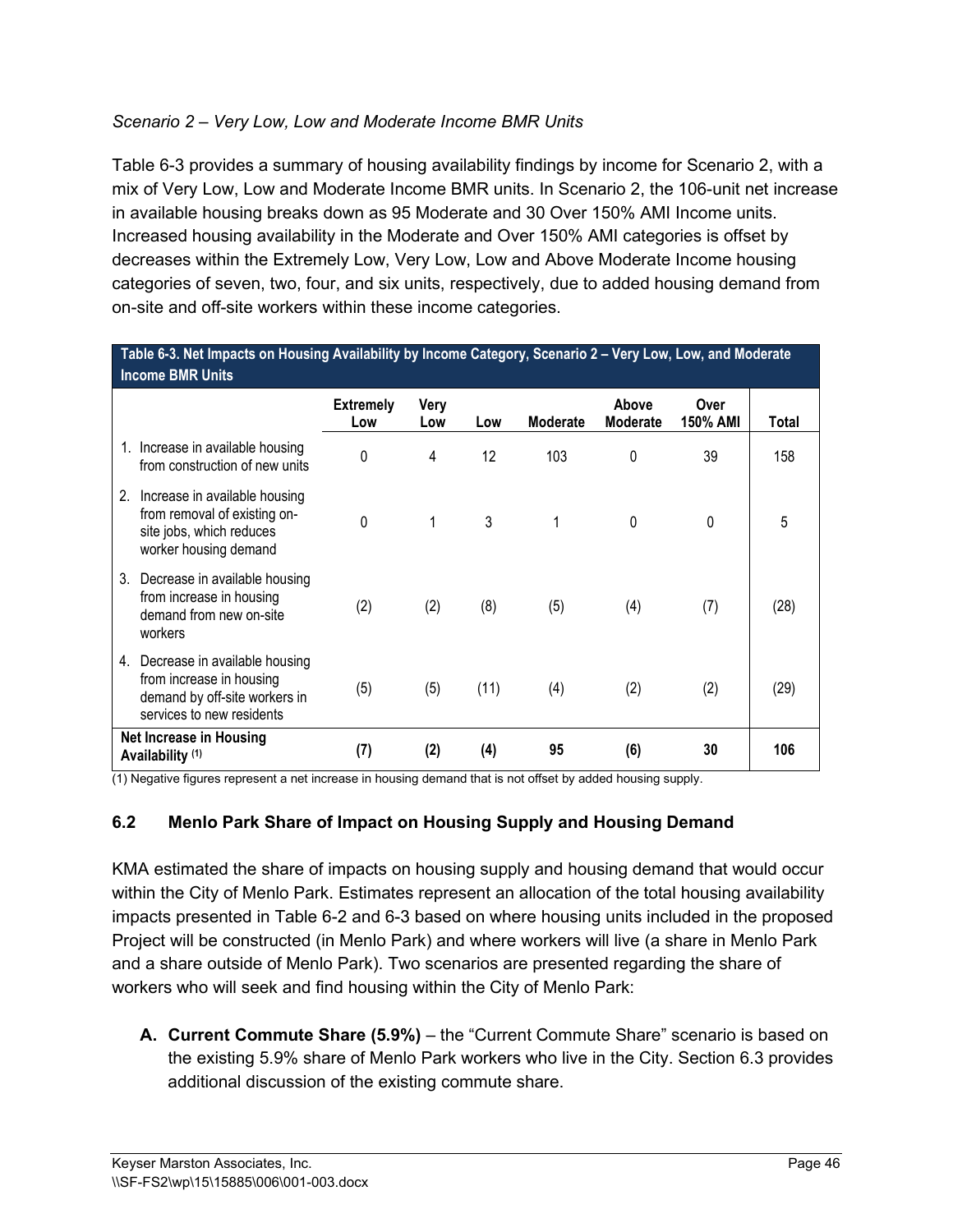## *Scenario 2 – Very Low, Low and Moderate Income BMR Units*

Table 6-3 provides a summary of housing availability findings by income for Scenario 2, with a mix of Very Low, Low and Moderate Income BMR units. In Scenario 2, the 106-unit net increase in available housing breaks down as 95 Moderate and 30 Over 150% AMI Income units. Increased housing availability in the Moderate and Over 150% AMI categories is offset by decreases within the Extremely Low, Very Low, Low and Above Moderate Income housing categories of seven, two, four, and six units, respectively, due to added housing demand from on-site and off-site workers within these income categories.

| Table 6-3. Net Impacts on Housing Availability by Income Category, Scenario 2 – Very Low, Low, and Moderate<br><b>Income BMR Units</b> |                         |             |      |                 |                          |                  |       |  |
|----------------------------------------------------------------------------------------------------------------------------------------|-------------------------|-------------|------|-----------------|--------------------------|------------------|-------|--|
|                                                                                                                                        | <b>Extremely</b><br>Low | Very<br>Low | Low  | <b>Moderate</b> | Above<br><b>Moderate</b> | Over<br>150% AMI | Total |  |
| 1. Increase in available housing<br>from construction of new units                                                                     | 0                       | 4           | 12   | 103             | 0                        | 39               | 158   |  |
| Increase in available housing<br>2.<br>from removal of existing on-<br>site jobs, which reduces<br>worker housing demand               | 0                       |             | 3    |                 | $\Omega$                 | 0                | 5     |  |
| Decrease in available housing<br>3.<br>from increase in housing<br>demand from new on-site<br>workers                                  | (2)                     | (2)         | (8)  | (5)             | (4)                      | (7)              | (28)  |  |
| Decrease in available housing<br>4.<br>from increase in housing<br>demand by off-site workers in<br>services to new residents          | (5)                     | (5)         | (11) | (4)             | (2)                      | (2)              | (29)  |  |
| Net Increase in Housing<br>Availability (1)                                                                                            | (7)                     | (2)         | (4)  | 95              | (6)                      | 30               | 106   |  |

(1) Negative figures represent a net increase in housing demand that is not offset by added housing supply.

### **6.2 Menlo Park Share of Impact on Housing Supply and Housing Demand**

KMA estimated the share of impacts on housing supply and housing demand that would occur within the City of Menlo Park. Estimates represent an allocation of the total housing availability impacts presented in Table 6-2 and 6-3 based on where housing units included in the proposed Project will be constructed (in Menlo Park) and where workers will live (a share in Menlo Park and a share outside of Menlo Park). Two scenarios are presented regarding the share of workers who will seek and find housing within the City of Menlo Park:

**A. Current Commute Share (5.9%)** – the "Current Commute Share" scenario is based on the existing 5.9% share of Menlo Park workers who live in the City. Section 6.3 provides additional discussion of the existing commute share.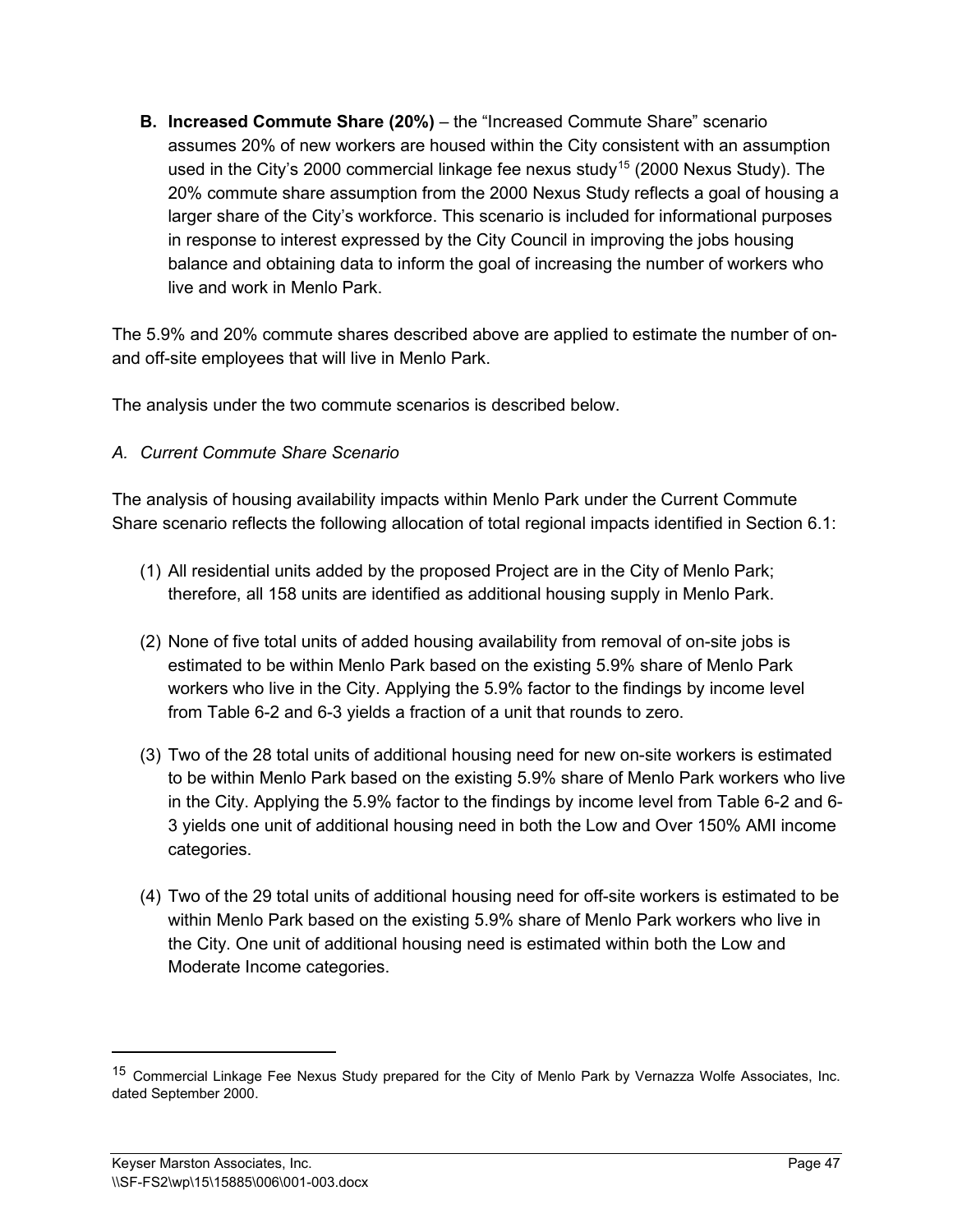**B. Increased Commute Share (20%)** – the "Increased Commute Share" scenario assumes 20% of new workers are housed within the City consistent with an assumption used in the City's 2000 commercial linkage fee nexus study<sup>[15](#page-51-0)</sup> (2000 Nexus Study). The 20% commute share assumption from the 2000 Nexus Study reflects a goal of housing a larger share of the City's workforce. This scenario is included for informational purposes in response to interest expressed by the City Council in improving the jobs housing balance and obtaining data to inform the goal of increasing the number of workers who live and work in Menlo Park.

The 5.9% and 20% commute shares described above are applied to estimate the number of onand off-site employees that will live in Menlo Park.

The analysis under the two commute scenarios is described below.

## *A. Current Commute Share Scenario*

The analysis of housing availability impacts within Menlo Park under the Current Commute Share scenario reflects the following allocation of total regional impacts identified in Section 6.1:

- (1) All residential units added by the proposed Project are in the City of Menlo Park; therefore, all 158 units are identified as additional housing supply in Menlo Park.
- (2) None of five total units of added housing availability from removal of on-site jobs is estimated to be within Menlo Park based on the existing 5.9% share of Menlo Park workers who live in the City. Applying the 5.9% factor to the findings by income level from Table 6-2 and 6-3 yields a fraction of a unit that rounds to zero.
- (3) Two of the 28 total units of additional housing need for new on-site workers is estimated to be within Menlo Park based on the existing 5.9% share of Menlo Park workers who live in the City. Applying the 5.9% factor to the findings by income level from Table 6-2 and 6- 3 yields one unit of additional housing need in both the Low and Over 150% AMI income categories.
- (4) Two of the 29 total units of additional housing need for off-site workers is estimated to be within Menlo Park based on the existing 5.9% share of Menlo Park workers who live in the City. One unit of additional housing need is estimated within both the Low and Moderate Income categories.

<span id="page-51-0"></span><sup>&</sup>lt;sup>15</sup> Commercial Linkage Fee Nexus Study prepared for the City of Menlo Park by Vernazza Wolfe Associates, Inc. dated September 2000.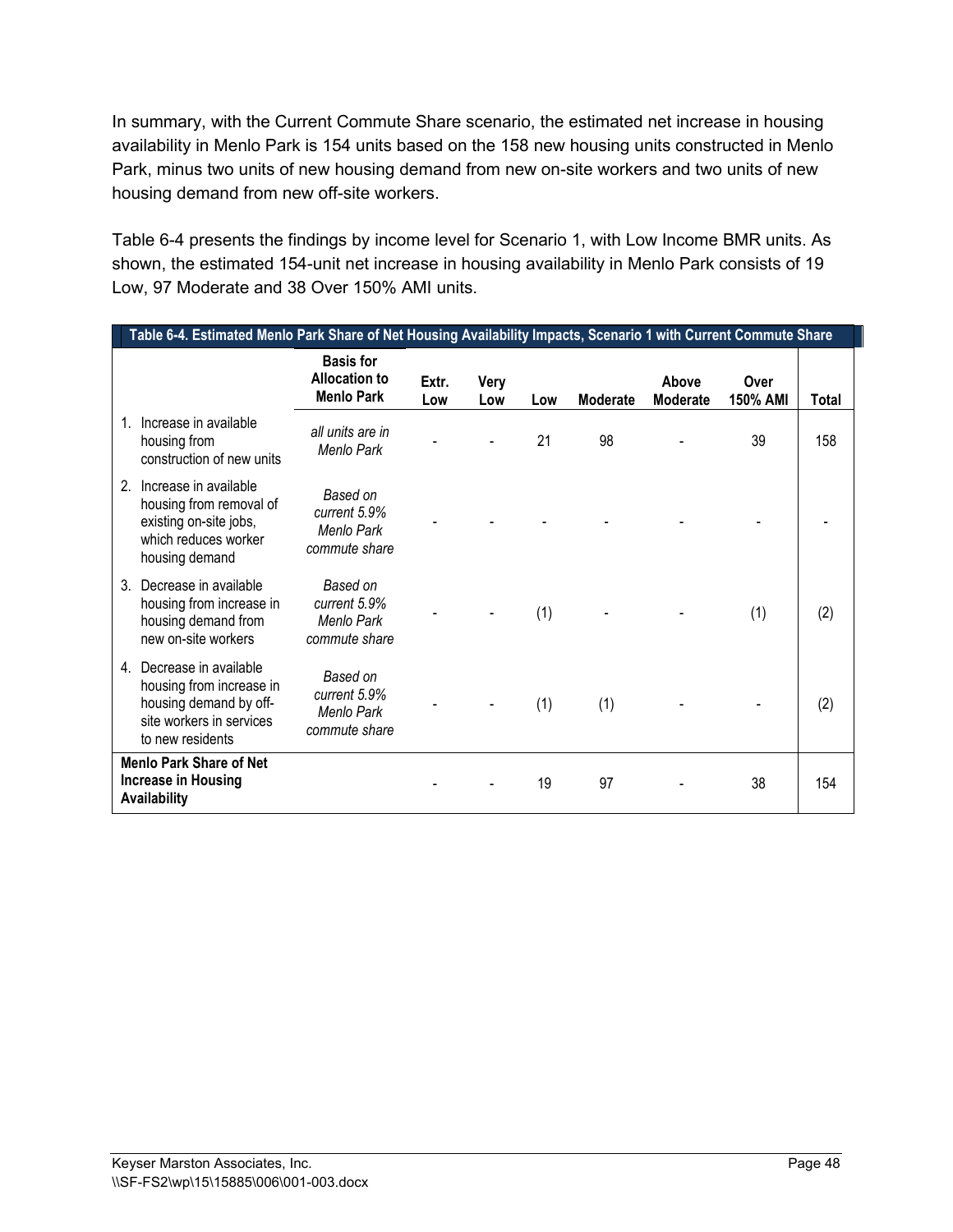In summary, with the Current Commute Share scenario, the estimated net increase in housing availability in Menlo Park is 154 units based on the 158 new housing units constructed in Menlo Park, minus two units of new housing demand from new on-site workers and two units of new housing demand from new off-site workers.

Table 6-4 presents the findings by income level for Scenario 1, with Low Income BMR units. As shown, the estimated 154-unit net increase in housing availability in Menlo Park consists of 19 Low, 97 Moderate and 38 Over 150% AMI units.

| Table 6-4. Estimated Menlo Park Share of Net Housing Availability Impacts, Scenario 1 with Current Commute Share |                                                                                                                             |                                                               |              |             |     |                 |                          |                         |       |
|------------------------------------------------------------------------------------------------------------------|-----------------------------------------------------------------------------------------------------------------------------|---------------------------------------------------------------|--------------|-------------|-----|-----------------|--------------------------|-------------------------|-------|
|                                                                                                                  |                                                                                                                             | <b>Basis for</b><br><b>Allocation to</b><br><b>Menlo Park</b> | Extr.<br>Low | Very<br>Low | Low | <b>Moderate</b> | Above<br><b>Moderate</b> | Over<br><b>150% AMI</b> | Total |
| 1.                                                                                                               | Increase in available<br>housing from<br>construction of new units                                                          | all units are in<br>Menlo Park                                |              |             | 21  | 98              |                          | 39                      | 158   |
| 2 <sub>1</sub>                                                                                                   | Increase in available<br>housing from removal of<br>existing on-site jobs,<br>which reduces worker<br>housing demand        | Based on<br>current 5.9%<br>Menlo Park<br>commute share       |              |             |     |                 |                          |                         |       |
| 3                                                                                                                | Decrease in available<br>housing from increase in<br>housing demand from<br>new on-site workers                             | Based on<br>current 5.9%<br>Menlo Park<br>commute share       |              |             | (1) |                 |                          | (1)                     | (2)   |
| 4.                                                                                                               | Decrease in available<br>housing from increase in<br>housing demand by off-<br>site workers in services<br>to new residents | Based on<br>current 5.9%<br>Menlo Park<br>commute share       |              |             | (1) | (1)             |                          |                         | (2)   |
|                                                                                                                  | <b>Menlo Park Share of Net</b><br><b>Increase in Housing</b><br><b>Availability</b>                                         |                                                               |              |             | 19  | 97              |                          | 38                      | 154   |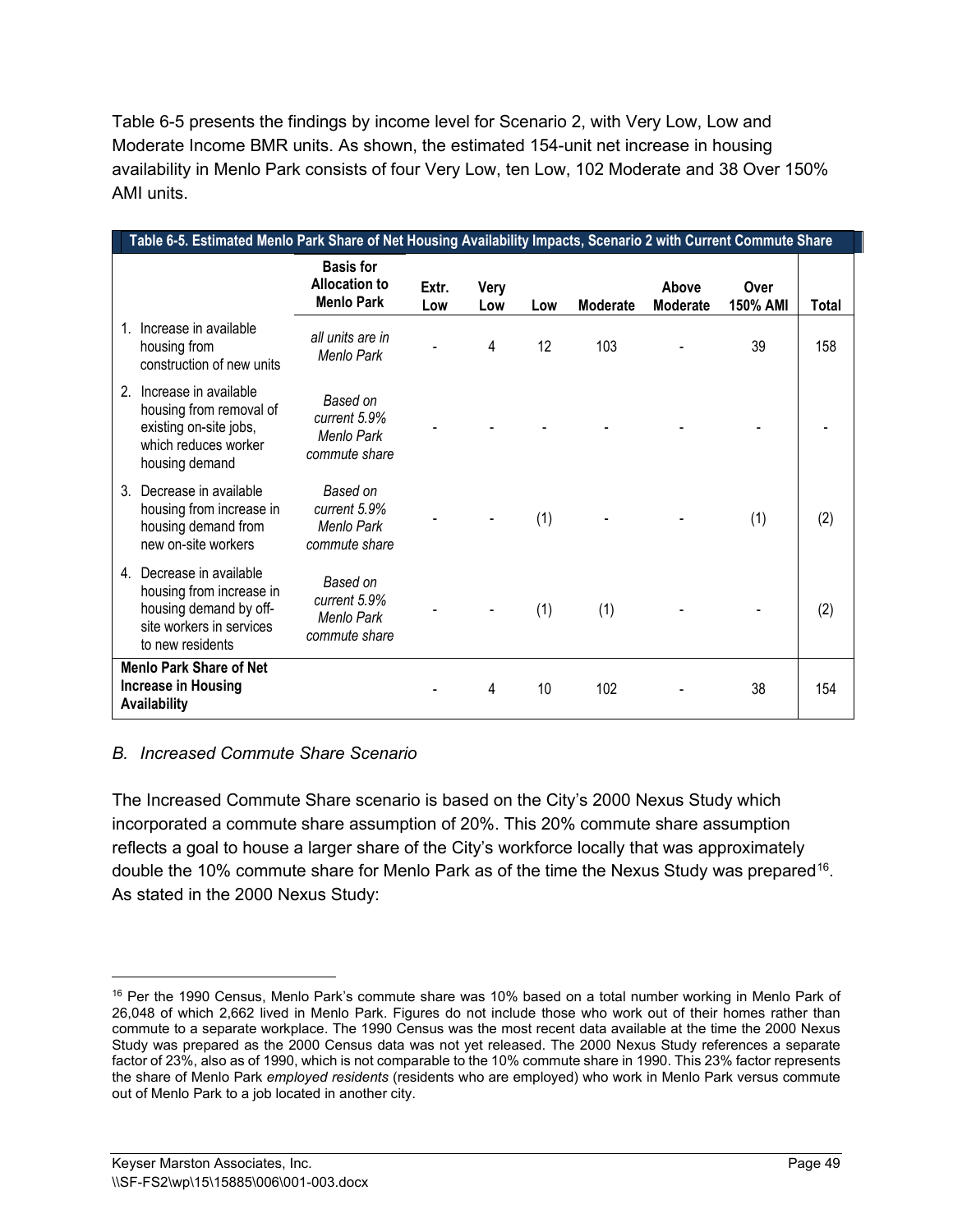Table 6-5 presents the findings by income level for Scenario 2, with Very Low, Low and Moderate Income BMR units. As shown, the estimated 154-unit net increase in housing availability in Menlo Park consists of four Very Low, ten Low, 102 Moderate and 38 Over 150% AMI units.

| Table 6-5. Estimated Menlo Park Share of Net Housing Availability Impacts, Scenario 2 with Current Commute Share                              |                                                               |              |                    |     |                 |                   |                  |       |
|-----------------------------------------------------------------------------------------------------------------------------------------------|---------------------------------------------------------------|--------------|--------------------|-----|-----------------|-------------------|------------------|-------|
|                                                                                                                                               | <b>Basis for</b><br><b>Allocation to</b><br><b>Menlo Park</b> | Extr.<br>Low | <b>Very</b><br>Low | Low | <b>Moderate</b> | Above<br>Moderate | Over<br>150% AMI | Total |
| Increase in available<br>1.<br>housing from<br>construction of new units                                                                      | all units are in<br>Menlo Park                                |              | 4                  | 12  | 103             |                   | 39               | 158   |
| Increase in available<br>2.<br>housing from removal of<br>existing on-site jobs,<br>which reduces worker<br>housing demand                    | Based on<br>current 5.9%<br>Menlo Park<br>commute share       |              |                    |     |                 |                   |                  |       |
| 3.<br>Decrease in available<br>housing from increase in<br>housing demand from<br>new on-site workers                                         | Based on<br>current 5.9%<br>Menlo Park<br>commute share       |              |                    | (1) |                 |                   | (1)              | (2)   |
| Decrease in available<br>4 <sub>1</sub><br>housing from increase in<br>housing demand by off-<br>site workers in services<br>to new residents | Based on<br>current 5.9%<br>Menlo Park<br>commute share       |              |                    | (1) | (1)             |                   |                  | (2)   |
| <b>Menlo Park Share of Net</b><br>Increase in Housing<br>Availability                                                                         |                                                               |              | 4                  | 10  | 102             |                   | 38               | 154   |

### *B. Increased Commute Share Scenario*

The Increased Commute Share scenario is based on the City's 2000 Nexus Study which incorporated a commute share assumption of 20%. This 20% commute share assumption reflects a goal to house a larger share of the City's workforce locally that was approximately double the 10% commute share for Menlo Park as of the time the Nexus Study was prepared<sup>16</sup>. As stated in the 2000 Nexus Study:

<span id="page-53-0"></span><sup>&</sup>lt;sup>16</sup> Per the 1990 Census, Menlo Park's commute share was 10% based on a total number working in Menlo Park of 26,048 of which 2,662 lived in Menlo Park. Figures do not include those who work out of their homes rather than commute to a separate workplace. The 1990 Census was the most recent data available at the time the 2000 Nexus Study was prepared as the 2000 Census data was not yet released. The 2000 Nexus Study references a separate factor of 23%, also as of 1990, which is not comparable to the 10% commute share in 1990. This 23% factor represents the share of Menlo Park *employed residents* (residents who are employed) who work in Menlo Park versus commute out of Menlo Park to a job located in another city.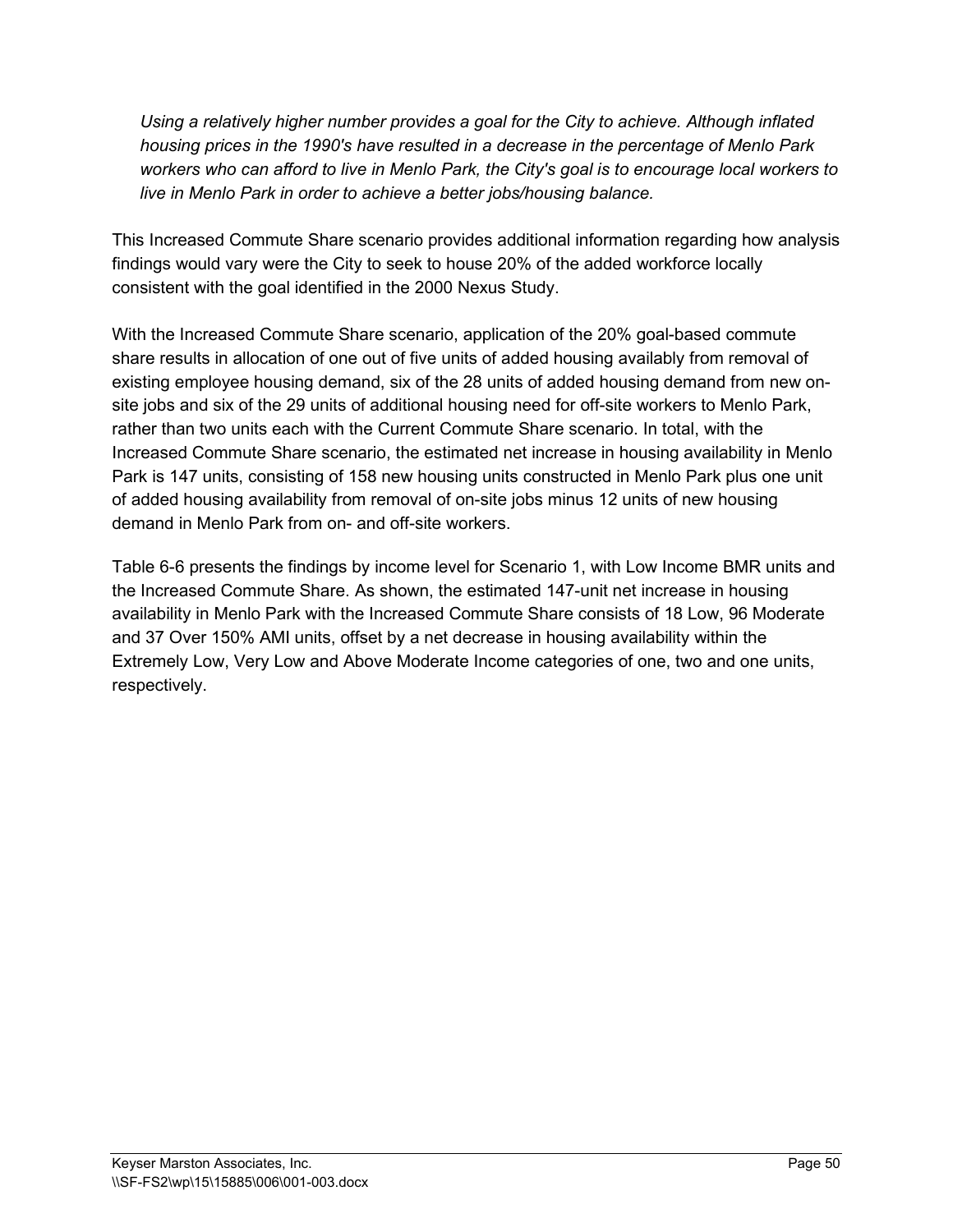*Using a relatively higher number provides a goal for the City to achieve. Although inflated housing prices in the 1990's have resulted in a decrease in the percentage of Menlo Park workers who can afford to live in Menlo Park, the City's goal is to encourage local workers to live in Menlo Park in order to achieve a better jobs/housing balance.*

This Increased Commute Share scenario provides additional information regarding how analysis findings would vary were the City to seek to house 20% of the added workforce locally consistent with the goal identified in the 2000 Nexus Study.

With the Increased Commute Share scenario, application of the 20% goal-based commute share results in allocation of one out of five units of added housing availably from removal of existing employee housing demand, six of the 28 units of added housing demand from new onsite jobs and six of the 29 units of additional housing need for off-site workers to Menlo Park, rather than two units each with the Current Commute Share scenario. In total, with the Increased Commute Share scenario, the estimated net increase in housing availability in Menlo Park is 147 units, consisting of 158 new housing units constructed in Menlo Park plus one unit of added housing availability from removal of on-site jobs minus 12 units of new housing demand in Menlo Park from on- and off-site workers.

Table 6-6 presents the findings by income level for Scenario 1, with Low Income BMR units and the Increased Commute Share. As shown, the estimated 147-unit net increase in housing availability in Menlo Park with the Increased Commute Share consists of 18 Low, 96 Moderate and 37 Over 150% AMI units, offset by a net decrease in housing availability within the Extremely Low, Very Low and Above Moderate Income categories of one, two and one units, respectively.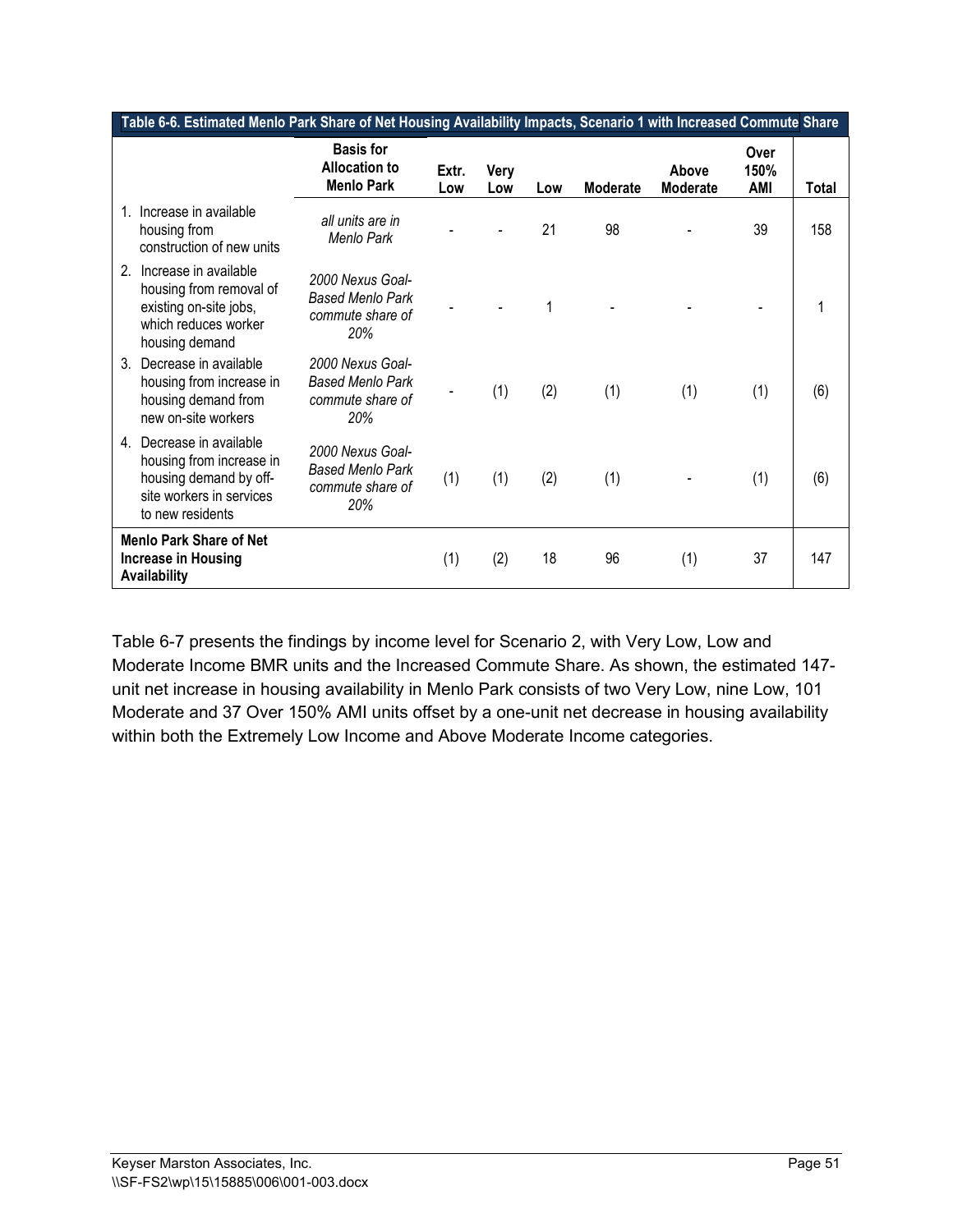| Table 6-6. Estimated Menlo Park Share of Net Housing Availability Impacts, Scenario 1 with Increased Commute Share                         |                                                                        |              |             |     |                 |                   |                     |       |
|--------------------------------------------------------------------------------------------------------------------------------------------|------------------------------------------------------------------------|--------------|-------------|-----|-----------------|-------------------|---------------------|-------|
|                                                                                                                                            | <b>Basis for</b><br><b>Allocation to</b><br><b>Menlo Park</b>          | Extr.<br>Low | Very<br>Low | Low | <b>Moderate</b> | Above<br>Moderate | Over<br>150%<br>AMI | Total |
| Increase in available<br>1.<br>housing from<br>construction of new units                                                                   | all units are in<br>Menlo Park                                         |              |             | 21  | 98              |                   | 39                  | 158   |
| Increase in available<br>2 <sub>1</sub><br>housing from removal of<br>existing on-site jobs,<br>which reduces worker<br>housing demand     | 2000 Nexus Goal-<br><b>Based Menlo Park</b><br>commute share of<br>20% |              |             | 1   |                 |                   |                     | 1     |
| Decrease in available<br>3.<br>housing from increase in<br>housing demand from<br>new on-site workers                                      | 2000 Nexus Goal-<br><b>Based Menlo Park</b><br>commute share of<br>20% |              | (1)         | (2) | (1)             | (1)               | (1)                 | (6)   |
| Decrease in available<br>$4_{\cdot}$<br>housing from increase in<br>housing demand by off-<br>site workers in services<br>to new residents | 2000 Nexus Goal-<br><b>Based Menlo Park</b><br>commute share of<br>20% | (1)          | (1)         | (2) | (1)             |                   | (1)                 | (6)   |
| <b>Menlo Park Share of Net</b><br>Increase in Housing<br>Availability                                                                      |                                                                        | (1)          | (2)         | 18  | 96              | (1)               | 37                  | 147   |

Table 6-7 presents the findings by income level for Scenario 2, with Very Low, Low and Moderate Income BMR units and the Increased Commute Share. As shown, the estimated 147 unit net increase in housing availability in Menlo Park consists of two Very Low, nine Low, 101 Moderate and 37 Over 150% AMI units offset by a one-unit net decrease in housing availability within both the Extremely Low Income and Above Moderate Income categories.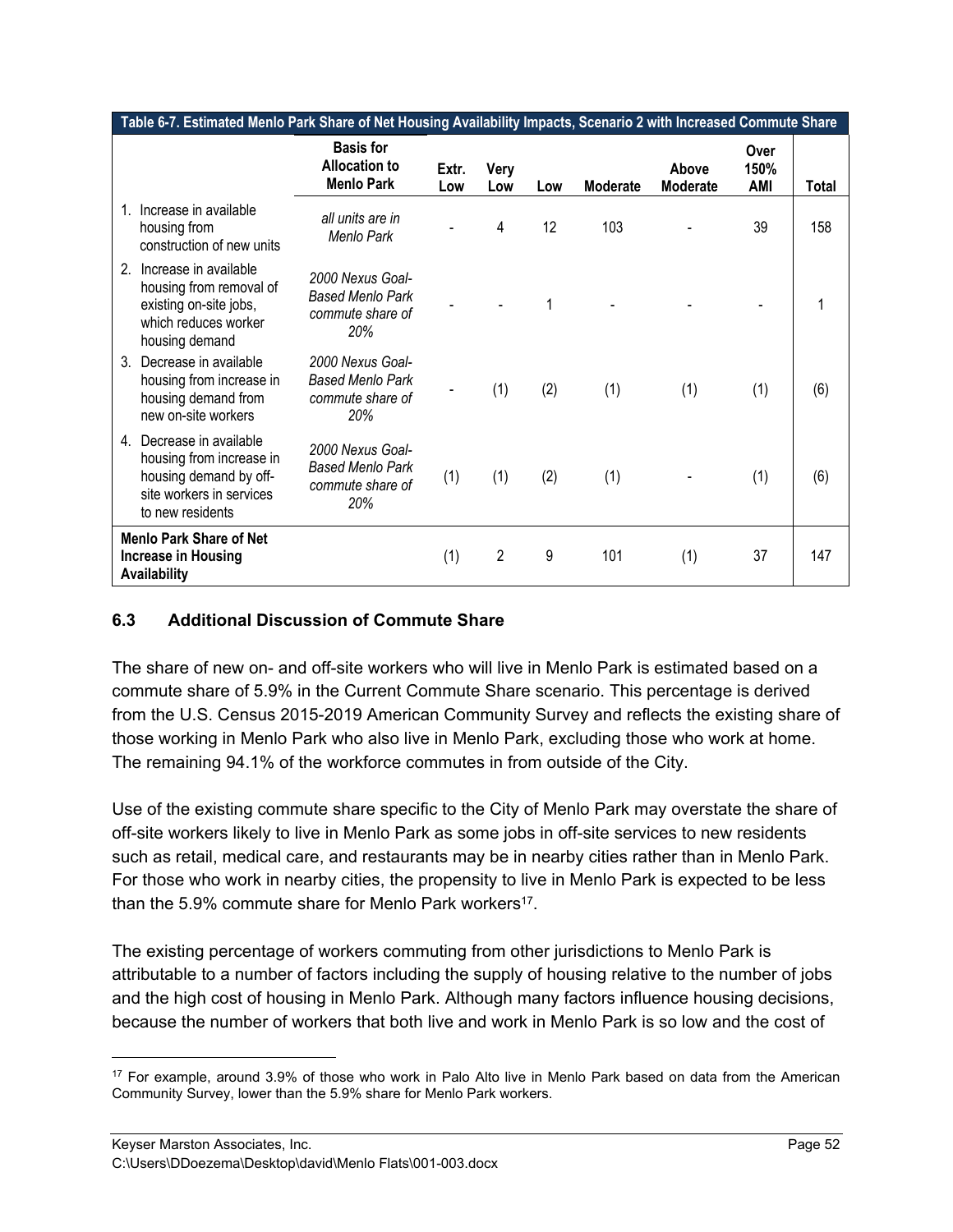| Table 6-7. Estimated Menlo Park Share of Net Housing Availability Impacts, Scenario 2 with Increased Commute Share                |                                                                        |              |                |     |                 |                   |                     |       |
|-----------------------------------------------------------------------------------------------------------------------------------|------------------------------------------------------------------------|--------------|----------------|-----|-----------------|-------------------|---------------------|-------|
|                                                                                                                                   | <b>Basis for</b><br><b>Allocation to</b><br><b>Menlo Park</b>          | Extr.<br>Low | Very<br>Low    | Low | <b>Moderate</b> | Above<br>Moderate | Over<br>150%<br>AMI | Total |
| Increase in available<br>1.<br>housing from<br>construction of new units                                                          | all units are in<br>Menlo Park                                         |              | 4              | 12  | 103             |                   | 39                  | 158   |
| Increase in available<br>2.<br>housing from removal of<br>existing on-site jobs,<br>which reduces worker<br>housing demand        | 2000 Nexus Goal-<br><b>Based Menlo Park</b><br>commute share of<br>20% |              |                | 1   |                 |                   |                     | 1     |
| Decrease in available<br>3.<br>housing from increase in<br>housing demand from<br>new on-site workers                             | 2000 Nexus Goal-<br><b>Based Menlo Park</b><br>commute share of<br>20% |              | (1)            | (2) | (1)             | (1)               | (1)                 | (6)   |
| Decrease in available<br>4.<br>housing from increase in<br>housing demand by off-<br>site workers in services<br>to new residents | 2000 Nexus Goal-<br><b>Based Menlo Park</b><br>commute share of<br>20% | (1)          | (1)            | (2) | (1)             |                   | (1)                 | (6)   |
| <b>Menlo Park Share of Net</b><br><b>Increase in Housing</b><br>Availability                                                      |                                                                        | (1)          | $\overline{2}$ | 9   | 101             | (1)               | 37                  | 147   |

## **6.3 Additional Discussion of Commute Share**

The share of new on- and off-site workers who will live in Menlo Park is estimated based on a commute share of 5.9% in the Current Commute Share scenario. This percentage is derived from the U.S. Census 2015-2019 American Community Survey and reflects the existing share of those working in Menlo Park who also live in Menlo Park, excluding those who work at home. The remaining 94.1% of the workforce commutes in from outside of the City.

Use of the existing commute share specific to the City of Menlo Park may overstate the share of off-site workers likely to live in Menlo Park as some jobs in off-site services to new residents such as retail, medical care, and restaurants may be in nearby cities rather than in Menlo Park. For those who work in nearby cities, the propensity to live in Menlo Park is expected to be less than the 5.9% commute share for Menlo Park workers<sup>17</sup>.

The existing percentage of workers commuting from other jurisdictions to Menlo Park is attributable to a number of factors including the supply of housing relative to the number of jobs and the high cost of housing in Menlo Park. Although many factors influence housing decisions, because the number of workers that both live and work in Menlo Park is so low and the cost of

<span id="page-56-0"></span><sup>17</sup> For example, around 3.9% of those who work in Palo Alto live in Menlo Park based on data from the American Community Survey, lower than the 5.9% share for Menlo Park workers.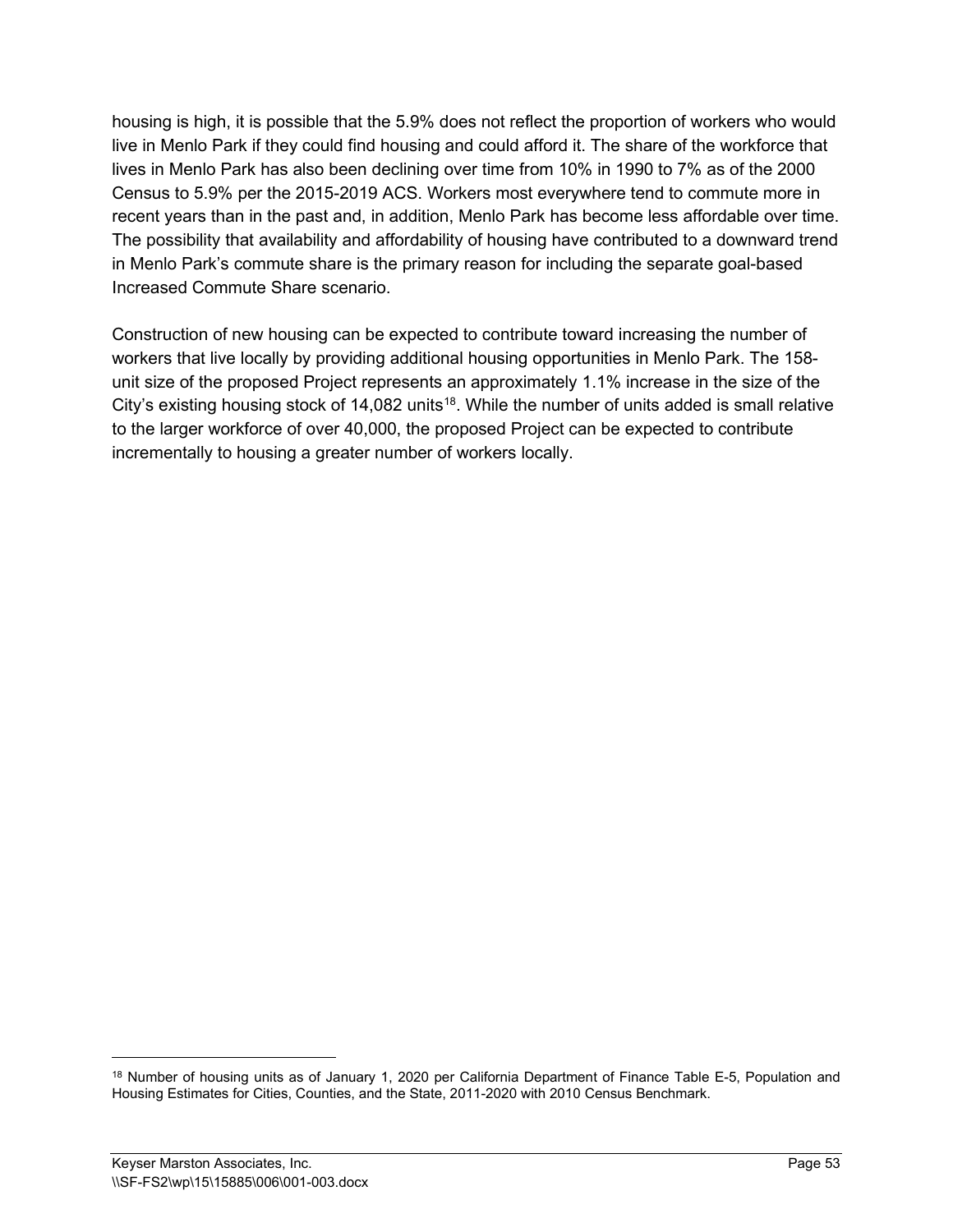housing is high, it is possible that the 5.9% does not reflect the proportion of workers who would live in Menlo Park if they could find housing and could afford it. The share of the workforce that lives in Menlo Park has also been declining over time from 10% in 1990 to 7% as of the 2000 Census to 5.9% per the 2015-2019 ACS. Workers most everywhere tend to commute more in recent years than in the past and, in addition, Menlo Park has become less affordable over time. The possibility that availability and affordability of housing have contributed to a downward trend in Menlo Park's commute share is the primary reason for including the separate goal-based Increased Commute Share scenario.

Construction of new housing can be expected to contribute toward increasing the number of workers that live locally by providing additional housing opportunities in Menlo Park. The 158 unit size of the proposed Project represents an approximately 1.1% increase in the size of the City's existing housing stock of 14,082 units<sup>[18](#page-57-0)</sup>. While the number of units added is small relative to the larger workforce of over 40,000, the proposed Project can be expected to contribute incrementally to housing a greater number of workers locally.

<span id="page-57-0"></span><sup>18</sup> Number of housing units as of January 1, 2020 per California Department of Finance Table E-5, Population and Housing Estimates for Cities, Counties, and the State, 2011-2020 with 2010 Census Benchmark.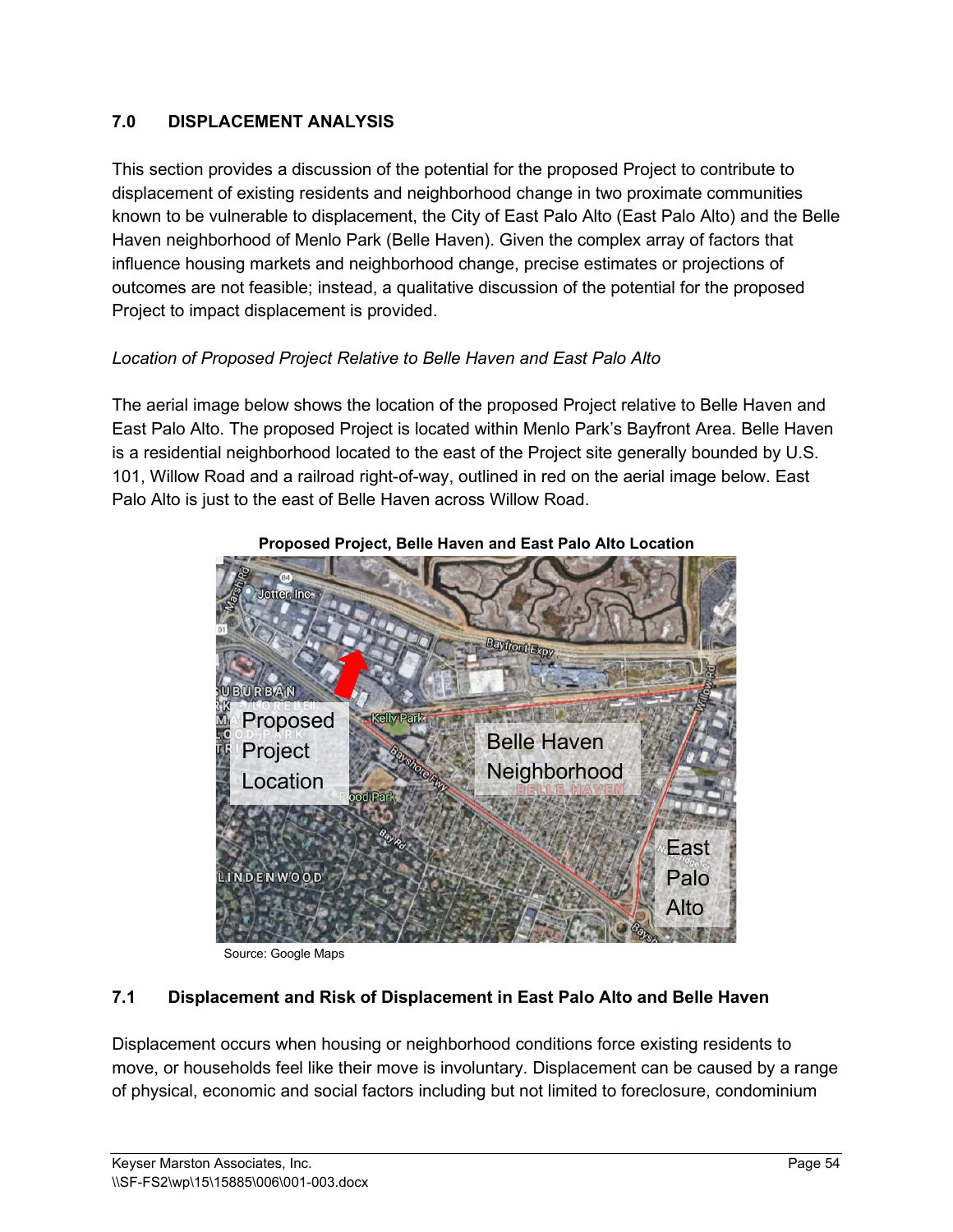## **7.0 DISPLACEMENT ANALYSIS**

This section provides a discussion of the potential for the proposed Project to contribute to displacement of existing residents and neighborhood change in two proximate communities known to be vulnerable to displacement, the City of East Palo Alto (East Palo Alto) and the Belle Haven neighborhood of Menlo Park (Belle Haven). Given the complex array of factors that influence housing markets and neighborhood change, precise estimates or projections of outcomes are not feasible; instead, a qualitative discussion of the potential for the proposed Project to impact displacement is provided.

## *Location of Proposed Project Relative to Belle Haven and East Palo Alto*

The aerial image below shows the location of the proposed Project relative to Belle Haven and East Palo Alto. The proposed Project is located within Menlo Park's Bayfront Area. Belle Haven is a residential neighborhood located to the east of the Project site generally bounded by U.S. 101, Willow Road and a railroad right-of-way, outlined in red on the aerial image below. East Palo Alto is just to the east of Belle Haven across Willow Road.



#### **Proposed Project, Belle Haven and East Palo Alto Location**

Source: Google Maps

### **7.1 Displacement and Risk of Displacement in East Palo Alto and Belle Haven**

Displacement occurs when housing or neighborhood conditions force existing residents to move, or households feel like their move is involuntary. Displacement can be caused by a range of physical, economic and social factors including but not limited to foreclosure, condominium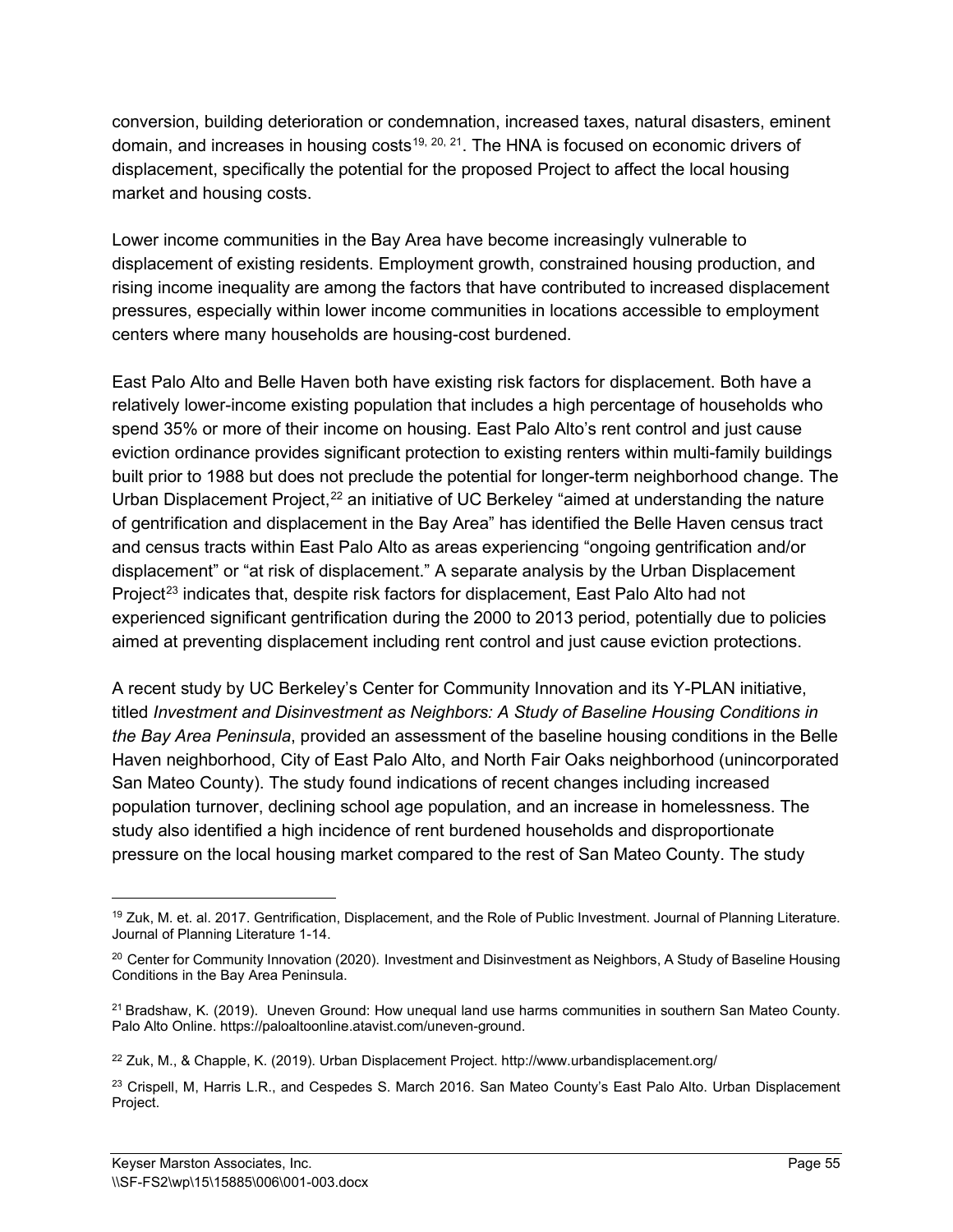conversion, building deterioration or condemnation, increased taxes, natural disasters, eminent domain, and increases in housing costs<sup>[19,](#page-59-0) [20,](#page-59-1) [21](#page-59-2)</sup>. The HNA is focused on economic drivers of displacement, specifically the potential for the proposed Project to affect the local housing market and housing costs.

Lower income communities in the Bay Area have become increasingly vulnerable to displacement of existing residents. Employment growth, constrained housing production, and rising income inequality are among the factors that have contributed to increased displacement pressures, especially within lower income communities in locations accessible to employment centers where many households are housing-cost burdened.

East Palo Alto and Belle Haven both have existing risk factors for displacement. Both have a relatively lower-income existing population that includes a high percentage of households who spend 35% or more of their income on housing. East Palo Alto's rent control and just cause eviction ordinance provides significant protection to existing renters within multi-family buildings built prior to 1988 but does not preclude the potential for longer-term neighborhood change. The Urban Displacement Project,<sup>[22](#page-59-3)</sup> an initiative of UC Berkeley "aimed at understanding the nature of gentrification and displacement in the Bay Area" has identified the Belle Haven census tract and census tracts within East Palo Alto as areas experiencing "ongoing gentrification and/or displacement" or "at risk of displacement." A separate analysis by the Urban Displacement Project<sup>[23](#page-59-4)</sup> indicates that, despite risk factors for displacement, East Palo Alto had not experienced significant gentrification during the 2000 to 2013 period, potentially due to policies aimed at preventing displacement including rent control and just cause eviction protections.

A recent study by UC Berkeley's Center for Community Innovation and its Y-PLAN initiative, titled *Investment and Disinvestment as Neighbors: A Study of Baseline Housing Conditions in the Bay Area Peninsula*, provided an assessment of the baseline housing conditions in the Belle Haven neighborhood, City of East Palo Alto, and North Fair Oaks neighborhood (unincorporated San Mateo County). The study found indications of recent changes including increased population turnover, declining school age population, and an increase in homelessness. The study also identified a high incidence of rent burdened households and disproportionate pressure on the local housing market compared to the rest of San Mateo County. The study

<span id="page-59-0"></span><sup>&</sup>lt;sup>19</sup> Zuk, M. et. al. 2017. Gentrification, Displacement, and the Role of Public Investment. Journal of Planning Literature. Journal of Planning Literature 1-14.

<span id="page-59-1"></span><sup>&</sup>lt;sup>20</sup> Center for Community Innovation (2020). Investment and Disinvestment as Neighbors, A Study of Baseline Housing Conditions in the Bay Area Peninsula.

<span id="page-59-2"></span><sup>&</sup>lt;sup>21</sup> Bradshaw, K. (2019). Uneven Ground: How unequal land use harms communities in southern San Mateo County. Palo Alto Online. https://paloaltoonline.atavist.com/uneven-ground.

<span id="page-59-3"></span><sup>22</sup> Zuk, M., & Chapple, K. (2019). Urban Displacement Project. http://www.urbandisplacement.org/

<span id="page-59-4"></span><sup>&</sup>lt;sup>23</sup> Crispell, M, Harris L.R., and Cespedes S. March 2016. San Mateo County's East Palo Alto. Urban Displacement Project.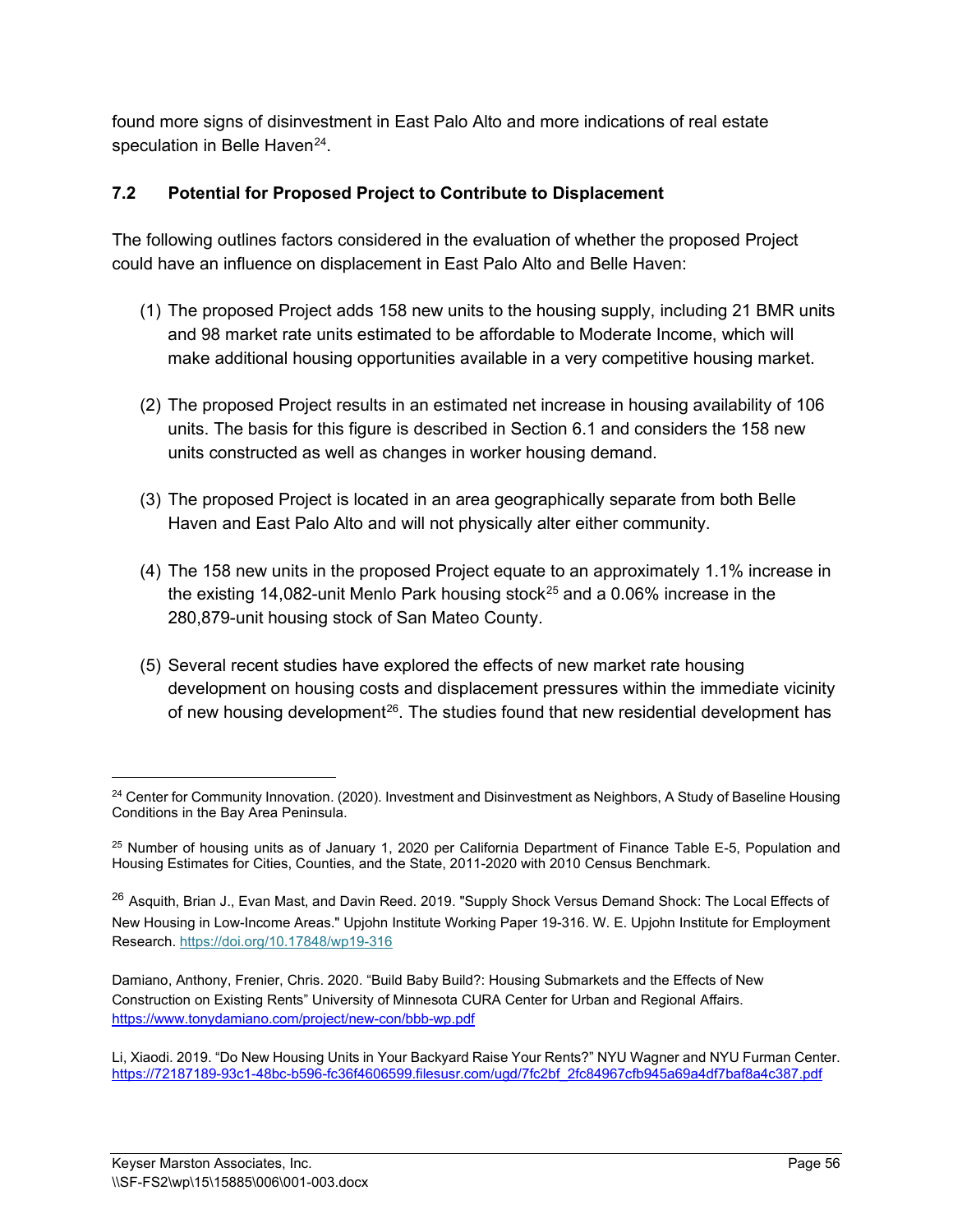found more signs of disinvestment in East Palo Alto and more indications of real estate speculation in Belle Haven<sup>24</sup>.

## **7.2 Potential for Proposed Project to Contribute to Displacement**

The following outlines factors considered in the evaluation of whether the proposed Project could have an influence on displacement in East Palo Alto and Belle Haven:

- (1) The proposed Project adds 158 new units to the housing supply, including 21 BMR units and 98 market rate units estimated to be affordable to Moderate Income, which will make additional housing opportunities available in a very competitive housing market.
- (2) The proposed Project results in an estimated net increase in housing availability of 106 units. The basis for this figure is described in Section 6.1 and considers the 158 new units constructed as well as changes in worker housing demand.
- (3) The proposed Project is located in an area geographically separate from both Belle Haven and East Palo Alto and will not physically alter either community.
- (4) The 158 new units in the proposed Project equate to an approximately 1.1% increase in the existing 14,082-unit Menlo Park housing stock<sup>[25](#page-60-1)</sup> and a 0.06% increase in the 280,879-unit housing stock of San Mateo County.
- (5) Several recent studies have explored the effects of new market rate housing development on housing costs and displacement pressures within the immediate vicinity of new housing development $26$ . The studies found that new residential development has

Damiano, Anthony, Frenier, Chris. 2020. "Build Baby Build?: Housing Submarkets and the Effects of New Construction on Existing Rents" University of Minnesota CURA Center for Urban and Regional Affairs. <https://www.tonydamiano.com/project/new-con/bbb-wp.pdf>

<span id="page-60-0"></span><sup>&</sup>lt;sup>24</sup> Center for Community Innovation. (2020). Investment and Disinvestment as Neighbors, A Study of Baseline Housing Conditions in the Bay Area Peninsula.

<span id="page-60-1"></span><sup>&</sup>lt;sup>25</sup> Number of housing units as of January 1, 2020 per California Department of Finance Table E-5, Population and Housing Estimates for Cities, Counties, and the State, 2011-2020 with 2010 Census Benchmark.

<span id="page-60-2"></span><sup>&</sup>lt;sup>26</sup> Asquith, Brian J., Evan Mast, and Davin Reed. 2019. "Supply Shock Versus Demand Shock: The Local Effects of New Housing in Low-Income Areas." Upjohn Institute Working Paper 19-316. W. E. Upjohn Institute for Employment Research. <https://doi.org/10.17848/wp19-316>

Li, Xiaodi. 2019. "Do New Housing Units in Your Backyard Raise Your Rents?" NYU Wagner and NYU Furman Center. [https://72187189-93c1-48bc-b596-fc36f4606599.filesusr.com/ugd/7fc2bf\\_2fc84967cfb945a69a4df7baf8a4c387.pdf](https://72187189-93c1-48bc-b596-fc36f4606599.filesusr.com/ugd/7fc2bf_2fc84967cfb945a69a4df7baf8a4c387.pdf)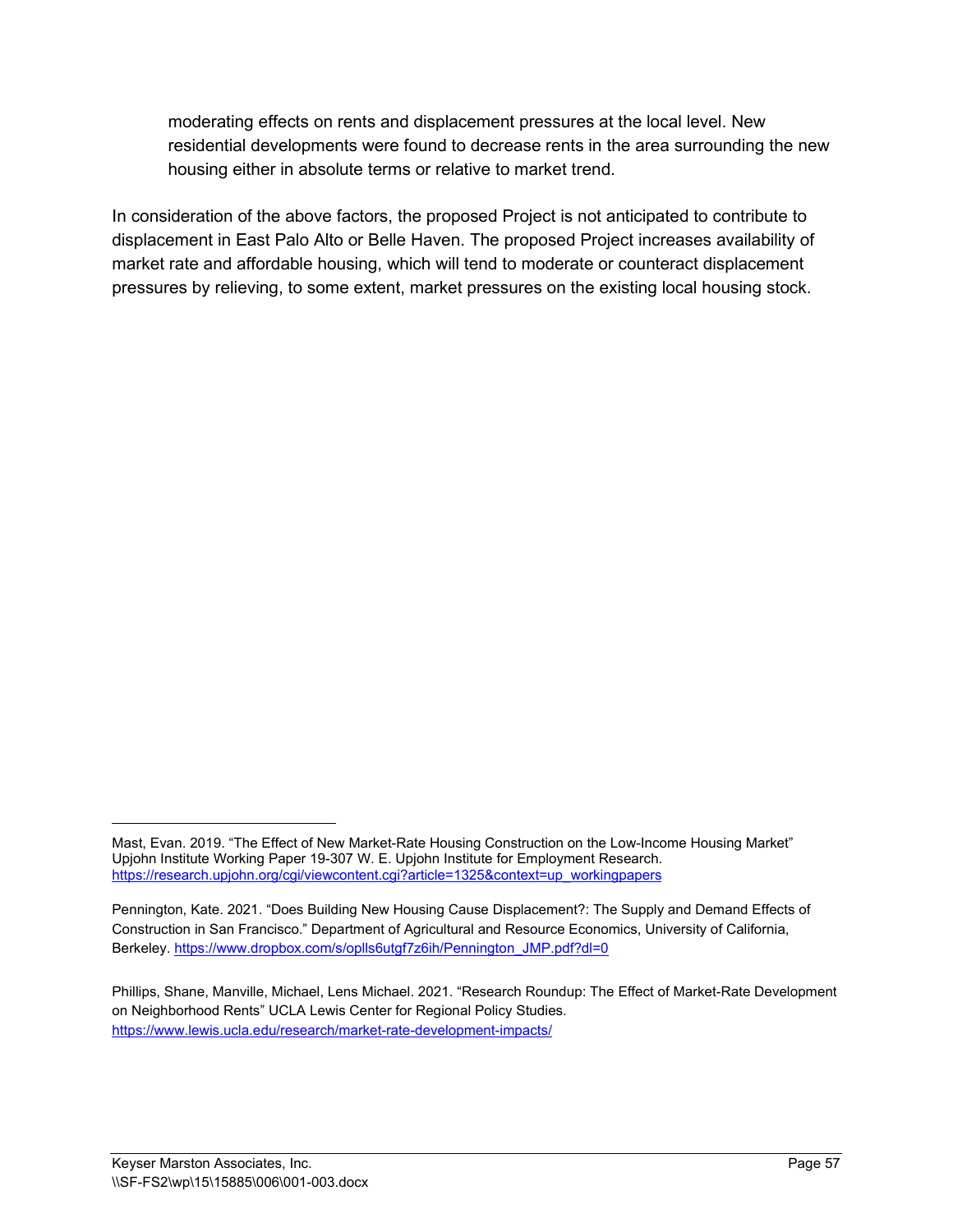moderating effects on rents and displacement pressures at the local level. New residential developments were found to decrease rents in the area surrounding the new housing either in absolute terms or relative to market trend.

In consideration of the above factors, the proposed Project is not anticipated to contribute to displacement in East Palo Alto or Belle Haven. The proposed Project increases availability of market rate and affordable housing, which will tend to moderate or counteract displacement pressures by relieving, to some extent, market pressures on the existing local housing stock.

Phillips, Shane, Manville, Michael, Lens Michael. 2021. "Research Roundup: The Effect of Market-Rate Development on Neighborhood Rents" UCLA Lewis Center for Regional Policy Studies. <https://www.lewis.ucla.edu/research/market-rate-development-impacts/>

Mast, Evan. 2019. "The Effect of New Market-Rate Housing Construction on the Low-Income Housing Market" Upjohn Institute Working Paper 19-307 W. E. Upjohn Institute for Employment Research. [https://research.upjohn.org/cgi/viewcontent.cgi?article=1325&context=up\\_workingpapers](https://research.upjohn.org/cgi/viewcontent.cgi?article=1325&context=up_workingpapers)

Pennington, Kate. 2021. "Does Building New Housing Cause Displacement?: The Supply and Demand Effects of Construction in San Francisco." Department of Agricultural and Resource Economics, University of California, Berkeley. [https://www.dropbox.com/s/oplls6utgf7z6ih/Pennington\\_JMP.pdf?dl=0](https://www.dropbox.com/s/oplls6utgf7z6ih/Pennington_JMP.pdf?dl=0)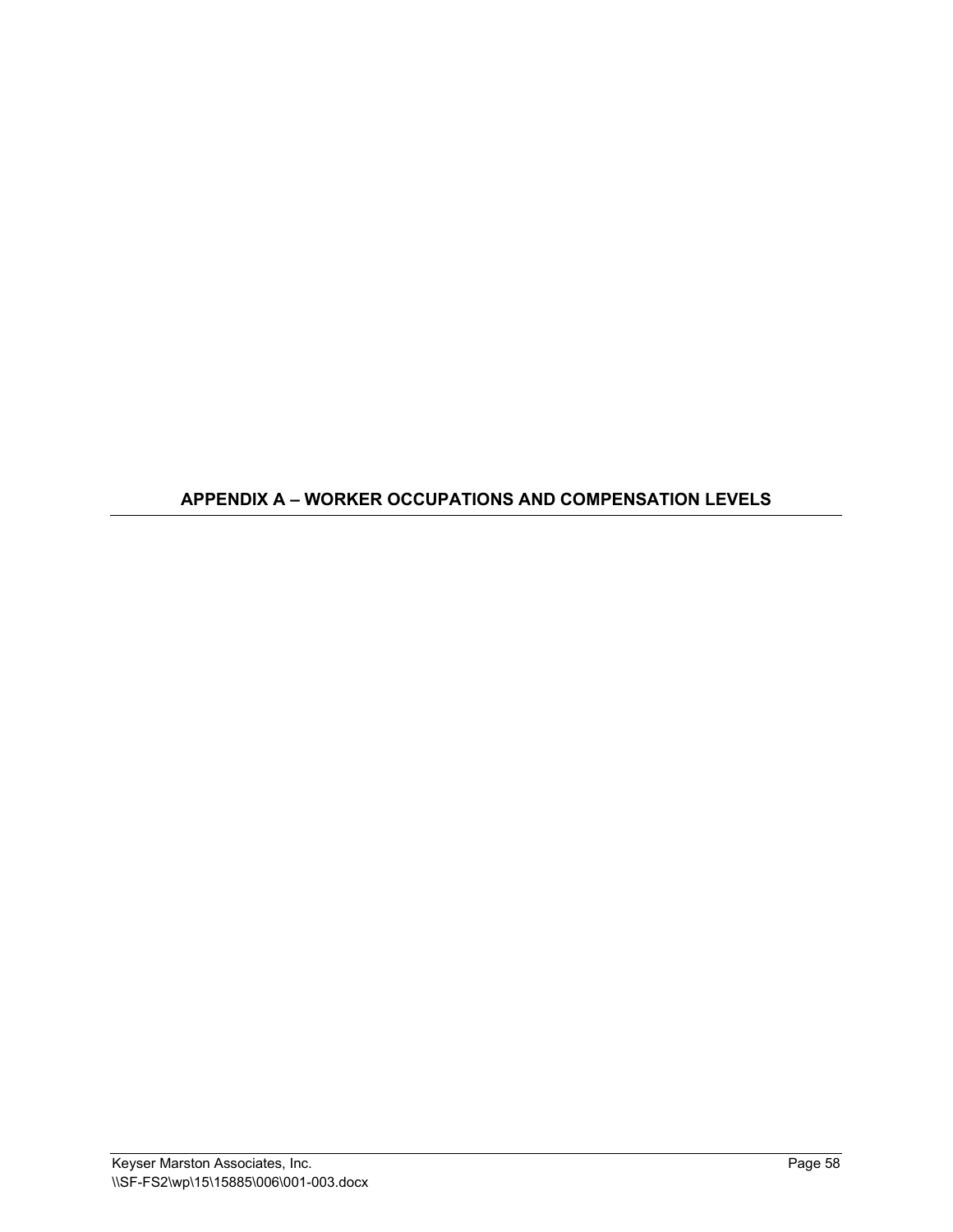# **APPENDIX A – WORKER OCCUPATIONS AND COMPENSATION LEVELS**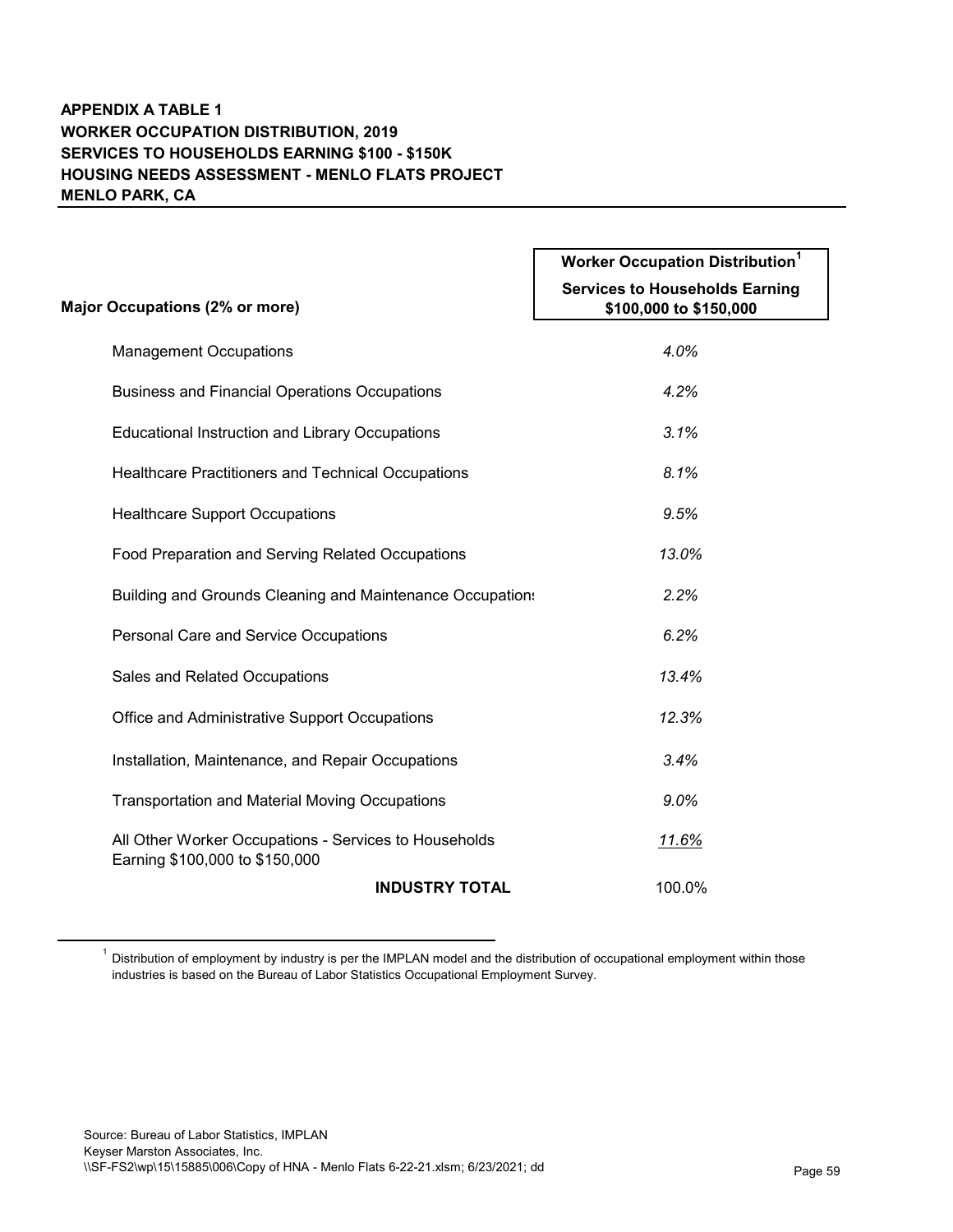#### **APPENDIX A TABLE 1 WORKER OCCUPATION DISTRIBUTION, 2019 SERVICES TO HOUSEHOLDS EARNING \$100 - \$150K HOUSING NEEDS ASSESSMENT - MENLO FLATS PROJECT MENLO PARK, CA**

|                                                                                         | <b>Worker Occupation Distribution</b> <sup>1</sup>              |
|-----------------------------------------------------------------------------------------|-----------------------------------------------------------------|
| <b>Major Occupations (2% or more)</b>                                                   | <b>Services to Households Earning</b><br>\$100,000 to \$150,000 |
| <b>Management Occupations</b>                                                           | 4.0%                                                            |
| <b>Business and Financial Operations Occupations</b>                                    | 4.2%                                                            |
| <b>Educational Instruction and Library Occupations</b>                                  | 3.1%                                                            |
| Healthcare Practitioners and Technical Occupations                                      | 8.1%                                                            |
| <b>Healthcare Support Occupations</b>                                                   | 9.5%                                                            |
| Food Preparation and Serving Related Occupations                                        | 13.0%                                                           |
| <b>Building and Grounds Cleaning and Maintenance Occupation:</b>                        | 2.2%                                                            |
| Personal Care and Service Occupations                                                   | 6.2%                                                            |
| Sales and Related Occupations                                                           | 13.4%                                                           |
| Office and Administrative Support Occupations                                           | 12.3%                                                           |
| Installation, Maintenance, and Repair Occupations                                       | 3.4%                                                            |
| <b>Transportation and Material Moving Occupations</b>                                   | 9.0%                                                            |
| All Other Worker Occupations - Services to Households<br>Earning \$100,000 to \$150,000 | 11.6%                                                           |
| <b>INDUSTRY TOTAL</b>                                                                   | 100.0%                                                          |

Distribution of employment by industry is per the IMPLAN model and the distribution of occupational employment within those industries is based on the Bureau of Labor Statistics Occupational Employment Survey.

1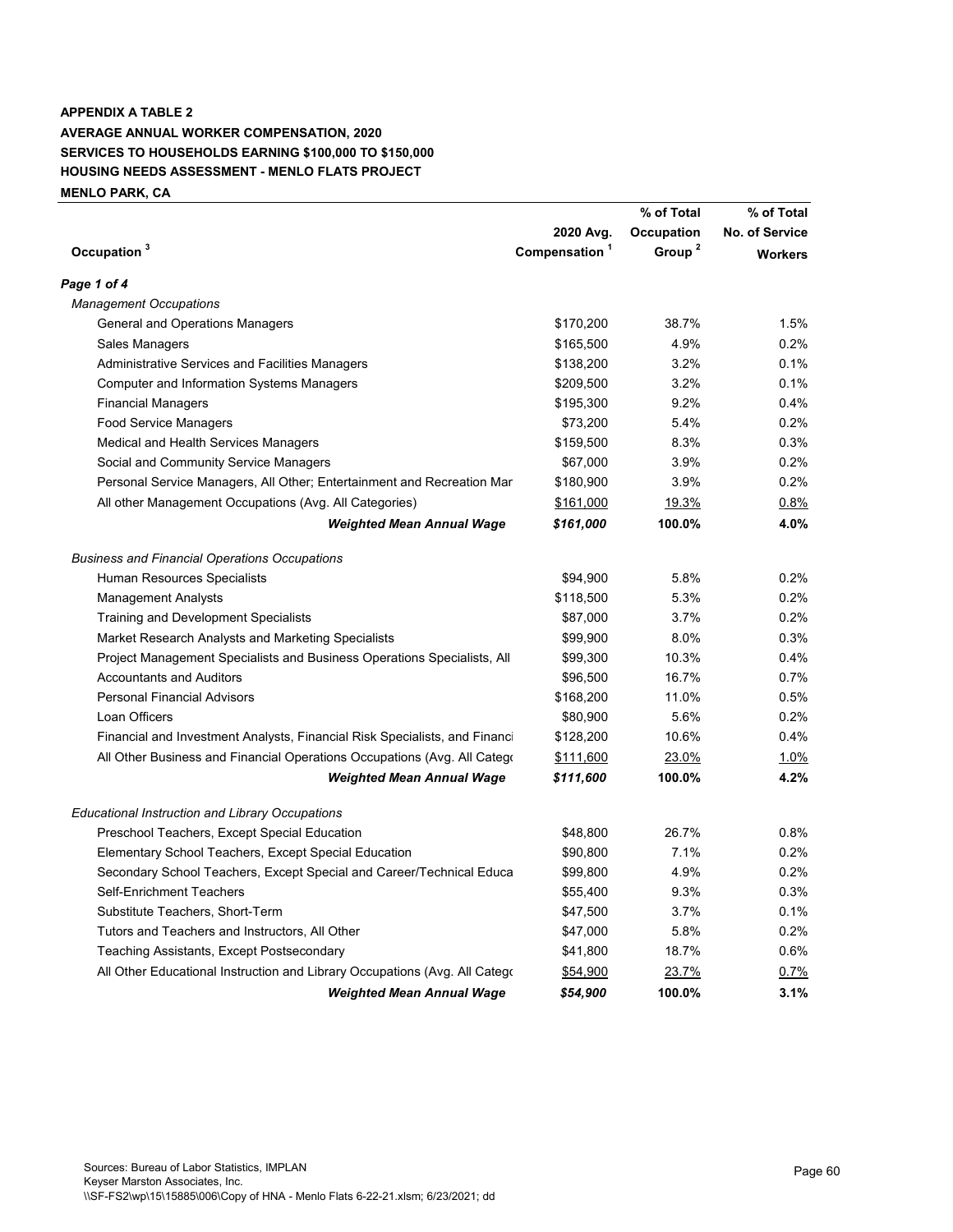|                                                                            |                           | % of Total         | % of Total     |
|----------------------------------------------------------------------------|---------------------------|--------------------|----------------|
|                                                                            | 2020 Avg.                 | <b>Occupation</b>  | No. of Service |
| Occupation <sup>3</sup>                                                    | Compensation <sup>1</sup> | Group <sup>2</sup> | <b>Workers</b> |
| Page 1 of 4                                                                |                           |                    |                |
| <b>Management Occupations</b>                                              |                           |                    |                |
| General and Operations Managers                                            | \$170,200                 | 38.7%              | 1.5%           |
| Sales Managers                                                             | \$165,500                 | 4.9%               | 0.2%           |
| Administrative Services and Facilities Managers                            | \$138,200                 | 3.2%               | 0.1%           |
| <b>Computer and Information Systems Managers</b>                           | \$209,500                 | 3.2%               | 0.1%           |
| <b>Financial Managers</b>                                                  | \$195,300                 | 9.2%               | 0.4%           |
| Food Service Managers                                                      | \$73,200                  | 5.4%               | 0.2%           |
| Medical and Health Services Managers                                       | \$159,500                 | 8.3%               | 0.3%           |
| Social and Community Service Managers                                      | \$67,000                  | 3.9%               | 0.2%           |
| Personal Service Managers, All Other; Entertainment and Recreation Mar     | \$180,900                 | 3.9%               | 0.2%           |
| All other Management Occupations (Avg. All Categories)                     | \$161,000                 | 19.3%              | 0.8%           |
| <b>Weighted Mean Annual Wage</b>                                           | \$161,000                 | 100.0%             | 4.0%           |
| <b>Business and Financial Operations Occupations</b>                       |                           |                    |                |
| Human Resources Specialists                                                | \$94,900                  | 5.8%               | 0.2%           |
| <b>Management Analysts</b>                                                 | \$118,500                 | 5.3%               | 0.2%           |
| <b>Training and Development Specialists</b>                                | \$87,000                  | 3.7%               | 0.2%           |
| Market Research Analysts and Marketing Specialists                         | \$99,900                  | 8.0%               | 0.3%           |
| Project Management Specialists and Business Operations Specialists, All    | \$99,300                  | 10.3%              | 0.4%           |
| <b>Accountants and Auditors</b>                                            | \$96,500                  | 16.7%              | 0.7%           |
| <b>Personal Financial Advisors</b>                                         | \$168,200                 | 11.0%              | 0.5%           |
| Loan Officers                                                              | \$80,900                  | 5.6%               | 0.2%           |
| Financial and Investment Analysts, Financial Risk Specialists, and Financi | \$128,200                 | 10.6%              | 0.4%           |
| All Other Business and Financial Operations Occupations (Avg. All Catego   | \$111,600                 | 23.0%              | <u>1.0%</u>    |
| <b>Weighted Mean Annual Wage</b>                                           | \$111,600                 | 100.0%             | 4.2%           |
| Educational Instruction and Library Occupations                            |                           |                    |                |
| Preschool Teachers, Except Special Education                               | \$48,800                  | 26.7%              | 0.8%           |
| Elementary School Teachers, Except Special Education                       | \$90,800                  | 7.1%               | 0.2%           |
| Secondary School Teachers, Except Special and Career/Technical Educa       | \$99,800                  | 4.9%               | 0.2%           |
| Self-Enrichment Teachers                                                   | \$55,400                  | 9.3%               | 0.3%           |
| Substitute Teachers, Short-Term                                            | \$47,500                  | 3.7%               | 0.1%           |
| Tutors and Teachers and Instructors, All Other                             | \$47,000                  | 5.8%               | 0.2%           |
| Teaching Assistants, Except Postsecondary                                  | \$41,800                  | 18.7%              | 0.6%           |
| All Other Educational Instruction and Library Occupations (Avg. All Catego | \$54,900                  | <u>23.7%</u>       | 0.7%           |
| Weighted Mean Annual Wage                                                  | \$54,900                  | 100.0%             | 3.1%           |
|                                                                            |                           |                    |                |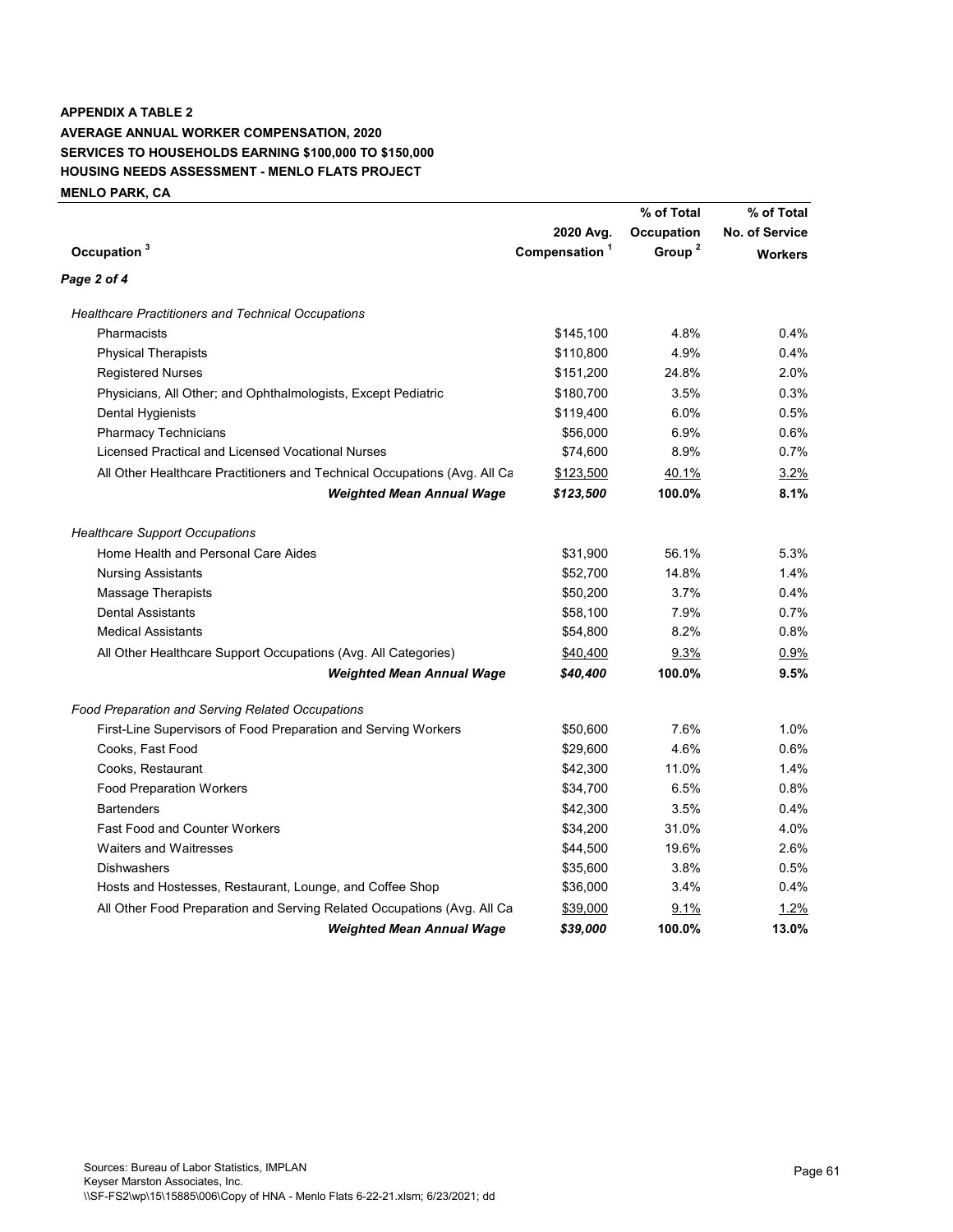|                                                                           |                           | % of Total         | % of Total     |
|---------------------------------------------------------------------------|---------------------------|--------------------|----------------|
|                                                                           | 2020 Avg.                 | Occupation         | No. of Service |
| Occupation <sup>3</sup>                                                   | Compensation <sup>1</sup> | Group <sup>2</sup> | <b>Workers</b> |
| Page 2 of 4                                                               |                           |                    |                |
| <b>Healthcare Practitioners and Technical Occupations</b>                 |                           |                    |                |
| Pharmacists                                                               | \$145,100                 | 4.8%               | 0.4%           |
| <b>Physical Therapists</b>                                                | \$110,800                 | 4.9%               | 0.4%           |
| <b>Registered Nurses</b>                                                  | \$151,200                 | 24.8%              | 2.0%           |
| Physicians, All Other; and Ophthalmologists, Except Pediatric             | \$180,700                 | 3.5%               | 0.3%           |
| Dental Hygienists                                                         | \$119,400                 | 6.0%               | 0.5%           |
| <b>Pharmacy Technicians</b>                                               | \$56,000                  | 6.9%               | 0.6%           |
| Licensed Practical and Licensed Vocational Nurses                         | \$74,600                  | 8.9%               | 0.7%           |
| All Other Healthcare Practitioners and Technical Occupations (Avg. All Ca | \$123,500                 | 40.1%              | 3.2%           |
| <b>Weighted Mean Annual Wage</b>                                          | \$123,500                 | 100.0%             | 8.1%           |
| <b>Healthcare Support Occupations</b>                                     |                           |                    |                |
| Home Health and Personal Care Aides                                       | \$31,900                  | 56.1%              | 5.3%           |
| <b>Nursing Assistants</b>                                                 | \$52,700                  | 14.8%              | 1.4%           |
| <b>Massage Therapists</b>                                                 | \$50,200                  | 3.7%               | 0.4%           |
| <b>Dental Assistants</b>                                                  | \$58,100                  | 7.9%               | 0.7%           |
| <b>Medical Assistants</b>                                                 | \$54,800                  | 8.2%               | 0.8%           |
| All Other Healthcare Support Occupations (Avg. All Categories)            | \$40,400                  | 9.3%               | 0.9%           |
| <b>Weighted Mean Annual Wage</b>                                          | \$40,400                  | 100.0%             | 9.5%           |
| Food Preparation and Serving Related Occupations                          |                           |                    |                |
| First-Line Supervisors of Food Preparation and Serving Workers            | \$50,600                  | 7.6%               | 1.0%           |
| Cooks, Fast Food                                                          | \$29,600                  | 4.6%               | 0.6%           |
| Cooks, Restaurant                                                         | \$42,300                  | 11.0%              | 1.4%           |
| <b>Food Preparation Workers</b>                                           | \$34,700                  | 6.5%               | 0.8%           |
| <b>Bartenders</b>                                                         | \$42,300                  | 3.5%               | 0.4%           |
| <b>Fast Food and Counter Workers</b>                                      | \$34,200                  | 31.0%              | 4.0%           |
| <b>Waiters and Waitresses</b>                                             | \$44,500                  | 19.6%              | 2.6%           |
| <b>Dishwashers</b>                                                        | \$35,600                  | 3.8%               | 0.5%           |
| Hosts and Hostesses, Restaurant, Lounge, and Coffee Shop                  | \$36,000                  | 3.4%               | 0.4%           |
| All Other Food Preparation and Serving Related Occupations (Avg. All Ca   | \$39,000                  | 9.1%               | 1.2%           |
| <b>Weighted Mean Annual Wage</b>                                          | \$39,000                  | 100.0%             | 13.0%          |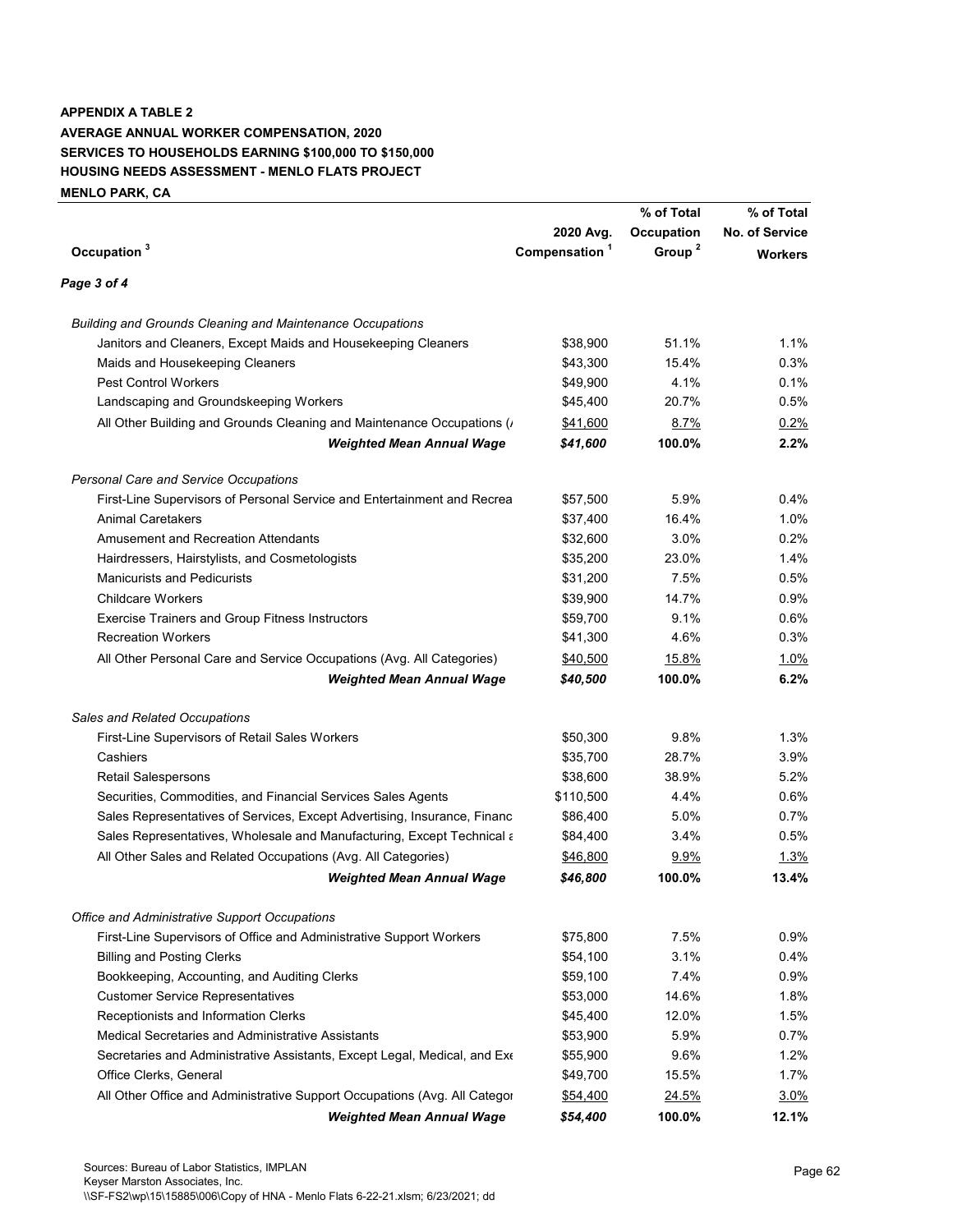|                                                                           |                           | % of Total         | % of Total     |
|---------------------------------------------------------------------------|---------------------------|--------------------|----------------|
|                                                                           | 2020 Avg.                 | Occupation         | No. of Service |
| Occupation <sup>3</sup>                                                   | Compensation <sup>1</sup> | Group <sup>2</sup> | <b>Workers</b> |
| Page 3 of 4                                                               |                           |                    |                |
| <b>Building and Grounds Cleaning and Maintenance Occupations</b>          |                           |                    |                |
| Janitors and Cleaners, Except Maids and Housekeeping Cleaners             | \$38,900                  | 51.1%              | 1.1%           |
| Maids and Housekeeping Cleaners                                           | \$43,300                  | 15.4%              | 0.3%           |
| <b>Pest Control Workers</b>                                               | \$49,900                  | 4.1%               | 0.1%           |
| Landscaping and Groundskeeping Workers                                    | \$45,400                  | 20.7%              | 0.5%           |
| All Other Building and Grounds Cleaning and Maintenance Occupations (     | \$41,600                  | 8.7%               | 0.2%           |
| <b>Weighted Mean Annual Wage</b>                                          | \$41,600                  | 100.0%             | 2.2%           |
| <b>Personal Care and Service Occupations</b>                              |                           |                    |                |
| First-Line Supervisors of Personal Service and Entertainment and Recrea   | \$57,500                  | 5.9%               | $0.4\%$        |
| <b>Animal Caretakers</b>                                                  | \$37,400                  | 16.4%              | 1.0%           |
| Amusement and Recreation Attendants                                       | \$32,600                  | 3.0%               | 0.2%           |
| Hairdressers, Hairstylists, and Cosmetologists                            | \$35,200                  | 23.0%              | 1.4%           |
| <b>Manicurists and Pedicurists</b>                                        | \$31,200                  | 7.5%               | 0.5%           |
| <b>Childcare Workers</b>                                                  | \$39,900                  | 14.7%              | 0.9%           |
| <b>Exercise Trainers and Group Fitness Instructors</b>                    | \$59,700                  | 9.1%               | 0.6%           |
| <b>Recreation Workers</b>                                                 | \$41,300                  | 4.6%               | $0.3\%$        |
| All Other Personal Care and Service Occupations (Avg. All Categories)     | \$40,500                  | 15.8%              | 1.0%           |
| <b>Weighted Mean Annual Wage</b>                                          | \$40,500                  | 100.0%             | 6.2%           |
| Sales and Related Occupations                                             |                           |                    |                |
| First-Line Supervisors of Retail Sales Workers                            | \$50,300                  | 9.8%               | 1.3%           |
| Cashiers                                                                  | \$35,700                  | 28.7%              | 3.9%           |
| Retail Salespersons                                                       | \$38,600                  | 38.9%              | 5.2%           |
| Securities, Commodities, and Financial Services Sales Agents              | \$110,500                 | 4.4%               | 0.6%           |
| Sales Representatives of Services, Except Advertising, Insurance, Financ  | \$86,400                  | 5.0%               | 0.7%           |
| Sales Representatives, Wholesale and Manufacturing, Except Technical a    | \$84,400                  | 3.4%               | $0.5\%$        |
| All Other Sales and Related Occupations (Avg. All Categories)             | \$46,800                  | 9.9%               | 1.3%           |
| <b>Weighted Mean Annual Wage</b>                                          | \$46,800                  | 100.0%             | 13.4%          |
| <b>Office and Administrative Support Occupations</b>                      |                           |                    |                |
| First-Line Supervisors of Office and Administrative Support Workers       | \$75,800                  | 7.5%               | 0.9%           |
| <b>Billing and Posting Clerks</b>                                         | \$54,100                  | 3.1%               | 0.4%           |
| Bookkeeping, Accounting, and Auditing Clerks                              | \$59,100                  | 7.4%               | 0.9%           |
| <b>Customer Service Representatives</b>                                   | \$53,000                  | 14.6%              | 1.8%           |
| Receptionists and Information Clerks                                      | \$45,400                  | 12.0%              | 1.5%           |
| Medical Secretaries and Administrative Assistants                         | \$53,900                  | 5.9%               | 0.7%           |
| Secretaries and Administrative Assistants, Except Legal, Medical, and Exe | \$55,900                  | 9.6%               | 1.2%           |
| Office Clerks, General                                                    | \$49,700                  | 15.5%              | 1.7%           |
| All Other Office and Administrative Support Occupations (Avg. All Categor | \$54,400                  | 24.5%              | 3.0%           |
| <b>Weighted Mean Annual Wage</b>                                          | \$54,400                  | 100.0%             | 12.1%          |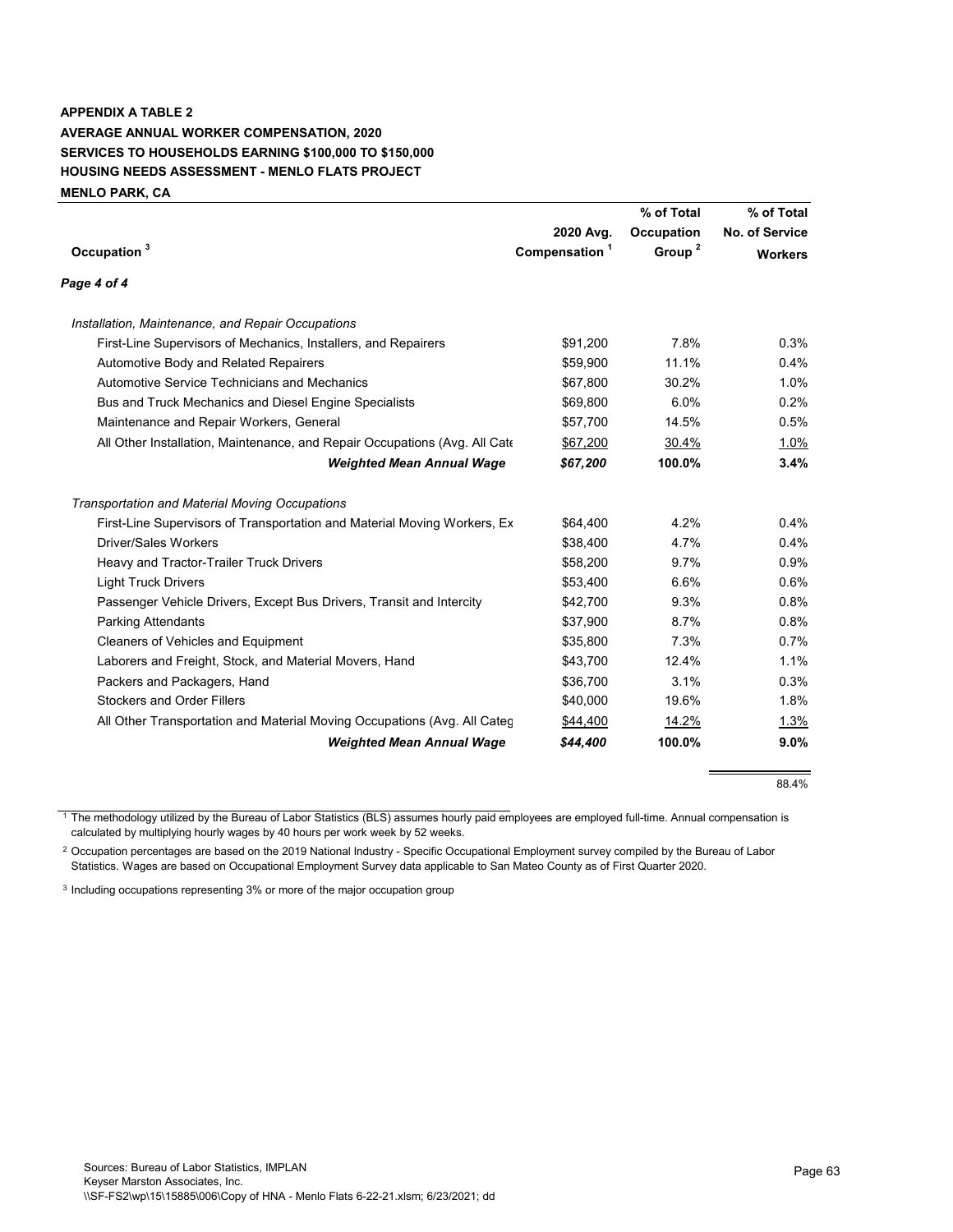|                                                                            |                           | % of Total         | % of Total     |
|----------------------------------------------------------------------------|---------------------------|--------------------|----------------|
|                                                                            | 2020 Avg.                 | Occupation         | No. of Service |
| Occupation <sup>3</sup>                                                    | Compensation <sup>1</sup> | Group <sup>2</sup> | <b>Workers</b> |
| Page 4 of 4                                                                |                           |                    |                |
| Installation, Maintenance, and Repair Occupations                          |                           |                    |                |
| First-Line Supervisors of Mechanics, Installers, and Repairers             | \$91,200                  | 7.8%               | 0.3%           |
| Automotive Body and Related Repairers                                      | \$59,900                  | 11.1%              | 0.4%           |
| Automotive Service Technicians and Mechanics                               | \$67,800                  | 30.2%              | 1.0%           |
| Bus and Truck Mechanics and Diesel Engine Specialists                      | \$69,800                  | 6.0%               | 0.2%           |
| Maintenance and Repair Workers, General                                    | \$57,700                  | 14.5%              | 0.5%           |
| All Other Installation, Maintenance, and Repair Occupations (Avg. All Cate | \$67,200                  | 30.4%              | 1.0%           |
| <b>Weighted Mean Annual Wage</b>                                           | \$67,200                  | 100.0%             | 3.4%           |
| Transportation and Material Moving Occupations                             |                           |                    |                |
| First-Line Supervisors of Transportation and Material Moving Workers, Ex   | \$64,400                  | 4.2%               | 0.4%           |
| <b>Driver/Sales Workers</b>                                                | \$38,400                  | 4.7%               | 0.4%           |
| Heavy and Tractor-Trailer Truck Drivers                                    | \$58,200                  | 9.7%               | 0.9%           |
| <b>Light Truck Drivers</b>                                                 | \$53,400                  | 6.6%               | 0.6%           |
| Passenger Vehicle Drivers, Except Bus Drivers, Transit and Intercity       | \$42,700                  | 9.3%               | 0.8%           |
| <b>Parking Attendants</b>                                                  | \$37,900                  | 8.7%               | 0.8%           |
| <b>Cleaners of Vehicles and Equipment</b>                                  | \$35,800                  | 7.3%               | 0.7%           |
| Laborers and Freight, Stock, and Material Movers, Hand                     | \$43,700                  | 12.4%              | 1.1%           |
| Packers and Packagers, Hand                                                | \$36,700                  | 3.1%               | 0.3%           |
| <b>Stockers and Order Fillers</b>                                          | \$40,000                  | 19.6%              | 1.8%           |
| All Other Transportation and Material Moving Occupations (Avg. All Categ   | \$44,400                  | 14.2%              | 1.3%           |
| <b>Weighted Mean Annual Wage</b>                                           | \$44,400                  | 100.0%             | 9.0%           |

88.4%

1 The methodology utilized by the Bureau of Labor Statistics (BLS) assumes hourly paid employees are employed full-time. Annual compensation is calculated by multiplying hourly wages by 40 hours per work week by 52 weeks.

2 Occupation percentages are based on the 2019 National Industry - Specific Occupational Employment survey compiled by the Bureau of Labor Statistics. Wages are based on Occupational Employment Survey data applicable to San Mateo County as of First Quarter 2020.

 $^3$  Including occupations representing 3% or more of the major occupation group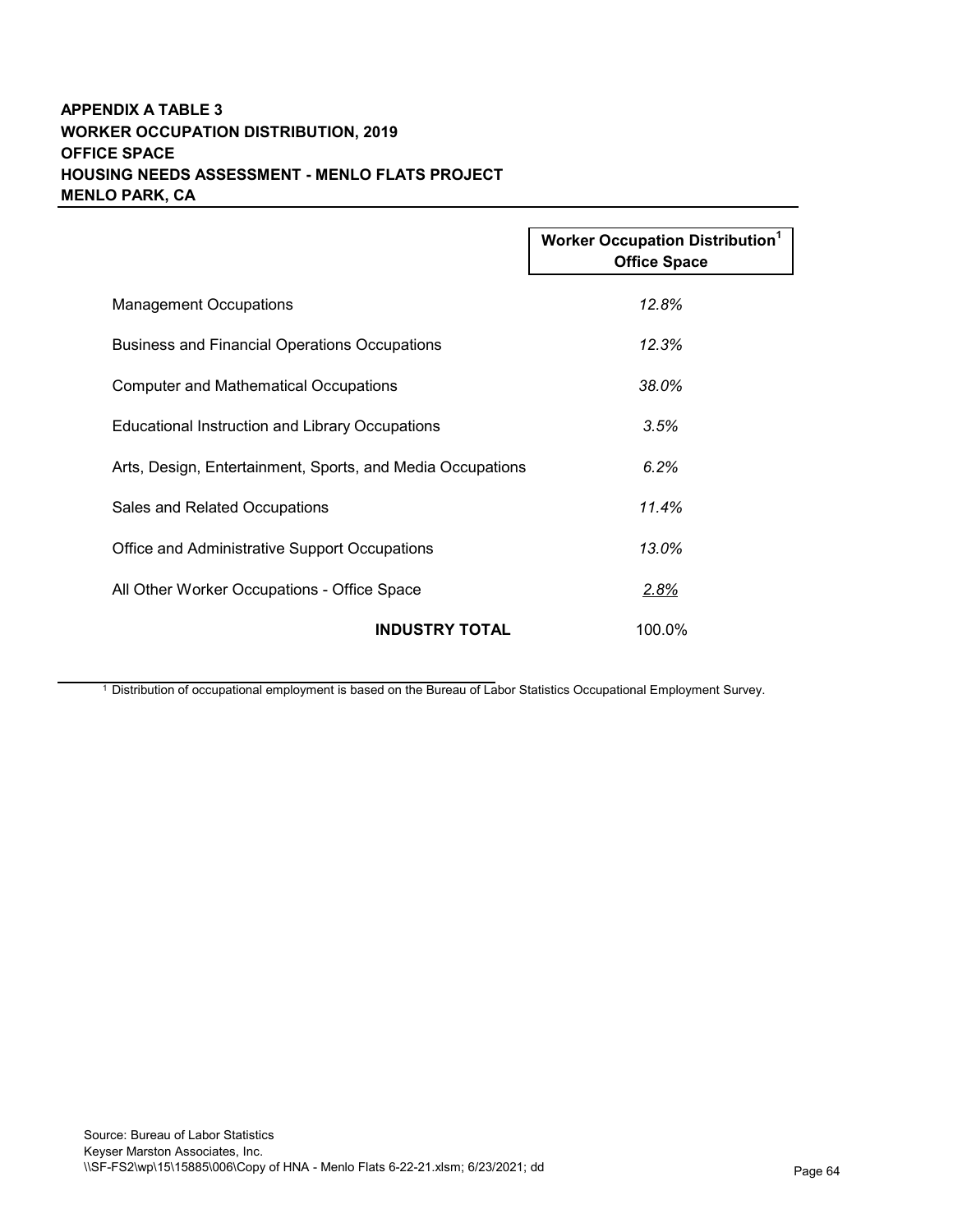#### **APPENDIX A TABLE 3 WORKER OCCUPATION DISTRIBUTION, 2019 OFFICE SPACE HOUSING NEEDS ASSESSMENT - MENLO FLATS PROJECT MENLO PARK, CA**

|                                                            | <b>Worker Occupation Distribution</b> <sup>1</sup><br><b>Office Space</b> |
|------------------------------------------------------------|---------------------------------------------------------------------------|
| <b>Management Occupations</b>                              | 12.8%                                                                     |
| <b>Business and Financial Operations Occupations</b>       | 12.3%                                                                     |
| Computer and Mathematical Occupations                      | 38.0%                                                                     |
| <b>Educational Instruction and Library Occupations</b>     | 3.5%                                                                      |
| Arts, Design, Entertainment, Sports, and Media Occupations | 6.2%                                                                      |
| Sales and Related Occupations                              | 11.4%                                                                     |
| Office and Administrative Support Occupations              | 13.0%                                                                     |
| All Other Worker Occupations - Office Space                | 2.8%                                                                      |
| <b>INDUSTRY TOTAL</b>                                      | 100.0%                                                                    |

1 Distribution of occupational employment is based on the Bureau of Labor Statistics Occupational Employment Survey.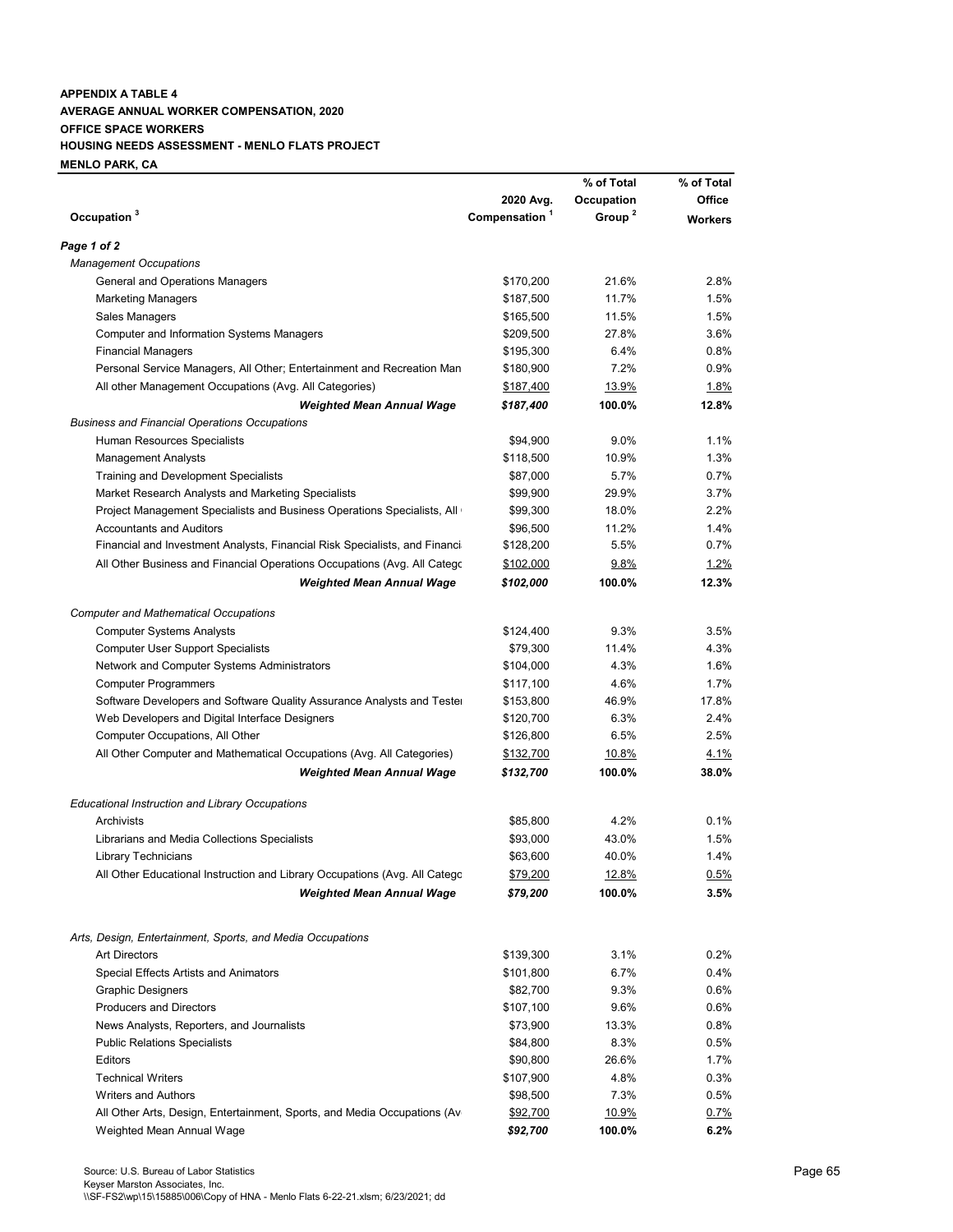#### **APPENDIX A TABLE 4 AVERAGE ANNUAL WORKER COMPENSATION, 2020 OFFICE SPACE WORKERS HOUSING NEEDS ASSESSMENT - MENLO FLATS PROJECT MENLO PARK, CA**

|                                                                              |                           | % of Total     | % of Total      |  |
|------------------------------------------------------------------------------|---------------------------|----------------|-----------------|--|
|                                                                              | 2020 Avg.                 | Occupation     | Office          |  |
| Occupation <sup>3</sup>                                                      | Compensation <sup>1</sup> | Group $2$      | <b>Workers</b>  |  |
| Page 1 of 2                                                                  |                           |                |                 |  |
| <b>Management Occupations</b>                                                |                           |                |                 |  |
| <b>General and Operations Managers</b>                                       | \$170,200                 | 21.6%          | 2.8%            |  |
| <b>Marketing Managers</b>                                                    | \$187,500                 | 11.7%          | 1.5%            |  |
| Sales Managers                                                               | \$165,500                 | 11.5%          | 1.5%            |  |
| <b>Computer and Information Systems Managers</b>                             | \$209,500                 | 27.8%          | 3.6%            |  |
| <b>Financial Managers</b>                                                    | \$195,300                 | 6.4%           | 0.8%            |  |
| Personal Service Managers, All Other; Entertainment and Recreation Man       | \$180,900                 | 7.2%           | 0.9%            |  |
| All other Management Occupations (Avg. All Categories)                       | \$187,400                 | 13.9%          | 1.8%            |  |
| <b>Weighted Mean Annual Wage</b>                                             | \$187,400                 | 100.0%         | 12.8%           |  |
| <b>Business and Financial Operations Occupations</b>                         |                           |                |                 |  |
| Human Resources Specialists                                                  | \$94,900                  | 9.0%           | 1.1%            |  |
| <b>Management Analysts</b>                                                   | \$118,500                 | 10.9%          | 1.3%            |  |
| Training and Development Specialists                                         | \$87,000                  | 5.7%           | 0.7%            |  |
| Market Research Analysts and Marketing Specialists                           | \$99,900                  | 29.9%          | 3.7%            |  |
| Project Management Specialists and Business Operations Specialists, All      | \$99,300                  | 18.0%          | 2.2%            |  |
| <b>Accountants and Auditors</b>                                              | \$96,500                  | 11.2%          | 1.4%            |  |
| Financial and Investment Analysts, Financial Risk Specialists, and Financial | \$128,200                 | 5.5%           | 0.7%            |  |
| All Other Business and Financial Operations Occupations (Avg. All Catego     | \$102,000                 | <u>9.8%</u>    | <u>1.2%</u>     |  |
| <b>Weighted Mean Annual Wage</b>                                             | \$102,000                 | 100.0%         | 12.3%           |  |
|                                                                              |                           |                |                 |  |
| <b>Computer and Mathematical Occupations</b>                                 |                           | 9.3%           | 3.5%            |  |
| <b>Computer Systems Analysts</b><br><b>Computer User Support Specialists</b> | \$124,400<br>\$79,300     | 11.4%          | 4.3%            |  |
| Network and Computer Systems Administrators                                  | \$104,000                 | 4.3%           | 1.6%            |  |
| <b>Computer Programmers</b>                                                  | \$117,100                 | 4.6%           | 1.7%            |  |
| Software Developers and Software Quality Assurance Analysts and Tester       | \$153,800                 | 46.9%          | 17.8%           |  |
| Web Developers and Digital Interface Designers                               | \$120,700                 | 6.3%           | 2.4%            |  |
| Computer Occupations, All Other                                              | \$126,800                 | 6.5%           | 2.5%            |  |
| All Other Computer and Mathematical Occupations (Avg. All Categories)        | \$132,700                 | 10.8%          | 4.1%            |  |
| <b>Weighted Mean Annual Wage</b>                                             | \$132,700                 | 100.0%         | 38.0%           |  |
|                                                                              |                           |                |                 |  |
| <b>Educational Instruction and Library Occupations</b>                       |                           |                |                 |  |
| Archivists                                                                   | \$85,800                  | 4.2%           | $0.1\%$         |  |
| Librarians and Media Collections Specialists<br><b>Library Technicians</b>   | \$93,000                  | 43.0%<br>40.0% | 1.5%<br>1.4%    |  |
| All Other Educational Instruction and Library Occupations (Avg. All Catego   | \$63,600                  | 12.8%          | 0.5%            |  |
|                                                                              | \$79,200<br>\$79,200      |                |                 |  |
| <b>Weighted Mean Annual Wage</b>                                             |                           | 100.0%         | 3.5%            |  |
|                                                                              |                           |                |                 |  |
| Arts, Design, Entertainment, Sports, and Media Occupations                   | \$139,300                 | 3.1%           |                 |  |
| <b>Art Directors</b><br>Special Effects Artists and Animators                | \$101,800                 | 6.7%           | $0.2\%$<br>0.4% |  |
| <b>Graphic Designers</b>                                                     |                           | 9.3%           | 0.6%            |  |
| <b>Producers and Directors</b>                                               | \$82,700                  | 9.6%           | $0.6\%$         |  |
| News Analysts, Reporters, and Journalists                                    | \$107,100<br>\$73,900     | 13.3%          | $0.8\%$         |  |
| <b>Public Relations Specialists</b>                                          | \$84,800                  | 8.3%           | 0.5%            |  |
| Editors                                                                      | \$90,800                  | 26.6%          | 1.7%            |  |
| <b>Technical Writers</b>                                                     | \$107,900                 | 4.8%           | 0.3%            |  |
| <b>Writers and Authors</b>                                                   | \$98,500                  | 7.3%           | 0.5%            |  |
| All Other Arts, Design, Entertainment, Sports, and Media Occupations (Av     | <u>\$92,700</u>           | <u>10.9%</u>   | $0.7\%$         |  |
| Weighted Mean Annual Wage                                                    | \$92,700                  | 100.0%         | 6.2%            |  |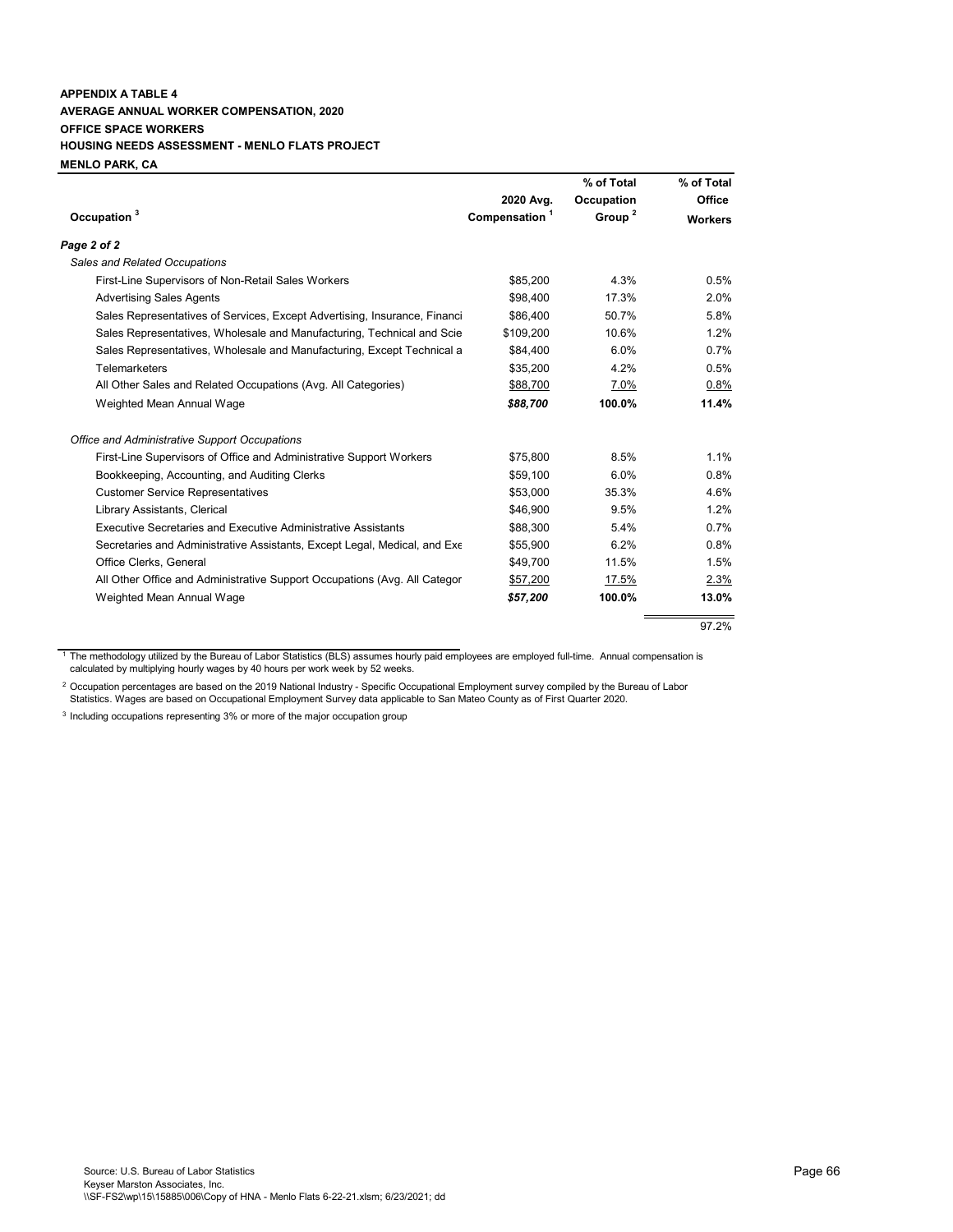#### **APPENDIX A TABLE 4 AVERAGE ANNUAL WORKER COMPENSATION, 2020 OFFICE SPACE WORKERS HOUSING NEEDS ASSESSMENT - MENLO FLATS PROJECT MENLO PARK, CA**

|                                                                           |                           | % of Total | % of Total     |
|---------------------------------------------------------------------------|---------------------------|------------|----------------|
|                                                                           | 2020 Avg.                 | Occupation | Office         |
| Occupation <sup>3</sup>                                                   | Compensation <sup>1</sup> | Group $2$  | <b>Workers</b> |
| Page 2 of 2                                                               |                           |            |                |
| Sales and Related Occupations                                             |                           |            |                |
| First-Line Supervisors of Non-Retail Sales Workers                        | \$85,200                  | 4.3%       | 0.5%           |
| <b>Advertising Sales Agents</b>                                           | \$98,400                  | 17.3%      | 2.0%           |
| Sales Representatives of Services, Except Advertising, Insurance, Financi | \$86,400                  | 50.7%      | 5.8%           |
| Sales Representatives, Wholesale and Manufacturing, Technical and Scie    | \$109,200                 | 10.6%      | 1.2%           |
| Sales Representatives, Wholesale and Manufacturing, Except Technical a    | \$84,400                  | 6.0%       | 0.7%           |
| <b>Telemarketers</b>                                                      | \$35,200                  | 4.2%       | 0.5%           |
| All Other Sales and Related Occupations (Avg. All Categories)             | \$88,700                  | 7.0%       | 0.8%           |
| Weighted Mean Annual Wage                                                 | \$88,700                  | 100.0%     | 11.4%          |
| Office and Administrative Support Occupations                             |                           |            |                |
| First-Line Supervisors of Office and Administrative Support Workers       | \$75,800                  | 8.5%       | 1.1%           |
| Bookkeeping, Accounting, and Auditing Clerks                              | \$59,100                  | 6.0%       | 0.8%           |
| <b>Customer Service Representatives</b>                                   | \$53,000                  | 35.3%      | 4.6%           |
| Library Assistants, Clerical                                              | \$46,900                  | 9.5%       | 1.2%           |
| Executive Secretaries and Executive Administrative Assistants             | \$88,300                  | 5.4%       | 0.7%           |
| Secretaries and Administrative Assistants, Except Legal, Medical, and Exe | \$55,900                  | 6.2%       | 0.8%           |
| Office Clerks, General                                                    | \$49,700                  | 11.5%      | 1.5%           |
| All Other Office and Administrative Support Occupations (Avg. All Categor | \$57,200                  | 17.5%      | 2.3%           |
| Weighted Mean Annual Wage                                                 | \$57,200                  | 100.0%     | 13.0%          |
|                                                                           |                           |            | 97.2%          |

1 The methodology utilized by the Bureau of Labor Statistics (BLS) assumes hourly paid employees are employed full-time. Annual compensation is calculated by multiplying hourly wages by 40 hours per work week by 52 weeks.

2 Occupation percentages are based on the 2019 National Industry - Specific Occupational Employment survey compiled by the Bureau of Labor Statistics. Wages are based on Occupational Employment Survey data applicable to San Mateo County as of First Quarter 2020.

3 Including occupations representing 3% or more of the major occupation group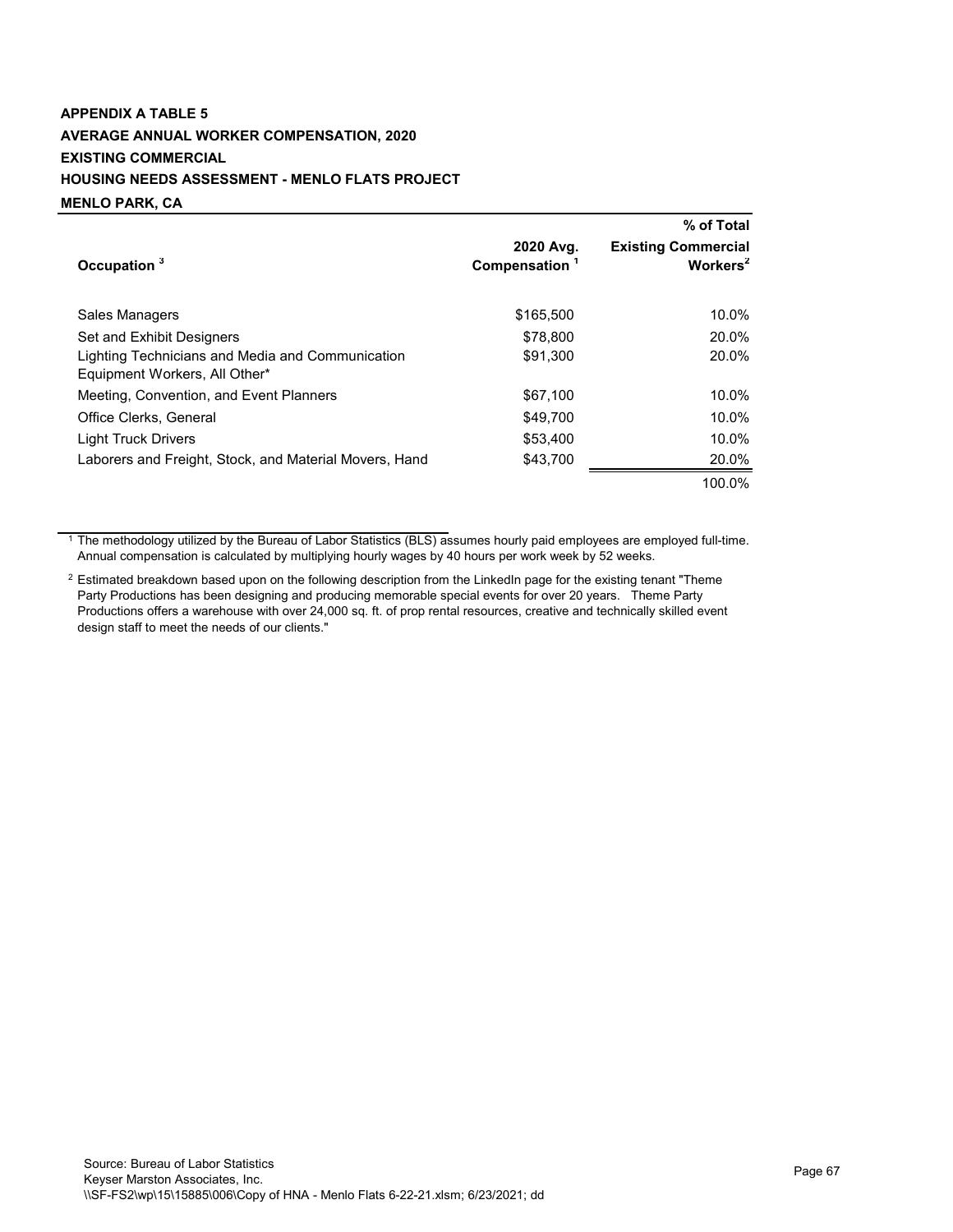### **APPENDIX A TABLE 5 AVERAGE ANNUAL WORKER COMPENSATION, 2020 EXISTING COMMERCIAL HOUSING NEEDS ASSESSMENT - MENLO FLATS PROJECT MENLO PARK, CA**

|                                                                                   |                                        | % of Total                                         |
|-----------------------------------------------------------------------------------|----------------------------------------|----------------------------------------------------|
| Occupation <sup>3</sup>                                                           | 2020 Avg.<br>Compensation <sup>1</sup> | <b>Existing Commercial</b><br>Workers <sup>2</sup> |
| Sales Managers                                                                    | \$165,500                              | 10.0%                                              |
| Set and Exhibit Designers                                                         | \$78,800                               | 20.0%                                              |
| Lighting Technicians and Media and Communication<br>Equipment Workers, All Other* | \$91,300                               | 20.0%                                              |
| Meeting, Convention, and Event Planners                                           | \$67,100                               | 10.0%                                              |
| Office Clerks, General                                                            | \$49.700                               | 10.0%                                              |
| <b>Light Truck Drivers</b>                                                        | \$53,400                               | 10.0%                                              |
| Laborers and Freight, Stock, and Material Movers, Hand                            | \$43.700                               | 20.0%                                              |
|                                                                                   |                                        | 100.0%                                             |

1 The methodology utilized by the Bureau of Labor Statistics (BLS) assumes hourly paid employees are employed full-time. Annual compensation is calculated by multiplying hourly wages by 40 hours per work week by 52 weeks.

2 Estimated breakdown based upon on the following description from the LinkedIn page for the existing tenant "Theme Party Productions has been designing and producing memorable special events for over 20 years. Theme Party Productions offers a warehouse with over 24,000 sq. ft. of prop rental resources, creative and technically skilled event design staff to meet the needs of our clients."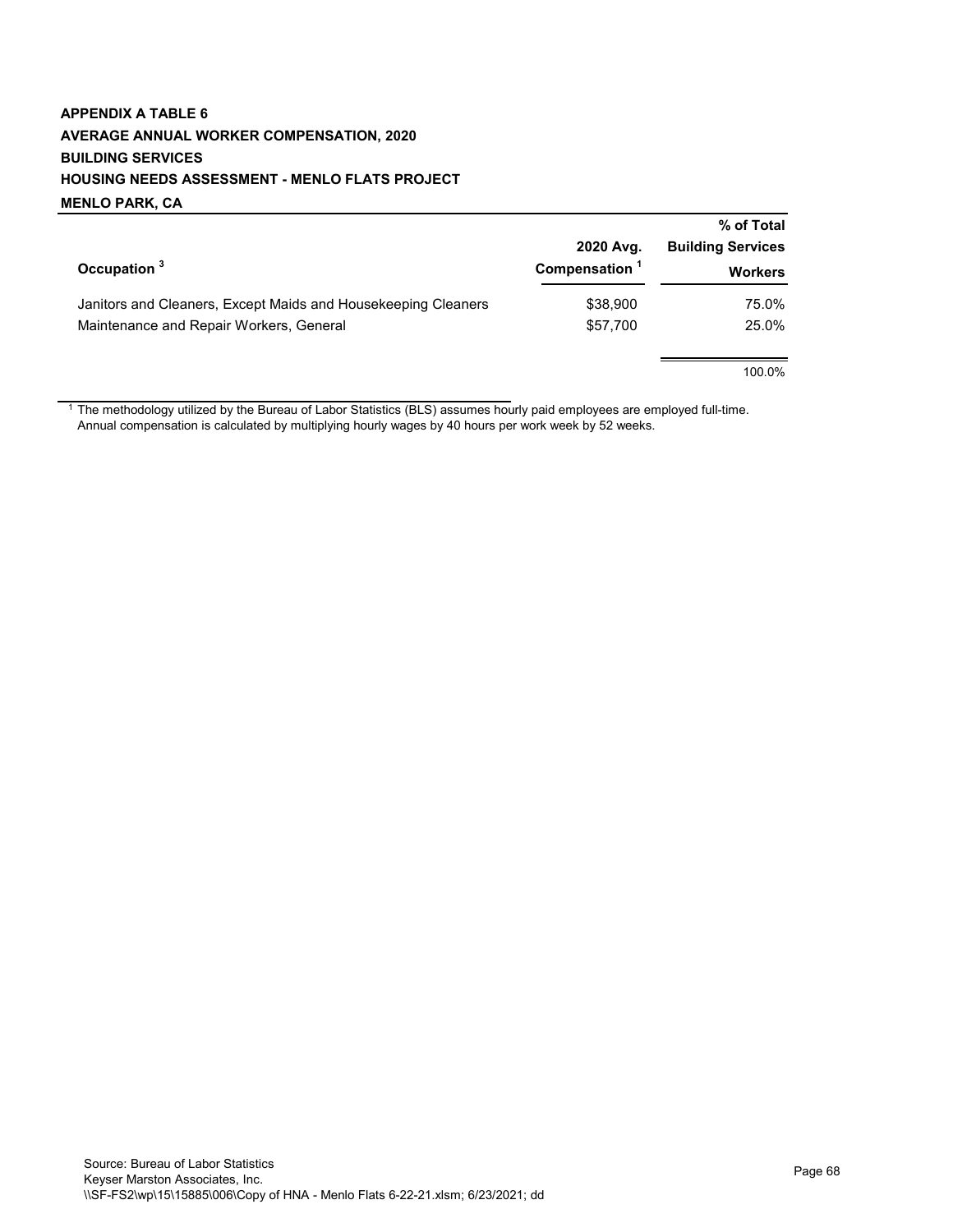## **APPENDIX A TABLE 6 AVERAGE ANNUAL WORKER COMPENSATION, 2020 BUILDING SERVICES HOUSING NEEDS ASSESSMENT - MENLO FLATS PROJECT MENLO PARK, CA**

| Occupation <sup>3</sup>                                       | 2020 Avg.<br>Compensation <sup>1</sup> | % of Total<br><b>Building Services</b><br><b>Workers</b> |
|---------------------------------------------------------------|----------------------------------------|----------------------------------------------------------|
| Janitors and Cleaners, Except Maids and Housekeeping Cleaners | \$38,900                               | 75.0%                                                    |
| Maintenance and Repair Workers, General                       | \$57,700                               | 25.0%                                                    |

100.0%

<sup>1</sup> The methodology utilized by the Bureau of Labor Statistics (BLS) assumes hourly paid employees are employed full-time. Annual compensation is calculated by multiplying hourly wages by 40 hours per work week by 52 weeks.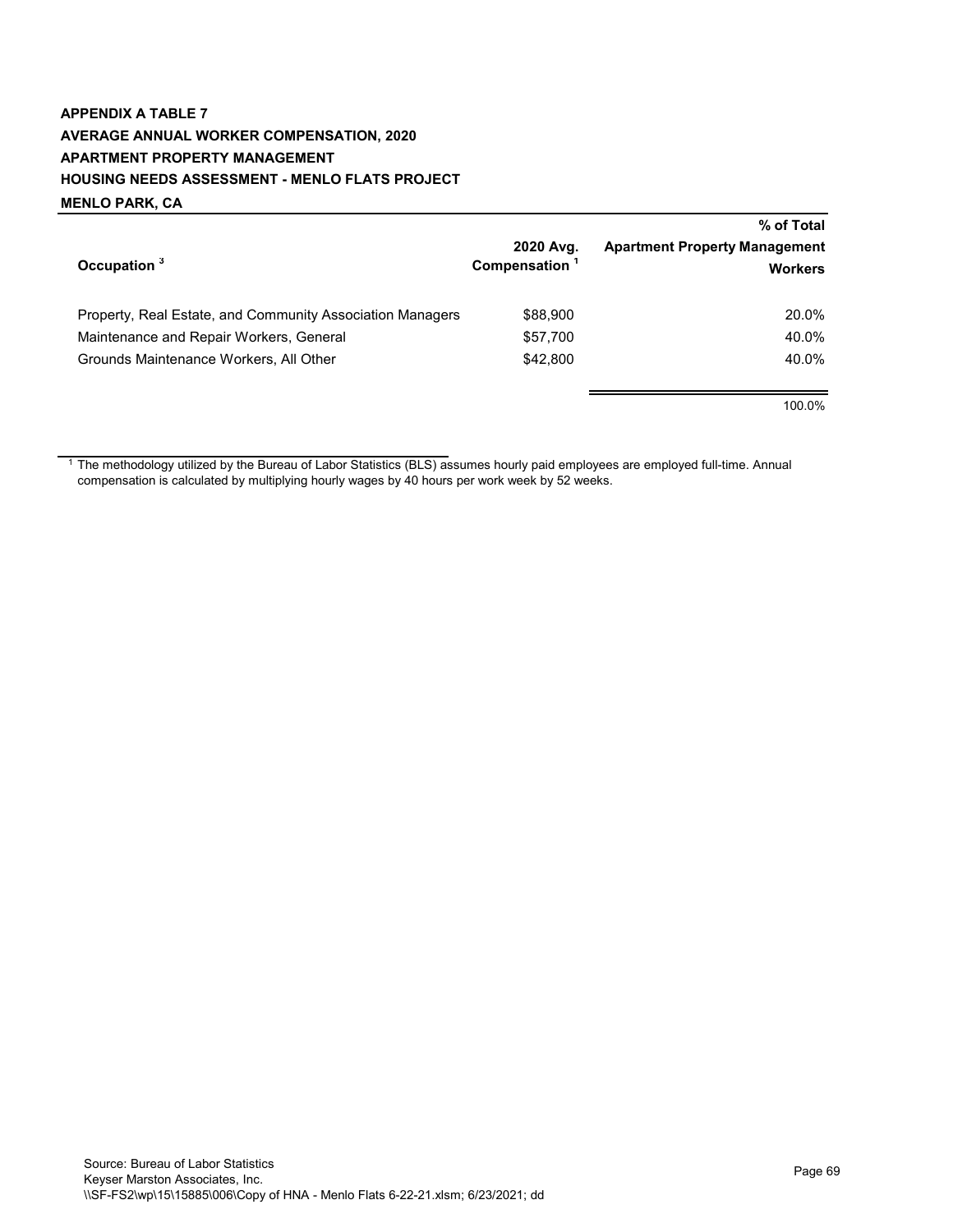## **APPENDIX A TABLE 7 AVERAGE ANNUAL WORKER COMPENSATION, 2020 APARTMENT PROPERTY MANAGEMENT HOUSING NEEDS ASSESSMENT - MENLO FLATS PROJECT MENLO PARK, CA**

| Occupation <sup>3</sup>                                   | 2020 Avg.<br>Compensation <sup>1</sup> | % of Total<br><b>Apartment Property Management</b><br><b>Workers</b> |
|-----------------------------------------------------------|----------------------------------------|----------------------------------------------------------------------|
| Property, Real Estate, and Community Association Managers | \$88,900                               | 20.0%                                                                |
| Maintenance and Repair Workers, General                   | \$57,700                               | 40.0%                                                                |
| Grounds Maintenance Workers, All Other                    | \$42,800                               | 40.0%                                                                |
|                                                           |                                        | 100.0%                                                               |

<sup>1</sup> The methodology utilized by the Bureau of Labor Statistics (BLS) assumes hourly paid employees are employed full-time. Annual compensation is calculated by multiplying hourly wages by 40 hours per work week by 52 weeks.